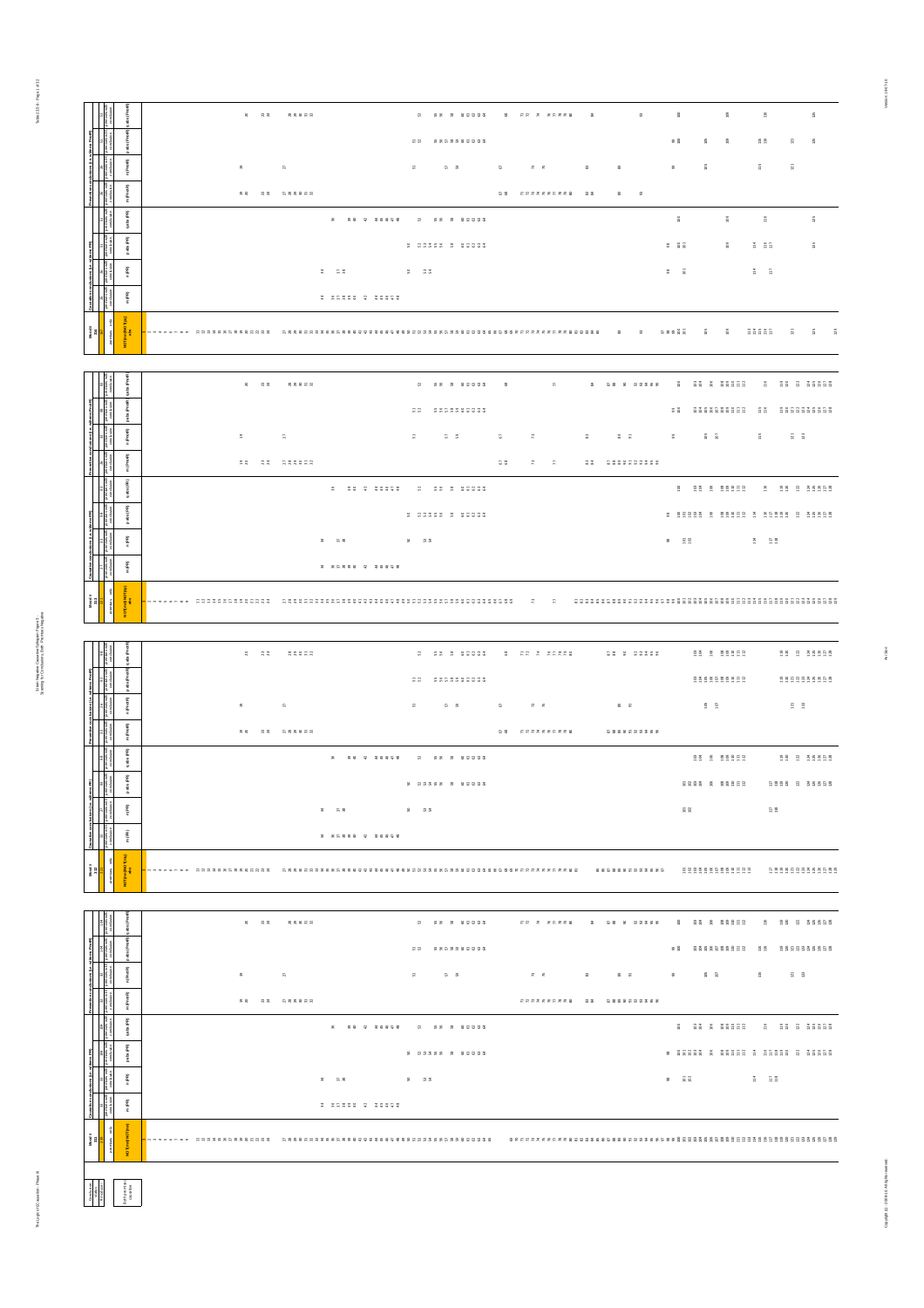

 $\frac{5}{3}$ 

Table 23.5-9 - Page 1 of 32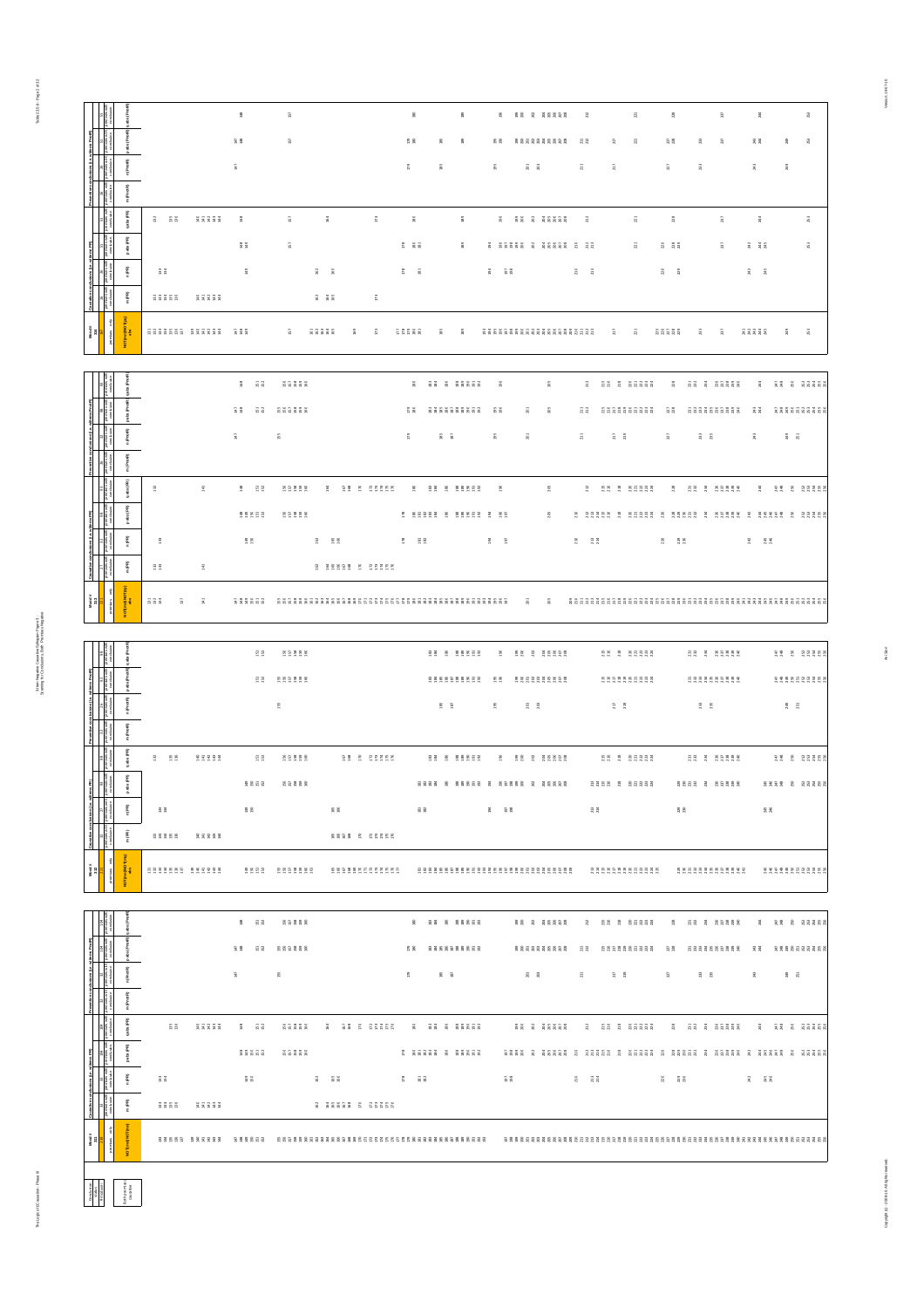|        |  |               |                                                                                                                                                                                                                                                                                                                                                                                      | $\frac{32}{14}$                                                                                                                                                                                                                                                                                                                                                                                                                   | 157                                                                                                                                         |                                                                                                                                                                                                                                                                                                                                                                                                                                   |              | 30  | 189             |  | $\frac{9}{21}$ $\frac{9}{21}$ $\frac{9}{21}$ $\frac{3}{21}$ $\frac{3}{21}$ $\frac{3}{21}$ $\frac{3}{21}$ $\frac{3}{21}$ $\frac{3}{21}$ $\frac{3}{21}$ $\frac{3}{21}$ $\frac{3}{21}$ $\frac{3}{21}$ $\frac{3}{21}$ $\frac{3}{21}$ $\frac{3}{21}$ $\frac{3}{21}$ $\frac{3}{21}$ $\frac{3}{21}$ $\frac{3}{21}$                                                                                                                                                                                                                  |      |                |                               | $\frac{2}{3}$                                                                                                        |            | $\ddot{z}$                 | $\bar{z}$                 |        | 253                                                                                 |
|--------|--|---------------|--------------------------------------------------------------------------------------------------------------------------------------------------------------------------------------------------------------------------------------------------------------------------------------------------------------------------------------------------------------------------------------|-----------------------------------------------------------------------------------------------------------------------------------------------------------------------------------------------------------------------------------------------------------------------------------------------------------------------------------------------------------------------------------------------------------------------------------|---------------------------------------------------------------------------------------------------------------------------------------------|-----------------------------------------------------------------------------------------------------------------------------------------------------------------------------------------------------------------------------------------------------------------------------------------------------------------------------------------------------------------------------------------------------------------------------------|--------------|-----|-----------------|--|------------------------------------------------------------------------------------------------------------------------------------------------------------------------------------------------------------------------------------------------------------------------------------------------------------------------------------------------------------------------------------------------------------------------------------------------------------------------------------------------------------------------------|------|----------------|-------------------------------|----------------------------------------------------------------------------------------------------------------------|------------|----------------------------|---------------------------|--------|-------------------------------------------------------------------------------------|
|        |  |               |                                                                                                                                                                                                                                                                                                                                                                                      | $\frac{75}{25}$                                                                                                                                                                                                                                                                                                                                                                                                                   | 57                                                                                                                                          |                                                                                                                                                                                                                                                                                                                                                                                                                                   |              | 580 | <b>18 89</b>    |  | aa aasaasaasa ss                                                                                                                                                                                                                                                                                                                                                                                                                                                                                                             |      |                | $\overline{n}$ $\overline{n}$ | $\frac{27}{228}$                                                                                                     |            | $\ddot{a}$                 | 昇著                        |        | 용 - B                                                                               |
|        |  |               |                                                                                                                                                                                                                                                                                                                                                                                      | $\overline{\mathfrak{A}}$ .                                                                                                                                                                                                                                                                                                                                                                                                       |                                                                                                                                             |                                                                                                                                                                                                                                                                                                                                                                                                                                   |              | 179 | $\frac{55}{28}$ |  | $\begin{array}{ccc}\n\ddots & \ddots & \ddots & \ddots \\ \ddots & \ddots & \ddots & \ddots & \ddots \\ \ddots & \ddots & \ddots & \ddots & \ddots \\ \ddots & \ddots & \ddots & \ddots & \ddots \\ \ddots & \ddots & \ddots & \ddots & \ddots \\ \ddots & \ddots & \ddots & \ddots & \ddots \\ \ddots & \ddots & \ddots & \ddots & \ddots \\ \ddots & \ddots & \ddots & \ddots & \ddots \\ \ddots & \ddots & \ddots & \ddots & \ddots \\ \ddots & \ddots & \ddots & \ddots & \ddots \\ \ddots & \ddots & \ddots & \ddots &$ |      | $\overline{a}$ |                               | $\overline{\mathbf{z}}$                                                                                              | $\ddot{a}$ |                            | $\mathbb{R}$              | 349    |                                                                                     |
|        |  |               |                                                                                                                                                                                                                                                                                                                                                                                      |                                                                                                                                                                                                                                                                                                                                                                                                                                   |                                                                                                                                             |                                                                                                                                                                                                                                                                                                                                                                                                                                   |              |     |                 |  |                                                                                                                                                                                                                                                                                                                                                                                                                                                                                                                              |      |                |                               |                                                                                                                      |            |                            |                           |        |                                                                                     |
|        |  |               | 면 전면 문문모모표 또                                                                                                                                                                                                                                                                                                                                                                         |                                                                                                                                                                                                                                                                                                                                                                                                                                   | .<br>- 그리고 그리고 있는 그리고 있는 그리고 있는 그리고 있는 것이 없는 것이 없는 것이 없는 것이 없는 것이 없는 것이 없는 것이 없는 것이 있는 것이 있는 것이 있는 것이 있는 것이 있는 것이 있                         |                                                                                                                                                                                                                                                                                                                                                                                                                                   |              |     |                 |  |                                                                                                                                                                                                                                                                                                                                                                                                                                                                                                                              |      |                |                               |                                                                                                                      |            | $\overline{a}$             |                           |        | $2\,\mathrm{S}$                                                                     |
|        |  |               |                                                                                                                                                                                                                                                                                                                                                                                      |                                                                                                                                                                                                                                                                                                                                                                                                                                   |                                                                                                                                             |                                                                                                                                                                                                                                                                                                                                                                                                                                   |              |     |                 |  |                                                                                                                                                                                                                                                                                                                                                                                                                                                                                                                              |      |                |                               |                                                                                                                      |            |                            |                           |        |                                                                                     |
|        |  |               |                                                                                                                                                                                                                                                                                                                                                                                      | 7.49                                                                                                                                                                                                                                                                                                                                                                                                                              | 157                                                                                                                                         |                                                                                                                                                                                                                                                                                                                                                                                                                                   |              |     |                 |  | <u> - 1988 - 1988 - 1988 - 1988 - 1988 - 1988 - 1988 - 1988 - 1988 - 1988 - 1988 - 1988 - 1988 - 1988 - 1988 - 1</u>                                                                                                                                                                                                                                                                                                                                                                                                         |      |                |                               |                                                                                                                      |            |                            |                           |        | 253                                                                                 |
|        |  | $\mathbb{Z}$  |                                                                                                                                                                                                                                                                                                                                                                                      | <u>유</u> 전 시간 시간 시간 시간 시간 시간 시간 시간 시간 시간 시간이 있다.                                                                                                                                                                                                                                                                                                                                                                                  |                                                                                                                                             | $\begin{array}{ccc}\n\mathbf{G} & \mathbf{H} & \mathbf{H} & \mathbf{H} & \mathbf{H} & \mathbf{H} & \mathbf{H} & \mathbf{H} & \mathbf{H} & \mathbf{H} & \mathbf{H} & \mathbf{H} & \mathbf{H} & \mathbf{H} & \mathbf{H} & \mathbf{H} & \mathbf{H} & \mathbf{H} & \mathbf{H} & \mathbf{H} & \mathbf{H} & \mathbf{H} & \mathbf{H} & \mathbf{H} & \mathbf{H} & \mathbf{H} & \mathbf{H} & \mathbf{H} & \mathbf{H} & \mathbf{H} & \math$ |              |     |                 |  |                                                                                                                                                                                                                                                                                                                                                                                                                                                                                                                              |      |                |                               | $\overset{5}{\phantom{1}}\phantom{00}$ $\overset{5}{\phantom{1}}\phantom{00}$ $\overset{5}{\phantom{1}}\phantom{00}$ |            |                            | $\mathbb{R}$ $\mathbb{R}$ |        |                                                                                     |
|        |  |               | $\overline{a}$ $\overline{a}$ $\overline{a}$ $\overline{a}$ $\overline{a}$ $\overline{a}$ $\overline{a}$ $\overline{a}$ $\overline{a}$ $\overline{a}$ $\overline{a}$ $\overline{a}$ $\overline{a}$ $\overline{a}$ $\overline{a}$ $\overline{a}$ $\overline{a}$ $\overline{a}$ $\overline{a}$ $\overline{a}$ $\overline{a}$ $\overline{a}$ $\overline{a}$ $\overline{a}$ $\overline{$ |                                                                                                                                                                                                                                                                                                                                                                                                                                   |                                                                                                                                             |                                                                                                                                                                                                                                                                                                                                                                                                                                   | $\mathbb{R}$ |     |                 |  |                                                                                                                                                                                                                                                                                                                                                                                                                                                                                                                              |      |                |                               |                                                                                                                      |            |                            |                           |        |                                                                                     |
|        |  |               |                                                                                                                                                                                                                                                                                                                                                                                      |                                                                                                                                                                                                                                                                                                                                                                                                                                   |                                                                                                                                             |                                                                                                                                                                                                                                                                                                                                                                                                                                   |              |     |                 |  |                                                                                                                                                                                                                                                                                                                                                                                                                                                                                                                              |      |                |                               |                                                                                                                      |            |                            |                           |        |                                                                                     |
|        |  |               |                                                                                                                                                                                                                                                                                                                                                                                      |                                                                                                                                                                                                                                                                                                                                                                                                                                   |                                                                                                                                             |                                                                                                                                                                                                                                                                                                                                                                                                                                   |              |     |                 |  |                                                                                                                                                                                                                                                                                                                                                                                                                                                                                                                              |      |                |                               |                                                                                                                      |            |                            |                           |        |                                                                                     |
|        |  |               |                                                                                                                                                                                                                                                                                                                                                                                      |                                                                                                                                                                                                                                                                                                                                                                                                                                   |                                                                                                                                             |                                                                                                                                                                                                                                                                                                                                                                                                                                   |              |     |                 |  |                                                                                                                                                                                                                                                                                                                                                                                                                                                                                                                              |      |                |                               |                                                                                                                      |            |                            |                           |        |                                                                                     |
|        |  |               |                                                                                                                                                                                                                                                                                                                                                                                      | 몇 점점 20점점을                                                                                                                                                                                                                                                                                                                                                                                                                        |                                                                                                                                             |                                                                                                                                                                                                                                                                                                                                                                                                                                   |              |     |                 |  |                                                                                                                                                                                                                                                                                                                                                                                                                                                                                                                              |      |                |                               |                                                                                                                      |            |                            |                           |        |                                                                                     |
|        |  |               |                                                                                                                                                                                                                                                                                                                                                                                      |                                                                                                                                                                                                                                                                                                                                                                                                                                   |                                                                                                                                             |                                                                                                                                                                                                                                                                                                                                                                                                                                   |              |     |                 |  |                                                                                                                                                                                                                                                                                                                                                                                                                                                                                                                              |      |                |                               |                                                                                                                      |            |                            |                           |        | 정을 공품물을등품물을등품 할 것 및 할 보다 자유 다양 다양 보다 보기 시작되는 다양 다양 다양 다양 다양 다양 보기 시작을 보기 전 다양 다양한다. |
|        |  |               |                                                                                                                                                                                                                                                                                                                                                                                      | $\begin{array}{ccc}\n\mathbf{5} & \mathbf{1} & \mathbf{1} & \mathbf{1} & \mathbf{1} & \mathbf{1} & \mathbf{1} & \mathbf{1} & \mathbf{1} & \mathbf{1} & \mathbf{1} & \mathbf{1} & \mathbf{1} & \mathbf{1} & \mathbf{1} & \mathbf{1} & \mathbf{1} & \mathbf{1} & \mathbf{1} & \mathbf{1} & \mathbf{1} & \mathbf{1} & \mathbf{1} & \mathbf{1} & \mathbf{1} & \mathbf{1} & \mathbf{1} & \mathbf{1} & \mathbf{1} & \mathbf{1} & \math$ |                                                                                                                                             |                                                                                                                                                                                                                                                                                                                                                                                                                                   |              |     |                 |  | - 『 『 『 『 『 』 『 『 』 『 『 』 『 『 』 『 『 』 『 『 』 『 『 』 『 『 』 『 『 』 『 『 』 『 『 』 『 『 』 『 『 』 『 『 』 『 『 』 『 』 『 『 』 『 』 『 『 』 『 』 『 『 』 『 』 『 『 』 『 』 『 』 『 』 『 』 『 』 『 』 『 』 『 』 『 』 『 』 『 』 『 』 『 』 『 』 『 』 『 』 『 』 』 『 』 『 』 『 』                                                                                                                                                                                                                                                                                                  |      |                |                               |                                                                                                                      |            |                            |                           |        |                                                                                     |
|        |  |               |                                                                                                                                                                                                                                                                                                                                                                                      |                                                                                                                                                                                                                                                                                                                                                                                                                                   |                                                                                                                                             |                                                                                                                                                                                                                                                                                                                                                                                                                                   |              |     |                 |  |                                                                                                                                                                                                                                                                                                                                                                                                                                                                                                                              |      |                |                               |                                                                                                                      |            |                            |                           |        |                                                                                     |
|        |  |               |                                                                                                                                                                                                                                                                                                                                                                                      |                                                                                                                                                                                                                                                                                                                                                                                                                                   |                                                                                                                                             |                                                                                                                                                                                                                                                                                                                                                                                                                                   |              |     |                 |  |                                                                                                                                                                                                                                                                                                                                                                                                                                                                                                                              |      |                |                               |                                                                                                                      |            |                            |                           |        |                                                                                     |
|        |  | $\mathbb{R}$  | $\frac{d\mathbf{r}}{d\mathbf{r}} = \frac{d\mathbf{r}}{d\mathbf{r}}$                                                                                                                                                                                                                                                                                                                  |                                                                                                                                                                                                                                                                                                                                                                                                                                   |                                                                                                                                             |                                                                                                                                                                                                                                                                                                                                                                                                                                   |              |     |                 |  |                                                                                                                                                                                                                                                                                                                                                                                                                                                                                                                              |      |                |                               |                                                                                                                      |            |                            |                           |        |                                                                                     |
|        |  |               |                                                                                                                                                                                                                                                                                                                                                                                      |                                                                                                                                                                                                                                                                                                                                                                                                                                   |                                                                                                                                             |                                                                                                                                                                                                                                                                                                                                                                                                                                   |              |     |                 |  |                                                                                                                                                                                                                                                                                                                                                                                                                                                                                                                              |      |                |                               |                                                                                                                      |            |                            |                           |        |                                                                                     |
|        |  | $\frac{3}{2}$ |                                                                                                                                                                                                                                                                                                                                                                                      |                                                                                                                                                                                                                                                                                                                                                                                                                                   |                                                                                                                                             |                                                                                                                                                                                                                                                                                                                                                                                                                                   |              |     |                 |  |                                                                                                                                                                                                                                                                                                                                                                                                                                                                                                                              |      |                |                               |                                                                                                                      |            |                            |                           |        |                                                                                     |
|        |  | $\frac{3}{2}$ | $\frac{1}{2}$                                                                                                                                                                                                                                                                                                                                                                        |                                                                                                                                                                                                                                                                                                                                                                                                                                   |                                                                                                                                             | <b>S 38888 6 66566</b>                                                                                                                                                                                                                                                                                                                                                                                                            |              |     |                 |  |                                                                                                                                                                                                                                                                                                                                                                                                                                                                                                                              |      |                |                               |                                                                                                                      |            |                            |                           |        |                                                                                     |
|        |  |               |                                                                                                                                                                                                                                                                                                                                                                                      |                                                                                                                                                                                                                                                                                                                                                                                                                                   |                                                                                                                                             |                                                                                                                                                                                                                                                                                                                                                                                                                                   |              |     |                 |  |                                                                                                                                                                                                                                                                                                                                                                                                                                                                                                                              |      |                |                               |                                                                                                                      |            |                            |                           |        |                                                                                     |
| ğg     |  | 588           | $\frac{1}{2}$                                                                                                                                                                                                                                                                                                                                                                        |                                                                                                                                                                                                                                                                                                                                                                                                                                   |                                                                                                                                             |                                                                                                                                                                                                                                                                                                                                                                                                                                   |              |     |                 |  |                                                                                                                                                                                                                                                                                                                                                                                                                                                                                                                              |      |                |                               |                                                                                                                      |            |                            |                           |        |                                                                                     |
|        |  |               |                                                                                                                                                                                                                                                                                                                                                                                      |                                                                                                                                                                                                                                                                                                                                                                                                                                   |                                                                                                                                             |                                                                                                                                                                                                                                                                                                                                                                                                                                   |              |     |                 |  |                                                                                                                                                                                                                                                                                                                                                                                                                                                                                                                              |      |                |                               |                                                                                                                      |            |                            |                           |        |                                                                                     |
|        |  |               |                                                                                                                                                                                                                                                                                                                                                                                      |                                                                                                                                                                                                                                                                                                                                                                                                                                   | 여행 원의원을                                                                                                                                     |                                                                                                                                                                                                                                                                                                                                                                                                                                   |              |     |                 |  |                                                                                                                                                                                                                                                                                                                                                                                                                                                                                                                              |      |                |                               |                                                                                                                      |            |                            |                           |        | 음품 음료음료음                                                                            |
|        |  |               |                                                                                                                                                                                                                                                                                                                                                                                      |                                                                                                                                                                                                                                                                                                                                                                                                                                   | 99 989388                                                                                                                                   |                                                                                                                                                                                                                                                                                                                                                                                                                                   |              |     |                 |  |                                                                                                                                                                                                                                                                                                                                                                                                                                                                                                                              |      |                |                               |                                                                                                                      |            |                            |                           |        |                                                                                     |
|        |  |               |                                                                                                                                                                                                                                                                                                                                                                                      |                                                                                                                                                                                                                                                                                                                                                                                                                                   | $\frac{1}{2}$                                                                                                                               |                                                                                                                                                                                                                                                                                                                                                                                                                                   |              |     |                 |  | .<br>1980년 1월 1일 - 대한민국의 대한민국의 대한민국의 대한민국의 대한민국의 대한민국의 대한민국의 대한민국의 대한민국의 대한민국의 대한민국의 대한민국의 대한민국의 대한민국의 대한민국의 대한민국의<br>1980년 1월 1일 - 대한민국의 대한민국의 대한민국의 대한민국의 대한민국의 대한민국의 대한민국의 대한민국의 대한민국의 대한민국의 대한민국의 대한민국의 대한민국의 대한민국의 대한민국의 대한민국                                                                                                                                                                                                                                                                                           |      |                |                               |                                                                                                                      |            |                            |                           |        |                                                                                     |
|        |  |               |                                                                                                                                                                                                                                                                                                                                                                                      |                                                                                                                                                                                                                                                                                                                                                                                                                                   |                                                                                                                                             |                                                                                                                                                                                                                                                                                                                                                                                                                                   |              |     |                 |  |                                                                                                                                                                                                                                                                                                                                                                                                                                                                                                                              |      |                |                               |                                                                                                                      |            |                            |                           |        |                                                                                     |
|        |  |               |                                                                                                                                                                                                                                                                                                                                                                                      |                                                                                                                                                                                                                                                                                                                                                                                                                                   |                                                                                                                                             |                                                                                                                                                                                                                                                                                                                                                                                                                                   |              |     |                 |  |                                                                                                                                                                                                                                                                                                                                                                                                                                                                                                                              |      |                |                               |                                                                                                                      |            |                            |                           |        |                                                                                     |
|        |  |               |                                                                                                                                                                                                                                                                                                                                                                                      |                                                                                                                                                                                                                                                                                                                                                                                                                                   |                                                                                                                                             |                                                                                                                                                                                                                                                                                                                                                                                                                                   |              |     |                 |  |                                                                                                                                                                                                                                                                                                                                                                                                                                                                                                                              |      |                |                               |                                                                                                                      |            |                            |                           |        |                                                                                     |
|        |  |               |                                                                                                                                                                                                                                                                                                                                                                                      |                                                                                                                                                                                                                                                                                                                                                                                                                                   | 3358 3538                                                                                                                                   |                                                                                                                                                                                                                                                                                                                                                                                                                                   |              |     |                 |  |                                                                                                                                                                                                                                                                                                                                                                                                                                                                                                                              |      |                |                               |                                                                                                                      |            | 8388 8 85883 88588 3 85888 |                           |        | <b>RARA A HHAMA</b>                                                                 |
|        |  | $\Xi$ $\Xi$   |                                                                                                                                                                                                                                                                                                                                                                                      | $\frac{20}{20}$                                                                                                                                                                                                                                                                                                                                                                                                                   |                                                                                                                                             | 1919년 1월 1919년 1월 1919년 1월 21일 - 대한민국의 대한민국의 대한민국의 대한민국의 대한민국의 대한민국의 대한민국의 대한민국의 대한민국의 대한민국의 대한민국의 대한민국의 대한민국의                                                                                                                                                                                                                                                                                                                    |              |     |                 |  |                                                                                                                                                                                                                                                                                                                                                                                                                                                                                                                              | - 음종 |                |                               | 28                                                                                                                   |            |                            | 28                        |        |                                                                                     |
|        |  |               | 88388 99999                                                                                                                                                                                                                                                                                                                                                                          |                                                                                                                                                                                                                                                                                                                                                                                                                                   |                                                                                                                                             | gges e ensen                                                                                                                                                                                                                                                                                                                                                                                                                      |              |     |                 |  |                                                                                                                                                                                                                                                                                                                                                                                                                                                                                                                              |      |                |                               |                                                                                                                      |            |                            |                           |        |                                                                                     |
|        |  |               |                                                                                                                                                                                                                                                                                                                                                                                      |                                                                                                                                                                                                                                                                                                                                                                                                                                   |                                                                                                                                             |                                                                                                                                                                                                                                                                                                                                                                                                                                   |              |     |                 |  |                                                                                                                                                                                                                                                                                                                                                                                                                                                                                                                              |      |                |                               |                                                                                                                      |            |                            |                           |        |                                                                                     |
| Mood # |  |               |                                                                                                                                                                                                                                                                                                                                                                                      |                                                                                                                                                                                                                                                                                                                                                                                                                                   |                                                                                                                                             |                                                                                                                                                                                                                                                                                                                                                                                                                                   |              |     |                 |  |                                                                                                                                                                                                                                                                                                                                                                                                                                                                                                                              |      |                |                               |                                                                                                                      |            |                            |                           |        |                                                                                     |
|        |  |               |                                                                                                                                                                                                                                                                                                                                                                                      |                                                                                                                                                                                                                                                                                                                                                                                                                                   |                                                                                                                                             |                                                                                                                                                                                                                                                                                                                                                                                                                                   |              |     |                 |  |                                                                                                                                                                                                                                                                                                                                                                                                                                                                                                                              |      |                |                               |                                                                                                                      |            |                            |                           |        |                                                                                     |
|        |  |               |                                                                                                                                                                                                                                                                                                                                                                                      |                                                                                                                                                                                                                                                                                                                                                                                                                                   | $\frac{2}{3}$ $\frac{1}{3}$ $\frac{1}{3}$ $\frac{1}{3}$ $\frac{1}{3}$ $\frac{1}{3}$ $\frac{1}{3}$ $\frac{1}{3}$ $\frac{1}{3}$ $\frac{1}{3}$ |                                                                                                                                                                                                                                                                                                                                                                                                                                   |              |     |                 |  |                                                                                                                                                                                                                                                                                                                                                                                                                                                                                                                              |      |                |                               |                                                                                                                      |            |                            |                           |        |                                                                                     |
|        |  |               |                                                                                                                                                                                                                                                                                                                                                                                      |                                                                                                                                                                                                                                                                                                                                                                                                                                   | 53 53 53538                                                                                                                                 |                                                                                                                                                                                                                                                                                                                                                                                                                                   |              |     | 四角 网络照角照照角照照    |  |                                                                                                                                                                                                                                                                                                                                                                                                                                                                                                                              |      |                |                               |                                                                                                                      |            |                            |                           |        | 최용점원원총원원원회 자체 비과통원원원원원원 통원 회원원권원원원원원 국민 동영원원원원원원원원                                  |
|        |  |               |                                                                                                                                                                                                                                                                                                                                                                                      | 第二十一章 第二十一章                                                                                                                                                                                                                                                                                                                                                                                                                       |                                                                                                                                             |                                                                                                                                                                                                                                                                                                                                                                                                                                   |              |     |                 |  | - 그리고 그리고 그리고 그리고 있는 그리고 있는 그리고 있는 그리고 있는 그리고 있는 그리고 있는 그리고 있는 것이다.<br>- 그리고 그리고 그리고 있는 그리고 있는 그리고 있는 그리고 있는 그리고 있는 그리고 있는 그리고 있는 그리고 있는 그리고 있는 그리고 있는 그리고 있는 그리고 있는 그리고 있는 그리고 있는 그리                                                                                                                                                                                                                                                                                                                                        |      |                |                               |                                                                                                                      |            |                            |                           | 78.751 |                                                                                     |
|        |  |               |                                                                                                                                                                                                                                                                                                                                                                                      |                                                                                                                                                                                                                                                                                                                                                                                                                                   |                                                                                                                                             |                                                                                                                                                                                                                                                                                                                                                                                                                                   |              |     |                 |  |                                                                                                                                                                                                                                                                                                                                                                                                                                                                                                                              |      |                |                               |                                                                                                                      |            |                            |                           |        |                                                                                     |
|        |  |               |                                                                                                                                                                                                                                                                                                                                                                                      |                                                                                                                                                                                                                                                                                                                                                                                                                                   |                                                                                                                                             |                                                                                                                                                                                                                                                                                                                                                                                                                                   |              |     |                 |  |                                                                                                                                                                                                                                                                                                                                                                                                                                                                                                                              |      |                |                               |                                                                                                                      |            |                            |                           |        |                                                                                     |
|        |  |               |                                                                                                                                                                                                                                                                                                                                                                                      | - 음을 웃도로모로 몇 중점 올림픽함을 및 등록 운 운동은 을 물을 물을 물을 물을 줄 일 수 있을 것 같습니다. 그 등을 일 일 등을 일 일 <u>등</u> 을 일 등을 걸 수 있는 것 같습니다.                                                                                                                                                                                                                                                                                                                    |                                                                                                                                             |                                                                                                                                                                                                                                                                                                                                                                                                                                   |              |     |                 |  |                                                                                                                                                                                                                                                                                                                                                                                                                                                                                                                              |      |                |                               |                                                                                                                      |            |                            |                           |        |                                                                                     |
|        |  |               |                                                                                                                                                                                                                                                                                                                                                                                      | និនិជីជីផី ជីជីជីជីន                                                                                                                                                                                                                                                                                                                                                                                                              |                                                                                                                                             |                                                                                                                                                                                                                                                                                                                                                                                                                                   |              |     |                 |  |                                                                                                                                                                                                                                                                                                                                                                                                                                                                                                                              |      |                |                               |                                                                                                                      |            |                            |                           |        |                                                                                     |
|        |  | $\Xi$ $\Xi$   |                                                                                                                                                                                                                                                                                                                                                                                      |                                                                                                                                                                                                                                                                                                                                                                                                                                   |                                                                                                                                             |                                                                                                                                                                                                                                                                                                                                                                                                                                   |              |     |                 |  |                                                                                                                                                                                                                                                                                                                                                                                                                                                                                                                              |      |                |                               |                                                                                                                      |            |                            | $R$ $R$                   |        |                                                                                     |
|        |  |               |                                                                                                                                                                                                                                                                                                                                                                                      | 8388 87883                                                                                                                                                                                                                                                                                                                                                                                                                        |                                                                                                                                             | a assas e consos                                                                                                                                                                                                                                                                                                                                                                                                                  |              |     |                 |  |                                                                                                                                                                                                                                                                                                                                                                                                                                                                                                                              |      |                |                               |                                                                                                                      |            |                            |                           |        |                                                                                     |
|        |  |               |                                                                                                                                                                                                                                                                                                                                                                                      |                                                                                                                                                                                                                                                                                                                                                                                                                                   |                                                                                                                                             |                                                                                                                                                                                                                                                                                                                                                                                                                                   |              |     |                 |  |                                                                                                                                                                                                                                                                                                                                                                                                                                                                                                                              |      |                |                               |                                                                                                                      |            |                            |                           |        |                                                                                     |
| g s    |  |               |                                                                                                                                                                                                                                                                                                                                                                                      |                                                                                                                                                                                                                                                                                                                                                                                                                                   |                                                                                                                                             |                                                                                                                                                                                                                                                                                                                                                                                                                                   |              |     |                 |  |                                                                                                                                                                                                                                                                                                                                                                                                                                                                                                                              |      |                |                               |                                                                                                                      |            |                            |                           |        |                                                                                     |
|        |  |               |                                                                                                                                                                                                                                                                                                                                                                                      |                                                                                                                                                                                                                                                                                                                                                                                                                                   |                                                                                                                                             |                                                                                                                                                                                                                                                                                                                                                                                                                                   |              |     |                 |  |                                                                                                                                                                                                                                                                                                                                                                                                                                                                                                                              |      |                |                               |                                                                                                                      |            |                            |                           |        |                                                                                     |
|        |  |               |                                                                                                                                                                                                                                                                                                                                                                                      |                                                                                                                                                                                                                                                                                                                                                                                                                                   |                                                                                                                                             |                                                                                                                                                                                                                                                                                                                                                                                                                                   |              |     |                 |  |                                                                                                                                                                                                                                                                                                                                                                                                                                                                                                                              |      |                |                               |                                                                                                                      |            |                            |                           |        |                                                                                     |
|        |  |               |                                                                                                                                                                                                                                                                                                                                                                                      |                                                                                                                                                                                                                                                                                                                                                                                                                                   |                                                                                                                                             |                                                                                                                                                                                                                                                                                                                                                                                                                                   |              |     |                 |  |                                                                                                                                                                                                                                                                                                                                                                                                                                                                                                                              |      |                |                               |                                                                                                                      |            |                            |                           |        |                                                                                     |

 $\lambda$ vi Sion

Copyright (c) - 2008-10. All rights reserved.

Vasion: 19-07-10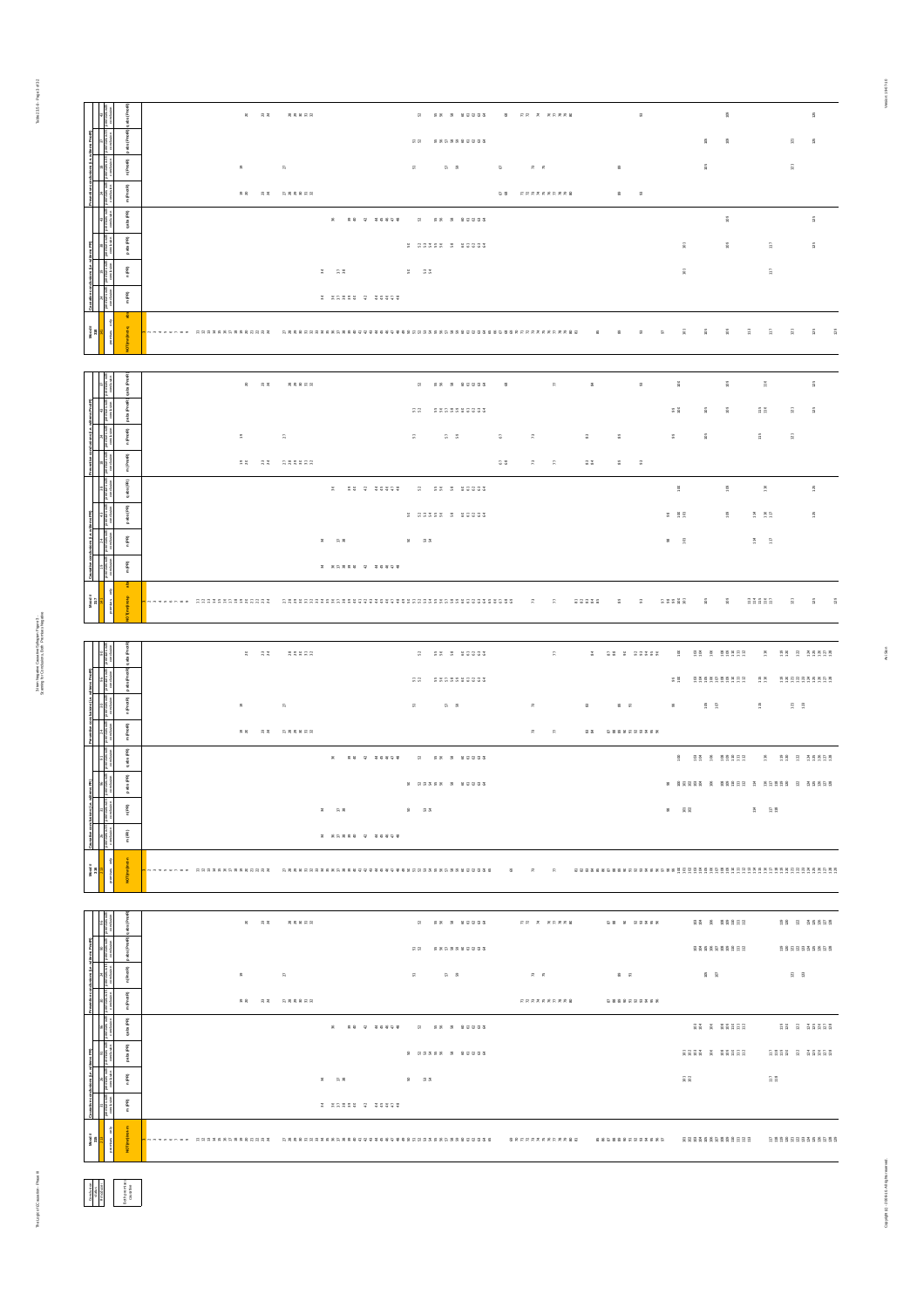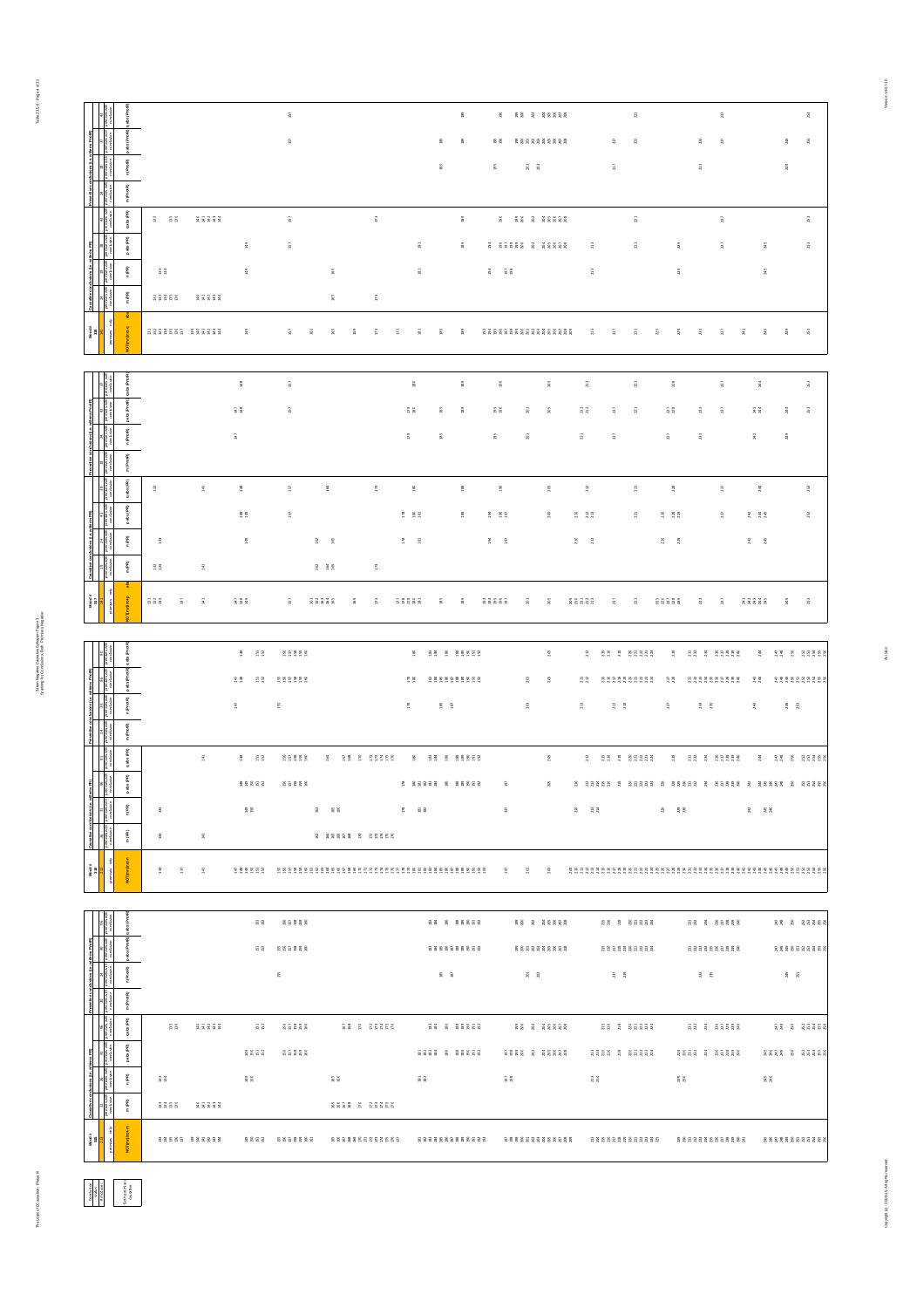|          |   |                         |                 |                                                                                                                                                                                                                                                                                                                     | $\overline{\phantom{a}}$ |       |                                                                                                                                                                                                                                                                                                                                      |                         |                                                                                                                 | 189                             |                                                             |                 | 5 28 38 38 38 38 38                                                                                             |                                                                                                                                                                                                                                                                                                                                                                                                                                             |                | $\bar{n}$                                       |                |                               | $\overline{a}$          |                             |                | 253                                     |
|----------|---|-------------------------|-----------------|---------------------------------------------------------------------------------------------------------------------------------------------------------------------------------------------------------------------------------------------------------------------------------------------------------------------|--------------------------|-------|--------------------------------------------------------------------------------------------------------------------------------------------------------------------------------------------------------------------------------------------------------------------------------------------------------------------------------------|-------------------------|-----------------------------------------------------------------------------------------------------------------|---------------------------------|-------------------------------------------------------------|-----------------|-----------------------------------------------------------------------------------------------------------------|---------------------------------------------------------------------------------------------------------------------------------------------------------------------------------------------------------------------------------------------------------------------------------------------------------------------------------------------------------------------------------------------------------------------------------------------|----------------|-------------------------------------------------|----------------|-------------------------------|-------------------------|-----------------------------|----------------|-----------------------------------------|
|          |   |                         |                 |                                                                                                                                                                                                                                                                                                                     | $\overline{\mathbb{S}}$  |       |                                                                                                                                                                                                                                                                                                                                      |                         | $\frac{55}{25}$                                                                                                 | 98                              |                                                             |                 | aa aasaasaasa                                                                                                   |                                                                                                                                                                                                                                                                                                                                                                                                                                             |                | $\overline{n}$ $\overline{n}$                   |                | $\ddot{a}$                    | $\overline{a}$          |                             | 33             | - 23                                    |
|          |   |                         |                 |                                                                                                                                                                                                                                                                                                                     |                          |       |                                                                                                                                                                                                                                                                                                                                      |                         |                                                                                                                 | $\frac{95}{28}$                 |                                                             |                 | $\begin{array}{ccc}\n\mathbf{3} & \mathbf{4} & \mathbf{5} \\ \mathbf{5} & \mathbf{5} & \mathbf{5}\n\end{array}$ |                                                                                                                                                                                                                                                                                                                                                                                                                                             | $\overline{n}$ |                                                 |                |                               | $\overline{\mathbf{a}}$ |                             | 3 <sup>o</sup> |                                         |
|          |   |                         |                 |                                                                                                                                                                                                                                                                                                                     |                          |       |                                                                                                                                                                                                                                                                                                                                      |                         |                                                                                                                 |                                 |                                                             |                 |                                                                                                                 |                                                                                                                                                                                                                                                                                                                                                                                                                                             |                |                                                 |                |                               |                         |                             |                |                                         |
|          |   |                         | 8 88 83833      |                                                                                                                                                                                                                                                                                                                     | $\Xi$                    |       | $\mathbb{R}$                                                                                                                                                                                                                                                                                                                         |                         |                                                                                                                 |                                 |                                                             |                 |                                                                                                                 |                                                                                                                                                                                                                                                                                                                                                                                                                                             |                | $\overline{2}$                                  |                |                               | $\frac{5}{2}$           |                             |                | $^{53}$                                 |
|          |   |                         |                 | $\frac{32}{14}$                                                                                                                                                                                                                                                                                                     | 157                      |       |                                                                                                                                                                                                                                                                                                                                      |                         | $\mathbb{R}$                                                                                                    |                                 |                                                             |                 |                                                                                                                 |                                                                                                                                                                                                                                                                                                                                                                                                                                             | $\mathbb{R}$   | $\overline{z}$                                  | $\frac{2}{3}$  |                               | $\overline{z}$          |                             | $\frac{35}{6}$ | 253                                     |
|          |   | និងី                    |                 | 33                                                                                                                                                                                                                                                                                                                  |                          | 365   |                                                                                                                                                                                                                                                                                                                                      |                         |                                                                                                                 |                                 |                                                             |                 |                                                                                                                 |                                                                                                                                                                                                                                                                                                                                                                                                                                             |                |                                                 | $\mathbb{R}^n$ |                               |                         | $\frac{3}{2}$               |                |                                         |
|          |   |                         |                 |                                                                                                                                                                                                                                                                                                                     |                          | 365   | $\mathbb{R}^n$                                                                                                                                                                                                                                                                                                                       |                         |                                                                                                                 |                                 |                                                             |                 |                                                                                                                 |                                                                                                                                                                                                                                                                                                                                                                                                                                             |                |                                                 |                |                               |                         |                             |                |                                         |
|          |   |                         |                 |                                                                                                                                                                                                                                                                                                                     |                          |       |                                                                                                                                                                                                                                                                                                                                      |                         |                                                                                                                 |                                 |                                                             |                 |                                                                                                                 |                                                                                                                                                                                                                                                                                                                                                                                                                                             |                |                                                 |                |                               |                         |                             |                |                                         |
| 종 음      |   | ssesses exxxxx          |                 | 33                                                                                                                                                                                                                                                                                                                  |                          |       | $\frac{3}{2}$                                                                                                                                                                                                                                                                                                                        | $\epsilon$              | $\overline{a}$                                                                                                  | $\frac{33}{23}$ $\frac{33}{23}$ |                                                             |                 |                                                                                                                 |                                                                                                                                                                                                                                                                                                                                                                                                                                             |                | $\overline{\mathbf{a}}$ $\overline{\mathbf{a}}$ | ਸ਼ੋ            | $\tilde{n}$                   | ã                       | Е.                          | 妥              | 육 13                                    |
|          |   |                         |                 |                                                                                                                                                                                                                                                                                                                     |                          |       |                                                                                                                                                                                                                                                                                                                                      |                         |                                                                                                                 |                                 |                                                             |                 |                                                                                                                 |                                                                                                                                                                                                                                                                                                                                                                                                                                             |                |                                                 |                |                               |                         |                             |                |                                         |
|          |   |                         |                 | 7.8                                                                                                                                                                                                                                                                                                                 | $\sim 157$               |       |                                                                                                                                                                                                                                                                                                                                      | 180                     |                                                                                                                 |                                 | 196                                                         |                 | 205                                                                                                             | $\frac{1}{2}$                                                                                                                                                                                                                                                                                                                                                                                                                               |                | $\overline{z}$                                  | $2.28\,$       |                               | $2\pi$                  | $\frac{3}{2}$               |                | $\Xi$                                   |
|          |   |                         |                 | $\frac{2}{3}$ $\frac{2}{3}$                                                                                                                                                                                                                                                                                         | $\overline{5}$           |       |                                                                                                                                                                                                                                                                                                                                      | 3.80                    |                                                                                                                 | $185$ $189$                     | 3.36                                                        | $\frac{25}{20}$ |                                                                                                                 | HH.                                                                                                                                                                                                                                                                                                                                                                                                                                         | $\overline{z}$ | $\bar{n}$                                       | 228            | $\overline{n}$ $\overline{n}$ |                         | 装置                          |                | 249<br>253                              |
|          |   |                         |                 | $\overline{\mathfrak{A}}$ .                                                                                                                                                                                                                                                                                         |                          |       |                                                                                                                                                                                                                                                                                                                                      |                         | $\begin{array}{ccc}\n\mathbf{B} & \mathbf{B} & \mathbf{B} \\ \mathbf{B} & \mathbf{B} & \mathbf{B}\n\end{array}$ |                                 |                                                             |                 |                                                                                                                 | $\begin{array}{ccccccccccccc} \mathbb{R} & & & & & & & \mathbb{R} & & & & \mathbb{R} & & & \mathbb{R} & & \mathbb{R} & & \mathbb{R} & & \mathbb{R} & & \mathbb{R} & & \mathbb{R} & & \mathbb{R} & & \mathbb{R} & & \mathbb{R} & & \mathbb{R} & & \mathbb{R} & & \mathbb{R} & & \mathbb{R} & & \mathbb{R} & & \mathbb{R} & & \mathbb{R} & & \mathbb{R} & & \mathbb{R} & & \mathbb{R} & & \mathbb{R} & & \mathbb{R} & & \mathbb{R} & & \math$ |                |                                                 |                |                               |                         |                             |                |                                         |
|          |   |                         |                 |                                                                                                                                                                                                                                                                                                                     |                          |       |                                                                                                                                                                                                                                                                                                                                      |                         |                                                                                                                 |                                 |                                                             |                 |                                                                                                                 |                                                                                                                                                                                                                                                                                                                                                                                                                                             |                |                                                 |                |                               |                         |                             |                |                                         |
|          |   | $\overline{H}$          | $\mathbb{R}$    | $\frac{28}{14}$                                                                                                                                                                                                                                                                                                     | $\Xi^-$                  |       | $\begin{array}{ccc} 3 & 0 & 0 \\ 0 & 0 & 0 \\ 0 & 0 & 0 \\ 0 & 0 & 0 \\ 0 & 0 & 0 \\ 0 & 0 & 0 \\ 0 & 0 & 0 \\ 0 & 0 & 0 \\ 0 & 0 & 0 \\ 0 & 0 & 0 \\ 0 & 0 & 0 \\ 0 & 0 & 0 \\ 0 & 0 & 0 \\ 0 & 0 & 0 & 0 \\ 0 & 0 & 0 & 0 \\ 0 & 0 & 0 & 0 \\ 0 & 0 & 0 & 0 & 0 \\ 0 & 0 & 0 & 0 & 0 \\ 0 & 0 & 0 & 0 & 0 \\ 0 & 0 & 0 & 0 & 0 \\$ |                         |                                                                                                                 | $\frac{33}{14}$                 | $-36$                                                       |                 | $\frac{8}{6}$                                                                                                   | $\frac{3}{2}$                                                                                                                                                                                                                                                                                                                                                                                                                               |                | $\Xi$                                           | $_{\rm 2.23}$  |                               | $\overline{n}$          | $\frac{3}{24}$              |                | $\overline{23}$                         |
|          |   |                         |                 | 28                                                                                                                                                                                                                                                                                                                  | $\overline{\mathbb{S}}$  |       |                                                                                                                                                                                                                                                                                                                                      | 78.88                   |                                                                                                                 | $\frac{80}{100}$                | 3.33                                                        |                 | 205                                                                                                             | 8 88                                                                                                                                                                                                                                                                                                                                                                                                                                        |                | $\mathbf{221}$                                  | 3 33           |                               | 27                      | 74.78                       |                | $\overline{23}$                         |
|          | Ê | $\frac{2}{11}$          |                 | 149                                                                                                                                                                                                                                                                                                                 |                          | 162   |                                                                                                                                                                                                                                                                                                                                      | $73 - 51$               |                                                                                                                 |                                 |                                                             |                 |                                                                                                                 |                                                                                                                                                                                                                                                                                                                                                                                                                                             |                |                                                 |                |                               |                         | $\frac{1}{2}$ $\frac{1}{2}$ |                |                                         |
|          |   | នីនី                    | $\frac{\pi}{2}$ |                                                                                                                                                                                                                                                                                                                     |                          | 33.38 | $\sim 100$                                                                                                                                                                                                                                                                                                                           |                         |                                                                                                                 |                                 |                                                             |                 |                                                                                                                 |                                                                                                                                                                                                                                                                                                                                                                                                                                             |                |                                                 |                |                               |                         |                             |                |                                         |
| 콜듀       |   | $\Xi$ $\Xi$ $\Xi$<br>-8 | - 51            | 533                                                                                                                                                                                                                                                                                                                 | 57                       | 53333 | $\frac{5}{26}$<br>- 6                                                                                                                                                                                                                                                                                                                | <b>GEERE</b>            |                                                                                                                 |                                 | 53555                                                       |                 |                                                                                                                 |                                                                                                                                                                                                                                                                                                                                                                                                                                             |                |                                                 |                |                               |                         |                             |                |                                         |
|          |   |                         |                 |                                                                                                                                                                                                                                                                                                                     |                          |       |                                                                                                                                                                                                                                                                                                                                      |                         |                                                                                                                 |                                 |                                                             |                 |                                                                                                                 |                                                                                                                                                                                                                                                                                                                                                                                                                                             |                |                                                 |                |                               |                         |                             |                |                                         |
|          |   |                         |                 |                                                                                                                                                                                                                                                                                                                     |                          |       |                                                                                                                                                                                                                                                                                                                                      |                         |                                                                                                                 |                                 |                                                             |                 |                                                                                                                 |                                                                                                                                                                                                                                                                                                                                                                                                                                             |                |                                                 |                |                               |                         |                             |                |                                         |
|          |   |                         |                 |                                                                                                                                                                                                                                                                                                                     | 3 33 35389               |       |                                                                                                                                                                                                                                                                                                                                      |                         | - 음 - 음종 - 음 - 음종음동물                                                                                            |                                 |                                                             |                 | $\frac{1}{2}$                                                                                                   |                                                                                                                                                                                                                                                                                                                                                                                                                                             |                |                                                 |                |                               |                         |                             |                | a aa aanaa a saa ahaan a sa a aasaa     |
|          |   |                         |                 | 53 58 535389                                                                                                                                                                                                                                                                                                        |                          |       |                                                                                                                                                                                                                                                                                                                                      |                         | na asasasasa                                                                                                    |                                 |                                                             |                 | $201$ $205$                                                                                                     |                                                                                                                                                                                                                                                                                                                                                                                                                                             |                |                                                 |                |                               |                         |                             |                | HH HARAAAHAA RA HHAAHAAAA RA RAARAHAARA |
|          |   |                         |                 | $\frac{1}{2}$ $\frac{1}{2}$ $\frac{1}{2}$ $\frac{1}{2}$ $\frac{1}{2}$ $\frac{1}{2}$ $\frac{1}{2}$ $\frac{1}{2}$ $\frac{1}{2}$ $\frac{1}{2}$ $\frac{1}{2}$ $\frac{1}{2}$ $\frac{1}{2}$ $\frac{1}{2}$ $\frac{1}{2}$ $\frac{1}{2}$ $\frac{1}{2}$ $\frac{1}{2}$ $\frac{1}{2}$ $\frac{1}{2}$ $\frac{1}{2}$ $\frac{1}{2}$ |                          |       |                                                                                                                                                                                                                                                                                                                                      |                         |                                                                                                                 |                                 | $179$ $185$ $187$                                           |                 |                                                                                                                 |                                                                                                                                                                                                                                                                                                                                                                                                                                             |                |                                                 |                |                               |                         |                             |                |                                         |
|          |   |                         |                 |                                                                                                                                                                                                                                                                                                                     |                          |       |                                                                                                                                                                                                                                                                                                                                      |                         |                                                                                                                 |                                 |                                                             |                 |                                                                                                                 |                                                                                                                                                                                                                                                                                                                                                                                                                                             |                |                                                 |                |                               |                         |                             |                |                                         |
|          |   |                         | $\Xi^-$         | $3 - 53$                                                                                                                                                                                                                                                                                                            |                          |       | <b>AGAAS A GA COCECE A AA A AASAA</b>                                                                                                                                                                                                                                                                                                |                         |                                                                                                                 |                                 |                                                             |                 | 205                                                                                                             |                                                                                                                                                                                                                                                                                                                                                                                                                                             |                |                                                 |                |                               |                         |                             |                | a aa a aanaa a aa aanaa a aa aanaan     |
|          |   |                         |                 | 33333                                                                                                                                                                                                                                                                                                               | 85888                    |       |                                                                                                                                                                                                                                                                                                                                      | <u> 또 올릴릴릴플 볼 플릴을 볼</u> |                                                                                                                 |                                 |                                                             | $\overline{5}$  |                                                                                                                 |                                                                                                                                                                                                                                                                                                                                                                                                                                             |                |                                                 |                |                               |                         |                             |                |                                         |
|          |   | $\frac{5}{11}$          |                 |                                                                                                                                                                                                                                                                                                                     |                          |       |                                                                                                                                                                                                                                                                                                                                      |                         |                                                                                                                 |                                 |                                                             |                 |                                                                                                                 |                                                                                                                                                                                                                                                                                                                                                                                                                                             |                |                                                 |                |                               |                         |                             |                |                                         |
|          |   |                         | $\mathbb{R}$    |                                                                                                                                                                                                                                                                                                                     |                          |       | S ASSEM R REERS                                                                                                                                                                                                                                                                                                                      |                         |                                                                                                                 |                                 |                                                             |                 |                                                                                                                 |                                                                                                                                                                                                                                                                                                                                                                                                                                             |                |                                                 |                |                               |                         |                             |                |                                         |
| y<br>316 |   |                         |                 |                                                                                                                                                                                                                                                                                                                     |                          |       |                                                                                                                                                                                                                                                                                                                                      |                         |                                                                                                                 |                                 |                                                             |                 |                                                                                                                 |                                                                                                                                                                                                                                                                                                                                                                                                                                             |                |                                                 |                |                               |                         |                             |                |                                         |
|          |   |                         |                 |                                                                                                                                                                                                                                                                                                                     | ជិតិ ជិតិជិតិនិ          |       |                                                                                                                                                                                                                                                                                                                                      |                         |                                                                                                                 |                                 | 행복 방 방법 방법 사고 있는 사고 있는 것을 하고 있는 것을 하고 있다. 이 사고 있는 것을 하고 있다. |                 |                                                                                                                 |                                                                                                                                                                                                                                                                                                                                                                                                                                             |                |                                                 |                |                               |                         |                             |                |                                         |
|          |   |                         |                 |                                                                                                                                                                                                                                                                                                                     |                          |       |                                                                                                                                                                                                                                                                                                                                      |                         |                                                                                                                 |                                 | 목록원원특별원유원의 회원회원정조영화원회 의원특권회원리터리조 피티코츠원원특권원호 노동호원회원리민조원원     |                 |                                                                                                                 |                                                                                                                                                                                                                                                                                                                                                                                                                                             |                |                                                 |                |                               |                         |                             |                |                                         |
|          |   |                         |                 |                                                                                                                                                                                                                                                                                                                     | 156                      |       |                                                                                                                                                                                                                                                                                                                                      |                         |                                                                                                                 |                                 |                                                             |                 |                                                                                                                 |                                                                                                                                                                                                                                                                                                                                                                                                                                             |                |                                                 |                |                               |                         |                             |                |                                         |
|          |   |                         |                 |                                                                                                                                                                                                                                                                                                                     |                          |       |                                                                                                                                                                                                                                                                                                                                      |                         |                                                                                                                 |                                 |                                                             |                 |                                                                                                                 |                                                                                                                                                                                                                                                                                                                                                                                                                                             |                |                                                 |                |                               |                         |                             |                |                                         |
|          |   |                         |                 | 음을 모르고로로 금을 올림픽을 높고 등록을 통해 등록을 통해 등록을 통해 등록을 하고 있다. 그는 동물 등록을 들고 <u>통</u>                                                                                                                                                                                                                                           |                          |       |                                                                                                                                                                                                                                                                                                                                      |                         |                                                                                                                 |                                 |                                                             |                 |                                                                                                                 |                                                                                                                                                                                                                                                                                                                                                                                                                                             |                |                                                 |                |                               |                         |                             |                |                                         |
|          |   |                         |                 |                                                                                                                                                                                                                                                                                                                     |                          |       | និងជីន គឺឯងនិនិ                                                                                                                                                                                                                                                                                                                      |                         |                                                                                                                 |                                 |                                                             |                 |                                                                                                                 |                                                                                                                                                                                                                                                                                                                                                                                                                                             |                |                                                 |                |                               |                         |                             |                |                                         |
|          |   |                         |                 | 중국 이 영화 이 영화 이 사람들은 사람들을 만들어 보고 있다. 이 사람들은 그 사람들은 그 사람들은 어디에 대해 있는 것을 하고 있다.                                                                                                                                                                                                                                        |                          |       |                                                                                                                                                                                                                                                                                                                                      |                         |                                                                                                                 |                                 |                                                             |                 |                                                                                                                 |                                                                                                                                                                                                                                                                                                                                                                                                                                             |                |                                                 |                |                               |                         |                             | 246            |                                         |
|          |   |                         | 8888 88888      |                                                                                                                                                                                                                                                                                                                     |                          |       | <b>MAGA R REERR</b>                                                                                                                                                                                                                                                                                                                  |                         |                                                                                                                 |                                 |                                                             |                 |                                                                                                                 |                                                                                                                                                                                                                                                                                                                                                                                                                                             |                |                                                 |                |                               |                         |                             |                |                                         |
| ğ s      |   |                         |                 |                                                                                                                                                                                                                                                                                                                     |                          |       |                                                                                                                                                                                                                                                                                                                                      |                         |                                                                                                                 |                                 |                                                             |                 |                                                                                                                 |                                                                                                                                                                                                                                                                                                                                                                                                                                             |                |                                                 |                |                               |                         |                             |                |                                         |

 $\lambda$ vi Sion

Copyright (c) - 2008-10. All rights reserved.

Vasion: 19-07-10

Table 23.5-9 - Page 4 of 32

Table 23.5-9 - Page 4 of 32

The Logic of ECausation - Phase III

Conclusion<br># status<br># moduses<br>causative<br>causative Both premises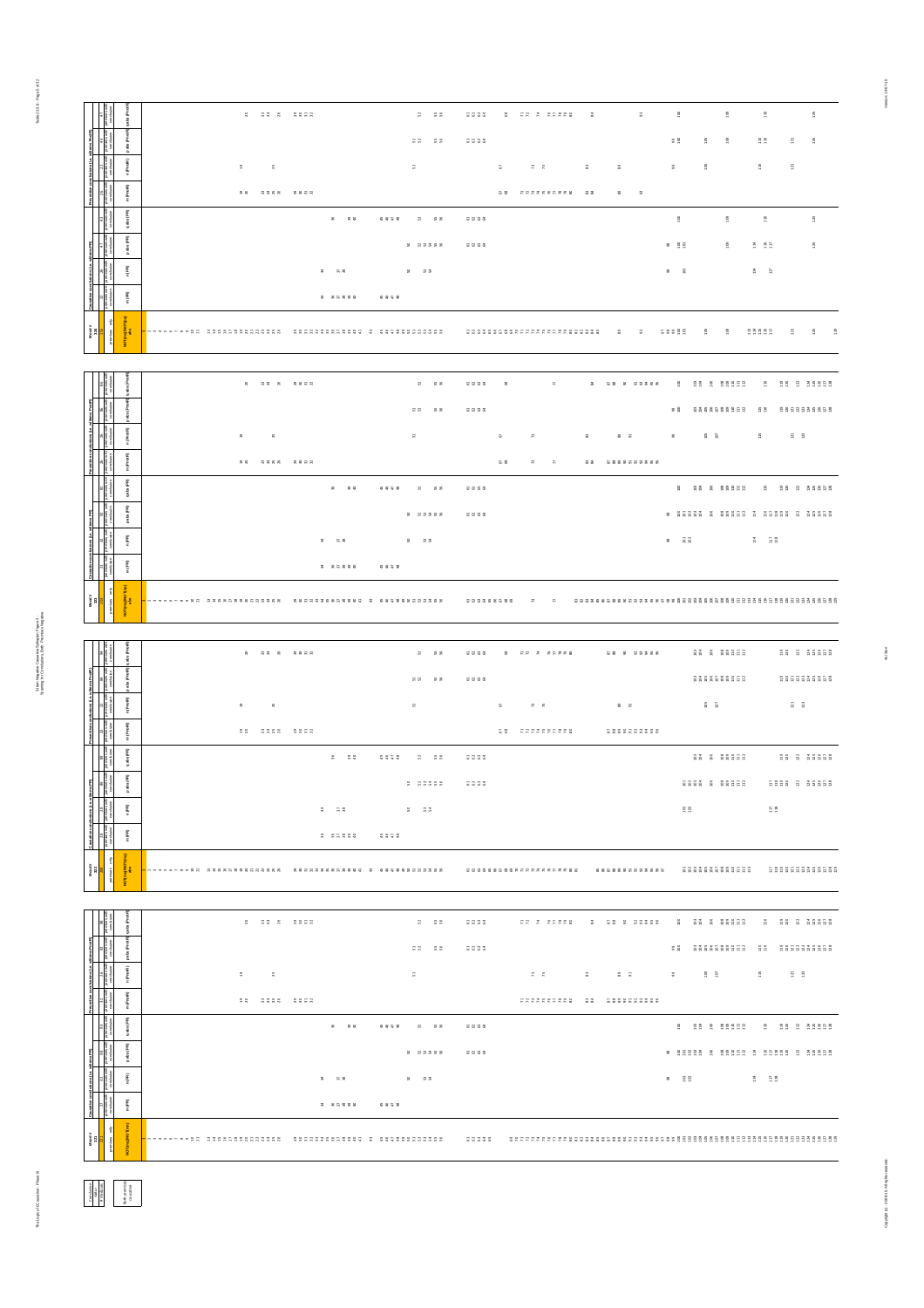

 $rac{5}{4}$ 

Table 23.5-9 - Page 5 of 32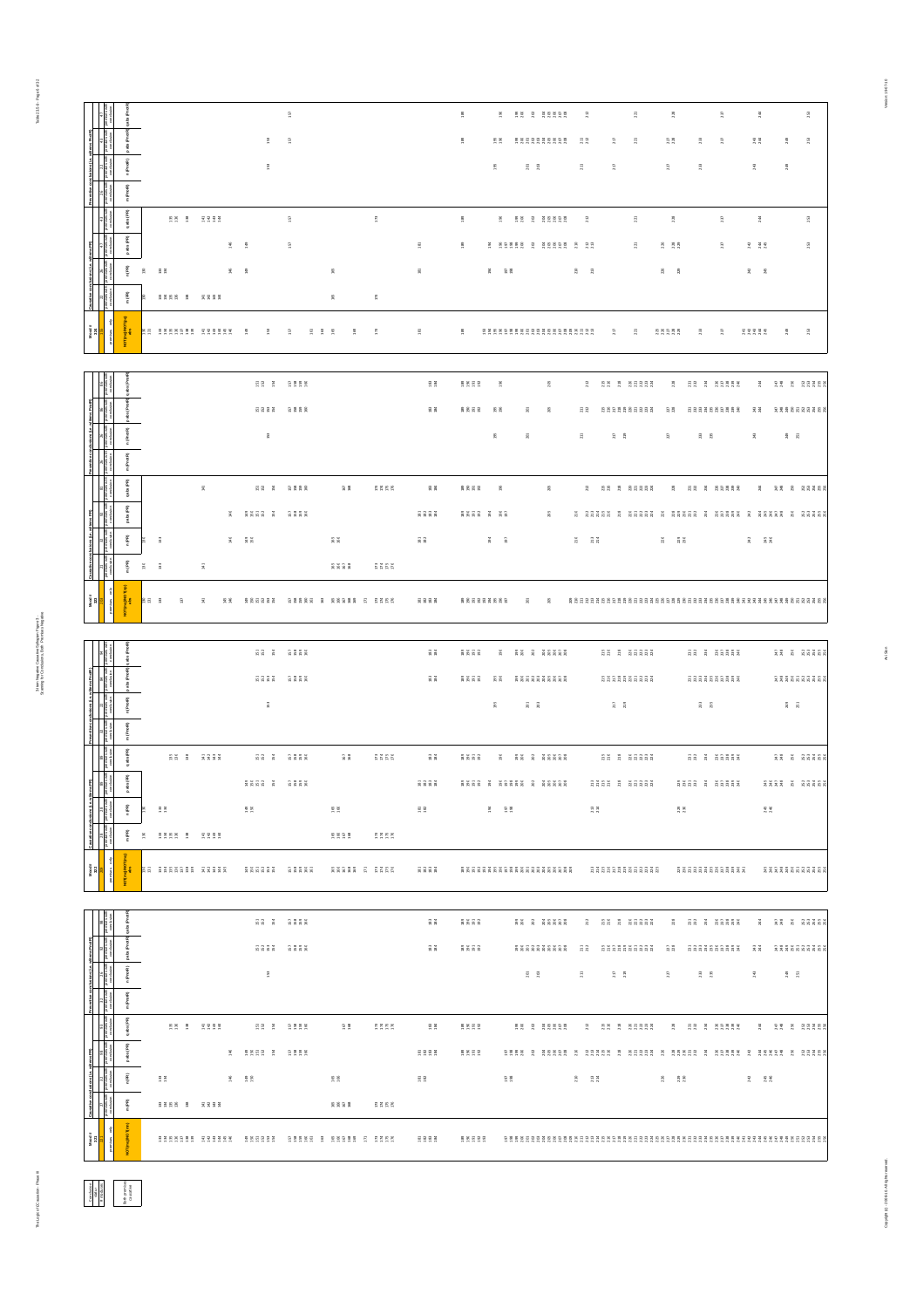|                |    |                                                                                                                      | 57                                                                                                                                                                                  |                                                                       | $_{\rm 2.33}$<br>$\frac{88}{10}$<br>a ag gagaga g<br>$\overline{z}$<br>237<br>$\frac{\pi}{2}$<br>$2\,\mathrm{S}$                                                                                                                            |
|----------------|----|----------------------------------------------------------------------------------------------------------------------|-------------------------------------------------------------------------------------------------------------------------------------------------------------------------------------|-----------------------------------------------------------------------|---------------------------------------------------------------------------------------------------------------------------------------------------------------------------------------------------------------------------------------------|
|                |    | $\overline{\mathbf{B}}$ and $\overline{\mathbf{B}}$                                                                  |                                                                                                                                                                                     |                                                                       | 189<br>nn natasaanan da<br>$\overline{a}$ $\overline{a}$<br>227<br>$\overline{a}$ $\overline{a}$<br>装置<br>ㅋ<br>지 153                                                                                                                        |
|                |    | $\overline{\mathfrak{D}}$                                                                                            |                                                                                                                                                                                     |                                                                       | $\overline{a}$<br>$\overline{\mathbf{a}}$                                                                                                                                                                                                   |
|                |    |                                                                                                                      |                                                                                                                                                                                     |                                                                       |                                                                                                                                                                                                                                             |
|                |    | 음음 좀 <i>- 물질 물질</i>                                                                                                  | 157<br>$\mathbb{R}$                                                                                                                                                                 |                                                                       | $-89$<br><u>. 이 지 않은 것을 하지 않은 것이 없는 것이다.</u><br>$\overline{a}$ $\overline{a}$<br>$2\,\mathrm{S}$                                                                                                                                            |
|                |    | <u>이 없는 것이 없는 것이 없다.</u>                                                                                             |                                                                                                                                                                                     | 그는 모두 아이들이 어려워.                                                       | 253                                                                                                                                                                                                                                         |
|                |    | $\frac{2}{3}$ $\frac{2}{3}$                                                                                          |                                                                                                                                                                                     |                                                                       | .<br>19. 그리고 19. 그리고 19. 그리고 19. 그리고 19. 그리고 19. 그리고 19. 그리고 19. 그리고 19. 그리고 19. 그리고 19. 그리고 19. 그리고 19. 그리고 19. 그리                                                                                                                         |
|                |    | 8 8588 8 5333                                                                                                        | $\frac{9}{25}$<br>$\mathbb{R}$                                                                                                                                                      |                                                                       |                                                                                                                                                                                                                                             |
|                |    |                                                                                                                      |                                                                                                                                                                                     |                                                                       |                                                                                                                                                                                                                                             |
|                |    |                                                                                                                      |                                                                                                                                                                                     |                                                                       |                                                                                                                                                                                                                                             |
|                |    |                                                                                                                      | <b>SRSS GRSS</b>                                                                                                                                                                    | <u>이 없는 것이 없는 것이 없다.</u>                                              | 회의원의 범인 및 및 법칙 방법법 방법 대표 대표 대표 대표 대표 대표 대표 대표 대표 대표 대표                                                                                                                                                                                      |
|                |    | 13.3                                                                                                                 |                                                                                                                                                                                     |                                                                       | - 1980년 - 1981년 - 1981년 - 1981년 - 1982년 - 1982년 - 1982년 - 1982년 - 1982년 - 1982년 - 1982년 - 1982년 - 1982년 - 198<br>대한민국의 대한민국의 대한민국의 대한민국의 대한민국의 대한민국의 대한민국의 대한민국의 대한민국의 대한민국의 대한민국의 대한민국의 대한민국의 대한민국의 대한민국의 대한민국의 대한민국의 대한민국의 대한             |
|                |    |                                                                                                                      |                                                                                                                                                                                     |                                                                       |                                                                                                                                                                                                                                             |
|                |    |                                                                                                                      |                                                                                                                                                                                     |                                                                       | ਸ਼ੁਸ਼ੁਸ਼ੁਸ਼ੁਸ਼ੁਰ ਕਰਨ ਕਰਨਾ ਹੈ। ਸਿੰਘ ਸ਼ੁਰੂ ਸ਼ੁਸ਼ੁਸ਼ੁਸ਼ੁਸ਼ੁਸ਼ੁਸ਼ੁਸ਼ੁਸ਼ੁਰੂ ਕਰਨ ਦਾ ਸ਼ੁਸ਼ੁਸ਼ੁਸ਼ੁਸ਼ੁਸ਼ੁਸ਼ੁਸ਼ੁਸ਼ੁਸ਼ੁਸ਼                                                                                                                              |
|                |    | $\mathbb{R}$ a man $\mathbb{R}$ and $\mathbb{R}$ and $\mathbb{R}$ and $\mathbb{R}$ and $\mathbb{R}$ and $\mathbb{R}$ |                                                                                                                                                                                     | <b>HHRA</b>                                                           |                                                                                                                                                                                                                                             |
|                |    | a a                                                                                                                  | <u> 1988년 - 1989년 - 1989년 - 1989년 - 1989년 - 1989년 - 1989년 - 1989년 - 1989년 - 1989년 - 1989</u>                                                                                        |                                                                       | 표현 총 등 의 의 지점 : 20 원 원 원 원 원 원 부 명 및 변영                                                                                                                                                                                                     |
|                |    | $\frac{8}{2}$ $\frac{8}{2}$<br>$\mathbb{R}$                                                                          | 2222 5555                                                                                                                                                                           |                                                                       |                                                                                                                                                                                                                                             |
| 323            |    |                                                                                                                      |                                                                                                                                                                                     |                                                                       |                                                                                                                                                                                                                                             |
|                |    |                                                                                                                      |                                                                                                                                                                                     |                                                                       |                                                                                                                                                                                                                                             |
|                |    | ជាជី ជី ធំនិនិនិ                                                                                                     |                                                                                                                                                                                     | $\frac{1}{22}$                                                        |                                                                                                                                                                                                                                             |
|                |    |                                                                                                                      | <b>EREA 6888</b>                                                                                                                                                                    | 33.3                                                                  |                                                                                                                                                                                                                                             |
|                |    | 그는 몇 개 시                                                                                                             |                                                                                                                                                                                     |                                                                       |                                                                                                                                                                                                                                             |
|                |    |                                                                                                                      |                                                                                                                                                                                     |                                                                       |                                                                                                                                                                                                                                             |
|                |    | 2255 5 5382                                                                                                          |                                                                                                                                                                                     | 5885                                                                  | xxxx a aaaaa<br>aaaa a aaaaa<br>aasa a aaaaa<br><b>2252 2 23522 2 23533</b>                                                                                                                                                                 |
|                |    | 280<br>8 83                                                                                                          |                                                                                                                                                                                     |                                                                       | 1929년 - 1930년 - 1930년 - 1930년 - 1930년 - 1930년 - 1930년 - 1930년 - 1930년 - 1930년 - 1930년 - 1930년 - 1930년 - 1930년<br>대한민국의 대한민국의 대한민국의 대한민국의 대한민국의 대한민국의 대한민국의 대한민국의 대한민국의 대한민국의 대한민국의 대한민국의 대한민국의 대한민국의 대한민국의 대한민국의 대한민국의 대한민국의 대한<br>28<br>28 |
|                |    | 8 8588 8 5383                                                                                                        |                                                                                                                                                                                     |                                                                       |                                                                                                                                                                                                                                             |
|                | 32 | <b>As a</b> n analysis and a sender as a second a second a second                                                    |                                                                                                                                                                                     |                                                                       | 회의표의의표회의회회회원자회원회원회원회 지진원의원회원 대학원 이 대학원 대학원 대학원 공장 사항 대학원 이 대학원 지원 지원 대학원 이 대학원 대학원 대학원 대학원 대학원 대학원 대학원 대학원 대학원                                                                                                                              |
|                |    |                                                                                                                      |                                                                                                                                                                                     |                                                                       |                                                                                                                                                                                                                                             |
|                |    |                                                                                                                      | $555 - 5332$                                                                                                                                                                        |                                                                       |                                                                                                                                                                                                                                             |
|                |    |                                                                                                                      | ជជជជី ធំជីជី                                                                                                                                                                        | $-22.76$                                                              | 정정적정 이성성 정보 이 부분의 사업 시대 이 사업 시대 시대 이 그는 사업 사업 이 사업 사업 사업을 하고 있다.                                                                                                                                                                            |
|                |    | $\overline{3}$                                                                                                       |                                                                                                                                                                                     |                                                                       |                                                                                                                                                                                                                                             |
|                |    |                                                                                                                      |                                                                                                                                                                                     |                                                                       |                                                                                                                                                                                                                                             |
|                |    |                                                                                                                      |                                                                                                                                                                                     |                                                                       |                                                                                                                                                                                                                                             |
|                |    |                                                                                                                      | $\mathbb R$ = $\mathbb R$ $\widehat{\otimes}$ and $\widehat{\otimes}$ = $\widehat{\otimes}$ = $\widehat{\otimes}$ = $\widehat{\otimes}$ = $\widehat{\otimes}$ = $\widehat{\otimes}$ | $\frac{1}{2}$ $\frac{1}{2}$ $\frac{1}{2}$ $\frac{1}{2}$ $\frac{1}{2}$ | 행정적의 생활장성 첫 영성병성성 김 대원보체 및 정보대원의 및 당성병원의 및 명보법정을 및 결정용론을 정 연선연장의                                                                                                                                                                            |
|                |    |                                                                                                                      |                                                                                                                                                                                     |                                                                       |                                                                                                                                                                                                                                             |
|                |    | 8588 8 5993                                                                                                          | <b>BBBB</b> BEER                                                                                                                                                                    |                                                                       |                                                                                                                                                                                                                                             |
| <b>B</b><br>Ex |    |                                                                                                                      |                                                                                                                                                                                     |                                                                       |                                                                                                                                                                                                                                             |

 $\lambda$ vi Sion

Copyright (c) - 2008-10. All rights reserved.

Vasion: 19-07-10

Table 23.5-9 - Page 6 of 32

Table 23.5-9 - Page 6 of 32

Conclusion<br># moduses<br># moduses<br>causative Both premises

The Logic of ECausation - Phase III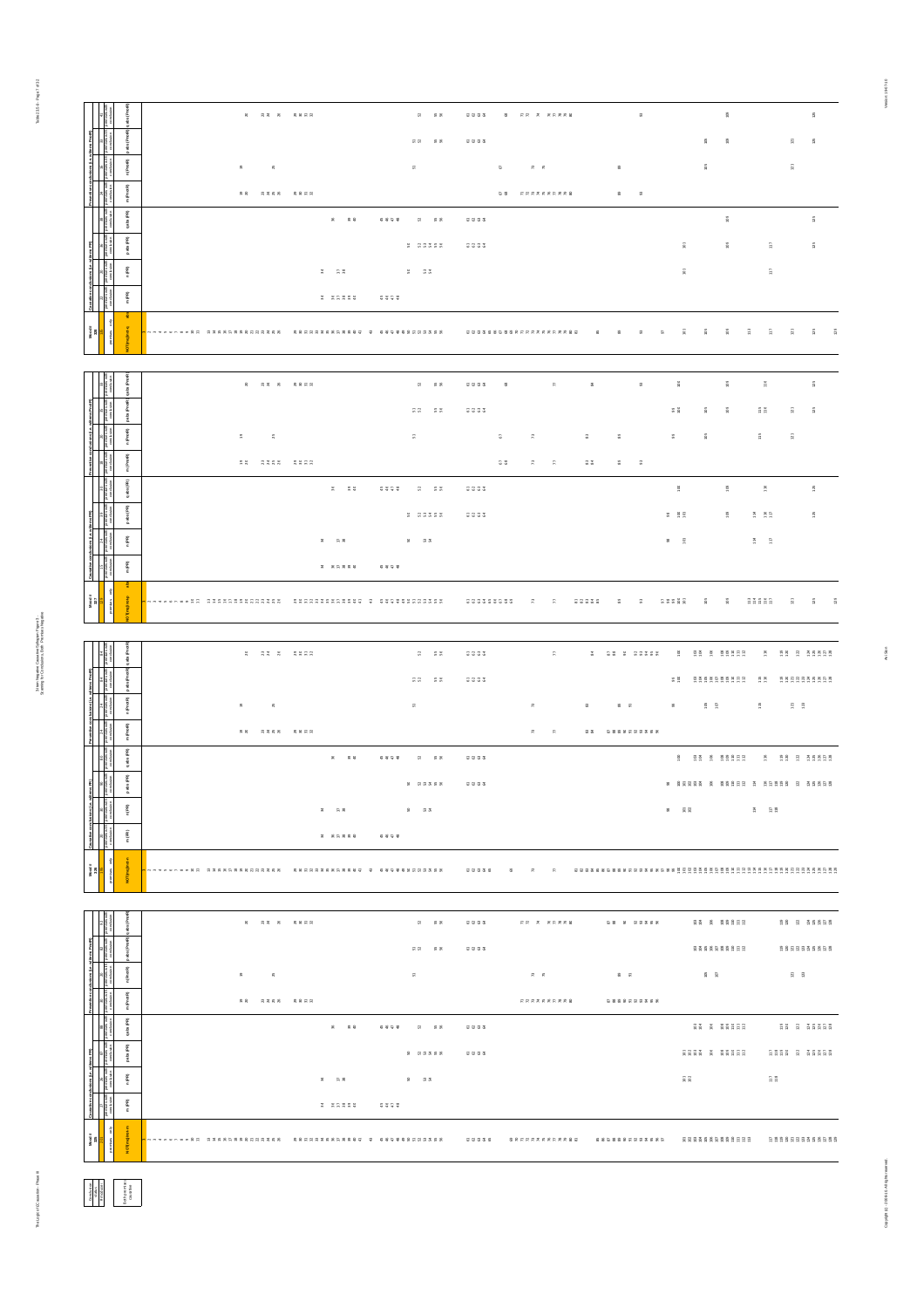|                                            | $8$ $75$ $8$ $78$ $78$                                                                                                                                                                                                                                                                                                                                                                                                                        |                                                                                 | ದಿ ಬಿಜಿ                                                                                                                 | 5333<br><b>3 AN A ALASS</b>                                  |                                  | $\qquad \quad \text{as} \quad$                                                                                                                                                                                                                                                                                                                                                                                                                                   |                                   | $\frac{8}{2}$                                                                                                                                                                                                                                                                                                                                                                                                                      |                                                                                                          | $_{125}$                 |
|--------------------------------------------|-----------------------------------------------------------------------------------------------------------------------------------------------------------------------------------------------------------------------------------------------------------------------------------------------------------------------------------------------------------------------------------------------------------------------------------------------|---------------------------------------------------------------------------------|-------------------------------------------------------------------------------------------------------------------------|--------------------------------------------------------------|----------------------------------|------------------------------------------------------------------------------------------------------------------------------------------------------------------------------------------------------------------------------------------------------------------------------------------------------------------------------------------------------------------------------------------------------------------------------------------------------------------|-----------------------------------|------------------------------------------------------------------------------------------------------------------------------------------------------------------------------------------------------------------------------------------------------------------------------------------------------------------------------------------------------------------------------------------------------------------------------------|----------------------------------------------------------------------------------------------------------|--------------------------|
|                                            |                                                                                                                                                                                                                                                                                                                                                                                                                                               |                                                                                 | $53 - 52$                                                                                                               | 2232                                                         |                                  |                                                                                                                                                                                                                                                                                                                                                                                                                                                                  | š                                 | 56                                                                                                                                                                                                                                                                                                                                                                                                                                 | $\overline{\mathbf{a}}$                                                                                  | $\frac{5}{12}$           |
|                                            | $\mathfrak{N}$<br>$\aleph$                                                                                                                                                                                                                                                                                                                                                                                                                    |                                                                                 | $5\%$                                                                                                                   | $\mathbbm{G}$<br>$R$ $R$                                     |                                  | $\frac{2}{30}$                                                                                                                                                                                                                                                                                                                                                                                                                                                   | $\mathbb{S}$                      |                                                                                                                                                                                                                                                                                                                                                                                                                                    | $\overline{\mathbf{a}}$                                                                                  |                          |
|                                            | BR RANA RAHH                                                                                                                                                                                                                                                                                                                                                                                                                                  |                                                                                 |                                                                                                                         | G 8 R R R R R R R R B                                        |                                  | $x = x$                                                                                                                                                                                                                                                                                                                                                                                                                                                          |                                   |                                                                                                                                                                                                                                                                                                                                                                                                                                    |                                                                                                          |                          |
| £                                          |                                                                                                                                                                                                                                                                                                                                                                                                                                               | $\begin{array}{ccc} \circ & \circ & \circ \\ \circ & \circ & \circ \end{array}$ |                                                                                                                         | 3333                                                         |                                  |                                                                                                                                                                                                                                                                                                                                                                                                                                                                  |                                   | $\tilde{a}$                                                                                                                                                                                                                                                                                                                                                                                                                        |                                                                                                          | $\Xi$                    |
| 흪                                          |                                                                                                                                                                                                                                                                                                                                                                                                                                               |                                                                                 | 8 22252                                                                                                                 | 5333                                                         |                                  |                                                                                                                                                                                                                                                                                                                                                                                                                                                                  | $\frac{5}{2}$                     | $^{20}$                                                                                                                                                                                                                                                                                                                                                                                                                            | ÷                                                                                                        | $_{125}$                 |
|                                            |                                                                                                                                                                                                                                                                                                                                                                                                                                               | $\overline{a}$ $\overline{a}$ $\overline{a}$                                    |                                                                                                                         |                                                              |                                  |                                                                                                                                                                                                                                                                                                                                                                                                                                                                  | $\tilde{\mathbb{S}}$              |                                                                                                                                                                                                                                                                                                                                                                                                                                    | $\Xi$                                                                                                    |                          |
| $\frac{1}{6}$                              |                                                                                                                                                                                                                                                                                                                                                                                                                                               |                                                                                 | $9 - 7.7$                                                                                                               |                                                              |                                  |                                                                                                                                                                                                                                                                                                                                                                                                                                                                  |                                   |                                                                                                                                                                                                                                                                                                                                                                                                                                    |                                                                                                          |                          |
| $\frac{1}{n}$<br>है<br>$\frac{3}{2}$<br>Š. | 第一十五日的第三章 经利益证券 医神经性发育 医血清过敏 医血管脊髓细胞 医甲状腺 医甲状腺 医血管 美军事 医血管切除术 计加拿大式 计加拿大式 计加拿大 医血清炎 医神经病 医神经病 医神经病 医神经病 医神经病 医神经病 医神经病                                                                                                                                                                                                                                                                                                                        | 5.8888                                                                          | $\psi$ , $\psi$ , $\psi$                                                                                                |                                                              |                                  | $\mathbb{R}$<br>$\mathbb{Z}$                                                                                                                                                                                                                                                                                                                                                                                                                                     | $\overline{a}$<br>g.<br>$\approx$ | 56                                                                                                                                                                                                                                                                                                                                                                                                                                 | $\begin{array}{cccccccccccccc} \Box & \Box & \Box & \Box & \Box & \Box & \Box & \Box & \Box \end{array}$ |                          |
|                                            |                                                                                                                                                                                                                                                                                                                                                                                                                                               |                                                                                 |                                                                                                                         |                                                              |                                  |                                                                                                                                                                                                                                                                                                                                                                                                                                                                  |                                   |                                                                                                                                                                                                                                                                                                                                                                                                                                    |                                                                                                          |                          |
|                                            | $8$ $75$ $8$ $7852$                                                                                                                                                                                                                                                                                                                                                                                                                           |                                                                                 | $\frac{2}{3}$ $\frac{2}{3}$                                                                                             | 3332<br>$^{10}$                                              | $\mathbb{R}^n$<br>$\overline{a}$ | $^{9}$                                                                                                                                                                                                                                                                                                                                                                                                                                                           | $\tilde{a}$                       | $\frac{8}{10}$<br>$\frac{8}{14}$                                                                                                                                                                                                                                                                                                                                                                                                   |                                                                                                          | $\frac{35}{24}$          |
|                                            |                                                                                                                                                                                                                                                                                                                                                                                                                                               |                                                                                 | $52 - 52$                                                                                                               | 3332                                                         |                                  |                                                                                                                                                                                                                                                                                                                                                                                                                                                                  | <b>9.9</b><br>$\frac{8}{14}$      | 109<br>$\frac{15}{116}$                                                                                                                                                                                                                                                                                                                                                                                                            | $\overline{a}$                                                                                           | $\tilde{\mathbf{z}}$     |
|                                            | $23 - 25$                                                                                                                                                                                                                                                                                                                                                                                                                                     |                                                                                 | $\frac{\pi}{10}$                                                                                                        | $\overline{\circ}$<br>$\mathbb R$                            | $\mathfrak{D}$                   | $\frac{9}{2}$                                                                                                                                                                                                                                                                                                                                                                                                                                                    | $\mathbb{S}^2$<br>99              | $\ddot{a}$                                                                                                                                                                                                                                                                                                                                                                                                                         | $\overline{\mathbf{a}}$                                                                                  |                          |
| €                                          | <b>BR RANA RAHH</b>                                                                                                                                                                                                                                                                                                                                                                                                                           |                                                                                 |                                                                                                                         | 68<br>$\mathbb{R}$                                           | $\mathbb{R}$<br>22               | $\mathbb{R}$<br>- 8                                                                                                                                                                                                                                                                                                                                                                                                                                              |                                   |                                                                                                                                                                                                                                                                                                                                                                                                                                    |                                                                                                          |                          |
| Ê                                          |                                                                                                                                                                                                                                                                                                                                                                                                                                               | $8 - R$                                                                         |                                                                                                                         | $\begin{smallmatrix} 2 & 3 & 3 & 2 \end{smallmatrix}$        |                                  |                                                                                                                                                                                                                                                                                                                                                                                                                                                                  | $\frac{8}{10}$                    | $\frac{8}{10}$<br>$\widetilde{u}$                                                                                                                                                                                                                                                                                                                                                                                                  |                                                                                                          | $\widetilde{\mathbf{z}}$ |
|                                            |                                                                                                                                                                                                                                                                                                                                                                                                                                               |                                                                                 | .                                                                                                                       | 3332                                                         |                                  |                                                                                                                                                                                                                                                                                                                                                                                                                                                                  | 3.85                              | 3.32<br>$\frac{8}{14}$                                                                                                                                                                                                                                                                                                                                                                                                             |                                                                                                          | B.                       |
| Ç                                          |                                                                                                                                                                                                                                                                                                                                                                                                                                               | $\overline{a}$ $\overline{a}$ $\overline{a}$                                    | $9 - 77$                                                                                                                |                                                              |                                  |                                                                                                                                                                                                                                                                                                                                                                                                                                                                  | $30 - 5$                          | $\mathbf{H} = \mathbf{H} \mathbf{H} + \mathbf{H} \mathbf{H} + \mathbf{H} \mathbf{H} + \mathbf{H} \mathbf{H} + \mathbf{H} \mathbf{H} + \mathbf{H} \mathbf{H} + \mathbf{H} \mathbf{H} + \mathbf{H} \mathbf{H} + \mathbf{H} \mathbf{H} + \mathbf{H} \mathbf{H} + \mathbf{H} \mathbf{H} + \mathbf{H} \mathbf{H} + \mathbf{H} \mathbf{H} + \mathbf{H} \mathbf{H} + \mathbf{H} \mathbf{H} + \mathbf{H} \mathbf{H} + \mathbf{H$           |                                                                                                          |                          |
| $\frac{\partial}{\partial t}$<br>Ł         |                                                                                                                                                                                                                                                                                                                                                                                                                                               | 787772                                                                          | 2222                                                                                                                    |                                                              |                                  |                                                                                                                                                                                                                                                                                                                                                                                                                                                                  |                                   |                                                                                                                                                                                                                                                                                                                                                                                                                                    |                                                                                                          |                          |
| Ã<br>n<br>Bood<br>Br<br>$\frac{8}{3}$      |                                                                                                                                                                                                                                                                                                                                                                                                                                               |                                                                                 |                                                                                                                         |                                                              |                                  |                                                                                                                                                                                                                                                                                                                                                                                                                                                                  |                                   |                                                                                                                                                                                                                                                                                                                                                                                                                                    |                                                                                                          |                          |
|                                            |                                                                                                                                                                                                                                                                                                                                                                                                                                               |                                                                                 |                                                                                                                         |                                                              |                                  |                                                                                                                                                                                                                                                                                                                                                                                                                                                                  |                                   |                                                                                                                                                                                                                                                                                                                                                                                                                                    |                                                                                                          |                          |
|                                            |                                                                                                                                                                                                                                                                                                                                                                                                                                               |                                                                                 |                                                                                                                         | $\begin{array}{c} 2 \  \  2 \  \  2 \  \  2 \end{array}$     | $\mathbb{R}^{n}$                 |                                                                                                                                                                                                                                                                                                                                                                                                                                                                  |                                   |                                                                                                                                                                                                                                                                                                                                                                                                                                    |                                                                                                          |                          |
|                                            |                                                                                                                                                                                                                                                                                                                                                                                                                                               |                                                                                 | $53 - 52$                                                                                                               | 2222                                                         |                                  |                                                                                                                                                                                                                                                                                                                                                                                                                                                                  |                                   |                                                                                                                                                                                                                                                                                                                                                                                                                                    |                                                                                                          |                          |
|                                            | $\frac{6}{24}$<br>$\frac{25}{25}$                                                                                                                                                                                                                                                                                                                                                                                                             |                                                                                 | $\frac{\pi}{20}$                                                                                                        | $\mathbb R$                                                  | $\approx$                        | $8 - 5$                                                                                                                                                                                                                                                                                                                                                                                                                                                          |                                   |                                                                                                                                                                                                                                                                                                                                                                                                                                    |                                                                                                          |                          |
|                                            | $22 - 2222 - 2222$                                                                                                                                                                                                                                                                                                                                                                                                                            |                                                                                 |                                                                                                                         |                                                              |                                  | $\mathbb{R} \qquad \qquad \mathbb{R} \qquad \qquad \mathbb{R} \qquad \qquad \mathbb{R} \qquad \qquad \mathbb{R} \qquad \qquad \mathbb{R} \qquad \mathbb{R} \qquad \mathbb{R} \qquad \mathbb{R} \qquad \mathbb{R} \qquad \mathbb{R} \qquad \mathbb{R} \qquad \mathbb{R} \qquad \mathbb{R} \qquad \mathbb{R} \qquad \mathbb{R} \qquad \mathbb{R} \qquad \mathbb{R} \qquad \mathbb{R} \qquad \mathbb{R} \qquad \qquad \mathbb{R} \qquad \qquad \mathbb{R} \qquad \$ |                                   |                                                                                                                                                                                                                                                                                                                                                                                                                                    |                                                                                                          |                          |
|                                            |                                                                                                                                                                                                                                                                                                                                                                                                                                               | $8$ $8$ $8$                                                                     | $\psi \hspace{.08cm} \psi \hspace{.08cm} \psi \hspace{.08cm} \psi \hspace{.08cm} \psi \hspace{.08cm} \psi$<br>$28$ $28$ |                                                              |                                  |                                                                                                                                                                                                                                                                                                                                                                                                                                                                  |                                   |                                                                                                                                                                                                                                                                                                                                                                                                                                    |                                                                                                          |                          |
|                                            |                                                                                                                                                                                                                                                                                                                                                                                                                                               |                                                                                 | 8 9 7 7 8 8                                                                                                             | $\begin{smallmatrix} 2 & 3 & 3 & 2 \end{smallmatrix}$        |                                  |                                                                                                                                                                                                                                                                                                                                                                                                                                                                  | * 85995 \$ 88999 5 89888 9 58898  |                                                                                                                                                                                                                                                                                                                                                                                                                                    |                                                                                                          |                          |
|                                            |                                                                                                                                                                                                                                                                                                                                                                                                                                               |                                                                                 | $\begin{array}{cccccccccccccc} \pi & & \pi\pi & & & & & & & & \mathbb{R} & & \mathbb{R} & \pi\pi \end{array}$           |                                                              |                                  |                                                                                                                                                                                                                                                                                                                                                                                                                                                                  |                                   |                                                                                                                                                                                                                                                                                                                                                                                                                                    |                                                                                                          |                          |
|                                            |                                                                                                                                                                                                                                                                                                                                                                                                                                               | a shaag wege                                                                    |                                                                                                                         |                                                              |                                  |                                                                                                                                                                                                                                                                                                                                                                                                                                                                  |                                   |                                                                                                                                                                                                                                                                                                                                                                                                                                    |                                                                                                          |                          |
| $\mathfrak{m}$ (PR)<br>$rac{4}{3}$         |                                                                                                                                                                                                                                                                                                                                                                                                                                               |                                                                                 |                                                                                                                         |                                                              |                                  |                                                                                                                                                                                                                                                                                                                                                                                                                                                                  |                                   |                                                                                                                                                                                                                                                                                                                                                                                                                                    |                                                                                                          |                          |
|                                            | 8 83 8 8858                                                                                                                                                                                                                                                                                                                                                                                                                                   |                                                                                 |                                                                                                                         | 여 여러 선생님은 지난 지 부서에 대해 이 지역을 하고 있다. 이 그 그는 그의 그 그의 그들을 하고 있다. |                                  |                                                                                                                                                                                                                                                                                                                                                                                                                                                                  |                                   |                                                                                                                                                                                                                                                                                                                                                                                                                                    |                                                                                                          |                          |
|                                            |                                                                                                                                                                                                                                                                                                                                                                                                                                               |                                                                                 | $77.27$ $37.37$                                                                                                         | 3333                                                         |                                  |                                                                                                                                                                                                                                                                                                                                                                                                                                                                  |                                   |                                                                                                                                                                                                                                                                                                                                                                                                                                    |                                                                                                          |                          |
|                                            | $\begin{array}{ccc}\n\mathfrak{B} & \mathfrak{B} & \mathfrak{B} \\ \mathfrak{B} & \mathfrak{B} & \mathfrak{B} \\ \mathfrak{B} & \mathfrak{B} & \mathfrak{B} \\ \mathfrak{B} & \mathfrak{B} & \mathfrak{B} \\ \mathfrak{B} & \mathfrak{B} & \mathfrak{B} \\ \mathfrak{B} & \mathfrak{B} & \mathfrak{B} \\ \mathfrak{B} & \mathfrak{B} & \mathfrak{B} \\ \mathfrak{B} & \mathfrak{B} & \mathfrak{B} \\ \mathfrak{B} & \mathfrak{B} & \mathfrak$ |                                                                                 | $\frac{4\pi}{10}$ . $\ldots$                                                                                            |                                                              |                                  |                                                                                                                                                                                                                                                                                                                                                                                                                                                                  |                                   | 8888888888 888888888                                                                                                                                                                                                                                                                                                                                                                                                               |                                                                                                          |                          |
|                                            | na nana nasa                                                                                                                                                                                                                                                                                                                                                                                                                                  |                                                                                 |                                                                                                                         | <b>ARREARES</b>                                              |                                  | .                                                                                                                                                                                                                                                                                                                                                                                                                                                                |                                   |                                                                                                                                                                                                                                                                                                                                                                                                                                    |                                                                                                          |                          |
| g                                          |                                                                                                                                                                                                                                                                                                                                                                                                                                               |                                                                                 | 18 1819 - 1819 - 1819 - 1819 - 1819 - 1819 - 1819 - 1819 - 1819 - 1819 - 1819 - 1819 - 1819 - 1819 - 1819 - 18          |                                                              |                                  |                                                                                                                                                                                                                                                                                                                                                                                                                                                                  |                                   | $\begin{tabular}{lllllllll} \multicolumn{3}{l}{{\bf84}} & \multicolumn{3}{l}{{\bf84}} & \multicolumn{3}{l}{{\bf84}} & \multicolumn{3}{l}{{\bf84}} & \multicolumn{3}{l}{{\bf84}} & \multicolumn{3}{l}{{\bf84}} & \multicolumn{3}{l}{{\bf84}} & \multicolumn{3}{l}{{\bf84}} & \multicolumn{3}{l}{{\bf84}} & \multicolumn{3}{l}{{\bf84}} & \multicolumn{3}{l}{{\bf84}} & \multicolumn{3}{l}{{\bf84}} & \multicolumn{3}{l}{{\bf84}} &$ |                                                                                                          |                          |
|                                            |                                                                                                                                                                                                                                                                                                                                                                                                                                               |                                                                                 | $8$ $0.0588$ $0.0058$                                                                                                   |                                                              |                                  |                                                                                                                                                                                                                                                                                                                                                                                                                                                                  |                                   |                                                                                                                                                                                                                                                                                                                                                                                                                                    |                                                                                                          |                          |
|                                            |                                                                                                                                                                                                                                                                                                                                                                                                                                               | $x = R$                                                                         | $8 - 8$                                                                                                                 |                                                              |                                  |                                                                                                                                                                                                                                                                                                                                                                                                                                                                  |                                   |                                                                                                                                                                                                                                                                                                                                                                                                                                    |                                                                                                          |                          |
|                                            |                                                                                                                                                                                                                                                                                                                                                                                                                                               | x xaxas                                                                         | 9999                                                                                                                    |                                                              |                                  |                                                                                                                                                                                                                                                                                                                                                                                                                                                                  |                                   | 특별 등 100ml (1) 100ml (1) 100ml (1) 100ml (1) 100ml (1) 100ml (1) 100ml (1) 100ml (1) 100ml (1) 100ml (1) 100ml                                                                                                                                                                                                                                                                                                                     |                                                                                                          |                          |
| 言<br><b>Mood</b><br>ã                      |                                                                                                                                                                                                                                                                                                                                                                                                                                               |                                                                                 |                                                                                                                         |                                                              |                                  |                                                                                                                                                                                                                                                                                                                                                                                                                                                                  |                                   |                                                                                                                                                                                                                                                                                                                                                                                                                                    |                                                                                                          |                          |

 $\lambda$ vi Sion

Copyright (c) - 2008-10. All rights reserved.

Vasion: 19-07-10

Table 23.5-9 - Page 7 of 32

Table 235-9 - Page 7 of 32

The Logic of ECausation - Phase III

Conclusion<br># status<br># moduses<br>causative<br>causative Both premises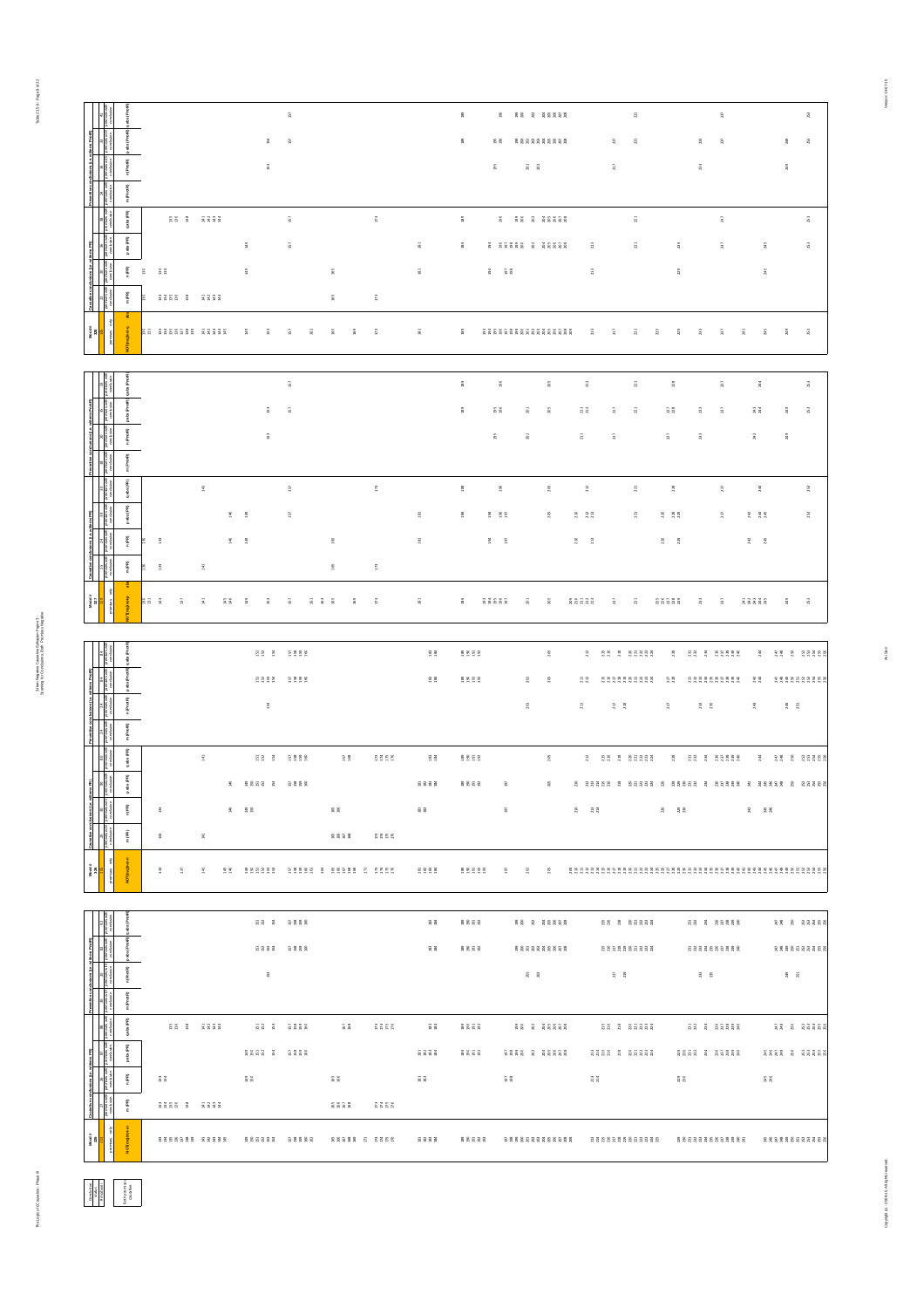|             |                              |                                                       |                               |                                                                                                                                                  | $\frac{57}{27}$                                       |                                                                                                                                            |                |                                                                                                                                                                                                                                                                                                                                                                                                                                                                      | 189                       |                                                                                                                       | $\frac{8}{2}$ $\frac{8}{2}$ $\frac{8}{2}$ $\frac{8}{2}$ $\frac{8}{2}$ $\frac{8}{2}$ $\frac{8}{2}$ $\frac{8}{2}$ $\frac{8}{2}$ $\frac{8}{2}$ $\frac{8}{2}$ $\frac{8}{2}$ $\frac{8}{2}$ $\frac{8}{2}$ $\frac{8}{2}$ $\frac{8}{2}$ $\frac{8}{2}$ $\frac{8}{2}$ $\frac{8}{2}$ $\frac{8}{2}$ $\frac{8}{2}$ $\frac{8}{2}$ |               |                                                                                                                                                                                                                                                                                                                                                                                                                                             | $\overline{\mathbf{a}}$                             |                               |                               | $\overline{a}$          |                                   |                | 253                                             |
|-------------|------------------------------|-------------------------------------------------------|-------------------------------|--------------------------------------------------------------------------------------------------------------------------------------------------|-------------------------------------------------------|--------------------------------------------------------------------------------------------------------------------------------------------|----------------|----------------------------------------------------------------------------------------------------------------------------------------------------------------------------------------------------------------------------------------------------------------------------------------------------------------------------------------------------------------------------------------------------------------------------------------------------------------------|---------------------------|-----------------------------------------------------------------------------------------------------------------------|---------------------------------------------------------------------------------------------------------------------------------------------------------------------------------------------------------------------------------------------------------------------------------------------------------------------|---------------|---------------------------------------------------------------------------------------------------------------------------------------------------------------------------------------------------------------------------------------------------------------------------------------------------------------------------------------------------------------------------------------------------------------------------------------------|-----------------------------------------------------|-------------------------------|-------------------------------|-------------------------|-----------------------------------|----------------|-------------------------------------------------|
|             |                              |                                                       |                               | $\overline{\mathbf{n}}$ – $\overline{\mathbf{n}}$                                                                                                |                                                       |                                                                                                                                            |                |                                                                                                                                                                                                                                                                                                                                                                                                                                                                      | $\overline{\mathfrak{A}}$ |                                                                                                                       |                                                                                                                                                                                                                                                                                                                     |               | និនី និងដឹងដឹងដឹងដឹង                                                                                                                                                                                                                                                                                                                                                                                                                        |                                                     |                               | $\overline{n}$ $\overline{n}$ |                         |                                   |                | 33 FS                                           |
|             |                              |                                                       |                               |                                                                                                                                                  |                                                       |                                                                                                                                            |                |                                                                                                                                                                                                                                                                                                                                                                                                                                                                      |                           |                                                                                                                       |                                                                                                                                                                                                                                                                                                                     |               |                                                                                                                                                                                                                                                                                                                                                                                                                                             |                                                     |                               |                               |                         |                                   |                |                                                 |
|             |                              |                                                       |                               | $\widetilde{\mathbf{m}}$                                                                                                                         |                                                       |                                                                                                                                            |                |                                                                                                                                                                                                                                                                                                                                                                                                                                                                      |                           |                                                                                                                       | $\begin{array}{ccc}\n\ddot{\mathbf{a}} & \mathbf{a} & \mathbf{a}\n\end{array}$                                                                                                                                                                                                                                      |               | $\overline{\mathbf{a}}$                                                                                                                                                                                                                                                                                                                                                                                                                     |                                                     |                               | $\ddot{a}$                    |                         |                                   | 3 <sup>2</sup> |                                                 |
|             |                              |                                                       |                               |                                                                                                                                                  |                                                       |                                                                                                                                            |                |                                                                                                                                                                                                                                                                                                                                                                                                                                                                      |                           |                                                                                                                       |                                                                                                                                                                                                                                                                                                                     |               |                                                                                                                                                                                                                                                                                                                                                                                                                                             |                                                     |                               |                               |                         |                                   |                |                                                 |
|             |                              |                                                       | 88 8 5333                     |                                                                                                                                                  |                                                       |                                                                                                                                            | $\mathbb{R}$   |                                                                                                                                                                                                                                                                                                                                                                                                                                                                      |                           |                                                                                                                       |                                                                                                                                                                                                                                                                                                                     |               |                                                                                                                                                                                                                                                                                                                                                                                                                                             | $\overline{221}$                                    |                               |                               | $\overline{\mathbf{z}}$ |                                   |                | 253                                             |
|             |                              |                                                       |                               |                                                                                                                                                  |                                                       |                                                                                                                                            |                |                                                                                                                                                                                                                                                                                                                                                                                                                                                                      |                           |                                                                                                                       |                                                                                                                                                                                                                                                                                                                     |               |                                                                                                                                                                                                                                                                                                                                                                                                                                             |                                                     |                               |                               |                         |                                   |                |                                                 |
|             |                              |                                                       |                               | $\frac{1}{2}$                                                                                                                                    |                                                       |                                                                                                                                            |                |                                                                                                                                                                                                                                                                                                                                                                                                                                                                      |                           | <b>E ROU E RESERVA E E RESERVA E LA CARACCIA E LA CARACCIA E LA CARACCIA E LA CARACCIA E LA CARACCIA E LA CARACCI</b> |                                                                                                                                                                                                                                                                                                                     |               |                                                                                                                                                                                                                                                                                                                                                                                                                                             |                                                     | 229                           |                               | $\overline{a}$          | $\tilde{z}$                       |                | 253                                             |
|             |                              | E a an                                                |                               | $\frac{9}{24}$                                                                                                                                   |                                                       | 36                                                                                                                                         |                |                                                                                                                                                                                                                                                                                                                                                                                                                                                                      |                           |                                                                                                                       |                                                                                                                                                                                                                                                                                                                     |               |                                                                                                                                                                                                                                                                                                                                                                                                                                             |                                                     |                               |                               |                         | $\frac{3}{2}$                     |                |                                                 |
|             |                              |                                                       |                               |                                                                                                                                                  |                                                       |                                                                                                                                            |                |                                                                                                                                                                                                                                                                                                                                                                                                                                                                      |                           |                                                                                                                       |                                                                                                                                                                                                                                                                                                                     |               |                                                                                                                                                                                                                                                                                                                                                                                                                                             |                                                     |                               |                               |                         |                                   |                |                                                 |
|             |                              | 8 8588 8 8883                                         |                               |                                                                                                                                                  |                                                       | $\begin{array}{ccc}\n\text{ss} & \text{m} & \text{m} \\ \text{m} & \text{m} & \text{m}\n\end{array}$                                       |                |                                                                                                                                                                                                                                                                                                                                                                                                                                                                      |                           |                                                                                                                       |                                                                                                                                                                                                                                                                                                                     |               |                                                                                                                                                                                                                                                                                                                                                                                                                                             |                                                     |                               |                               |                         |                                   |                |                                                 |
|             | y a                          | <b>An Anadana sasas a</b>                             |                               |                                                                                                                                                  |                                                       |                                                                                                                                            |                | e e s se e e e de de la de estado de estado de estado de estado de estado de estado de estado de estado de est                                                                                                                                                                                                                                                                                                                                                       |                           |                                                                                                                       |                                                                                                                                                                                                                                                                                                                     |               |                                                                                                                                                                                                                                                                                                                                                                                                                                             |                                                     |                               |                               |                         |                                   |                |                                                 |
|             |                              |                                                       |                               |                                                                                                                                                  |                                                       |                                                                                                                                            |                |                                                                                                                                                                                                                                                                                                                                                                                                                                                                      |                           |                                                                                                                       |                                                                                                                                                                                                                                                                                                                     |               |                                                                                                                                                                                                                                                                                                                                                                                                                                             |                                                     |                               |                               |                         |                                   |                |                                                 |
|             |                              |                                                       |                               |                                                                                                                                                  |                                                       |                                                                                                                                            |                |                                                                                                                                                                                                                                                                                                                                                                                                                                                                      |                           |                                                                                                                       |                                                                                                                                                                                                                                                                                                                     |               |                                                                                                                                                                                                                                                                                                                                                                                                                                             |                                                     |                               |                               |                         |                                   |                |                                                 |
|             |                              |                                                       |                               |                                                                                                                                                  | $\Xi$                                                 |                                                                                                                                            |                |                                                                                                                                                                                                                                                                                                                                                                                                                                                                      | $\frac{88}{100}$          | $^{36}$                                                                                                               | $\frac{1}{2}$                                                                                                                                                                                                                                                                                                       | $\frac{2}{3}$ |                                                                                                                                                                                                                                                                                                                                                                                                                                             | $\mathbb{R}^n$                                      | $223\,$                       |                               | $\overline{\mathbf{z}}$ | $\frac{4}{3}$                     |                | $^{25}$                                         |
|             |                              |                                                       |                               | $\frac{53}{15}$                                                                                                                                  |                                                       |                                                                                                                                            |                |                                                                                                                                                                                                                                                                                                                                                                                                                                                                      | 189                       | 55                                                                                                                    | $201$ $205$                                                                                                                                                                                                                                                                                                         | Eã.           | $\frac{1}{2}$ $\frac{1}{2}$                                                                                                                                                                                                                                                                                                                                                                                                                 |                                                     | 228                           | $\frac{23}{23}$               |                         | 음종<br>2                           |                | $749$ $753$                                     |
|             |                              |                                                       |                               |                                                                                                                                                  |                                                       |                                                                                                                                            |                |                                                                                                                                                                                                                                                                                                                                                                                                                                                                      |                           |                                                                                                                       |                                                                                                                                                                                                                                                                                                                     |               |                                                                                                                                                                                                                                                                                                                                                                                                                                             |                                                     |                               |                               |                         |                                   |                |                                                 |
|             |                              |                                                       |                               |                                                                                                                                                  | $\overline{\mathfrak{m}}$ . The set of $\mathfrak{m}$ |                                                                                                                                            |                |                                                                                                                                                                                                                                                                                                                                                                                                                                                                      |                           |                                                                                                                       |                                                                                                                                                                                                                                                                                                                     |               | $\begin{array}{ccccccccccccccccc} \mathbb{S} & & & & & \mathbb{S} & & & \mathbb{S} & & \mathbb{S} & & \mathbb{S} & & \mathbb{S} & & \mathbb{S} & & \mathbb{S} & & \mathbb{S} & & \mathbb{S} & & \mathbb{S} & & \mathbb{S} & & \mathbb{S} & & \mathbb{S} & & \mathbb{S} & & \mathbb{S} & & \mathbb{S} & & \mathbb{S} & & \mathbb{S} & & \mathbb{S} & & \mathbb{S} & & \mathbb{S} & & \mathbb{S} & & \mathbb{S} & & \mathbb{S} & & \mathbb{S$ |                                                     |                               |                               |                         |                                   |                |                                                 |
|             |                              |                                                       |                               |                                                                                                                                                  |                                                       |                                                                                                                                            |                |                                                                                                                                                                                                                                                                                                                                                                                                                                                                      |                           |                                                                                                                       |                                                                                                                                                                                                                                                                                                                     |               |                                                                                                                                                                                                                                                                                                                                                                                                                                             |                                                     |                               |                               |                         |                                   |                |                                                 |
|             |                              |                                                       |                               |                                                                                                                                                  |                                                       |                                                                                                                                            |                |                                                                                                                                                                                                                                                                                                                                                                                                                                                                      |                           |                                                                                                                       |                                                                                                                                                                                                                                                                                                                     |               |                                                                                                                                                                                                                                                                                                                                                                                                                                             | $\overline{\mathbf{a}}$ and $\overline{\mathbf{a}}$ |                               | $\frac{1}{2}$                 |                         | $\overline{a}$ and $\overline{a}$ |                | 25                                              |
|             |                              |                                                       |                               |                                                                                                                                                  |                                                       |                                                                                                                                            |                |                                                                                                                                                                                                                                                                                                                                                                                                                                                                      |                           |                                                                                                                       |                                                                                                                                                                                                                                                                                                                     |               |                                                                                                                                                                                                                                                                                                                                                                                                                                             |                                                     |                               |                               |                         |                                   |                |                                                 |
|             |                              |                                                       |                               | $\begin{array}{cccccccccc} \mathcal{B} & \mathcal{B} & \mathcal{B} & \mathcal{B} & \mathcal{B} & \mathcal{B} & \mathcal{B} \end{array}$          |                                                       |                                                                                                                                            |                | 좀 좀 좀 좀 봐요.                                                                                                                                                                                                                                                                                                                                                                                                                                                          |                           |                                                                                                                       |                                                                                                                                                                                                                                                                                                                     |               |                                                                                                                                                                                                                                                                                                                                                                                                                                             |                                                     | 3 33                          |                               | $\overline{z}$          | 품 종종                              |                | $\overline{25}$                                 |
|             |                              | $\frac{5}{2}$                                         |                               | - 第 章                                                                                                                                            |                                                       | 165                                                                                                                                        |                |                                                                                                                                                                                                                                                                                                                                                                                                                                                                      |                           |                                                                                                                       |                                                                                                                                                                                                                                                                                                                     |               |                                                                                                                                                                                                                                                                                                                                                                                                                                             |                                                     |                               |                               |                         |                                   |                |                                                 |
|             |                              | $\begin{matrix} 0 & 0 \\ 0 & 0 \\ 0 & 0 \end{matrix}$ | $\mathbb{R}^2$                |                                                                                                                                                  |                                                       | $\begin{array}{ccc}\n\mathbb{S}^1 & \mathbb{S}^1 & \mathbb{S}^1 \\ \mathbb{S}^1 & \mathbb{S}^1 & \mathbb{S}^1 & \mathbb{S}^1\n\end{array}$ |                |                                                                                                                                                                                                                                                                                                                                                                                                                                                                      |                           |                                                                                                                       |                                                                                                                                                                                                                                                                                                                     |               |                                                                                                                                                                                                                                                                                                                                                                                                                                             |                                                     |                               |                               |                         |                                   |                |                                                 |
|             |                              |                                                       |                               |                                                                                                                                                  |                                                       |                                                                                                                                            |                |                                                                                                                                                                                                                                                                                                                                                                                                                                                                      |                           |                                                                                                                       |                                                                                                                                                                                                                                                                                                                     |               |                                                                                                                                                                                                                                                                                                                                                                                                                                             |                                                     |                               |                               |                         |                                   |                |                                                 |
|             | រ៉ូដ <mark>្ឋ</mark>         | $\frac{2}{3}$ $\frac{2}{3}$                           |                               |                                                                                                                                                  |                                                       | ş.                                                                                                                                         |                | $\begin{array}{ccc} \overline{11} & \overline{11} & \overline{11} & \overline{11} & \overline{11} & \overline{11} \\ \overline{11} & \overline{11} & \overline{11} & \overline{11} & \overline{11} & \overline{11} \\ \overline{11} & \overline{11} & \overline{11} & \overline{11} & \overline{11} & \overline{11} \\ \overline{11} & \overline{11} & \overline{11} & \overline{11} & \overline{11} & \overline{11} \\ \overline{11} & \overline{11} & \overline{1$ |                           |                                                                                                                       |                                                                                                                                                                                                                                                                                                                     |               |                                                                                                                                                                                                                                                                                                                                                                                                                                             |                                                     |                               |                               |                         |                                   |                |                                                 |
|             |                              |                                                       |                               |                                                                                                                                                  |                                                       |                                                                                                                                            |                |                                                                                                                                                                                                                                                                                                                                                                                                                                                                      |                           |                                                                                                                       |                                                                                                                                                                                                                                                                                                                     |               |                                                                                                                                                                                                                                                                                                                                                                                                                                             |                                                     |                               |                               |                         |                                   |                |                                                 |
|             |                              |                                                       |                               |                                                                                                                                                  |                                                       |                                                                                                                                            |                |                                                                                                                                                                                                                                                                                                                                                                                                                                                                      |                           |                                                                                                                       |                                                                                                                                                                                                                                                                                                                     |               |                                                                                                                                                                                                                                                                                                                                                                                                                                             |                                                     |                               |                               |                         |                                   |                |                                                 |
|             |                              |                                                       |                               |                                                                                                                                                  | 53 5 5388                                             |                                                                                                                                            |                | - 종 종                                                                                                                                                                                                                                                                                                                                                                                                                                                                | 8858                      |                                                                                                                       |                                                                                                                                                                                                                                                                                                                     |               |                                                                                                                                                                                                                                                                                                                                                                                                                                             |                                                     |                               |                               |                         |                                   |                |                                                 |
|             |                              |                                                       |                               |                                                                                                                                                  | 5995 5389                                             |                                                                                                                                            |                |                                                                                                                                                                                                                                                                                                                                                                                                                                                                      | 음품 음울품질                   |                                                                                                                       |                                                                                                                                                                                                                                                                                                                     |               |                                                                                                                                                                                                                                                                                                                                                                                                                                             |                                                     |                               |                               |                         |                                   |                | a a aa aahaaaanaa ha adaanahaaa aa haaananaha   |
|             |                              |                                                       |                               |                                                                                                                                                  |                                                       |                                                                                                                                            |                |                                                                                                                                                                                                                                                                                                                                                                                                                                                                      |                           |                                                                                                                       |                                                                                                                                                                                                                                                                                                                     |               |                                                                                                                                                                                                                                                                                                                                                                                                                                             |                                                     |                               |                               |                         |                                   |                |                                                 |
|             |                              |                                                       |                               | 153                                                                                                                                              |                                                       |                                                                                                                                            |                |                                                                                                                                                                                                                                                                                                                                                                                                                                                                      |                           |                                                                                                                       |                                                                                                                                                                                                                                                                                                                     |               |                                                                                                                                                                                                                                                                                                                                                                                                                                             |                                                     |                               |                               |                         |                                   |                |                                                 |
|             |                              |                                                       |                               |                                                                                                                                                  |                                                       |                                                                                                                                            |                |                                                                                                                                                                                                                                                                                                                                                                                                                                                                      |                           |                                                                                                                       |                                                                                                                                                                                                                                                                                                                     |               |                                                                                                                                                                                                                                                                                                                                                                                                                                             |                                                     |                               |                               |                         |                                   |                |                                                 |
|             |                              |                                                       | 長い                            |                                                                                                                                                  | 53 5 5338                                             |                                                                                                                                            |                | $\frac{1}{22}$ $\frac{1}{22}$                                                                                                                                                                                                                                                                                                                                                                                                                                        | និនីនីនី                  |                                                                                                                       |                                                                                                                                                                                                                                                                                                                     |               |                                                                                                                                                                                                                                                                                                                                                                                                                                             |                                                     |                               |                               |                         |                                   |                | ង ដ ដង ដ ដងដង ដ ដង ដងដងដង ដ ដង ដ ដង ដ           |
|             |                              |                                                       |                               |                                                                                                                                                  |                                                       |                                                                                                                                            |                |                                                                                                                                                                                                                                                                                                                                                                                                                                                                      |                           |                                                                                                                       |                                                                                                                                                                                                                                                                                                                     |               |                                                                                                                                                                                                                                                                                                                                                                                                                                             |                                                     |                               |                               |                         |                                   |                |                                                 |
|             |                              |                                                       |                               | $8$ $8844$ $8$ $9$ $10$ $8$ $8$ $8$ $9$ $10$                                                                                                     |                                                       |                                                                                                                                            |                | 長岡岡美                                                                                                                                                                                                                                                                                                                                                                                                                                                                 | 8858                      |                                                                                                                       | 53 33                                                                                                                                                                                                                                                                                                               |               |                                                                                                                                                                                                                                                                                                                                                                                                                                             |                                                     |                               |                               |                         |                                   |                | a anana a anana a anana a anana a arara a ngana |
|             |                              | $\frac{53}{14}$                                       |                               | $\frac{36}{2}$ $\frac{36}{2}$                                                                                                                    |                                                       | 58 38                                                                                                                                      | $\frac{1}{24}$ |                                                                                                                                                                                                                                                                                                                                                                                                                                                                      |                           |                                                                                                                       |                                                                                                                                                                                                                                                                                                                     |               | - 日本語 - 日本語 - 「「「」                                                                                                                                                                                                                                                                                                                                                                                                                          |                                                     | $\mathbb{R}$ and $\mathbb{R}$ |                               |                         | - 명 동물                            |                |                                                 |
|             |                              | $\mathbb{R}^n$ and $\mathbb{R}^n$                     |                               |                                                                                                                                                  |                                                       | $2222$ $222$                                                                                                                               |                |                                                                                                                                                                                                                                                                                                                                                                                                                                                                      |                           |                                                                                                                       |                                                                                                                                                                                                                                                                                                                     |               |                                                                                                                                                                                                                                                                                                                                                                                                                                             |                                                     |                               |                               |                         |                                   |                |                                                 |
|             |                              |                                                       |                               |                                                                                                                                                  |                                                       |                                                                                                                                            |                |                                                                                                                                                                                                                                                                                                                                                                                                                                                                      |                           |                                                                                                                       |                                                                                                                                                                                                                                                                                                                     |               |                                                                                                                                                                                                                                                                                                                                                                                                                                             |                                                     |                               |                               |                         |                                   |                |                                                 |
|             | a<br>326<br><mark>136</mark> |                                                       |                               |                                                                                                                                                  |                                                       |                                                                                                                                            |                |                                                                                                                                                                                                                                                                                                                                                                                                                                                                      |                           |                                                                                                                       |                                                                                                                                                                                                                                                                                                                     |               |                                                                                                                                                                                                                                                                                                                                                                                                                                             |                                                     |                               |                               |                         |                                   |                |                                                 |
|             |                              |                                                       |                               |                                                                                                                                                  |                                                       |                                                                                                                                            |                |                                                                                                                                                                                                                                                                                                                                                                                                                                                                      |                           |                                                                                                                       |                                                                                                                                                                                                                                                                                                                     |               |                                                                                                                                                                                                                                                                                                                                                                                                                                             |                                                     |                               |                               |                         |                                   |                |                                                 |
|             |                              |                                                       |                               |                                                                                                                                                  |                                                       |                                                                                                                                            |                |                                                                                                                                                                                                                                                                                                                                                                                                                                                                      |                           |                                                                                                                       |                                                                                                                                                                                                                                                                                                                     |               |                                                                                                                                                                                                                                                                                                                                                                                                                                             |                                                     |                               |                               |                         |                                   |                |                                                 |
|             |                              |                                                       |                               |                                                                                                                                                  | $535$ $3$ $5333$                                      |                                                                                                                                            |                |                                                                                                                                                                                                                                                                                                                                                                                                                                                                      |                           |                                                                                                                       |                                                                                                                                                                                                                                                                                                                     |               |                                                                                                                                                                                                                                                                                                                                                                                                                                             |                                                     |                               |                               |                         |                                   |                |                                                 |
|             |                              |                                                       |                               |                                                                                                                                                  | 8883 5888                                             |                                                                                                                                            |                | <u>종 종</u>                                                                                                                                                                                                                                                                                                                                                                                                                                                           |                           | 회원회원 회원회원의회원회원 의원의원회원의원 원의민공원회원회원 고등학원회원회원회원                                                                          |                                                                                                                                                                                                                                                                                                                     |               |                                                                                                                                                                                                                                                                                                                                                                                                                                             |                                                     |                               |                               |                         |                                   |                |                                                 |
|             |                              |                                                       |                               | $\overline{3}$                                                                                                                                   |                                                       |                                                                                                                                            |                |                                                                                                                                                                                                                                                                                                                                                                                                                                                                      |                           |                                                                                                                       |                                                                                                                                                                                                                                                                                                                     |               | .<br>1980년 - 대한민국의 대한민국의 대한민국의 대한민국의 대한민국의 대한민국의 대한민국의 대한민국의 대한민국의 대한민국의 대한민국의 대한민국의 대한민국의 대한민국의 대한민국의 대한민국의 대한민국의                                                                                                                                                                                                                                                                                                                          |                                                     |                               |                               |                         |                                   |                |                                                 |
|             |                              |                                                       |                               |                                                                                                                                                  |                                                       |                                                                                                                                            |                |                                                                                                                                                                                                                                                                                                                                                                                                                                                                      |                           |                                                                                                                       |                                                                                                                                                                                                                                                                                                                     |               |                                                                                                                                                                                                                                                                                                                                                                                                                                             |                                                     |                               |                               |                         |                                   |                |                                                 |
|             |                              |                                                       |                               |                                                                                                                                                  |                                                       |                                                                                                                                            |                |                                                                                                                                                                                                                                                                                                                                                                                                                                                                      |                           |                                                                                                                       |                                                                                                                                                                                                                                                                                                                     |               |                                                                                                                                                                                                                                                                                                                                                                                                                                             |                                                     |                               |                               |                         |                                   |                |                                                 |
|             |                              |                                                       |                               | 음을 불로로로 들을 들출을 모을 만들었다. 그 등을 통해 등을 수 있는 것이 있는 것이 있는 것을 보고 있다.                                                                                    |                                                       |                                                                                                                                            |                |                                                                                                                                                                                                                                                                                                                                                                                                                                                                      |                           |                                                                                                                       |                                                                                                                                                                                                                                                                                                                     |               |                                                                                                                                                                                                                                                                                                                                                                                                                                             |                                                     |                               |                               |                         |                                   |                |                                                 |
|             |                              |                                                       |                               | <b>ESSS 3 5388</b>                                                                                                                               |                                                       |                                                                                                                                            |                | គមនិនី                                                                                                                                                                                                                                                                                                                                                                                                                                                               |                           | និនិនីនី និនីនិនី និនីនីនីនីនី និងីនីនី និនីដីនីនី និងីនីនី និងីនីនីនី និនីនីនី និនីនីនី និ                           |                                                                                                                                                                                                                                                                                                                     |               |                                                                                                                                                                                                                                                                                                                                                                                                                                             |                                                     |                               |                               |                         |                                   |                |                                                 |
|             |                              |                                                       |                               |                                                                                                                                                  |                                                       |                                                                                                                                            |                |                                                                                                                                                                                                                                                                                                                                                                                                                                                                      |                           |                                                                                                                       |                                                                                                                                                                                                                                                                                                                     |               |                                                                                                                                                                                                                                                                                                                                                                                                                                             |                                                     |                               |                               |                         |                                   |                |                                                 |
|             |                              |                                                       | $\overline{a}$ $\overline{b}$ | $\begin{array}{ccc} \mathfrak{S}_{2} & \mathfrak{S}_{3} & \mathfrak{S}_{4} & \mathfrak{S}_{5} & \mathfrak{S}_{6} & \mathfrak{S}_{7} \end{array}$ |                                                       |                                                                                                                                            |                |                                                                                                                                                                                                                                                                                                                                                                                                                                                                      |                           |                                                                                                                       |                                                                                                                                                                                                                                                                                                                     |               |                                                                                                                                                                                                                                                                                                                                                                                                                                             |                                                     |                               |                               |                         |                                   | 2.46           |                                                 |
|             |                              |                                                       | 5556 5 5335                   |                                                                                                                                                  |                                                       |                                                                                                                                            | 通道登望 网络鸡蹄      |                                                                                                                                                                                                                                                                                                                                                                                                                                                                      |                           |                                                                                                                       |                                                                                                                                                                                                                                                                                                                     |               |                                                                                                                                                                                                                                                                                                                                                                                                                                             |                                                     |                               |                               |                         |                                   |                |                                                 |
|             |                              |                                                       |                               |                                                                                                                                                  |                                                       |                                                                                                                                            |                |                                                                                                                                                                                                                                                                                                                                                                                                                                                                      |                           |                                                                                                                       |                                                                                                                                                                                                                                                                                                                     |               |                                                                                                                                                                                                                                                                                                                                                                                                                                             |                                                     |                               |                               |                         |                                   |                |                                                 |
| <b>Mood</b> |                              |                                                       |                               |                                                                                                                                                  |                                                       |                                                                                                                                            |                |                                                                                                                                                                                                                                                                                                                                                                                                                                                                      |                           |                                                                                                                       |                                                                                                                                                                                                                                                                                                                     |               |                                                                                                                                                                                                                                                                                                                                                                                                                                             |                                                     |                               |                               |                         |                                   |                |                                                 |
|             |                              |                                                       |                               |                                                                                                                                                  |                                                       |                                                                                                                                            |                |                                                                                                                                                                                                                                                                                                                                                                                                                                                                      |                           |                                                                                                                       |                                                                                                                                                                                                                                                                                                                     |               |                                                                                                                                                                                                                                                                                                                                                                                                                                             |                                                     |                               |                               |                         |                                   |                |                                                 |
|             |                              |                                                       |                               |                                                                                                                                                  |                                                       |                                                                                                                                            |                |                                                                                                                                                                                                                                                                                                                                                                                                                                                                      |                           |                                                                                                                       |                                                                                                                                                                                                                                                                                                                     |               |                                                                                                                                                                                                                                                                                                                                                                                                                                             |                                                     |                               |                               |                         |                                   |                |                                                 |
|             |                              |                                                       |                               |                                                                                                                                                  |                                                       |                                                                                                                                            |                |                                                                                                                                                                                                                                                                                                                                                                                                                                                                      |                           |                                                                                                                       |                                                                                                                                                                                                                                                                                                                     |               |                                                                                                                                                                                                                                                                                                                                                                                                                                             |                                                     |                               |                               |                         |                                   |                |                                                 |

Avi Sion

Copyright (c) - 2008-10. All rights reserved.

 $V$ asian 19-07-10

Table 23.5-9 - Page 8 of 32

Table age - Page 8d'32

The Logic of Coussider - Phase III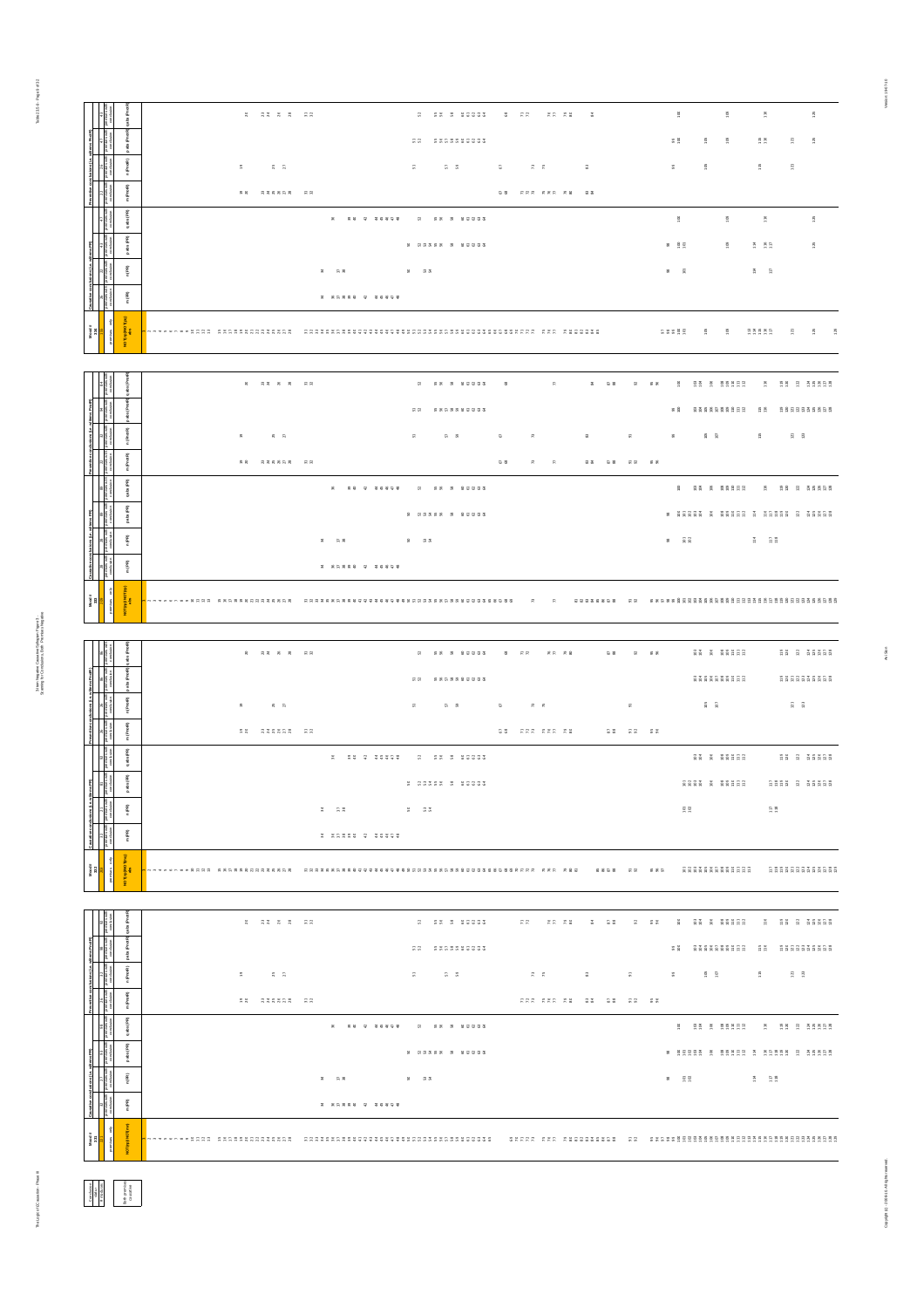

 $rac{5}{4}$ 

Table 23.5-9 - Page 9 of 32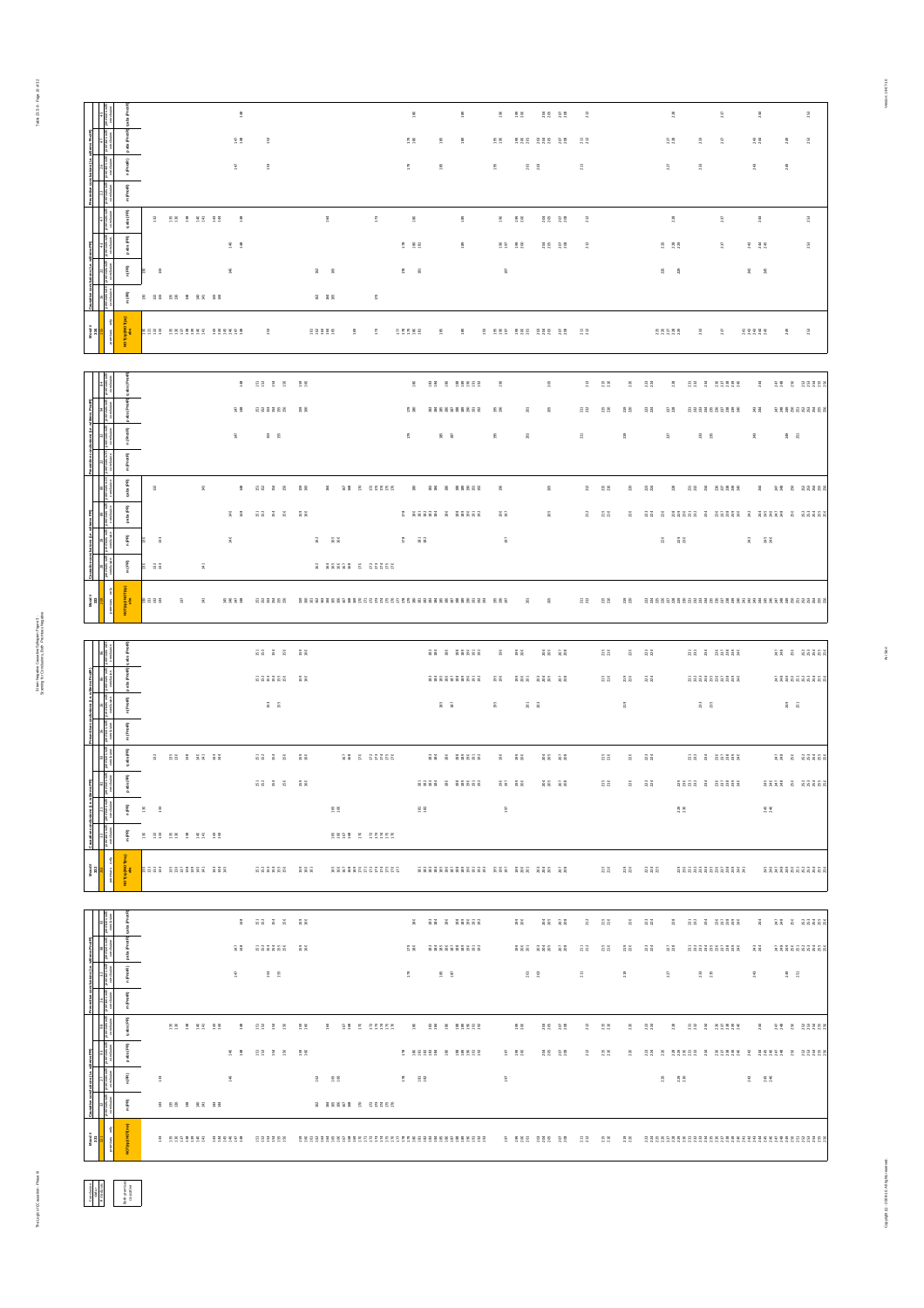|                  |   |                 |                  | $\frac{32}{14}$ |                                                                                                                                                                                                                               |                                                                                                                                                                     |                                                                                       | $30 - 20$      | 88                                                                                                                                                                                                                            |               | $\begin{array}{cccccccccccccc} \mathbb{B} & & \mathbb{B} & \mathbb{B} & & \mathbb{B} & \mathbb{B} & & \mathbb{B} & \mathbb{B} & & \mathbb{B} & & \mathbb{B} & & \mathbb{B} & \mathbb{B} & & \mathbb{B} & \mathbb{B} & & \mathbb{B} & \mathbb{B} & & \mathbb{B} & & \mathbb{B} & & \mathbb{B} & & \mathbb{B} & & \mathbb{B} & & \mathbb{B} & & \mathbb{B} & & \mathbb{B} & & \mathbb{B} & & \mathbb{B} & & \mathbb{B} & & \mathbb{B} & &$ |  |  |  |     | $\mathbb{R}^n$ |                                                                                                                                                                                                                                    |    | $\frac{3}{2}$             |         | $\overline{23}$ |
|------------------|---|-----------------|------------------|-----------------|-------------------------------------------------------------------------------------------------------------------------------------------------------------------------------------------------------------------------------|---------------------------------------------------------------------------------------------------------------------------------------------------------------------|---------------------------------------------------------------------------------------|----------------|-------------------------------------------------------------------------------------------------------------------------------------------------------------------------------------------------------------------------------|---------------|------------------------------------------------------------------------------------------------------------------------------------------------------------------------------------------------------------------------------------------------------------------------------------------------------------------------------------------------------------------------------------------------------------------------------------------|--|--|--|-----|----------------|------------------------------------------------------------------------------------------------------------------------------------------------------------------------------------------------------------------------------------|----|---------------------------|---------|-----------------|
|                  |   |                 |                  | 2.3             | $\frac{3}{2}$                                                                                                                                                                                                                 |                                                                                                                                                                     |                                                                                       | 7.30           |                                                                                                                                                                                                                               |               |                                                                                                                                                                                                                                                                                                                                                                                                                                          |  |  |  | 227 |                | $\overline{a}$                                                                                                                                                                                                                     | 異義 |                           | 249 153 |                 |
|                  |   |                 |                  |                 | $\begin{array}{ccc} \Xi & \cdots & \Xi \end{array}$                                                                                                                                                                           |                                                                                                                                                                     |                                                                                       | $\mathbb{R}^n$ |                                                                                                                                                                                                                               |               |                                                                                                                                                                                                                                                                                                                                                                                                                                          |  |  |  |     |                | $\ddot{a}$ and $\ddot{a}$                                                                                                                                                                                                          |    | $\mathbb{R}$ $\mathbb{R}$ |         |                 |
|                  |   |                 |                  |                 |                                                                                                                                                                                                                               |                                                                                                                                                                     |                                                                                       |                |                                                                                                                                                                                                                               |               |                                                                                                                                                                                                                                                                                                                                                                                                                                          |  |  |  |     |                |                                                                                                                                                                                                                                    |    |                           |         |                 |
|                  |   |                 |                  |                 | 이 비리 등 모든 것이 되는 것이 없는 것이 없는 것이 없는 것이 없는 것이 없는 것이 없는 것이 없는 것이 없는 것이 없는 것이 없는 것이 없는 것이 없는 것이 없는 것이 없는 것이 없는 것이 없는 것이 없는 것이 없는 것이 없는 것이 없는 것이 없는 것이 없는 것이 없는 것이 없는 것이 없는 것이 없는 것이 없는 것이 없는 것이 없는 것이 없는 것이 없는 것이 없는 것이 없는 것이 없는 것 |                                                                                                                                                                     |                                                                                       |                |                                                                                                                                                                                                                               |               |                                                                                                                                                                                                                                                                                                                                                                                                                                          |  |  |  |     |                | - 高い - 高い - 高い - 高い                                                                                                                                                                                                                |    |                           |         | $\overline{23}$ |
|                  |   |                 |                  | 第二章             |                                                                                                                                                                                                                               |                                                                                                                                                                     |                                                                                       |                | 第1982年 - 第1982年 - 第1982年 - 第1982年 - 第1982年 - 第1982年 - 第1982年 - 第1982年 - 第1982年 - 第1982年 - 第1982年 - 第1982年 - 第1982年 - 第1982年 - 第1982年 - 第1982年 - 第1982年 - 第1982年 - 第1982年 - 第1982年 - 第1982年 - 第1982年 - 第1982年 - 第1982年 - 第1982 |               |                                                                                                                                                                                                                                                                                                                                                                                                                                          |  |  |  |     |                |                                                                                                                                                                                                                                    |    |                           |         | $\frac{3}{2}$   |
|                  | Ç | $\frac{30}{20}$ |                  | $\frac{1}{2}$   |                                                                                                                                                                                                                               |                                                                                                                                                                     |                                                                                       |                |                                                                                                                                                                                                                               |               |                                                                                                                                                                                                                                                                                                                                                                                                                                          |  |  |  |     |                |                                                                                                                                                                                                                                    |    |                           |         |                 |
|                  |   |                 |                  |                 |                                                                                                                                                                                                                               | $\begin{array}{ccc}\n\mathbf{S} & \mathbf{S} & \mathbf{S} & \mathbf{S} & \mathbf{S} \\ \mathbf{S} & \mathbf{S} & \mathbf{S} & \mathbf{S} & \mathbf{S}\n\end{array}$ |                                                                                       |                |                                                                                                                                                                                                                               |               |                                                                                                                                                                                                                                                                                                                                                                                                                                          |  |  |  |     |                |                                                                                                                                                                                                                                    |    |                           |         |                 |
| § ¤              |   |                 |                  |                 |                                                                                                                                                                                                                               |                                                                                                                                                                     |                                                                                       |                |                                                                                                                                                                                                                               |               |                                                                                                                                                                                                                                                                                                                                                                                                                                          |  |  |  |     |                |                                                                                                                                                                                                                                    |    |                           |         |                 |
|                  |   |                 |                  |                 |                                                                                                                                                                                                                               |                                                                                                                                                                     |                                                                                       |                |                                                                                                                                                                                                                               |               |                                                                                                                                                                                                                                                                                                                                                                                                                                          |  |  |  |     |                |                                                                                                                                                                                                                                    |    |                           |         |                 |
|                  |   |                 |                  |                 | 몇몇 점점점점점점 점음                                                                                                                                                                                                                  |                                                                                                                                                                     |                                                                                       |                |                                                                                                                                                                                                                               |               |                                                                                                                                                                                                                                                                                                                                                                                                                                          |  |  |  |     |                | 초음 종종병을통증증증증 초음 중 13 12 13월 23월 23월 13월 13월 13월 23월 23월 23월 23월 23월 23월 23월 23월                                                                                                                                                    |    |                           |         |                 |
|                  |   |                 |                  |                 | 한 의 이 비행<br>이 이 의 이 비행                                                                                                                                                                                                        |                                                                                                                                                                     |                                                                                       |                |                                                                                                                                                                                                                               |               |                                                                                                                                                                                                                                                                                                                                                                                                                                          |  |  |  |     |                |                                                                                                                                                                                                                                    |    |                           |         |                 |
|                  |   |                 |                  |                 |                                                                                                                                                                                                                               |                                                                                                                                                                     |                                                                                       |                |                                                                                                                                                                                                                               |               |                                                                                                                                                                                                                                                                                                                                                                                                                                          |  |  |  |     |                |                                                                                                                                                                                                                                    |    |                           |         |                 |
|                  |   | $\mathbb{R}$    |                  |                 |                                                                                                                                                                                                                               |                                                                                                                                                                     |                                                                                       |                |                                                                                                                                                                                                                               |               |                                                                                                                                                                                                                                                                                                                                                                                                                                          |  |  |  |     |                |                                                                                                                                                                                                                                    |    |                           |         |                 |
|                  |   |                 |                  |                 |                                                                                                                                                                                                                               |                                                                                                                                                                     |                                                                                       |                |                                                                                                                                                                                                                               |               |                                                                                                                                                                                                                                                                                                                                                                                                                                          |  |  |  |     |                | . " " " " " " " " " " " " " " " " " " " " " " " " " " " " " " " " " " " " " " " " " " " " " " " " " " " " " " " " " " " " " " " " " " " " " " " " " " " " " " " " " " " " " " " " " " " " " " " " " " " " " " " " " " " " " " "    |    |                           |         |                 |
|                  |   | 3.36            |                  |                 |                                                                                                                                                                                                                               |                                                                                                                                                                     |                                                                                       |                |                                                                                                                                                                                                                               |               |                                                                                                                                                                                                                                                                                                                                                                                                                                          |  |  |  |     |                | <u>이 이 지 않은 것은 이 없이 없다. 그 아이들은 어디에 있다.</u>                                                                                                                                                                                         |    |                           |         |                 |
|                  |   | 2 22            | $\mathbb{R}$     |                 |                                                                                                                                                                                                                               | a aaana e dhama                                                                                                                                                     |                                                                                       |                |                                                                                                                                                                                                                               |               |                                                                                                                                                                                                                                                                                                                                                                                                                                          |  |  |  |     |                |                                                                                                                                                                                                                                    |    |                           |         |                 |
| $\frac{3}{2}$ 33 |   |                 |                  |                 |                                                                                                                                                                                                                               |                                                                                                                                                                     |                                                                                       |                |                                                                                                                                                                                                                               |               |                                                                                                                                                                                                                                                                                                                                                                                                                                          |  |  |  |     |                |                                                                                                                                                                                                                                    |    |                           |         |                 |
|                  |   |                 |                  |                 | ជិតិ គឺ គឺ គឺ គឺ                                                                                                                                                                                                              |                                                                                                                                                                     |                                                                                       |                |                                                                                                                                                                                                                               |               |                                                                                                                                                                                                                                                                                                                                                                                                                                          |  |  |  |     |                | 생활 생활 정보 사고 있는 정보 사고 있는 것을 보고 있다. 이 사고 있는 것은 있는 것은 있는 것은 있다.                                                                                                                                                                       |    |                           |         |                 |
|                  |   |                 |                  |                 |                                                                                                                                                                                                                               |                                                                                                                                                                     |                                                                                       |                |                                                                                                                                                                                                                               |               |                                                                                                                                                                                                                                                                                                                                                                                                                                          |  |  |  |     |                |                                                                                                                                                                                                                                    |    |                           |         |                 |
|                  |   |                 |                  |                 | - 第11期                                                                                                                                                                                                                        |                                                                                                                                                                     |                                                                                       |                |                                                                                                                                                                                                                               |               |                                                                                                                                                                                                                                                                                                                                                                                                                                          |  |  |  |     |                | .<br>19. 이 그는 그만 없이 보기 때문에 있는 것이 없이 모든 것이 없이 없이 없는 것이 없다. 그만 없는 것이 없는 것이 없다. 그만 있는 것이 없다. 그만 있는 것이 없다. 그만 있는 것이 없다.<br>20. 이 그는 그만 있는 것이 없어 있는 것이 없어 있는 것이 없다. 그만 없는 것이 없다. 그만 없는 것이 없다. 그만 없는 것이 없다. 그만 없는 것이 없다. 그만 없는 것이 없다. 그만 |    |                           |         |                 |
|                  |   |                 |                  |                 |                                                                                                                                                                                                                               |                                                                                                                                                                     |                                                                                       |                |                                                                                                                                                                                                                               |               |                                                                                                                                                                                                                                                                                                                                                                                                                                          |  |  |  |     |                |                                                                                                                                                                                                                                    |    |                           |         |                 |
|                  |   |                 | 8 88 8 99 93     |                 |                                                                                                                                                                                                                               |                                                                                                                                                                     |                                                                                       |                |                                                                                                                                                                                                                               |               |                                                                                                                                                                                                                                                                                                                                                                                                                                          |  |  |  |     |                |                                                                                                                                                                                                                                    |    |                           |         | និនី ដី ដឹងដឹងដ |
|                  |   |                 |                  |                 | $\vec{n}$ and and a series of $\vec{n}$ and a series of $\vec{n}$ and a series of $\vec{n}$ and a series of $\vec{n}$                                                                                                         |                                                                                                                                                                     |                                                                                       |                |                                                                                                                                                                                                                               |               |                                                                                                                                                                                                                                                                                                                                                                                                                                          |  |  |  |     |                | 복점점품 몇 표정응적의 정권 정보 보험 대 보내 법 법 법 법 보내 보내 발표 부분 시대 부분 지원 부분 사고 있다.                                                                                                                                                                  |    |                           |         |                 |
|                  |   |                 |                  |                 |                                                                                                                                                                                                                               |                                                                                                                                                                     | 19.18 MB 2010 MB 2011 MB 2011 MB 2011 MB 2011 MB 2011 MB 2011 MB 2011 MB 2011 MB 2011 |                |                                                                                                                                                                                                                               | $\frac{5}{2}$ |                                                                                                                                                                                                                                                                                                                                                                                                                                          |  |  |  | 28  |                |                                                                                                                                                                                                                                    |    | 2.8                       |         |                 |
|                  |   |                 | 8 88 88 89 89 89 |                 |                                                                                                                                                                                                                               |                                                                                                                                                                     | <b>19898 6 66666</b>                                                                  |                |                                                                                                                                                                                                                               |               |                                                                                                                                                                                                                                                                                                                                                                                                                                          |  |  |  |     |                |                                                                                                                                                                                                                                    |    |                           |         |                 |
| $rac{32}{3}$     |   |                 |                  |                 | <u>s</u> and an annost the adosas see esesseccecere wessessesses ase see es as as an an addentananser reexessesses                                                                                                            |                                                                                                                                                                     |                                                                                       |                |                                                                                                                                                                                                                               |               |                                                                                                                                                                                                                                                                                                                                                                                                                                          |  |  |  |     |                |                                                                                                                                                                                                                                    |    |                           |         |                 |
|                  |   |                 |                  |                 |                                                                                                                                                                                                                               |                                                                                                                                                                     |                                                                                       |                |                                                                                                                                                                                                                               |               |                                                                                                                                                                                                                                                                                                                                                                                                                                          |  |  |  |     |                |                                                                                                                                                                                                                                    |    |                           |         |                 |
|                  |   |                 |                  |                 |                                                                                                                                                                                                                               |                                                                                                                                                                     |                                                                                       |                |                                                                                                                                                                                                                               |               |                                                                                                                                                                                                                                                                                                                                                                                                                                          |  |  |  |     |                |                                                                                                                                                                                                                                    |    |                           |         |                 |
|                  |   |                 |                  |                 |                                                                                                                                                                                                                               |                                                                                                                                                                     |                                                                                       |                |                                                                                                                                                                                                                               |               |                                                                                                                                                                                                                                                                                                                                                                                                                                          |  |  |  |     |                | - 주변 - 프로그램 - 프로그램 - 프로그램 - 프로그램 - 프로그램 - 프로그램 - 프로그램 - 프로그램 - 프로그램 - 프로그램 - 프로그램 - 프로그램 - 프로그램 - 프로그램 - 프로그램 -                                                                                                                    |    |                           |         |                 |
|                  |   |                 |                  |                 |                                                                                                                                                                                                                               |                                                                                                                                                                     |                                                                                       |                |                                                                                                                                                                                                                               |               |                                                                                                                                                                                                                                                                                                                                                                                                                                          |  |  |  |     |                |                                                                                                                                                                                                                                    |    |                           |         |                 |
|                  |   |                 |                  |                 | - 프로 프 로 프로 프 프로 프로 프로 프로 프로그램을 프로그램을 보고 프로그램을 제공하여 프로그램을 제공하여 있다. 그리고 프로그램을 프로그램을 제공하여 프로그램을 제공하여 프로그램을 제공하여 프                                                                                                               |                                                                                                                                                                     |                                                                                       |                |                                                                                                                                                                                                                               |               |                                                                                                                                                                                                                                                                                                                                                                                                                                          |  |  |  |     |                |                                                                                                                                                                                                                                    |    |                           |         |                 |
|                  |   |                 |                  |                 |                                                                                                                                                                                                                               |                                                                                                                                                                     |                                                                                       |                |                                                                                                                                                                                                                               |               |                                                                                                                                                                                                                                                                                                                                                                                                                                          |  |  |  |     |                |                                                                                                                                                                                                                                    |    |                           |         |                 |
|                  |   |                 |                  |                 |                                                                                                                                                                                                                               |                                                                                                                                                                     |                                                                                       |                |                                                                                                                                                                                                                               |               |                                                                                                                                                                                                                                                                                                                                                                                                                                          |  |  |  |     |                |                                                                                                                                                                                                                                    |    |                           |         |                 |
|                  |   |                 |                  |                 | 田 田追 邑 且豆 豆豆                                                                                                                                                                                                                  | <b>M ANAGA A RARAKA</b>                                                                                                                                             |                                                                                       |                |                                                                                                                                                                                                                               |               |                                                                                                                                                                                                                                                                                                                                                                                                                                          |  |  |  |     |                |                                                                                                                                                                                                                                    |    |                           |         |                 |
| $\frac{1}{3}$    |   |                 |                  |                 | a ananas sasasa deenen neevessasasasacaananan sanasasasa a nga gan ga da da na na nanahanahanahananasasasasananana                                                                                                            |                                                                                                                                                                     |                                                                                       |                |                                                                                                                                                                                                                               |               |                                                                                                                                                                                                                                                                                                                                                                                                                                          |  |  |  |     |                |                                                                                                                                                                                                                                    |    |                           |         |                 |

Avi Sion

/asiat 99-07-10

Table 23.5-9 - Page 10 of 32

Tatle 23.59 - Page 10 of 32

The Logic of £Causation - Phase III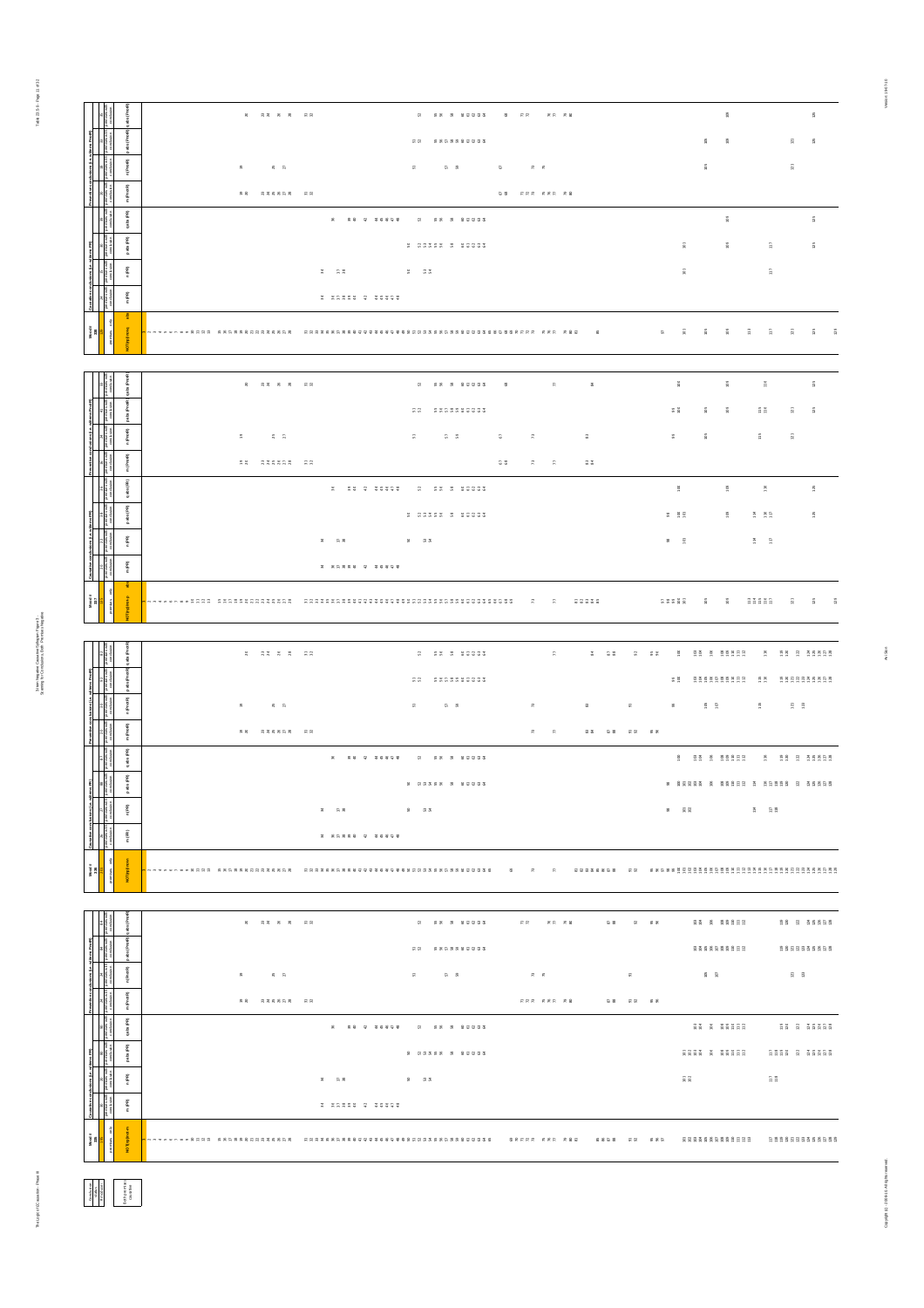

Table 23.5-9 - Page 11 of 32

 $\frac{5}{3}$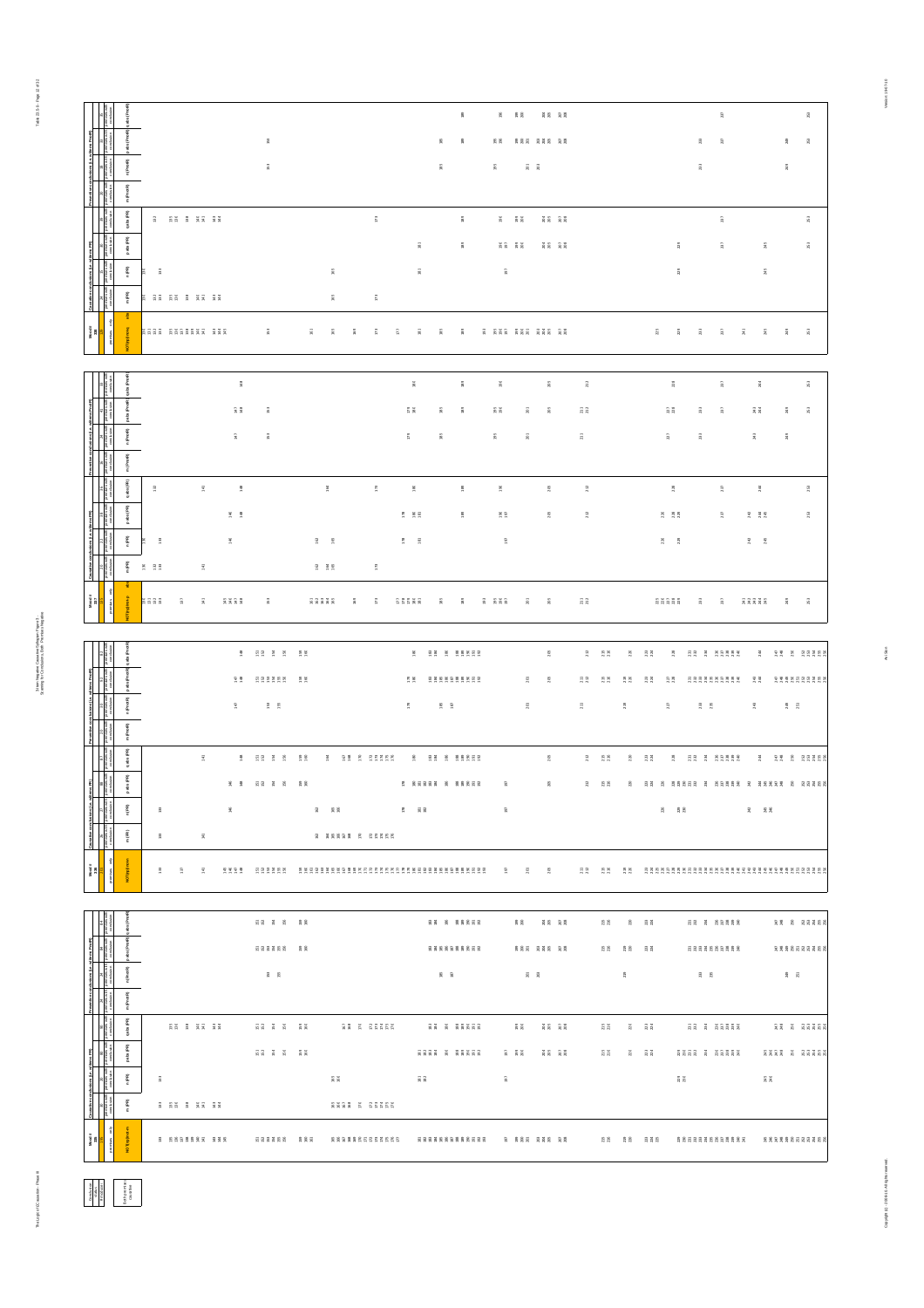|                              |                                                                                 |    |                                                       |                                                                                                                                                                                                                                                                                                                     |                  |                     |                                                                                                                 |                         |                               |                |                                                                                                                 |                 | 189             |                                                                                                                    |     | 9 99 53 53                                                                                                                                                                                                                          |                         |  |                                           |                                                                                                                                                                                                                                                                                                                                                                                                                                        | 237                         |                         |             | $\frac{53}{2}$                        |
|------------------------------|---------------------------------------------------------------------------------|----|-------------------------------------------------------|---------------------------------------------------------------------------------------------------------------------------------------------------------------------------------------------------------------------------------------------------------------------------------------------------------------------|------------------|---------------------|-----------------------------------------------------------------------------------------------------------------|-------------------------|-------------------------------|----------------|-----------------------------------------------------------------------------------------------------------------|-----------------|-----------------|--------------------------------------------------------------------------------------------------------------------|-----|-------------------------------------------------------------------------------------------------------------------------------------------------------------------------------------------------------------------------------------|-------------------------|--|-------------------------------------------|----------------------------------------------------------------------------------------------------------------------------------------------------------------------------------------------------------------------------------------------------------------------------------------------------------------------------------------------------------------------------------------------------------------------------------------|-----------------------------|-------------------------|-------------|---------------------------------------|
|                              |                                                                                 |    |                                                       |                                                                                                                                                                                                                                                                                                                     |                  |                     | $\widetilde{\mathbf{m}}$                                                                                        |                         |                               |                |                                                                                                                 | $\frac{95}{28}$ | $\frac{9}{20}$  |                                                                                                                    |     | 55 585 838 58                                                                                                                                                                                                                       |                         |  |                                           | $_{\rm 3}$                                                                                                                                                                                                                                                                                                                                                                                                                             | -B                          |                         |             |                                       |
|                              | promises with                                                                   |    |                                                       |                                                                                                                                                                                                                                                                                                                     |                  |                     | $\widetilde{\mathfrak{p}}$                                                                                      |                         |                               |                |                                                                                                                 | $\frac{5}{28}$  |                 | $\begin{array}{ccc} \tilde{\mathbf{g}} & \tilde{\mathbf{g}} & \tilde{\mathbf{g}} & \tilde{\mathbf{g}} \end{array}$ |     |                                                                                                                                                                                                                                     |                         |  |                                           | $\ddot{a}$                                                                                                                                                                                                                                                                                                                                                                                                                             |                             |                         | $_{\rm gs}$ |                                       |
|                              |                                                                                 |    |                                                       |                                                                                                                                                                                                                                                                                                                     |                  |                     |                                                                                                                 |                         |                               |                |                                                                                                                 |                 |                 |                                                                                                                    |     |                                                                                                                                                                                                                                     |                         |  |                                           |                                                                                                                                                                                                                                                                                                                                                                                                                                        |                             |                         |             |                                       |
|                              |                                                                                 |    |                                                       | 8 88 8 88 88                                                                                                                                                                                                                                                                                                        |                  |                     |                                                                                                                 |                         |                               | $\mathbb{R}$   |                                                                                                                 |                 | $\frac{88}{14}$ |                                                                                                                    |     | 2 28 38 38                                                                                                                                                                                                                          |                         |  |                                           |                                                                                                                                                                                                                                                                                                                                                                                                                                        | $2\,37$                     |                         |             | $\overline{23}$                       |
| €                            |                                                                                 |    |                                                       |                                                                                                                                                                                                                                                                                                                     |                  |                     |                                                                                                                 |                         |                               |                | $\frac{27}{16}$                                                                                                 |                 | 189             |                                                                                                                    |     | 55 38 38 38                                                                                                                                                                                                                         |                         |  | $_{\rm 229}$                              |                                                                                                                                                                                                                                                                                                                                                                                                                                        | 237                         | 245                     |             |                                       |
| about.                       | an alaman<br>Tanzania                                                           | Ê, | $\frac{6}{2}$ $\frac{3}{2}$                           |                                                                                                                                                                                                                                                                                                                     |                  |                     |                                                                                                                 |                         | š                             |                | $\frac{17}{26}$                                                                                                 |                 |                 | $\overline{\mathfrak{D}}$                                                                                          |     |                                                                                                                                                                                                                                     |                         |  | $\widetilde{n}$                           |                                                                                                                                                                                                                                                                                                                                                                                                                                        |                             | $\tilde{\mathbf{x}}$    |             |                                       |
|                              | premises with                                                                   | ß  | 8 88 88 89 89 89                                      |                                                                                                                                                                                                                                                                                                                     |                  |                     |                                                                                                                 |                         | is.                           | $\mathbb{R}^n$ |                                                                                                                 |                 |                 |                                                                                                                    |     |                                                                                                                                                                                                                                     |                         |  |                                           |                                                                                                                                                                                                                                                                                                                                                                                                                                        |                             |                         |             |                                       |
| Mood #                       |                                                                                 |    | RENE REGEERS RAR                                      |                                                                                                                                                                                                                                                                                                                     |                  |                     | $\overline{\mathbf{5}}$                                                                                         | $\overline{\mathbf{s}}$ |                               |                | £.<br>$\overline{a}$                                                                                            |                 |                 |                                                                                                                    |     |                                                                                                                                                                                                                                     |                         |  |                                           | $\begin{array}{ccccccccccccccccc} \mathbf{R} & \mathbf{R} & \mathbf{R} & \mathbf{R} & \mathbf{R} & \mathbf{R} & \mathbf{R} & \mathbf{R} & \mathbf{R} & \mathbf{R} & \mathbf{R} & \mathbf{R} & \mathbf{R} & \mathbf{R} & \mathbf{R} & \mathbf{R} & \mathbf{R} & \mathbf{R} & \mathbf{R} & \mathbf{R} & \mathbf{R} & \mathbf{R} & \mathbf{R} & \mathbf{R} & \mathbf{R} & \mathbf{R} & \mathbf{R} & \mathbf{R} & \mathbf{R} & \mathbf{R}$ |                             |                         |             |                                       |
|                              |                                                                                 |    |                                                       |                                                                                                                                                                                                                                                                                                                     |                  |                     |                                                                                                                 |                         |                               |                |                                                                                                                 |                 |                 |                                                                                                                    |     |                                                                                                                                                                                                                                     |                         |  |                                           |                                                                                                                                                                                                                                                                                                                                                                                                                                        |                             |                         |             |                                       |
|                              |                                                                                 |    |                                                       |                                                                                                                                                                                                                                                                                                                     |                  | 7.8                 |                                                                                                                 |                         |                               |                | 30                                                                                                              |                 | $\frac{8}{14}$  | $\frac{36}{2}$                                                                                                     |     | 205                                                                                                                                                                                                                                 | $\frac{2}{3}$           |  | $\overline{23}$                           |                                                                                                                                                                                                                                                                                                                                                                                                                                        | $\overline{\boldsymbol{z}}$ | $\frac{\pi}{\lambda}$   |             | 253                                   |
|                              |                                                                                 |    |                                                       |                                                                                                                                                                                                                                                                                                                     |                  | 3.3                 | $\tilde{2}$                                                                                                     |                         |                               |                | 179                                                                                                             | $\frac{85}{2}$  | 39              | 55                                                                                                                 |     | 201                                                                                                                                                                                                                                 | HH.                     |  | 228                                       |                                                                                                                                                                                                                                                                                                                                                                                                                                        | 233                         | $\frac{24}{24}$         | $\tilde{z}$ |                                       |
|                              |                                                                                 |    |                                                       |                                                                                                                                                                                                                                                                                                                     |                  |                     | $\begin{array}{ccc}\n\overline{3} & \phantom{3} & \phantom{3} & \overline{3}\n\end{array}$                      |                         |                               |                | $n =$                                                                                                           | $\frac{5}{28}$  |                 | $\frac{85}{20}$                                                                                                    |     | $\overline{\mathbf{a}}$                                                                                                                                                                                                             | $\overline{\mathbf{a}}$ |  | $\overline{\mathbf{a}}$                   |                                                                                                                                                                                                                                                                                                                                                                                                                                        | $\overline{\mathbf{a}}$     | $\overline{\mathbf{a}}$ | 349         |                                       |
|                              |                                                                                 |    |                                                       |                                                                                                                                                                                                                                                                                                                     |                  |                     |                                                                                                                 |                         |                               |                |                                                                                                                 |                 |                 |                                                                                                                    |     |                                                                                                                                                                                                                                     |                         |  |                                           |                                                                                                                                                                                                                                                                                                                                                                                                                                        |                             |                         |             |                                       |
|                              |                                                                                 | Ê  | $\frac{1}{2}$                                         |                                                                                                                                                                                                                                                                                                                     | $\sim$ 100 $\pm$ | $\frac{3}{2}$       |                                                                                                                 |                         | <u>이 대한 대한 대한 대한 대한 대</u>     |                | $\begin{array}{ccc}\n\mathbb{R} & \mathbb{R} & \mathbb{R} \\ \mathbb{R} & \mathbb{R} & \mathbb{R}\n\end{array}$ |                 | $\frac{30}{2}$  | $\frac{96}{11}$                                                                                                    |     | 205                                                                                                                                                                                                                                 | $\frac{1}{2}$           |  | $\overline{2}$                            |                                                                                                                                                                                                                                                                                                                                                                                                                                        | $\overline{n}$              | 24                      |             | 253                                   |
| £                            |                                                                                 | €  |                                                       |                                                                                                                                                                                                                                                                                                                     |                  | 38.3                |                                                                                                                 |                         |                               |                | 78.88                                                                                                           |                 | $\frac{88}{14}$ | $\frac{95}{25}$                                                                                                    |     | $\frac{8}{2}$                                                                                                                                                                                                                       | $_{\rm 22}$             |  | 3.33                                      |                                                                                                                                                                                                                                                                                                                                                                                                                                        | $\overline{\mathrm{m}}$     | $74$ $75$               |             | $\Xi$                                 |
|                              |                                                                                 | €  | 300                                                   |                                                                                                                                                                                                                                                                                                                     |                  | 346                 |                                                                                                                 |                         | $\frac{3}{16}$ $\frac{3}{16}$ |                | $73 - 51$                                                                                                       |                 |                 | 197                                                                                                                |     |                                                                                                                                                                                                                                     |                         |  | $\begin{array}{cc} 226 \\ 23 \end{array}$ |                                                                                                                                                                                                                                                                                                                                                                                                                                        |                             | 242                     |             |                                       |
|                              | an seamed                                                                       | €  | $\begin{matrix} 0 & 0 \\ 0 & 0 \\ 0 & 0 \end{matrix}$ |                                                                                                                                                                                                                                                                                                                     | $\mathbb{R}$     |                     |                                                                                                                 |                         | $3 - 38$                      | $\mathbb{R}^n$ |                                                                                                                 |                 |                 |                                                                                                                    |     |                                                                                                                                                                                                                                     |                         |  |                                           |                                                                                                                                                                                                                                                                                                                                                                                                                                        |                             |                         |             |                                       |
| Mood #<br>337                |                                                                                 |    | <b>Anna</b>                                           |                                                                                                                                                                                                                                                                                                                     |                  | 6 5 2253            | $\widetilde{\mathfrak{D}}$                                                                                      |                         |                               |                |                                                                                                                 |                 |                 |                                                                                                                    |     | 1989年1989 - 1989年10月 - 1989年10月 - 1989年10月 - 1989年10月 - 1989年10月 - 1989年10月 - 1989年10月 - 1989年10月 - 1989年10月 - 1989年10月 - 1989年10月 - 1989年10月 - 1989年10月 - 1989年10月 - 1989年10月 - 1989年10月 - 1989年10月 - 1989年10月 - 1989年10月 -        |                         |  |                                           | <b>AAAAA A A AAAAA A A</b>                                                                                                                                                                                                                                                                                                                                                                                                             |                             |                         |             |                                       |
|                              |                                                                                 |    |                                                       |                                                                                                                                                                                                                                                                                                                     |                  |                     |                                                                                                                 |                         |                               |                |                                                                                                                 |                 |                 |                                                                                                                    |     |                                                                                                                                                                                                                                     |                         |  |                                           |                                                                                                                                                                                                                                                                                                                                                                                                                                        |                             |                         |             |                                       |
|                              |                                                                                 |    |                                                       |                                                                                                                                                                                                                                                                                                                     |                  |                     | 몇 점점 좀 좀 요용                                                                                                     |                         |                               |                |                                                                                                                 |                 | 8 83 8 8885     |                                                                                                                    |     | $26 -$                                                                                                                                                                                                                              |                         |  |                                           |                                                                                                                                                                                                                                                                                                                                                                                                                                        |                             |                         |             | a aa aa ah ah ah ahaan ah aa ah ahaa  |
|                              |                                                                                 |    |                                                       |                                                                                                                                                                                                                                                                                                                     |                  |                     | 53 599568 88                                                                                                    |                         |                               |                | 鸟鱼 网络姆路路路岛岛岛                                                                                                    |                 |                 |                                                                                                                    | 201 | 205                                                                                                                                                                                                                                 |                         |  |                                           |                                                                                                                                                                                                                                                                                                                                                                                                                                        |                             |                         |             |                                       |
|                              | mises with<br>phones wh                                                         |    |                                                       |                                                                                                                                                                                                                                                                                                                     |                  |                     | $\overline{z}$ , $\overline{z}$ , $\overline{z}$ , $\overline{z}$                                               |                         |                               |                | $135$ $135$                                                                                                     |                 |                 |                                                                                                                    |     | 201                                                                                                                                                                                                                                 |                         |  |                                           |                                                                                                                                                                                                                                                                                                                                                                                                                                        |                             |                         |             |                                       |
|                              |                                                                                 |    |                                                       |                                                                                                                                                                                                                                                                                                                     |                  |                     |                                                                                                                 |                         |                               |                |                                                                                                                 |                 |                 |                                                                                                                    |     | $\frac{3}{2}$                                                                                                                                                                                                                       |                         |  |                                           |                                                                                                                                                                                                                                                                                                                                                                                                                                        |                             |                         |             | a aa aa aa aa aanaan a aan annan      |
|                              |                                                                                 |    |                                                       |                                                                                                                                                                                                                                                                                                                     |                  |                     | 第二章 百日 西 第一章章                                                                                                   |                         |                               |                |                                                                                                                 |                 | E SHRAN N NASHA | $\frac{3}{2}$                                                                                                      |     | 205                                                                                                                                                                                                                                 |                         |  |                                           |                                                                                                                                                                                                                                                                                                                                                                                                                                        |                             |                         |             | a aa a aa aaaaaa aaaaaa aaaaaa aaaaaa |
|                              |                                                                                 |    | $\frac{53}{14}$                                       |                                                                                                                                                                                                                                                                                                                     |                  | <u> 대한 대한 대학 대학</u> |                                                                                                                 |                         | 몇 몇몇 여 번 좀 좀 먹었다.             |                |                                                                                                                 |                 | $\overline{5}$  |                                                                                                                    |     |                                                                                                                                                                                                                                     |                         |  |                                           | <u>이 지 않은 것은 없이 없다. 이 없이 없다.</u>                                                                                                                                                                                                                                                                                                                                                                                                       |                             |                         |             |                                       |
|                              |                                                                                 |    |                                                       | $\frac{3}{2}$ $\frac{3}{2}$ $\frac{3}{2}$ $\frac{3}{2}$ $\frac{3}{2}$ $\frac{3}{2}$ $\frac{3}{2}$ $\frac{3}{2}$ $\frac{3}{2}$ $\frac{3}{2}$ $\frac{3}{2}$ $\frac{3}{2}$ $\frac{3}{2}$ $\frac{3}{2}$ $\frac{3}{2}$ $\frac{3}{2}$ $\frac{3}{2}$ $\frac{3}{2}$ $\frac{3}{2}$ $\frac{3}{2}$ $\frac{3}{2}$ $\frac{3}{2}$ |                  |                     |                                                                                                                 |                         | <b>2 32223 8 885568</b>       |                |                                                                                                                 |                 |                 |                                                                                                                    |     |                                                                                                                                                                                                                                     |                         |  |                                           |                                                                                                                                                                                                                                                                                                                                                                                                                                        |                             |                         |             |                                       |
| Causative<br>Mood #<br>336   |                                                                                 |    |                                                       |                                                                                                                                                                                                                                                                                                                     |                  |                     |                                                                                                                 |                         |                               |                |                                                                                                                 |                 |                 |                                                                                                                    |     |                                                                                                                                                                                                                                     |                         |  |                                           |                                                                                                                                                                                                                                                                                                                                                                                                                                        |                             |                         |             |                                       |
|                              |                                                                                 |    |                                                       |                                                                                                                                                                                                                                                                                                                     |                  |                     |                                                                                                                 |                         |                               |                |                                                                                                                 |                 |                 |                                                                                                                    |     |                                                                                                                                                                                                                                     |                         |  |                                           |                                                                                                                                                                                                                                                                                                                                                                                                                                        |                             |                         |             |                                       |
|                              |                                                                                 |    |                                                       |                                                                                                                                                                                                                                                                                                                     |                  |                     | 535 5 62                                                                                                        |                         |                               |                |                                                                                                                 |                 |                 |                                                                                                                    |     |                                                                                                                                                                                                                                     |                         |  |                                           |                                                                                                                                                                                                                                                                                                                                                                                                                                        |                             |                         |             |                                       |
|                              | a4<br>premises with                                                             |    |                                                       |                                                                                                                                                                                                                                                                                                                     |                  |                     | 经经济资料 的复数医生产的 医牙齿的 医心包的 医心包的 医心包的 医心包的                                                                          |                         |                               |                |                                                                                                                 |                 |                 |                                                                                                                    |     | 클플빌블플롤올롤롤프 출음을 통증 비용 공장 보고 보고 다음 사용 기능을 고등을 기                                                                                                                                                                                       |                         |  |                                           |                                                                                                                                                                                                                                                                                                                                                                                                                                        |                             |                         |             |                                       |
|                              |                                                                                 |    |                                                       |                                                                                                                                                                                                                                                                                                                     |                  |                     | $\begin{array}{ccc}\n\mathbb{R} & \mathbb{R} & \mathbb{R}\n\end{array}$                                         |                         |                               |                |                                                                                                                 |                 |                 |                                                                                                                    |     | .<br>19. 그는 19. 그는 19. 그는 19. 그는 19. 그는 19. 그는 19. 그는 19. 그는 19. 그는 19. 그는 19. 그는 19. 그는 19. 그는 19. 그는 19. 그는 19. 그<br>19. 그는 19. 그는 19. 그는 19. 그는 19. 그는 19. 그는 19. 그는 19. 그는 19. 그는 19. 그는 19. 그는 19. 그는 19. 그는 19. 그는 19. 그는 19. |                         |  |                                           |                                                                                                                                                                                                                                                                                                                                                                                                                                        |                             |                         |             |                                       |
| Provertive                   |                                                                                 |    |                                                       |                                                                                                                                                                                                                                                                                                                     |                  |                     |                                                                                                                 |                         |                               |                |                                                                                                                 |                 |                 |                                                                                                                    |     |                                                                                                                                                                                                                                     |                         |  |                                           |                                                                                                                                                                                                                                                                                                                                                                                                                                        |                             |                         |             |                                       |
|                              | 20<br>pamisas with pamisas with pamisas with<br>conduction constants conduction |    |                                                       |                                                                                                                                                                                                                                                                                                                     |                  |                     |                                                                                                                 |                         |                               |                |                                                                                                                 |                 |                 |                                                                                                                    |     |                                                                                                                                                                                                                                     |                         |  |                                           |                                                                                                                                                                                                                                                                                                                                                                                                                                        |                             |                         |             |                                       |
|                              |                                                                                 |    |                                                       |                                                                                                                                                                                                                                                                                                                     |                  |                     | 1913 1921 - 1922 1922 1922 1922 1922 1923 1924 1925 1926 1927 1928 1928 1928 1928 1928 1928 1928 1929 1920 1920 |                         |                               |                |                                                                                                                 |                 |                 |                                                                                                                    |     |                                                                                                                                                                                                                                     |                         |  |                                           |                                                                                                                                                                                                                                                                                                                                                                                                                                        |                             |                         |             |                                       |
| corclusions (i.e. witems PR) |                                                                                 | Ę  | $\overline{a}$                                        |                                                                                                                                                                                                                                                                                                                     |                  |                     |                                                                                                                 |                         |                               |                |                                                                                                                 |                 |                 |                                                                                                                    |     |                                                                                                                                                                                                                                     |                         |  |                                           | - 四角 - 一つ一つ一つ - 一つ - 四角                                                                                                                                                                                                                                                                                                                                                                                                                |                             |                         |             |                                       |
| Causative o                  | day assume                                                                      |    |                                                       |                                                                                                                                                                                                                                                                                                                     |                  | 8 88 8 88 88        |                                                                                                                 |                         | <b>22522 2 22522</b>          |                |                                                                                                                 |                 |                 |                                                                                                                    |     |                                                                                                                                                                                                                                     |                         |  |                                           |                                                                                                                                                                                                                                                                                                                                                                                                                                        |                             |                         |             |                                       |
| $M \approx 33$               |                                                                                 |    |                                                       |                                                                                                                                                                                                                                                                                                                     |                  |                     | a mähaase ees – waanna ase sanaacchochoch waananahaana h ags gga ga - na aa aan aaddaahaanan eeseasadagaa       |                         |                               |                |                                                                                                                 |                 |                 |                                                                                                                    |     |                                                                                                                                                                                                                                     |                         |  |                                           |                                                                                                                                                                                                                                                                                                                                                                                                                                        |                             |                         |             |                                       |

 $\lambda$ vi Sion

Copyright (c) - 2008-10. All rights reserved.

Vasion: 19-07-10

Table 2359 - Page 12 of 32 Table 23.5-9 - Page 12 of 32

The Logic of ECausation - Phase III

Conclusion<br># status<br># moduses<br>causative<br>causative Both premises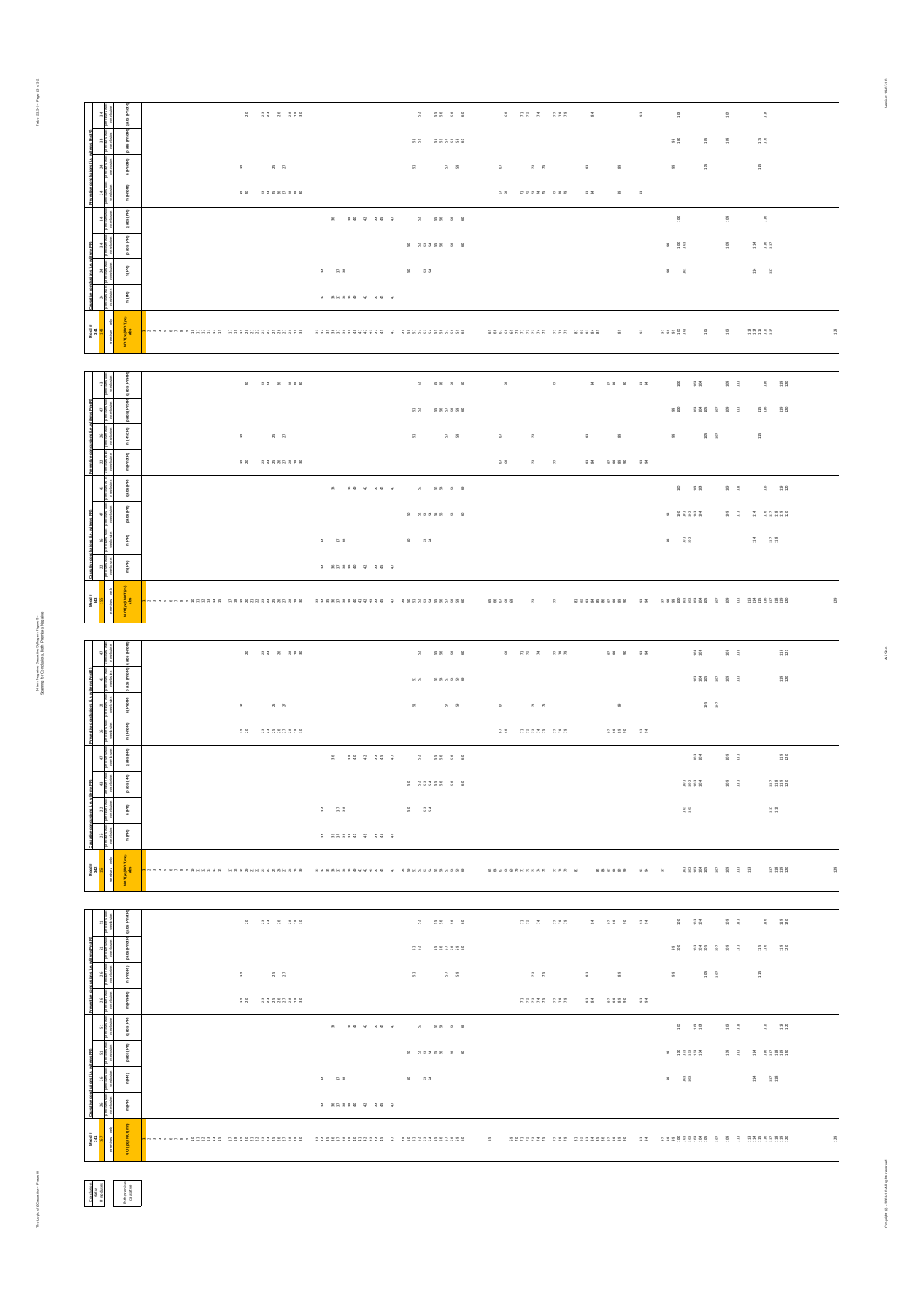|             |                     | 2.772222                                                                                                                                                                                                                                                                                                                                                                                                                                      | $\begin{array}{cccccccccc} \mathbb{C} & & & \mathbb{C} & & \mathbb{C} & & \mathbb{C} & & \mathbb{C} & \mathbb{C} & \mathbb{C} & \mathbb{C} & \mathbb{C} & \mathbb{C} & \mathbb{C} & \mathbb{C} & \mathbb{C} & \mathbb{C} & \mathbb{C} & \mathbb{C} & \mathbb{C} & \mathbb{C} & \mathbb{C} & \mathbb{C} & \mathbb{C} & \mathbb{C} & \mathbb{C} & \mathbb{C} & \mathbb{C} & \mathbb{C} & \mathbb{C} & \mathbb{C} & \mathbb{C} & \mathbb$   | $3$ $72$ $7$ $732$<br>$\stackrel{\scriptstyle\sigma}{\scriptstyle\sigma}$<br>$\frac{8}{14}$<br>$\overline{z}$                                                          | $\frac{8}{11}$<br>$\frac{8}{11}$                                                                                                                                                                                                                                                                                                                                                                                                 |
|-------------|---------------------|-----------------------------------------------------------------------------------------------------------------------------------------------------------------------------------------------------------------------------------------------------------------------------------------------------------------------------------------------------------------------------------------------------------------------------------------------|------------------------------------------------------------------------------------------------------------------------------------------------------------------------------------------------------------------------------------------------------------------------------------------------------------------------------------------------------------------------------------------------------------------------------------------|------------------------------------------------------------------------------------------------------------------------------------------------------------------------|----------------------------------------------------------------------------------------------------------------------------------------------------------------------------------------------------------------------------------------------------------------------------------------------------------------------------------------------------------------------------------------------------------------------------------|
|             |                     |                                                                                                                                                                                                                                                                                                                                                                                                                                               | $55$ 525339                                                                                                                                                                                                                                                                                                                                                                                                                              | 9.8                                                                                                                                                                    | $105 - 80$<br>$\frac{32}{110}$                                                                                                                                                                                                                                                                                                                                                                                                   |
|             |                     | $\begin{array}{ccc}\n\mathfrak{A} & \mathfrak{A} & \mathfrak{A} \\ \mathfrak{A} & \mathfrak{A} & \mathfrak{A}\n\end{array}$                                                                                                                                                                                                                                                                                                                   | $\frac{44}{50}$<br>$-20$                                                                                                                                                                                                                                                                                                                                                                                                                 | $\mathbb{S}^2$<br>$\mathbb{R}$ $\mathbb{R}$<br>$\mathfrak{D}$<br>$\ddot{\circ}$<br>$\frac{9}{20}$<br>$\mathfrak{D}$                                                    | $\frac{3}{2}$                                                                                                                                                                                                                                                                                                                                                                                                                    |
|             |                     | sa szaszsza                                                                                                                                                                                                                                                                                                                                                                                                                                   |                                                                                                                                                                                                                                                                                                                                                                                                                                          | DS CREER DER<br>$\frac{3}{2}$                                                                                                                                          |                                                                                                                                                                                                                                                                                                                                                                                                                                  |
|             | Ê<br>i              |                                                                                                                                                                                                                                                                                                                                                                                                                                               |                                                                                                                                                                                                                                                                                                                                                                                                                                          | $\frac{8}{10}$                                                                                                                                                         | $30 - 30$                                                                                                                                                                                                                                                                                                                                                                                                                        |
|             | Ê<br>휲              |                                                                                                                                                                                                                                                                                                                                                                                                                                               | 9. 3.3333333333                                                                                                                                                                                                                                                                                                                                                                                                                          | 3.55                                                                                                                                                                   | $\frac{8}{10}$<br>5 88                                                                                                                                                                                                                                                                                                                                                                                                           |
|             | Ę                   |                                                                                                                                                                                                                                                                                                                                                                                                                                               | $\begin{array}{cccccccccccccc} \Xi & \quad & \Xi\, \Xi & \quad & \Xi & \quad & \Xi & \quad & \Xi\, \end{array} \qquad \qquad \begin{array}{cccccccccccccc} \Xi & \quad & \Xi & \quad & \Xi\, \end{array}$                                                                                                                                                                                                                                |                                                                                                                                                                        |                                                                                                                                                                                                                                                                                                                                                                                                                                  |
|             | Ê                   |                                                                                                                                                                                                                                                                                                                                                                                                                                               | 3 20229 7 7 7 9 9                                                                                                                                                                                                                                                                                                                                                                                                                        |                                                                                                                                                                        |                                                                                                                                                                                                                                                                                                                                                                                                                                  |
| y x         | 壽星<br>$\frac{8}{3}$ |                                                                                                                                                                                                                                                                                                                                                                                                                                               |                                                                                                                                                                                                                                                                                                                                                                                                                                          | 11111111日は日は日 けいりかれはひとされたかなか りょうかけん かいしょう かんこうしん かいきゅう しゅうしゅう かいしょう かいしょう きんしょう きんしゃ かいのかかい しょうしょう かいしょう かいしょう                                                         | $\mathbb{R}^n$                                                                                                                                                                                                                                                                                                                                                                                                                   |
|             |                     | <b>8 88 8 88 8</b>                                                                                                                                                                                                                                                                                                                                                                                                                            | 28888                                                                                                                                                                                                                                                                                                                                                                                                                                    | $\mathbb{R}$<br>$^{\circ}$<br>$\frac{8}{2}$ $\frac{8}{2}$<br>* ** * **                                                                                                 | $\begin{tabular}{lllllllllll} B & B & B & B \\ B & C & D & D \\ \end{tabular}$                                                                                                                                                                                                                                                                                                                                                   |
|             |                     |                                                                                                                                                                                                                                                                                                                                                                                                                                               | $58$ 555555                                                                                                                                                                                                                                                                                                                                                                                                                              |                                                                                                                                                                        | #8 888 888 888                                                                                                                                                                                                                                                                                                                                                                                                                   |
|             |                     | $\begin{array}{ccc} \mathfrak{B} & \mathfrak{B} & \mathfrak{B} & \mathfrak{B} \end{array}$                                                                                                                                                                                                                                                                                                                                                    | $\begin{array}{ccc} \pi & \quad & \pi & \pi \\ \pi & \quad & \pi \end{array}$                                                                                                                                                                                                                                                                                                                                                            | $\overline{a}$<br>$\mathbb{R}$<br>$\frac{m}{2}$<br>$\frac{9}{80}$                                                                                                      |                                                                                                                                                                                                                                                                                                                                                                                                                                  |
|             |                     | na nanahana                                                                                                                                                                                                                                                                                                                                                                                                                                   |                                                                                                                                                                                                                                                                                                                                                                                                                                          | $-5.3$<br>$R = -R$<br>$23$ $2822$ $23$                                                                                                                                 |                                                                                                                                                                                                                                                                                                                                                                                                                                  |
|             |                     |                                                                                                                                                                                                                                                                                                                                                                                                                                               |                                                                                                                                                                                                                                                                                                                                                                                                                                          |                                                                                                                                                                        | $\begin{array}{cccccccccccccc} \text{S} & \text{S} & \text{S} & \text{S} & \text{S} & \text{S} & \text{S} & \text{S} & \text{S} & \text{S} & \text{S} & \text{S} & \text{S} & \text{S} & \text{S} & \text{S} & \text{S} & \text{S} & \text{S} & \text{S} & \text{S} & \text{S} & \text{S} & \text{S} & \text{S} & \text{S} & \text{S} & \text{S} & \text{S} & \text{S} & \text{S} & \text{S} & \text{S} & \text{S} & \text{S} &$ |
|             | Ê                   |                                                                                                                                                                                                                                                                                                                                                                                                                                               | 8 2 2 3 3 3 8 8                                                                                                                                                                                                                                                                                                                                                                                                                          | * 85885                                                                                                                                                                | $9 \t{1} \t{3} \t{4} \t{5} \t{6}$                                                                                                                                                                                                                                                                                                                                                                                                |
|             |                     |                                                                                                                                                                                                                                                                                                                                                                                                                                               |                                                                                                                                                                                                                                                                                                                                                                                                                                          |                                                                                                                                                                        |                                                                                                                                                                                                                                                                                                                                                                                                                                  |
|             | $_{\rm m}$ (PR)     |                                                                                                                                                                                                                                                                                                                                                                                                                                               | a shaag qiggig                                                                                                                                                                                                                                                                                                                                                                                                                           |                                                                                                                                                                        |                                                                                                                                                                                                                                                                                                                                                                                                                                  |
| <b>BER</b>  | Šā.                 |                                                                                                                                                                                                                                                                                                                                                                                                                                               |                                                                                                                                                                                                                                                                                                                                                                                                                                          |                                                                                                                                                                        |                                                                                                                                                                                                                                                                                                                                                                                                                                  |
|             |                     |                                                                                                                                                                                                                                                                                                                                                                                                                                               |                                                                                                                                                                                                                                                                                                                                                                                                                                          |                                                                                                                                                                        |                                                                                                                                                                                                                                                                                                                                                                                                                                  |
|             |                     | $R = R R - R = R R$                                                                                                                                                                                                                                                                                                                                                                                                                           | 28888                                                                                                                                                                                                                                                                                                                                                                                                                                    |                                                                                                                                                                        |                                                                                                                                                                                                                                                                                                                                                                                                                                  |
|             |                     |                                                                                                                                                                                                                                                                                                                                                                                                                                               | $777$ $785788$                                                                                                                                                                                                                                                                                                                                                                                                                           |                                                                                                                                                                        | 日 真 白 白 白 白 日<br>28                                                                                                                                                                                                                                                                                                                                                                                                              |
|             |                     | $\begin{array}{ccc}\n\mathfrak{A} & \mathfrak{A} & \mathfrak{A} & \mathfrak{A} \\ \mathfrak{A} & \mathfrak{A} & \mathfrak{A} & \mathfrak{A}\n\end{array}$<br>na nanahana                                                                                                                                                                                                                                                                      |                                                                                                                                                                                                                                                                                                                                                                                                                                          | 이 이 그는 것이 없이 아이들이 아이들이 없이 없이 없이 없이 없다.<br>이 사람은 아이들은 아이들의 사람들은 아이들의 사람들은 아이들의 사람들은 아이들의 사람들을 지키며 아이들의 사람들을 지키며 아이들의 사람들을 지키며 아이들의 사람들을 지키며 있다.<br>68 ARARA ARA 6888 83 |                                                                                                                                                                                                                                                                                                                                                                                                                                  |
|             |                     |                                                                                                                                                                                                                                                                                                                                                                                                                                               |                                                                                                                                                                                                                                                                                                                                                                                                                                          |                                                                                                                                                                        |                                                                                                                                                                                                                                                                                                                                                                                                                                  |
|             |                     |                                                                                                                                                                                                                                                                                                                                                                                                                                               | $8\quad 2\ 2\ 3\ 8\ 8\quad 8\quad 8$                                                                                                                                                                                                                                                                                                                                                                                                     |                                                                                                                                                                        |                                                                                                                                                                                                                                                                                                                                                                                                                                  |
|             | e el                |                                                                                                                                                                                                                                                                                                                                                                                                                                               | $x = R$                                                                                                                                                                                                                                                                                                                                                                                                                                  | $\overline{a}$                                                                                                                                                         |                                                                                                                                                                                                                                                                                                                                                                                                                                  |
|             |                     |                                                                                                                                                                                                                                                                                                                                                                                                                                               | $\begin{array}{ccc} \circ & \circ & \circ \\ \circ & \circ & \circ \end{array}$                                                                                                                                                                                                                                                                                                                                                          |                                                                                                                                                                        | $= 5.3$                                                                                                                                                                                                                                                                                                                                                                                                                          |
|             | m(P)                |                                                                                                                                                                                                                                                                                                                                                                                                                                               |                                                                                                                                                                                                                                                                                                                                                                                                                                          |                                                                                                                                                                        |                                                                                                                                                                                                                                                                                                                                                                                                                                  |
| $rac{3}{2}$ | šδ.                 |                                                                                                                                                                                                                                                                                                                                                                                                                                               |                                                                                                                                                                                                                                                                                                                                                                                                                                          |                                                                                                                                                                        |                                                                                                                                                                                                                                                                                                                                                                                                                                  |
|             |                     |                                                                                                                                                                                                                                                                                                                                                                                                                                               |                                                                                                                                                                                                                                                                                                                                                                                                                                          |                                                                                                                                                                        |                                                                                                                                                                                                                                                                                                                                                                                                                                  |
|             |                     |                                                                                                                                                                                                                                                                                                                                                                                                                                               | $\begin{array}{cccccccccccccc} \mathbb{C} & & & \mathbb{C} & & \mathbb{C} & & \mathbb{C} & & \mathbb{C} & \mathbb{C} & \mathbb{C} & \mathbb{C} & \mathbb{C} & \mathbb{C} & \mathbb{C} & \mathbb{C} & \mathbb{C} & \mathbb{C} & \mathbb{C} & \mathbb{C} & \mathbb{C} & \mathbb{C} & \mathbb{C} & \mathbb{C} & \mathbb{C} & \mathbb{C} & \mathbb{C} & \mathbb{C} & \mathbb{C} & \mathbb{C} & \mathbb{C} & \mathbb{C} & \mathbb{C} & \math$ |                                                                                                                                                                        |                                                                                                                                                                                                                                                                                                                                                                                                                                  |
|             |                     |                                                                                                                                                                                                                                                                                                                                                                                                                                               | $8853888$<br><b>S 25</b>                                                                                                                                                                                                                                                                                                                                                                                                                 |                                                                                                                                                                        |                                                                                                                                                                                                                                                                                                                                                                                                                                  |
|             |                     | $\begin{array}{ccccccccccccc} \mathfrak{A} & & & \mathfrak{A} & & \mathfrak{A} & & \mathfrak{A} & & \mathfrak{A} & & \mathfrak{A} & & \mathfrak{A} & & \mathfrak{A} & & \mathfrak{A} & & \mathfrak{A} & & \mathfrak{A} & & \mathfrak{A} & & \mathfrak{A} & & \mathfrak{A} & & \mathfrak{A} & & \mathfrak{A} & & \mathfrak{A} & & \mathfrak{A} & & \mathfrak{A} & & \mathfrak{A} & & \mathfrak{A} & & \mathfrak{A} & & \mathfrak{A} & & \math$ | $5 - 8$<br>$\frac{\partial \mathcal{A}}{\partial \mathcal{A}}$                                                                                                                                                                                                                                                                                                                                                                           | $R$ $R$<br>$\frac{32}{20}$<br>88                                                                                                                                       | $\begin{picture}(20,20) \put(0,0){\vector(1,0){100}} \put(15,0){\vector(1,0){100}} \put(15,0){\vector(1,0){100}} \put(15,0){\vector(1,0){100}} \put(15,0){\vector(1,0){100}} \put(15,0){\vector(1,0){100}} \put(15,0){\vector(1,0){100}} \put(15,0){\vector(1,0){100}} \put(15,0){\vector(1,0){100}} \put(15,0){\vector(1,0){100}} \put(15,0){\vector(1,0){100}} \$                                                              |
|             |                     | na nanahana                                                                                                                                                                                                                                                                                                                                                                                                                                   |                                                                                                                                                                                                                                                                                                                                                                                                                                          | ARARA ARA ARARA ARA                                                                                                                                                    |                                                                                                                                                                                                                                                                                                                                                                                                                                  |
|             |                     |                                                                                                                                                                                                                                                                                                                                                                                                                                               |                                                                                                                                                                                                                                                                                                                                                                                                                                          |                                                                                                                                                                        |                                                                                                                                                                                                                                                                                                                                                                                                                                  |
|             |                     |                                                                                                                                                                                                                                                                                                                                                                                                                                               |                                                                                                                                                                                                                                                                                                                                                                                                                                          |                                                                                                                                                                        |                                                                                                                                                                                                                                                                                                                                                                                                                                  |
|             | ê                   |                                                                                                                                                                                                                                                                                                                                                                                                                                               | $-8$ $-8$ $-8$<br>$\begin{array}{lll} \pi & \quad \  \  \pi \pi \end{array}$                                                                                                                                                                                                                                                                                                                                                             |                                                                                                                                                                        |                                                                                                                                                                                                                                                                                                                                                                                                                                  |
|             |                     |                                                                                                                                                                                                                                                                                                                                                                                                                                               | x xaxa q x q e                                                                                                                                                                                                                                                                                                                                                                                                                           |                                                                                                                                                                        |                                                                                                                                                                                                                                                                                                                                                                                                                                  |
| 롤투          |                     |                                                                                                                                                                                                                                                                                                                                                                                                                                               |                                                                                                                                                                                                                                                                                                                                                                                                                                          |                                                                                                                                                                        |                                                                                                                                                                                                                                                                                                                                                                                                                                  |

 $\lambda$ vi Sion

Copyright (c) - 2008-10. All rights reserved.

Vasion: 19-07-10

Table 23.5-9 - Page 13 of 32

m<br>1962359 - Page 13of 32

The Logic of ECausation - Phase III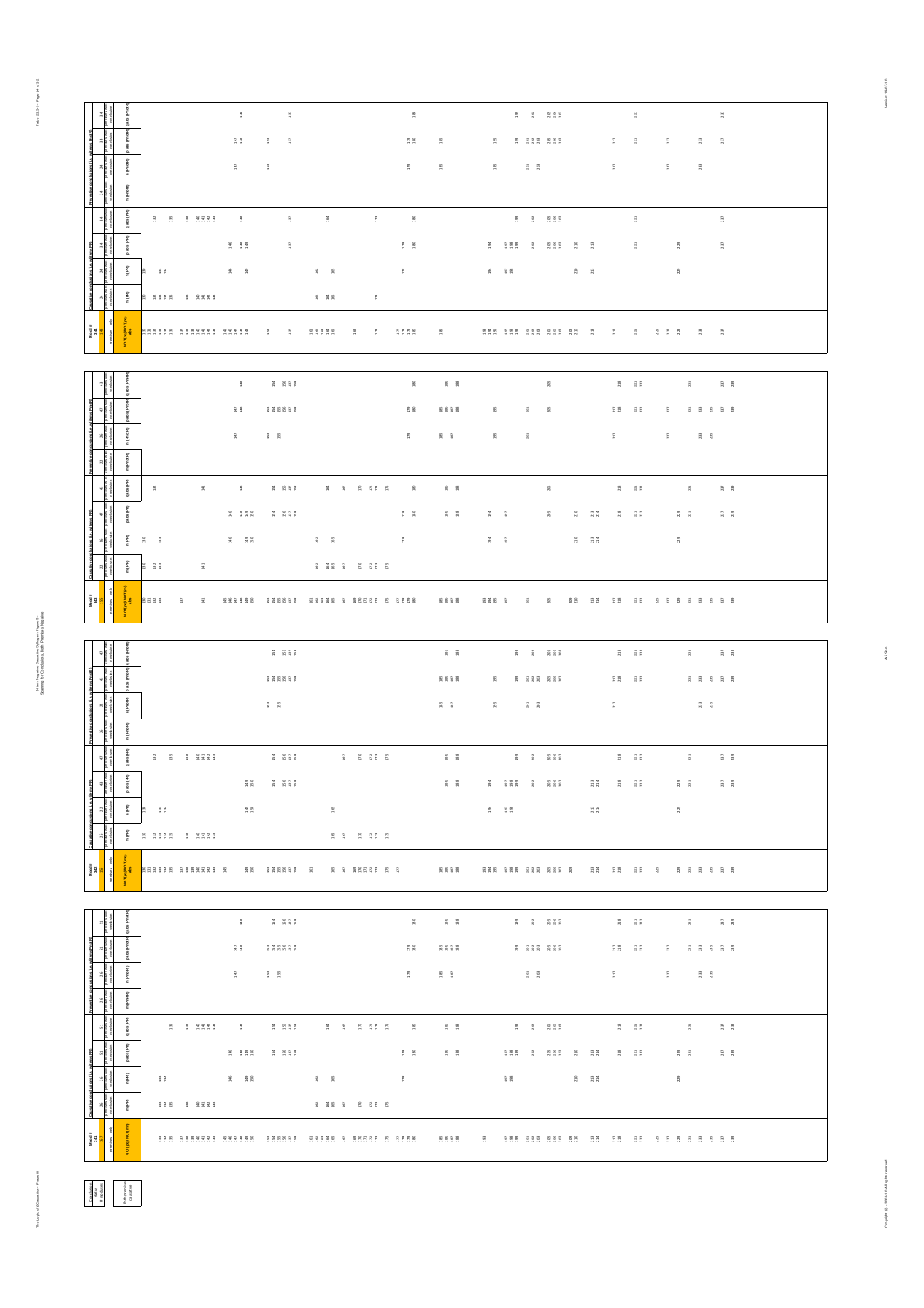|          |   |                |               |                                                                                                                | <del>약</del> 100ml 100ml 100ml 100ml 100ml 100ml 100ml 100ml 100ml 100ml 100ml 100ml 100ml 100ml 100ml 100ml 100ml 100ml                                                                                                                                                                                                                                                                                                              |     |                                                                                                                                                                                                                                                                            | 180                                                                                                             |                                                                                                                                                                                                                                 |                                                                                                                                                                                                                                                                                                                                                                                                                                                                                                                              |  |    | $\frac{1}{2}$                                                                                                                                                                                                                                                                                                                                                                                                                         |                |                                                                                                                                                                                                                                                                                                                                                                                                                                   |                               | $\overline{z}$                                                                                        |  |
|----------|---|----------------|---------------|----------------------------------------------------------------------------------------------------------------|---------------------------------------------------------------------------------------------------------------------------------------------------------------------------------------------------------------------------------------------------------------------------------------------------------------------------------------------------------------------------------------------------------------------------------------|-----|----------------------------------------------------------------------------------------------------------------------------------------------------------------------------------------------------------------------------------------------------------------------------|-----------------------------------------------------------------------------------------------------------------|---------------------------------------------------------------------------------------------------------------------------------------------------------------------------------------------------------------------------------|------------------------------------------------------------------------------------------------------------------------------------------------------------------------------------------------------------------------------------------------------------------------------------------------------------------------------------------------------------------------------------------------------------------------------------------------------------------------------------------------------------------------------|--|----|---------------------------------------------------------------------------------------------------------------------------------------------------------------------------------------------------------------------------------------------------------------------------------------------------------------------------------------------------------------------------------------------------------------------------------------|----------------|-----------------------------------------------------------------------------------------------------------------------------------------------------------------------------------------------------------------------------------------------------------------------------------------------------------------------------------------------------------------------------------------------------------------------------------|-------------------------------|-------------------------------------------------------------------------------------------------------|--|
|          |   |                |               | $\frac{7}{2}$ $\frac{2}{3}$                                                                                    | $15 - 15$                                                                                                                                                                                                                                                                                                                                                                                                                             |     |                                                                                                                                                                                                                                                                            | E 38                                                                                                            | 185                                                                                                                                                                                                                             | $\frac{3}{2}$ $\frac{3}{2}$ $\frac{3}{2}$ $\frac{3}{2}$ $\frac{3}{2}$ $\frac{3}{2}$ $\frac{3}{2}$ $\frac{3}{2}$ $\frac{3}{2}$ $\frac{3}{2}$                                                                                                                                                                                                                                                                                                                                                                                  |  |    | - 유 - 유                                                                                                                                                                                                                                                                                                                                                                                                                               |                | $\frac{2}{3}$                                                                                                                                                                                                                                                                                                                                                                                                                     |                               | $\ddot{a}$                                                                                            |  |
|          |   |                |               | $\overline{\mathfrak{m}}\hspace{0.5cm} \overline{\mathfrak{m}}\hspace{0.5cm} \overline{\mathfrak{m}}$          |                                                                                                                                                                                                                                                                                                                                                                                                                                       |     |                                                                                                                                                                                                                                                                            | 25 第 35                                                                                                         |                                                                                                                                                                                                                                 | $\begin{array}{ccc}\n\ddots & \ddots & \ddots & \ddots & \ddots \\ \ddots & \ddots & \ddots & \ddots & \ddots & \ddots \\ \ddots & \ddots & \ddots & \ddots & \ddots & \ddots \\ \ddots & \ddots & \ddots & \ddots & \ddots & \ddots \\ \ddots & \ddots & \ddots & \ddots & \ddots & \ddots \\ \ddots & \ddots & \ddots & \ddots & \ddots & \ddots \\ \ddots & \ddots & \ddots & \ddots & \ddots & \ddots \\ \ddots & \ddots & \ddots & \ddots & \ddots & \ddots \\ \ddots & \ddots & \ddots & \ddots & \ddots & \ddots \\ $ |  |    | $\overline{\mathbf{a}}$                                                                                                                                                                                                                                                                                                                                                                                                               |                | $\overline{a}$                                                                                                                                                                                                                                                                                                                                                                                                                    | $\overline{\mathbf{a}}$       |                                                                                                       |  |
|          |   |                |               |                                                                                                                |                                                                                                                                                                                                                                                                                                                                                                                                                                       |     |                                                                                                                                                                                                                                                                            |                                                                                                                 |                                                                                                                                                                                                                                 |                                                                                                                                                                                                                                                                                                                                                                                                                                                                                                                              |  |    |                                                                                                                                                                                                                                                                                                                                                                                                                                       |                |                                                                                                                                                                                                                                                                                                                                                                                                                                   |                               |                                                                                                       |  |
|          |   |                |               |                                                                                                                |                                                                                                                                                                                                                                                                                                                                                                                                                                       |     |                                                                                                                                                                                                                                                                            |                                                                                                                 |                                                                                                                                                                                                                                 | $\begin{array}{ccc} B_1 & & B_2 & & B_3 & B_4 \\ B_2 & & B_3 & & B_4 & B_5 \\ \end{array}$                                                                                                                                                                                                                                                                                                                                                                                                                                   |  |    |                                                                                                                                                                                                                                                                                                                                                                                                                                       | $\overline{2}$ |                                                                                                                                                                                                                                                                                                                                                                                                                                   |                               | $\overline{z}$                                                                                        |  |
|          | £ |                |               |                                                                                                                | $\mathbb{R}^n \to \mathbb{R}^n$                                                                                                                                                                                                                                                                                                                                                                                                       |     |                                                                                                                                                                                                                                                                            | $\begin{array}{ccc}\n\mathbb{R} & \mathbb{R} & \mathbb{R} \\ \mathbb{R} & \mathbb{R} & \mathbb{R}\n\end{array}$ |                                                                                                                                                                                                                                 | 좀 돌렸을 때 이 집 이 없이 되는데 이 집 이 없이 되는데 이 없이 없어요.                                                                                                                                                                                                                                                                                                                                                                                                                                                                                  |  |    |                                                                                                                                                                                                                                                                                                                                                                                                                                       |                |                                                                                                                                                                                                                                                                                                                                                                                                                                   | $\mathbb{R}$ and $\mathbb{R}$ |                                                                                                       |  |
|          |   | 22.72          |               |                                                                                                                |                                                                                                                                                                                                                                                                                                                                                                                                                                       |     |                                                                                                                                                                                                                                                                            |                                                                                                                 |                                                                                                                                                                                                                                 |                                                                                                                                                                                                                                                                                                                                                                                                                                                                                                                              |  |    |                                                                                                                                                                                                                                                                                                                                                                                                                                       |                | $\overline{23}$                                                                                                                                                                                                                                                                                                                                                                                                                   |                               |                                                                                                       |  |
|          |   |                | 8 8858 8 8388 |                                                                                                                |                                                                                                                                                                                                                                                                                                                                                                                                                                       |     | $\begin{array}{ccc}\n\text{S} & \text{S} & \text{S} & \text{S} & \text{S} \\ \text{S} & \text{S} & \text{S} & \text{S}\n\end{array} \qquad \qquad \begin{array}{ccc}\n\text{S} & \text{S} & \text{S} & \text{S} \\ \text{S} & \text{S} & \text{S} & \text{S}\n\end{array}$ |                                                                                                                 |                                                                                                                                                                                                                                 |                                                                                                                                                                                                                                                                                                                                                                                                                                                                                                                              |  |    |                                                                                                                                                                                                                                                                                                                                                                                                                                       |                |                                                                                                                                                                                                                                                                                                                                                                                                                                   |                               |                                                                                                       |  |
| 喜菜       |   |                |               |                                                                                                                |                                                                                                                                                                                                                                                                                                                                                                                                                                       |     |                                                                                                                                                                                                                                                                            |                                                                                                                 |                                                                                                                                                                                                                                 |                                                                                                                                                                                                                                                                                                                                                                                                                                                                                                                              |  |    |                                                                                                                                                                                                                                                                                                                                                                                                                                       |                |                                                                                                                                                                                                                                                                                                                                                                                                                                   |                               |                                                                                                       |  |
|          |   |                |               |                                                                                                                | 몇 25 원 35 원                                                                                                                                                                                                                                                                                                                                                                                                                           |     |                                                                                                                                                                                                                                                                            |                                                                                                                 | $\begin{matrix} \mathbf{R} & \mathbf{R} & \mathbf{R} \\ \mathbf{R} & \mathbf{R} & \mathbf{R} \end{matrix}$                                                                                                                      | 이 이 이 이 이 이 그는 것이 없이 이 이 이 지 않고 있다. 이 그는 것이 없다. 이 그는 것이 없다. 그는 것이 없다. 그는 것이 없다. 그는 것이 없다. 그는 것이 없다.                                                                                                                                                                                                                                                                                                                                                                                                                          |  |    |                                                                                                                                                                                                                                                                                                                                                                                                                                       |                |                                                                                                                                                                                                                                                                                                                                                                                                                                   |                               |                                                                                                       |  |
|          |   |                |               | 日 碧                                                                                                            | 838898                                                                                                                                                                                                                                                                                                                                                                                                                                |     |                                                                                                                                                                                                                                                                            | 7.8                                                                                                             | 8888                                                                                                                                                                                                                            | <u>. 1988</u> - 1981 - 1982 - 1982 - 1982 - 1982 - 1982 - 1982 - 1982 - 1982 - 1982 - 1982 - 1982 - 1982 - 1982 - 19                                                                                                                                                                                                                                                                                                                                                                                                         |  |    |                                                                                                                                                                                                                                                                                                                                                                                                                                       |                | <b>AN AN A A A A A A</b>                                                                                                                                                                                                                                                                                                                                                                                                          |                               |                                                                                                       |  |
|          |   |                |               |                                                                                                                | <u>이 보기 때문에 대해 있는 것이 없다.</u>                                                                                                                                                                                                                                                                                                                                                                                                          |     |                                                                                                                                                                                                                                                                            |                                                                                                                 |                                                                                                                                                                                                                                 |                                                                                                                                                                                                                                                                                                                                                                                                                                                                                                                              |  |    |                                                                                                                                                                                                                                                                                                                                                                                                                                       |                | $\begin{array}{ccc}\n\mathbf{217} & \mathbf{22} & \mathbf{23} & \mathbf{33} \\ \mathbf{24} & \mathbf{25} & \mathbf{23} & \mathbf{23} & \mathbf{24} \\ \mathbf{25} & \mathbf{23} & \mathbf{24} & \mathbf{25} & \mathbf{25} \\ \mathbf{26} & \mathbf{27} & \mathbf{28} & \mathbf{28} & \mathbf{28} \\ \mathbf{28} & \mathbf{29} & \mathbf{29} & \mathbf{28} & \mathbf{28} \\ \mathbf{29} & \mathbf{29} & \mathbf$                   |                               |                                                                                                       |  |
|          |   |                |               |                                                                                                                |                                                                                                                                                                                                                                                                                                                                                                                                                                       |     |                                                                                                                                                                                                                                                                            |                                                                                                                 |                                                                                                                                                                                                                                 |                                                                                                                                                                                                                                                                                                                                                                                                                                                                                                                              |  |    |                                                                                                                                                                                                                                                                                                                                                                                                                                       |                |                                                                                                                                                                                                                                                                                                                                                                                                                                   |                               |                                                                                                       |  |
|          |   | $\overline{a}$ |               |                                                                                                                |                                                                                                                                                                                                                                                                                                                                                                                                                                       |     |                                                                                                                                                                                                                                                                            |                                                                                                                 |                                                                                                                                                                                                                                 |                                                                                                                                                                                                                                                                                                                                                                                                                                                                                                                              |  |    |                                                                                                                                                                                                                                                                                                                                                                                                                                       |                |                                                                                                                                                                                                                                                                                                                                                                                                                                   |                               |                                                                                                       |  |
|          |   |                |               |                                                                                                                |                                                                                                                                                                                                                                                                                                                                                                                                                                       |     |                                                                                                                                                                                                                                                                            |                                                                                                                 |                                                                                                                                                                                                                                 | - 第1988年 - 第1988年 - 第1988年 - 第1988年 - 第1988年 - 第1988年 - 第1988年 - 第1988年 - 第1988年 - 第1988年 - 第1988年 - 第1988年 - 第1988年                                                                                                                                                                                                                                                                                                                                                                                                         |  |    | $\begin{array}{ccccccccccccc} \mathbb{H} & & \mathbb{H} & \mathbb{H} & & \mathbb{H} & \mathbb{H} & \mathbb{H} & \mathbb{H} & \mathbb{H} & \mathbb{H} & \mathbb{H} & \mathbb{H} & \mathbb{H} & \mathbb{H} & \mathbb{H} & \mathbb{H} & \mathbb{H} & \mathbb{H} & \mathbb{H} & \mathbb{H} & \mathbb{H} & \mathbb{H} & \mathbb{H} & \mathbb{H} & \mathbb{H} & \mathbb{H} & \mathbb{H} & \mathbb{H} & \mathbb{H} & \mathbb{H} & \mathbb{H$ |                |                                                                                                                                                                                                                                                                                                                                                                                                                                   |                               | $\begin{matrix} 3 & 5 \\ 7 & 8 \end{matrix} \qquad \qquad \begin{matrix} 5 & 8 \\ 7 & 8 \end{matrix}$ |  |
|          |   | $3 \t3 \t3$    |               | - 18 - 18 B. T. 19 B. T. 19 B. T. 19 B. T. 19 B. T. 19 B. T. 19 B. T. 19 B. T. 19 B. T. 19 B. T. 19 B. T. 19 B |                                                                                                                                                                                                                                                                                                                                                                                                                                       |     |                                                                                                                                                                                                                                                                            |                                                                                                                 | 이 모든 것이 없는 것이 없는 것이 없는 것이 없는 것이 없는 것이 없는 것이 없는 것이 없는 것이 없는 것이 없는 것이 없는 것이 없는 것이 없는 것이 없는 것이 없는 것이 없는 것이 없는 것이<br>이 사람들은 이 사람들은 이 사람들은 이 사람들은 이 사람들은 이 사람들은 아이의 사람들은 아이의 사람들은 아이의 사람들은 아이의 사람들은 아이의 사람들은 아이의 사람들은 아이의 사람들은 아이의 사 |                                                                                                                                                                                                                                                                                                                                                                                                                                                                                                                              |  |    |                                                                                                                                                                                                                                                                                                                                                                                                                                       |                | $\overline{a}$                                                                                                                                                                                                                                                                                                                                                                                                                    |                               |                                                                                                       |  |
|          |   | 3.33           | $\mathbb{R}$  |                                                                                                                |                                                                                                                                                                                                                                                                                                                                                                                                                                       |     | <b>BERGEREN</b>                                                                                                                                                                                                                                                            |                                                                                                                 |                                                                                                                                                                                                                                 |                                                                                                                                                                                                                                                                                                                                                                                                                                                                                                                              |  |    |                                                                                                                                                                                                                                                                                                                                                                                                                                       |                |                                                                                                                                                                                                                                                                                                                                                                                                                                   |                               |                                                                                                       |  |
| a<br>343 |   |                |               |                                                                                                                |                                                                                                                                                                                                                                                                                                                                                                                                                                       |     |                                                                                                                                                                                                                                                                            |                                                                                                                 |                                                                                                                                                                                                                                 | adde a a ssessa easaasa weessa a saata a saas wees a saa a a a a aa aa aa aa aa aa aa a                                                                                                                                                                                                                                                                                                                                                                                                                                      |  |    |                                                                                                                                                                                                                                                                                                                                                                                                                                       |                |                                                                                                                                                                                                                                                                                                                                                                                                                                   |                               |                                                                                                       |  |
|          |   |                |               |                                                                                                                |                                                                                                                                                                                                                                                                                                                                                                                                                                       |     |                                                                                                                                                                                                                                                                            |                                                                                                                 |                                                                                                                                                                                                                                 |                                                                                                                                                                                                                                                                                                                                                                                                                                                                                                                              |  |    |                                                                                                                                                                                                                                                                                                                                                                                                                                       |                |                                                                                                                                                                                                                                                                                                                                                                                                                                   |                               |                                                                                                       |  |
|          |   |                |               |                                                                                                                |                                                                                                                                                                                                                                                                                                                                                                                                                                       |     |                                                                                                                                                                                                                                                                            |                                                                                                                 |                                                                                                                                                                                                                                 |                                                                                                                                                                                                                                                                                                                                                                                                                                                                                                                              |  |    |                                                                                                                                                                                                                                                                                                                                                                                                                                       |                |                                                                                                                                                                                                                                                                                                                                                                                                                                   |                               |                                                                                                       |  |
|          |   |                |               |                                                                                                                | ធី ជិនិនិ                                                                                                                                                                                                                                                                                                                                                                                                                             |     |                                                                                                                                                                                                                                                                            |                                                                                                                 |                                                                                                                                                                                                                                 | $\begin{matrix} 3 & 3 \\ 3 & 4 \end{matrix} \hspace{35pt} \begin{matrix} 3 & 3 \\ 3 & 4 \end{matrix} \hspace{35pt} \begin{matrix} 2 & 3 \\ 3 & 4 \end{matrix}$                                                                                                                                                                                                                                                                                                                                                               |  |    |                                                                                                                                                                                                                                                                                                                                                                                                                                       |                |                                                                                                                                                                                                                                                                                                                                                                                                                                   |                               |                                                                                                       |  |
|          |   |                |               |                                                                                                                | 医肾脏腺肿瘤                                                                                                                                                                                                                                                                                                                                                                                                                                |     |                                                                                                                                                                                                                                                                            |                                                                                                                 | 5653                                                                                                                                                                                                                            |                                                                                                                                                                                                                                                                                                                                                                                                                                                                                                                              |  |    |                                                                                                                                                                                                                                                                                                                                                                                                                                       |                |                                                                                                                                                                                                                                                                                                                                                                                                                                   |                               |                                                                                                       |  |
|          |   |                |               |                                                                                                                | $\frac{33}{21}$ $\frac{33}{21}$                                                                                                                                                                                                                                                                                                                                                                                                       |     |                                                                                                                                                                                                                                                                            |                                                                                                                 |                                                                                                                                                                                                                                 |                                                                                                                                                                                                                                                                                                                                                                                                                                                                                                                              |  |    |                                                                                                                                                                                                                                                                                                                                                                                                                                       |                | $\begin{array}{ccc}\n\mathbb{R} & \mathbb{R} & \mathbb{R} & \mathbb{R} & \mathbb{R} & \mathbb{R} & \mathbb{R} & \mathbb{R} & \mathbb{R} & \mathbb{R} & \mathbb{R} & \mathbb{R} & \mathbb{R} & \mathbb{R} & \mathbb{R} & \mathbb{R} & \mathbb{R} & \mathbb{R} & \mathbb{R} & \mathbb{R} & \mathbb{R} & \mathbb{R} & \mathbb{R} & \mathbb{R} & \mathbb{R} & \mathbb{R} & \mathbb{R} & \mathbb{R} & \mathbb{R} & \mathbb{R} & \math$ |                               |                                                                                                       |  |
|          |   |                |               |                                                                                                                |                                                                                                                                                                                                                                                                                                                                                                                                                                       |     |                                                                                                                                                                                                                                                                            |                                                                                                                 |                                                                                                                                                                                                                                 |                                                                                                                                                                                                                                                                                                                                                                                                                                                                                                                              |  |    |                                                                                                                                                                                                                                                                                                                                                                                                                                       |                |                                                                                                                                                                                                                                                                                                                                                                                                                                   |                               |                                                                                                       |  |
|          |   |                |               |                                                                                                                |                                                                                                                                                                                                                                                                                                                                                                                                                                       |     |                                                                                                                                                                                                                                                                            |                                                                                                                 |                                                                                                                                                                                                                                 |                                                                                                                                                                                                                                                                                                                                                                                                                                                                                                                              |  |    |                                                                                                                                                                                                                                                                                                                                                                                                                                       |                |                                                                                                                                                                                                                                                                                                                                                                                                                                   |                               |                                                                                                       |  |
|          |   |                |               |                                                                                                                | $22$ $\frac{1}{2}$ $\frac{1}{2}$ $\frac{1}{2}$ $\frac{1}{2}$ $\frac{1}{2}$ $\frac{1}{2}$ $\frac{1}{2}$                                                                                                                                                                                                                                                                                                                                |     |                                                                                                                                                                                                                                                                            |                                                                                                                 | $\begin{matrix} 0 & 0 \\ 0 & 0 \\ 0 & 0 \end{matrix}$                                                                                                                                                                           | $\frac{1}{2}$ $\frac{1}{2}$ $\frac{1}{2}$ $\frac{1}{2}$ $\frac{1}{2}$ $\frac{1}{2}$ $\frac{1}{2}$ $\frac{1}{2}$ $\frac{1}{2}$ $\frac{1}{2}$ $\frac{1}{2}$ $\frac{1}{2}$                                                                                                                                                                                                                                                                                                                                                      |  |    |                                                                                                                                                                                                                                                                                                                                                                                                                                       |                |                                                                                                                                                                                                                                                                                                                                                                                                                                   |                               |                                                                                                       |  |
|          |   | 8.85           |               | $\frac{33}{24}$                                                                                                |                                                                                                                                                                                                                                                                                                                                                                                                                                       | 165 |                                                                                                                                                                                                                                                                            |                                                                                                                 |                                                                                                                                                                                                                                 | $\frac{\pi}{2}$ , $\frac{\pi}{2}$ , $\frac{\pi}{2}$                                                                                                                                                                                                                                                                                                                                                                                                                                                                          |  | 日常 |                                                                                                                                                                                                                                                                                                                                                                                                                                       |                | - 2                                                                                                                                                                                                                                                                                                                                                                                                                               |                               |                                                                                                       |  |
|          |   |                | 8 8838 8 8338 |                                                                                                                |                                                                                                                                                                                                                                                                                                                                                                                                                                       |     |                                                                                                                                                                                                                                                                            |                                                                                                                 |                                                                                                                                                                                                                                 |                                                                                                                                                                                                                                                                                                                                                                                                                                                                                                                              |  |    |                                                                                                                                                                                                                                                                                                                                                                                                                                       |                |                                                                                                                                                                                                                                                                                                                                                                                                                                   |                               |                                                                                                       |  |
| Mood #   |   |                |               |                                                                                                                |                                                                                                                                                                                                                                                                                                                                                                                                                                       |     |                                                                                                                                                                                                                                                                            |                                                                                                                 |                                                                                                                                                                                                                                 |                                                                                                                                                                                                                                                                                                                                                                                                                                                                                                                              |  |    |                                                                                                                                                                                                                                                                                                                                                                                                                                       |                |                                                                                                                                                                                                                                                                                                                                                                                                                                   |                               |                                                                                                       |  |
|          |   |                |               |                                                                                                                | $\frac{2}{3}$ $\frac{1}{3}$ $\frac{1}{3}$ $\frac{1}{3}$ $\frac{1}{3}$ $\frac{1}{3}$ $\frac{1}{3}$                                                                                                                                                                                                                                                                                                                                     |     |                                                                                                                                                                                                                                                                            |                                                                                                                 |                                                                                                                                                                                                                                 |                                                                                                                                                                                                                                                                                                                                                                                                                                                                                                                              |  |    |                                                                                                                                                                                                                                                                                                                                                                                                                                       |                |                                                                                                                                                                                                                                                                                                                                                                                                                                   |                               |                                                                                                       |  |
|          |   |                |               | 3.3                                                                                                            | និងនឹងនិង                                                                                                                                                                                                                                                                                                                                                                                                                             |     |                                                                                                                                                                                                                                                                            | 17.9                                                                                                            |                                                                                                                                                                                                                                 |                                                                                                                                                                                                                                                                                                                                                                                                                                                                                                                              |  |    |                                                                                                                                                                                                                                                                                                                                                                                                                                       |                |                                                                                                                                                                                                                                                                                                                                                                                                                                   |                               |                                                                                                       |  |
|          |   |                |               |                                                                                                                |                                                                                                                                                                                                                                                                                                                                                                                                                                       |     |                                                                                                                                                                                                                                                                            |                                                                                                                 |                                                                                                                                                                                                                                 |                                                                                                                                                                                                                                                                                                                                                                                                                                                                                                                              |  |    |                                                                                                                                                                                                                                                                                                                                                                                                                                       |                |                                                                                                                                                                                                                                                                                                                                                                                                                                   |                               |                                                                                                       |  |
|          |   |                |               |                                                                                                                |                                                                                                                                                                                                                                                                                                                                                                                                                                       |     |                                                                                                                                                                                                                                                                            |                                                                                                                 |                                                                                                                                                                                                                                 |                                                                                                                                                                                                                                                                                                                                                                                                                                                                                                                              |  |    |                                                                                                                                                                                                                                                                                                                                                                                                                                       |                |                                                                                                                                                                                                                                                                                                                                                                                                                                   |                               |                                                                                                       |  |
|          |   |                |               |                                                                                                                |                                                                                                                                                                                                                                                                                                                                                                                                                                       |     |                                                                                                                                                                                                                                                                            |                                                                                                                 |                                                                                                                                                                                                                                 | - 그리고 그리고 그리고 그리고 있는 그리고 있는 그리고 있는 그리고 있는 그리고 있는 그리고 있는 그리고 있는 그리고 있는 그리고 있는 그리고 있는 그리고 있는 그리고 있는 그리고 있는 그리고 있는<br>그리고 있는 그리고 있는 그리고 있는 그리고 있는 그리고 있는 그리고 있는 그리고 있는 그리고 있는 그리고 있는 그리고 있는 그리고 있는 그리고 있는 그리고 있는 그리고 있는 그리고 있는 그리고                                                                                                                                                                                                                                                                                              |  |    |                                                                                                                                                                                                                                                                                                                                                                                                                                       |                |                                                                                                                                                                                                                                                                                                                                                                                                                                   |                               |                                                                                                       |  |
|          |   |                |               |                                                                                                                | $\begin{array}{cccccccccc} \mathbb{R} & & \mathbb{R} & \mathbb{R} & \mathbb{R} & & \mathbb{R} & & \mathbb{R} & \mathbb{R} & \mathbb{R} & \mathbb{R} & & \mathbb{R} & \mathbb{R} & \mathbb{R} & \mathbb{R} & & \mathbb{R} & \mathbb{R} & \mathbb{R} & & \mathbb{R} & \mathbb{R} & \mathbb{R} & & \mathbb{R} & \mathbb{R} & \mathbb{R} & & \mathbb{R} & \mathbb{R} & \mathbb{R} & & \mathbb{R} & \mathbb{R} & \mathbb{R} & & \mathbb{R$ |     |                                                                                                                                                                                                                                                                            |                                                                                                                 |                                                                                                                                                                                                                                 |                                                                                                                                                                                                                                                                                                                                                                                                                                                                                                                              |  |    |                                                                                                                                                                                                                                                                                                                                                                                                                                       |                |                                                                                                                                                                                                                                                                                                                                                                                                                                   |                               |                                                                                                       |  |
|          |   | និងី           |               |                                                                                                                |                                                                                                                                                                                                                                                                                                                                                                                                                                       |     |                                                                                                                                                                                                                                                                            |                                                                                                                 |                                                                                                                                                                                                                                 |                                                                                                                                                                                                                                                                                                                                                                                                                                                                                                                              |  |    |                                                                                                                                                                                                                                                                                                                                                                                                                                       |                | $\widetilde{\mathbf{a}}$                                                                                                                                                                                                                                                                                                                                                                                                          |                               |                                                                                                       |  |
|          |   |                |               | 田西館 图 昆虫鼠鼠 医二十二指肠                                                                                              |                                                                                                                                                                                                                                                                                                                                                                                                                                       |     | 2 3 3 4 5 6 6 6 7 8 9                                                                                                                                                                                                                                                      |                                                                                                                 |                                                                                                                                                                                                                                 |                                                                                                                                                                                                                                                                                                                                                                                                                                                                                                                              |  |    |                                                                                                                                                                                                                                                                                                                                                                                                                                       |                |                                                                                                                                                                                                                                                                                                                                                                                                                                   |                               |                                                                                                       |  |
| g #      |   |                |               |                                                                                                                |                                                                                                                                                                                                                                                                                                                                                                                                                                       |     |                                                                                                                                                                                                                                                                            |                                                                                                                 |                                                                                                                                                                                                                                 | 공주를 통증증물로로도 보호들로움을 통증증충동을 통일품질을 늘 활용품질을 보 특별증을 보내 활용통증 등 통증을 경우를 경우를 유용 구축 특별 경우 10 원 원 원 원 원 원 원                                                                                                                                                                                                                                                                                                                                                                                                                            |  |    |                                                                                                                                                                                                                                                                                                                                                                                                                                       |                |                                                                                                                                                                                                                                                                                                                                                                                                                                   |                               |                                                                                                       |  |

 $\lambda$ vi Sion

Copyright (c) - 2008-10. All rights reserved.

Vasion: 19-07-10

Table 23.5-9 - Page 14 of 32

m<br>1962359 - Page 14o/32

The Logic of ECausation - Phase III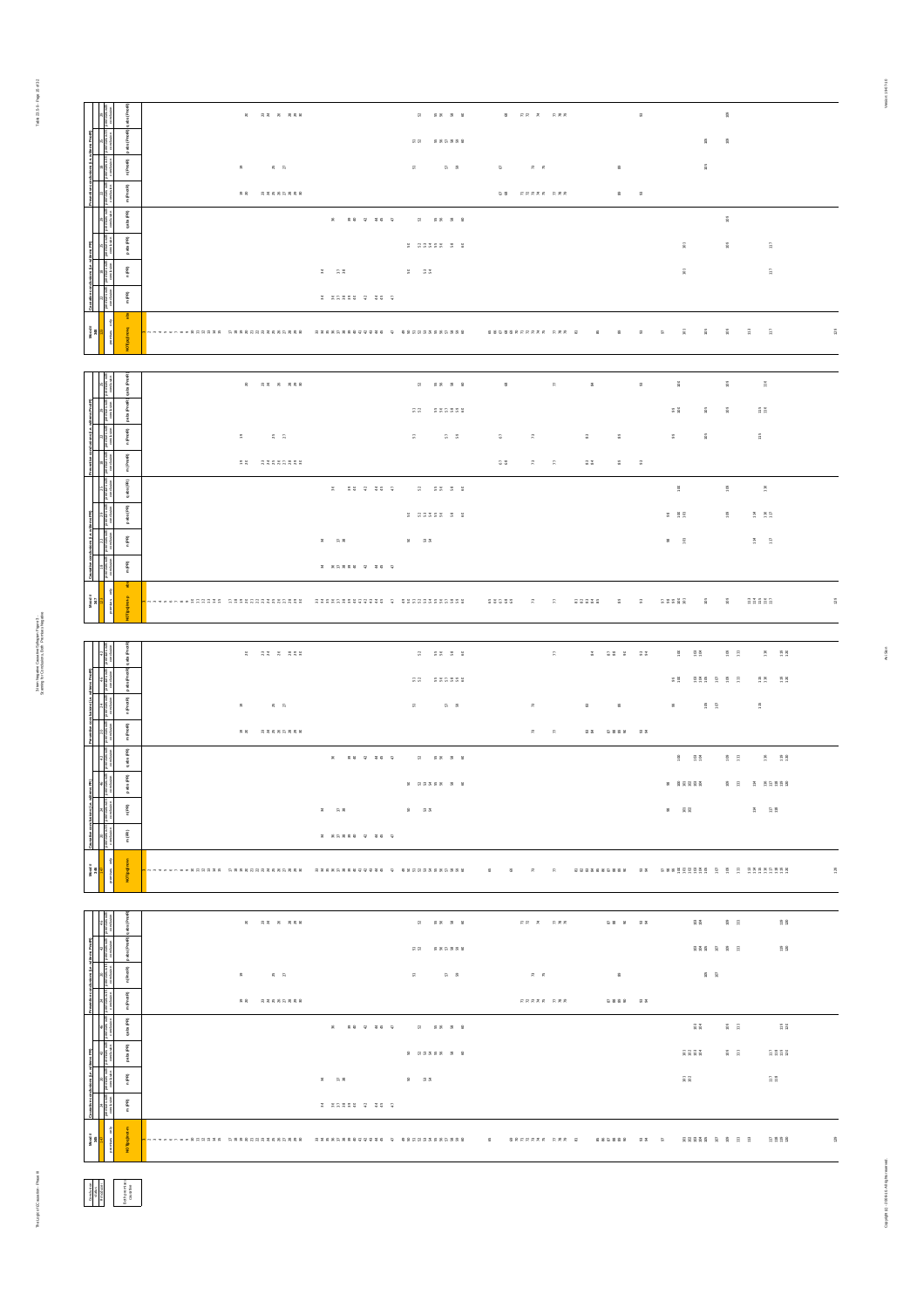|            |               |               | $8$ $75$ $8$ $732$                                                                                                                       |                                                                                                                                                                                                                                                                                                                                                                                                                                                 |                                |                                                                                                                                                                                                                                                                                                                                                                                                                                                                     | $\frac{8}{2}$                                                                                                                                                                                                                                                                                                                                                                                                                                                                |  |
|------------|---------------|---------------|------------------------------------------------------------------------------------------------------------------------------------------|-------------------------------------------------------------------------------------------------------------------------------------------------------------------------------------------------------------------------------------------------------------------------------------------------------------------------------------------------------------------------------------------------------------------------------------------------|--------------------------------|---------------------------------------------------------------------------------------------------------------------------------------------------------------------------------------------------------------------------------------------------------------------------------------------------------------------------------------------------------------------------------------------------------------------------------------------------------------------|------------------------------------------------------------------------------------------------------------------------------------------------------------------------------------------------------------------------------------------------------------------------------------------------------------------------------------------------------------------------------------------------------------------------------------------------------------------------------|--|
|            |               |               |                                                                                                                                          | $53 - 225222$                                                                                                                                                                                                                                                                                                                                                                                                                                   |                                |                                                                                                                                                                                                                                                                                                                                                                                                                                                                     | $^{55}$ $^{52}$                                                                                                                                                                                                                                                                                                                                                                                                                                                              |  |
|            |               |               | $R = R$<br>$\mathfrak{N}$                                                                                                                | 55<br>$\begin{array}{ccc}\n\mathbb{Z} & \mathbb{R} & \mathbb{R}\n\end{array}$                                                                                                                                                                                                                                                                                                                                                                   | $\circ$<br>$R$ $R$             | $\overline{8}$                                                                                                                                                                                                                                                                                                                                                                                                                                                      | $\frac{85}{20}$                                                                                                                                                                                                                                                                                                                                                                                                                                                              |  |
|            |               |               |                                                                                                                                          |                                                                                                                                                                                                                                                                                                                                                                                                                                                 |                                |                                                                                                                                                                                                                                                                                                                                                                                                                                                                     |                                                                                                                                                                                                                                                                                                                                                                                                                                                                              |  |
|            |               |               | ดล สสตสลลล                                                                                                                               |                                                                                                                                                                                                                                                                                                                                                                                                                                                 |                                |                                                                                                                                                                                                                                                                                                                                                                                                                                                                     |                                                                                                                                                                                                                                                                                                                                                                                                                                                                              |  |
|            |               | £<br>릪        |                                                                                                                                          |                                                                                                                                                                                                                                                                                                                                                                                                                                                 |                                |                                                                                                                                                                                                                                                                                                                                                                                                                                                                     | $\frac{8}{10}$                                                                                                                                                                                                                                                                                                                                                                                                                                                               |  |
|            |               |               |                                                                                                                                          |                                                                                                                                                                                                                                                                                                                                                                                                                                                 |                                |                                                                                                                                                                                                                                                                                                                                                                                                                                                                     | 109<br>$\frac{1}{2}$<br>$\frac{5}{2}$                                                                                                                                                                                                                                                                                                                                                                                                                                        |  |
|            |               | E,            |                                                                                                                                          | $\begin{array}{lllllllllll} \mathbb{R} & \mathbb{R} & \mathbb{R} & \mathbb{R} & \mathbb{R} & \mathbb{R} & \mathbb{R} \\ \mathbb{R} & \mathbb{R} & \mathbb{R} & \mathbb{R} & \mathbb{R} & \mathbb{R} & \mathbb{R} \\ \mathbb{R} & \mathbb{R} & \mathbb{R} & \mathbb{R} & \mathbb{R} & \mathbb{R} & \mathbb{R} \\ \mathbb{R} & \mathbb{R} & \mathbb{R} & \mathbb{R} & \mathbb{R} & \mathbb{R} & \mathbb{R} \\ \mathbb{R} & \mathbb{R$<br>$9 - 77$ |                                |                                                                                                                                                                                                                                                                                                                                                                                                                                                                     | $\overline{\Omega}$<br>$\frac{1}{2}$                                                                                                                                                                                                                                                                                                                                                                                                                                         |  |
|            |               | m(P)          |                                                                                                                                          | * ***** * ** *                                                                                                                                                                                                                                                                                                                                                                                                                                  |                                |                                                                                                                                                                                                                                                                                                                                                                                                                                                                     |                                                                                                                                                                                                                                                                                                                                                                                                                                                                              |  |
|            |               | -8            |                                                                                                                                          |                                                                                                                                                                                                                                                                                                                                                                                                                                                 |                                |                                                                                                                                                                                                                                                                                                                                                                                                                                                                     |                                                                                                                                                                                                                                                                                                                                                                                                                                                                              |  |
| 3 F        | š             |               |                                                                                                                                          | ាមពាមាននាងជាជាជាជា ឆ្នាំ ឆ្នាំ ព្រឹទ្ធិនិត្តិបាលពីការពិតខ្មែរ និងតារាណារដ្ឋបាលពីការពិតខ្មែរ និង និង ដា ដា ដា ដា                                                                                                                                                                                                                                                                                                                                 |                                |                                                                                                                                                                                                                                                                                                                                                                                                                                                                     |                                                                                                                                                                                                                                                                                                                                                                                                                                                                              |  |
|            |               |               |                                                                                                                                          |                                                                                                                                                                                                                                                                                                                                                                                                                                                 |                                |                                                                                                                                                                                                                                                                                                                                                                                                                                                                     |                                                                                                                                                                                                                                                                                                                                                                                                                                                                              |  |
|            |               |               |                                                                                                                                          |                                                                                                                                                                                                                                                                                                                                                                                                                                                 |                                |                                                                                                                                                                                                                                                                                                                                                                                                                                                                     | $\frac{1}{2}$<br>$\frac{3}{2}$                                                                                                                                                                                                                                                                                                                                                                                                                                               |  |
|            |               |               |                                                                                                                                          | 55 555399                                                                                                                                                                                                                                                                                                                                                                                                                                       |                                |                                                                                                                                                                                                                                                                                                                                                                                                                                                                     |                                                                                                                                                                                                                                                                                                                                                                                                                                                                              |  |
|            |               |               | $\mathbb{R}$ $\mathbb{R}$ $\mathbb{R}$ $\mathbb{R}$                                                                                      | $\begin{array}{ccc} 0 & 0 & 0 \\ 0 & 0 & 0 \\ 0 & 0 & 0 \end{array}$                                                                                                                                                                                                                                                                                                                                                                            | $\ddot{\circ}$<br>$\mathbb{R}$ | $\mathbbm{Z}$<br>$\frac{9}{80}$                                                                                                                                                                                                                                                                                                                                                                                                                                     | $90 - 90$<br>$\mathbb{Z}$                                                                                                                                                                                                                                                                                                                                                                                                                                                    |  |
|            |               |               |                                                                                                                                          |                                                                                                                                                                                                                                                                                                                                                                                                                                                 | G.35<br>$R$ $R$                | $\frac{3}{2}$<br>$\frac{1}{2}$ and $\frac{1}{2}$                                                                                                                                                                                                                                                                                                                                                                                                                    |                                                                                                                                                                                                                                                                                                                                                                                                                                                                              |  |
|            |               |               |                                                                                                                                          |                                                                                                                                                                                                                                                                                                                                                                                                                                                 |                                |                                                                                                                                                                                                                                                                                                                                                                                                                                                                     |                                                                                                                                                                                                                                                                                                                                                                                                                                                                              |  |
|            |               |               |                                                                                                                                          |                                                                                                                                                                                                                                                                                                                                                                                                                                                 |                                |                                                                                                                                                                                                                                                                                                                                                                                                                                                                     |                                                                                                                                                                                                                                                                                                                                                                                                                                                                              |  |
|            |               | Ê<br>ョ        |                                                                                                                                          | 9.37799 9 9                                                                                                                                                                                                                                                                                                                                                                                                                                     |                                |                                                                                                                                                                                                                                                                                                                                                                                                                                                                     |                                                                                                                                                                                                                                                                                                                                                                                                                                                                              |  |
|            |               | e (PR)        |                                                                                                                                          | $\begin{array}{cccccccccccccc} \Xi & \quad & \Xi\, \Xi & \quad & \Xi & \quad & \Xi & \quad & \Xi & \Xi \end{array}$                                                                                                                                                                                                                                                                                                                             |                                |                                                                                                                                                                                                                                                                                                                                                                                                                                                                     | $\mathbb{R}^n$ . And $\mathbb{R}^n$<br>$\begin{array}{ccc}\n\mathfrak{B} & \mathfrak{B} & \mathfrak{B} & \mathfrak{B} & \mathfrak{B} & \mathfrak{B} & \mathfrak{B} & \mathfrak{B} & \mathfrak{B} & \mathfrak{B} & \mathfrak{B} & \mathfrak{B} & \mathfrak{B} & \mathfrak{B} & \mathfrak{B} & \mathfrak{B} & \mathfrak{B} & \mathfrak{B} & \mathfrak{B} & \mathfrak{B} & \mathfrak{B} & \mathfrak{B} & \mathfrak{B} & \mathfrak{B} & \mathfrak{B} & \mathfrak{B} & \mathfrak$ |  |
|            |               | $m(\theta R)$ |                                                                                                                                          | a sasse e av e                                                                                                                                                                                                                                                                                                                                                                                                                                  |                                |                                                                                                                                                                                                                                                                                                                                                                                                                                                                     |                                                                                                                                                                                                                                                                                                                                                                                                                                                                              |  |
|            |               |               |                                                                                                                                          |                                                                                                                                                                                                                                                                                                                                                                                                                                                 |                                |                                                                                                                                                                                                                                                                                                                                                                                                                                                                     |                                                                                                                                                                                                                                                                                                                                                                                                                                                                              |  |
| § ≽        | $\frac{8}{3}$ |               |                                                                                                                                          | 1450789拍出は持续接一起接待的社会对我发现我发动的一般就越好的转换的模样和材料的一种,要的社会到前后的转换的感染。 一般的存储的 一对 一对 机粒形制造 的 男                                                                                                                                                                                                                                                                                                                                                             |                                |                                                                                                                                                                                                                                                                                                                                                                                                                                                                     |                                                                                                                                                                                                                                                                                                                                                                                                                                                                              |  |
|            |               |               |                                                                                                                                          |                                                                                                                                                                                                                                                                                                                                                                                                                                                 |                                |                                                                                                                                                                                                                                                                                                                                                                                                                                                                     |                                                                                                                                                                                                                                                                                                                                                                                                                                                                              |  |
|            |               |               | $R$ $R$ $R$ $R$ $R$ $R$ $R$ $R$                                                                                                          |                                                                                                                                                                                                                                                                                                                                                                                                                                                 |                                |                                                                                                                                                                                                                                                                                                                                                                                                                                                                     |                                                                                                                                                                                                                                                                                                                                                                                                                                                                              |  |
|            |               |               |                                                                                                                                          | en netwoo                                                                                                                                                                                                                                                                                                                                                                                                                                       |                                |                                                                                                                                                                                                                                                                                                                                                                                                                                                                     |                                                                                                                                                                                                                                                                                                                                                                                                                                                                              |  |
|            |               |               | $\mathbb{R}$ $\mathbb{R}$ $\mathbb{R}$ $\mathbb{R}$                                                                                      |                                                                                                                                                                                                                                                                                                                                                                                                                                                 |                                | $\frac{3}{8}$                                                                                                                                                                                                                                                                                                                                                                                                                                                       | $\begin{array}{ccccccccccccc}\n\text{S} & \text{S} & \text{S} & \text{S} & \text{S} & \text{S} & \text{S} & \text{S} & \text{S} & \text{S} & \text{S} & \text{S} & \text{S} & \text{S} & \text{S} & \text{S} & \text{S} & \text{S} & \text{S} & \text{S} & \text{S} & \text{S} & \text{S} & \text{S} & \text{S} & \text{S} & \text{S} & \text{S} & \text{S} & \text{S} & \text{S} & \text{S} & \text{S} & \text{S} & \text{S}$                                               |  |
|            |               |               | na nanahana                                                                                                                              |                                                                                                                                                                                                                                                                                                                                                                                                                                                 |                                | $\begin{array}{cccccccccccccc} \mathcal{R} & \mathcal{R} & \mathcal{R} & \mathcal{R} & \mathcal{R} & \mathcal{R} & \mathcal{R} & \mathcal{R} & \mathcal{R} & \mathcal{R} & \mathcal{R} & \mathcal{R} & \mathcal{R} & \mathcal{R} & \mathcal{R} & \mathcal{R} & \mathcal{R} & \mathcal{R} & \mathcal{R} & \mathcal{R} & \mathcal{R} & \mathcal{R} & \mathcal{R} & \mathcal{R} & \mathcal{R} & \mathcal{R} & \mathcal{R} & \mathcal{R} & \mathcal{R} & \mathcal{R} &$ |                                                                                                                                                                                                                                                                                                                                                                                                                                                                              |  |
|            |               |               |                                                                                                                                          |                                                                                                                                                                                                                                                                                                                                                                                                                                                 |                                |                                                                                                                                                                                                                                                                                                                                                                                                                                                                     | $\begin{matrix} 8 & 83 \\ 8 & 84 \end{matrix} \qquad \begin{matrix} 8 & 4 \\ 8 & 4 \end{matrix} \qquad \begin{matrix} 8 & 84 \\ 8 & 44 \end{matrix}$                                                                                                                                                                                                                                                                                                                         |  |
|            |               |               |                                                                                                                                          | $8\quad 2\ 2\ 3\ 8\ 8\quad 8\quad 8$                                                                                                                                                                                                                                                                                                                                                                                                            |                                |                                                                                                                                                                                                                                                                                                                                                                                                                                                                     | * 95995 9 8 5 69998                                                                                                                                                                                                                                                                                                                                                                                                                                                          |  |
|            |               |               |                                                                                                                                          |                                                                                                                                                                                                                                                                                                                                                                                                                                                 |                                |                                                                                                                                                                                                                                                                                                                                                                                                                                                                     |                                                                                                                                                                                                                                                                                                                                                                                                                                                                              |  |
|            |               |               |                                                                                                                                          |                                                                                                                                                                                                                                                                                                                                                                                                                                                 |                                |                                                                                                                                                                                                                                                                                                                                                                                                                                                                     |                                                                                                                                                                                                                                                                                                                                                                                                                                                                              |  |
|            |               |               |                                                                                                                                          | x sasse q xe q                                                                                                                                                                                                                                                                                                                                                                                                                                  |                                |                                                                                                                                                                                                                                                                                                                                                                                                                                                                     |                                                                                                                                                                                                                                                                                                                                                                                                                                                                              |  |
| <b>Sep</b> |               |               |                                                                                                                                          |                                                                                                                                                                                                                                                                                                                                                                                                                                                 |                                |                                                                                                                                                                                                                                                                                                                                                                                                                                                                     |                                                                                                                                                                                                                                                                                                                                                                                                                                                                              |  |
|            |               |               |                                                                                                                                          |                                                                                                                                                                                                                                                                                                                                                                                                                                                 |                                |                                                                                                                                                                                                                                                                                                                                                                                                                                                                     |                                                                                                                                                                                                                                                                                                                                                                                                                                                                              |  |
|            |               |               |                                                                                                                                          |                                                                                                                                                                                                                                                                                                                                                                                                                                                 |                                |                                                                                                                                                                                                                                                                                                                                                                                                                                                                     |                                                                                                                                                                                                                                                                                                                                                                                                                                                                              |  |
|            |               |               |                                                                                                                                          | $32$ $335333$                                                                                                                                                                                                                                                                                                                                                                                                                                   |                                |                                                                                                                                                                                                                                                                                                                                                                                                                                                                     |                                                                                                                                                                                                                                                                                                                                                                                                                                                                              |  |
|            |               |               |                                                                                                                                          |                                                                                                                                                                                                                                                                                                                                                                                                                                                 |                                |                                                                                                                                                                                                                                                                                                                                                                                                                                                                     |                                                                                                                                                                                                                                                                                                                                                                                                                                                                              |  |
|            |               |               | $\begin{array}{ccc} \mathfrak{B} & \mathfrak{B} & \mathfrak{B} & \mathfrak{B} \\ \mathfrak{B} & \mathfrak{B} & \mathfrak{B} \end{array}$ |                                                                                                                                                                                                                                                                                                                                                                                                                                                 |                                |                                                                                                                                                                                                                                                                                                                                                                                                                                                                     |                                                                                                                                                                                                                                                                                                                                                                                                                                                                              |  |
|            |               |               | na nanahana                                                                                                                              |                                                                                                                                                                                                                                                                                                                                                                                                                                                 |                                |                                                                                                                                                                                                                                                                                                                                                                                                                                                                     |                                                                                                                                                                                                                                                                                                                                                                                                                                                                              |  |
|            |               |               |                                                                                                                                          |                                                                                                                                                                                                                                                                                                                                                                                                                                                 |                                |                                                                                                                                                                                                                                                                                                                                                                                                                                                                     |                                                                                                                                                                                                                                                                                                                                                                                                                                                                              |  |
|            |               |               |                                                                                                                                          |                                                                                                                                                                                                                                                                                                                                                                                                                                                 |                                |                                                                                                                                                                                                                                                                                                                                                                                                                                                                     |                                                                                                                                                                                                                                                                                                                                                                                                                                                                              |  |
|            |               |               |                                                                                                                                          | $\begin{array}{ccc} \circ & \circ & \circ \end{array}$<br>$\overline{a}$ $\overline{a}$ $\overline{a}$                                                                                                                                                                                                                                                                                                                                          |                                |                                                                                                                                                                                                                                                                                                                                                                                                                                                                     |                                                                                                                                                                                                                                                                                                                                                                                                                                                                              |  |
|            |               |               |                                                                                                                                          | x xxxx q q q q q                                                                                                                                                                                                                                                                                                                                                                                                                                |                                |                                                                                                                                                                                                                                                                                                                                                                                                                                                                     |                                                                                                                                                                                                                                                                                                                                                                                                                                                                              |  |
|            |               |               |                                                                                                                                          |                                                                                                                                                                                                                                                                                                                                                                                                                                                 |                                |                                                                                                                                                                                                                                                                                                                                                                                                                                                                     |                                                                                                                                                                                                                                                                                                                                                                                                                                                                              |  |
| 38         |               |               |                                                                                                                                          |                                                                                                                                                                                                                                                                                                                                                                                                                                                 |                                |                                                                                                                                                                                                                                                                                                                                                                                                                                                                     |                                                                                                                                                                                                                                                                                                                                                                                                                                                                              |  |
|            |               |               |                                                                                                                                          |                                                                                                                                                                                                                                                                                                                                                                                                                                                 |                                |                                                                                                                                                                                                                                                                                                                                                                                                                                                                     |                                                                                                                                                                                                                                                                                                                                                                                                                                                                              |  |
|            |               |               |                                                                                                                                          |                                                                                                                                                                                                                                                                                                                                                                                                                                                 |                                |                                                                                                                                                                                                                                                                                                                                                                                                                                                                     |                                                                                                                                                                                                                                                                                                                                                                                                                                                                              |  |

Avi Sion

Copyright (d) - 2008-10. All rights reserved.

Vasion: 19-07-10

Table 23.5-9 - Page 15 of 32

Table 23.5-9 - Page 15 of 32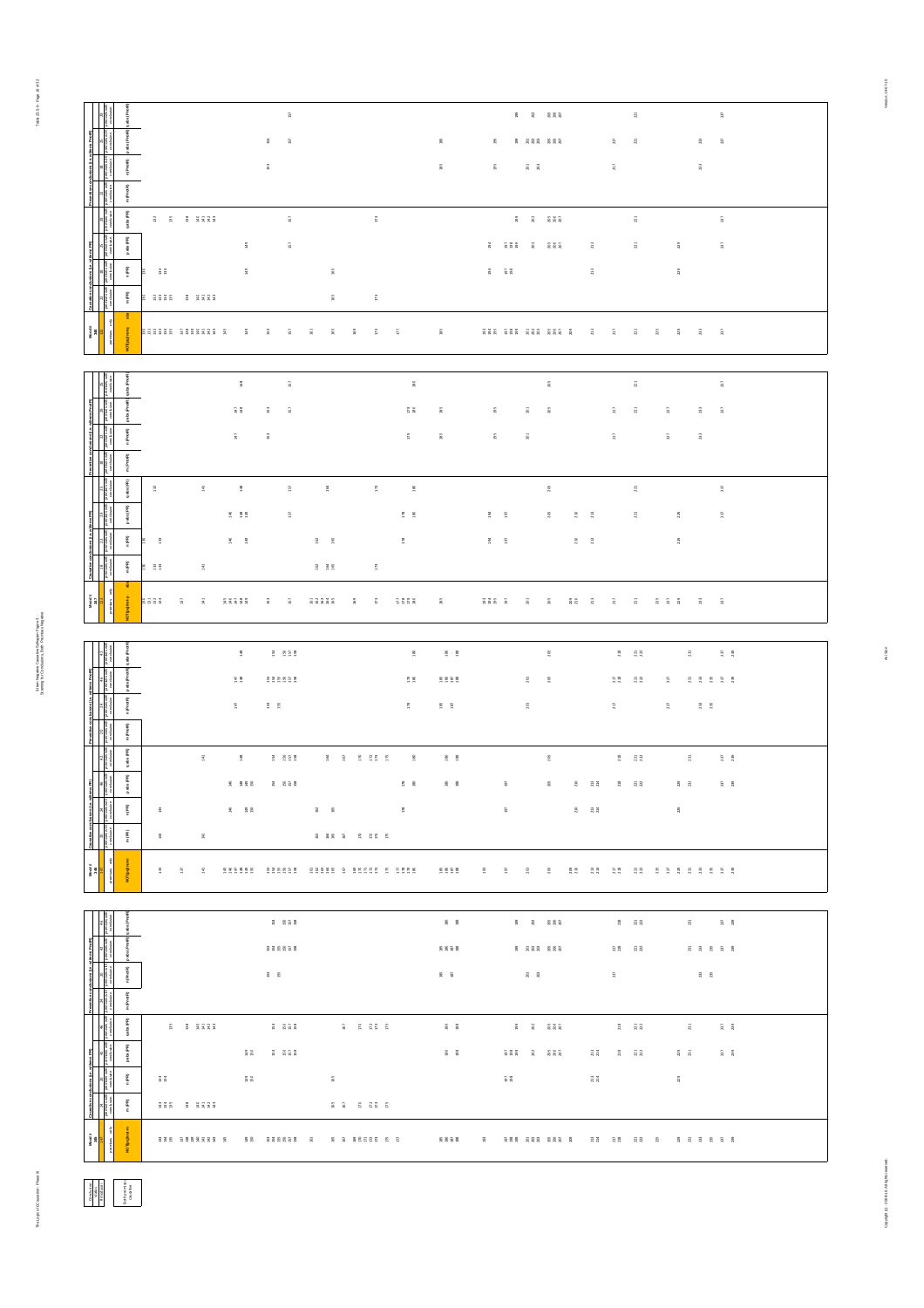|                    |                    |    |                                                                   |   |                   |                                                                                                                                                                                                                                                                                                                                                                                                           | $\frac{5}{2}$                                                                                                                                                                                                                                                                                                                                                                                                                          |                                                                                                                                                                                                                                     |                                                                          |                   |                                                                                                                                                                                                                                                                                                                                                                                                                                                                 |                                                                                                                                                                                                                                                                                                                                                                                                                                           |                                                                                                                                                                                                                                                                                                                                                                                                                                                                                                         |                                                                            |                                                                                                                                                                                                                                                                                                                                                                                                                                          | $\overline{2}$ |                  |                                                                                                                                                                                                                  |                | $\overline{237}$              |  |
|--------------------|--------------------|----|-------------------------------------------------------------------|---|-------------------|-----------------------------------------------------------------------------------------------------------------------------------------------------------------------------------------------------------------------------------------------------------------------------------------------------------------------------------------------------------------------------------------------------------|----------------------------------------------------------------------------------------------------------------------------------------------------------------------------------------------------------------------------------------------------------------------------------------------------------------------------------------------------------------------------------------------------------------------------------------|-------------------------------------------------------------------------------------------------------------------------------------------------------------------------------------------------------------------------------------|--------------------------------------------------------------------------|-------------------|-----------------------------------------------------------------------------------------------------------------------------------------------------------------------------------------------------------------------------------------------------------------------------------------------------------------------------------------------------------------------------------------------------------------------------------------------------------------|-------------------------------------------------------------------------------------------------------------------------------------------------------------------------------------------------------------------------------------------------------------------------------------------------------------------------------------------------------------------------------------------------------------------------------------------|---------------------------------------------------------------------------------------------------------------------------------------------------------------------------------------------------------------------------------------------------------------------------------------------------------------------------------------------------------------------------------------------------------------------------------------------------------------------------------------------------------|----------------------------------------------------------------------------|------------------------------------------------------------------------------------------------------------------------------------------------------------------------------------------------------------------------------------------------------------------------------------------------------------------------------------------------------------------------------------------------------------------------------------------|----------------|------------------|------------------------------------------------------------------------------------------------------------------------------------------------------------------------------------------------------------------|----------------|-------------------------------|--|
|                    |                    |    |                                                                   |   |                   |                                                                                                                                                                                                                                                                                                                                                                                                           | $\overline{\mathfrak{a}}$ . $\overline{\mathfrak{a}}$                                                                                                                                                                                                                                                                                                                                                                                  |                                                                                                                                                                                                                                     |                                                                          |                   | $\frac{95}{28}$                                                                                                                                                                                                                                                                                                                                                                                                                                                 |                                                                                                                                                                                                                                                                                                                                                                                                                                           | $\begin{matrix} \hat{\mathbf{z}} & \hat{\mathbf{z}} & \hat{\mathbf{z}} \\ \hat{\mathbf{z}} & \hat{\mathbf{z}} & \hat{\mathbf{z}} \end{matrix} \hspace{0.2cm} \begin{matrix} \hat{\mathbf{z}} & \hat{\mathbf{z}} \\ \hat{\mathbf{z}} & \hat{\mathbf{z}} \end{matrix} \hspace{0.2cm} \begin{matrix} \hat{\mathbf{z}} & \hat{\mathbf{z}} \\ \hat{\mathbf{z}} & \hat{\mathbf{z}} \end{matrix} \hspace{0.2cm} \begin{matrix} \hat{\mathbf{z}} & \hat{\mathbf{z}} \\ \hat{\mathbf{z}} & \hat{\mathbf{z}}$     |                                                                            |                                                                                                                                                                                                                                                                                                                                                                                                                                          |                |                  |                                                                                                                                                                                                                  |                | $\overline{a}$ $\overline{a}$ |  |
|                    |                    |    |                                                                   |   |                   |                                                                                                                                                                                                                                                                                                                                                                                                           |                                                                                                                                                                                                                                                                                                                                                                                                                                        |                                                                                                                                                                                                                                     |                                                                          |                   |                                                                                                                                                                                                                                                                                                                                                                                                                                                                 |                                                                                                                                                                                                                                                                                                                                                                                                                                           |                                                                                                                                                                                                                                                                                                                                                                                                                                                                                                         |                                                                            |                                                                                                                                                                                                                                                                                                                                                                                                                                          |                |                  |                                                                                                                                                                                                                  |                |                               |  |
|                    |                    |    |                                                                   |   |                   |                                                                                                                                                                                                                                                                                                                                                                                                           | $\overline{\mathfrak{D}}$                                                                                                                                                                                                                                                                                                                                                                                                              |                                                                                                                                                                                                                                     |                                                                          |                   | $\overline{\mathfrak{A}}$                                                                                                                                                                                                                                                                                                                                                                                                                                       |                                                                                                                                                                                                                                                                                                                                                                                                                                           | $\begin{array}{lllllllll} \mathbf{S} & \mathbf{S} & \mathbf{S} & \mathbf{S} & \mathbf{S} \\ \mathbf{S} & \mathbf{S} & \mathbf{S} & \mathbf{S} & \mathbf{S} & \mathbf{S} \\ \mathbf{S} & \mathbf{S} & \mathbf{S} & \mathbf{S} & \mathbf{S} & \mathbf{S} \\ \mathbf{S} & \mathbf{S} & \mathbf{S} & \mathbf{S} & \mathbf{S} & \mathbf{S} \\ \mathbf{S} & \mathbf{S} & \mathbf{S} & \mathbf{S} & \mathbf{S} & \mathbf{S} & \mathbf{S}$                                                                      |                                                                            |                                                                                                                                                                                                                                                                                                                                                                                                                                          |                |                  |                                                                                                                                                                                                                  | និ             |                               |  |
|                    |                    |    |                                                                   |   |                   |                                                                                                                                                                                                                                                                                                                                                                                                           |                                                                                                                                                                                                                                                                                                                                                                                                                                        |                                                                                                                                                                                                                                     |                                                                          |                   |                                                                                                                                                                                                                                                                                                                                                                                                                                                                 |                                                                                                                                                                                                                                                                                                                                                                                                                                           |                                                                                                                                                                                                                                                                                                                                                                                                                                                                                                         |                                                                            |                                                                                                                                                                                                                                                                                                                                                                                                                                          |                |                  |                                                                                                                                                                                                                  |                |                               |  |
|                    |                    |    |                                                                   |   |                   | 여 번 번 이 번 번 보고 있는데 이 번 보고 있는데 이 번 보고 있는데 이 번 보고 있는데 이 번 보고 있는데 이 번 보고 있는데 이 번 보고 있는데 이 번 보고 있는데 이 번 보고 있는데 이 번                                                                                                                                                                                                                                                                                            |                                                                                                                                                                                                                                                                                                                                                                                                                                        |                                                                                                                                                                                                                                     |                                                                          |                   |                                                                                                                                                                                                                                                                                                                                                                                                                                                                 | $\begin{array}{ccccccccccccc} \mathbb{B} & & \mathbb{B} & & \mathbb{B} & & \mathbb{B} & \mathbb{B} & \mathbb{B} & & \mathbb{B} & & \mathbb{B} & & \mathbb{B} & & \mathbb{B} & & \mathbb{B} & & \mathbb{B} & & \mathbb{B} & & \mathbb{B} & & \mathbb{B} & & \mathbb{B} & & \mathbb{B} & & \mathbb{B} & & \mathbb{B} & & \mathbb{B} & & \mathbb{B} & & \mathbb{B} & & \mathbb{B} & & \mathbb{B} & & \mathbb{B} & & \mathbb{B} & & \mathbb{$ |                                                                                                                                                                                                                                                                                                                                                                                                                                                                                                         |                                                                            |                                                                                                                                                                                                                                                                                                                                                                                                                                          |                |                  |                                                                                                                                                                                                                  |                | 237                           |  |
|                    |                    |    |                                                                   |   |                   |                                                                                                                                                                                                                                                                                                                                                                                                           |                                                                                                                                                                                                                                                                                                                                                                                                                                        |                                                                                                                                                                                                                                     |                                                                          |                   |                                                                                                                                                                                                                                                                                                                                                                                                                                                                 |                                                                                                                                                                                                                                                                                                                                                                                                                                           |                                                                                                                                                                                                                                                                                                                                                                                                                                                                                                         |                                                                            |                                                                                                                                                                                                                                                                                                                                                                                                                                          |                |                  |                                                                                                                                                                                                                  |                |                               |  |
|                    |                    |    |                                                                   |   |                   | 24.0                                                                                                                                                                                                                                                                                                                                                                                                      |                                                                                                                                                                                                                                                                                                                                                                                                                                        |                                                                                                                                                                                                                                     |                                                                          |                   |                                                                                                                                                                                                                                                                                                                                                                                                                                                                 |                                                                                                                                                                                                                                                                                                                                                                                                                                           |                                                                                                                                                                                                                                                                                                                                                                                                                                                                                                         |                                                                            |                                                                                                                                                                                                                                                                                                                                                                                                                                          |                |                  |                                                                                                                                                                                                                  |                |                               |  |
|                    |                    | €  | 8.88                                                              |   |                   |                                                                                                                                                                                                                                                                                                                                                                                                           | $\frac{1}{24}$                                                                                                                                                                                                                                                                                                                                                                                                                         | 36                                                                                                                                                                                                                                  |                                                                          |                   |                                                                                                                                                                                                                                                                                                                                                                                                                                                                 |                                                                                                                                                                                                                                                                                                                                                                                                                                           |                                                                                                                                                                                                                                                                                                                                                                                                                                                                                                         |                                                                            |                                                                                                                                                                                                                                                                                                                                                                                                                                          |                |                  | $\mathbb{R}^n$                                                                                                                                                                                                   |                |                               |  |
|                    |                    | Ê. | 8 8858 8 8888                                                     |   |                   |                                                                                                                                                                                                                                                                                                                                                                                                           |                                                                                                                                                                                                                                                                                                                                                                                                                                        |                                                                                                                                                                                                                                     | $\begin{array}{ccc} 55 & 0 & 0 \\ 0 & 0 & 0 \\ 0 & 0 & 0 \\ \end{array}$ |                   |                                                                                                                                                                                                                                                                                                                                                                                                                                                                 |                                                                                                                                                                                                                                                                                                                                                                                                                                           |                                                                                                                                                                                                                                                                                                                                                                                                                                                                                                         |                                                                            |                                                                                                                                                                                                                                                                                                                                                                                                                                          |                |                  |                                                                                                                                                                                                                  |                |                               |  |
|                    |                    |    |                                                                   |   |                   |                                                                                                                                                                                                                                                                                                                                                                                                           |                                                                                                                                                                                                                                                                                                                                                                                                                                        |                                                                                                                                                                                                                                     |                                                                          |                   |                                                                                                                                                                                                                                                                                                                                                                                                                                                                 |                                                                                                                                                                                                                                                                                                                                                                                                                                           |                                                                                                                                                                                                                                                                                                                                                                                                                                                                                                         |                                                                            |                                                                                                                                                                                                                                                                                                                                                                                                                                          |                |                  |                                                                                                                                                                                                                  |                |                               |  |
| II                 |                    |    |                                                                   |   |                   |                                                                                                                                                                                                                                                                                                                                                                                                           |                                                                                                                                                                                                                                                                                                                                                                                                                                        |                                                                                                                                                                                                                                     |                                                                          |                   |                                                                                                                                                                                                                                                                                                                                                                                                                                                                 |                                                                                                                                                                                                                                                                                                                                                                                                                                           |                                                                                                                                                                                                                                                                                                                                                                                                                                                                                                         |                                                                            |                                                                                                                                                                                                                                                                                                                                                                                                                                          |                |                  |                                                                                                                                                                                                                  |                |                               |  |
|                    |                    |    |                                                                   |   |                   |                                                                                                                                                                                                                                                                                                                                                                                                           |                                                                                                                                                                                                                                                                                                                                                                                                                                        |                                                                                                                                                                                                                                     |                                                                          |                   |                                                                                                                                                                                                                                                                                                                                                                                                                                                                 |                                                                                                                                                                                                                                                                                                                                                                                                                                           |                                                                                                                                                                                                                                                                                                                                                                                                                                                                                                         |                                                                            |                                                                                                                                                                                                                                                                                                                                                                                                                                          |                |                  |                                                                                                                                                                                                                  |                |                               |  |
|                    |                    |    |                                                                   |   |                   |                                                                                                                                                                                                                                                                                                                                                                                                           |                                                                                                                                                                                                                                                                                                                                                                                                                                        |                                                                                                                                                                                                                                     |                                                                          |                   |                                                                                                                                                                                                                                                                                                                                                                                                                                                                 |                                                                                                                                                                                                                                                                                                                                                                                                                                           |                                                                                                                                                                                                                                                                                                                                                                                                                                                                                                         |                                                                            |                                                                                                                                                                                                                                                                                                                                                                                                                                          |                |                  |                                                                                                                                                                                                                  |                |                               |  |
|                    |                    |    |                                                                   |   |                   |                                                                                                                                                                                                                                                                                                                                                                                                           | <u>이 없이 되어 있다.</u>                                                                                                                                                                                                                                                                                                                                                                                                                     |                                                                                                                                                                                                                                     |                                                                          | 180               |                                                                                                                                                                                                                                                                                                                                                                                                                                                                 |                                                                                                                                                                                                                                                                                                                                                                                                                                           |                                                                                                                                                                                                                                                                                                                                                                                                                                                                                                         | $\frac{8}{3}$                                                              |                                                                                                                                                                                                                                                                                                                                                                                                                                          |                | $\overline{221}$ |                                                                                                                                                                                                                  |                | 237                           |  |
|                    |                    |    |                                                                   |   |                   |                                                                                                                                                                                                                                                                                                                                                                                                           | <b>휴양 및 프</b> 프<br>프로그램 프로그램                                                                                                                                                                                                                                                                                                                                                                                                           |                                                                                                                                                                                                                                     |                                                                          | <b>179</b><br>180 | $\frac{1}{2}$                                                                                                                                                                                                                                                                                                                                                                                                                                                   |                                                                                                                                                                                                                                                                                                                                                                                                                                           |                                                                                                                                                                                                                                                                                                                                                                                                                                                                                                         |                                                                            |                                                                                                                                                                                                                                                                                                                                                                                                                                          |                |                  |                                                                                                                                                                                                                  |                |                               |  |
|                    |                    |    |                                                                   |   |                   |                                                                                                                                                                                                                                                                                                                                                                                                           | $\begin{array}{ccc}\n\mathbf{r}_{1} & \mathbf{r}_{2} & \mathbf{r}_{3} & \mathbf{r}_{4} & \mathbf{r}_{5} & \mathbf{r}_{6} & \mathbf{r}_{7} & \mathbf{r}_{8} & \mathbf{r}_{9} & \mathbf{r}_{9} & \mathbf{r}_{1} & \mathbf{r}_{1} & \mathbf{r}_{1} & \mathbf{r}_{1} & \mathbf{r}_{1} & \mathbf{r}_{2} & \mathbf{r}_{3} & \mathbf{r}_{4} & \mathbf{r}_{5} & \mathbf{r}_{6} & \mathbf{r}_{7} & \mathbf{r}_{8} & \mathbf{r}_{9} & \mathbf{r$ |                                                                                                                                                                                                                                     |                                                                          |                   | $\begin{array}{ccc}\n\mathbb{S}^n & \mathbb{S}^n & \mathbb{S}^n\end{array}$                                                                                                                                                                                                                                                                                                                                                                                     |                                                                                                                                                                                                                                                                                                                                                                                                                                           | $\begin{array}{ccccccccccccc} \mathbb{S}^1 & \mathbb{S}^1 & \mathbb{S}^1 & \mathbb{S}^1 & \mathbb{S}^1 & \mathbb{S}^1 & \mathbb{S}^1 & \mathbb{S}^1 & \mathbb{S}^1 & \mathbb{S}^1 & \mathbb{S}^1 & \mathbb{S}^1 & \mathbb{S}^1 & \mathbb{S}^1 & \mathbb{S}^1 & \mathbb{S}^1 & \mathbb{S}^1 & \mathbb{S}^1 & \mathbb{S}^1 & \mathbb{S}^1 & \mathbb{S}^1 & \mathbb{S}^1 & \mathbb{S}^1 & \mathbb$                                                                                                         |                                                                            |                                                                                                                                                                                                                                                                                                                                                                                                                                          |                |                  |                                                                                                                                                                                                                  |                |                               |  |
|                    |                    |    |                                                                   |   |                   |                                                                                                                                                                                                                                                                                                                                                                                                           |                                                                                                                                                                                                                                                                                                                                                                                                                                        |                                                                                                                                                                                                                                     |                                                                          |                   |                                                                                                                                                                                                                                                                                                                                                                                                                                                                 |                                                                                                                                                                                                                                                                                                                                                                                                                                           |                                                                                                                                                                                                                                                                                                                                                                                                                                                                                                         |                                                                            |                                                                                                                                                                                                                                                                                                                                                                                                                                          |                |                  |                                                                                                                                                                                                                  |                |                               |  |
|                    |                    |    |                                                                   |   |                   |                                                                                                                                                                                                                                                                                                                                                                                                           |                                                                                                                                                                                                                                                                                                                                                                                                                                        |                                                                                                                                                                                                                                     |                                                                          |                   |                                                                                                                                                                                                                                                                                                                                                                                                                                                                 |                                                                                                                                                                                                                                                                                                                                                                                                                                           |                                                                                                                                                                                                                                                                                                                                                                                                                                                                                                         |                                                                            |                                                                                                                                                                                                                                                                                                                                                                                                                                          |                |                  |                                                                                                                                                                                                                  |                |                               |  |
|                    |                    | Ê  |                                                                   |   |                   |                                                                                                                                                                                                                                                                                                                                                                                                           |                                                                                                                                                                                                                                                                                                                                                                                                                                        |                                                                                                                                                                                                                                     |                                                                          |                   | .<br>- 그리고 있는 것은 이 없이 이 없이 없는 것은 이 없이 없이 없이 없는 것은 이 없이 없는 것은 이 없이 없는 것은 이 없이 없는 것은 이 없이 없는 것은 이 없이 없는 것은 이 없이 없는 것은<br>- 이 없는 것은 이 없이 없는 것은 이 없이 없는 것은 이 없이 없는 것은 이 없이 없는 것은 이 없이 없는 것은 이 없는 것은 이 없는 것은 이 없는 것은 이 없는 것은 이 없는 것은 이 없                                                                                                                                                                                                                             |                                                                                                                                                                                                                                                                                                                                                                                                                                           |                                                                                                                                                                                                                                                                                                                                                                                                                                                                                                         |                                                                            |                                                                                                                                                                                                                                                                                                                                                                                                                                          |                | $\overline{2}$   |                                                                                                                                                                                                                  | $\overline{a}$ |                               |  |
|                    |                    |    |                                                                   |   |                   | 3.32                                                                                                                                                                                                                                                                                                                                                                                                      | $\sim 100$ $\mu$                                                                                                                                                                                                                                                                                                                                                                                                                       |                                                                                                                                                                                                                                     |                                                                          |                   | $\begin{array}{ccc}\n\mathcal{B} & \mathcal{B} & \mathcal{B} & \mathcal{B} & \mathcal{B} & \mathcal{B} & \mathcal{B} & \mathcal{B} & \mathcal{B} & \mathcal{B} & \mathcal{B} & \mathcal{B} & \mathcal{B} & \mathcal{B} & \mathcal{B} & \mathcal{B} & \mathcal{B} & \mathcal{B} & \mathcal{B} & \mathcal{B} & \mathcal{B} & \mathcal{B} & \mathcal{B} & \mathcal{B} & \mathcal{B} & \mathcal{B} & \mathcal{B} & \mathcal{B} & \mathcal{B} & \mathcal{B} & \math$ |                                                                                                                                                                                                                                                                                                                                                                                                                                           |                                                                                                                                                                                                                                                                                                                                                                                                                                                                                                         | 205                                                                        |                                                                                                                                                                                                                                                                                                                                                                                                                                          |                |                  | $\begin{matrix} \mathfrak{A} & \mathfrak{A} & \mathfrak{A} & \mathfrak{A} & \mathfrak{A} & \mathfrak{A} \\ \mathfrak{A} & \mathfrak{A} & \mathfrak{A} & \mathfrak{A} & \mathfrak{A} & \mathfrak{A} \end{matrix}$ |                |                               |  |
|                    |                    |    |                                                                   |   |                   | $\begin{array}{ccc}\n\frac{1}{2} & \frac{1}{2} & \frac{1}{2} & \frac{1}{2} & \frac{1}{2} & \frac{1}{2} & \frac{1}{2} & \frac{1}{2} & \frac{1}{2} & \frac{1}{2} & \frac{1}{2} & \frac{1}{2} & \frac{1}{2} & \frac{1}{2} & \frac{1}{2} & \frac{1}{2} & \frac{1}{2} & \frac{1}{2} & \frac{1}{2} & \frac{1}{2} & \frac{1}{2} & \frac{1}{2} & \frac{1}{2} & \frac{1}{2} & \frac{1}{2} & \frac{1}{2} & \frac{1$ |                                                                                                                                                                                                                                                                                                                                                                                                                                        | $162$ $163$ $173$                                                                                                                                                                                                                   |                                                                          |                   |                                                                                                                                                                                                                                                                                                                                                                                                                                                                 |                                                                                                                                                                                                                                                                                                                                                                                                                                           | 34.97                                                                                                                                                                                                                                                                                                                                                                                                                                                                                                   |                                                                            | $\begin{array}{ccc}\n\mathbf{a} & \mathbf{a} & \mathbf{b} & \mathbf{c} \\ \mathbf{a} & \mathbf{a} & \mathbf{b} & \mathbf{c} \\ \mathbf{a} & \mathbf{b} & \mathbf{c} & \mathbf{c} \\ \mathbf{c} & \mathbf{d} & \mathbf{c} & \mathbf{c} \\ \mathbf{d} & \mathbf{c} & \mathbf{c} & \mathbf{c} \\ \mathbf{c} & \mathbf{d} & \mathbf{c} & \mathbf{c} \\ \mathbf{c} & \mathbf{d} & \mathbf{c} & \mathbf{c} \\ \mathbf{c} & \mathbf{d} & \math$ |                |                  | 229                                                                                                                                                                                                              |                |                               |  |
|                    |                    |    |                                                                   |   |                   |                                                                                                                                                                                                                                                                                                                                                                                                           |                                                                                                                                                                                                                                                                                                                                                                                                                                        |                                                                                                                                                                                                                                     |                                                                          |                   |                                                                                                                                                                                                                                                                                                                                                                                                                                                                 |                                                                                                                                                                                                                                                                                                                                                                                                                                           |                                                                                                                                                                                                                                                                                                                                                                                                                                                                                                         |                                                                            |                                                                                                                                                                                                                                                                                                                                                                                                                                          |                |                  |                                                                                                                                                                                                                  |                |                               |  |
|                    |                    |    | $\begin{matrix} 0 & 0 & 0 \\ 0 & 0 & 0 \\ 0 & 0 & 0 \end{matrix}$ |   | <b>Experience</b> |                                                                                                                                                                                                                                                                                                                                                                                                           |                                                                                                                                                                                                                                                                                                                                                                                                                                        |                                                                                                                                                                                                                                     |                                                                          |                   |                                                                                                                                                                                                                                                                                                                                                                                                                                                                 |                                                                                                                                                                                                                                                                                                                                                                                                                                           |                                                                                                                                                                                                                                                                                                                                                                                                                                                                                                         |                                                                            |                                                                                                                                                                                                                                                                                                                                                                                                                                          |                |                  |                                                                                                                                                                                                                  |                |                               |  |
|                    | § ≽ <mark>n</mark> |    | <b>BEER</b>                                                       | ÷ | 一度                |                                                                                                                                                                                                                                                                                                                                                                                                           |                                                                                                                                                                                                                                                                                                                                                                                                                                        |                                                                                                                                                                                                                                     |                                                                          |                   |                                                                                                                                                                                                                                                                                                                                                                                                                                                                 |                                                                                                                                                                                                                                                                                                                                                                                                                                           | $\begin{array}{ccccccccccccccccc} \text{max} & \text{min} & \text{min} & \text{min} & \text{min} & \text{min} & \text{min} & \text{min} & \text{min} & \text{min} & \text{min} & \text{min} & \text{min} & \text{min} & \text{min} & \text{min} & \text{min} & \text{min} & \text{min} & \text{min} & \text{min} & \text{min} & \text{min} & \text{min} & \text{min} & \text{min} & \text{min} & \text{min} & \text{min} & \text{min} & \text{min} & \text{min} & \text{min} & \text{min} & \text{min}$ |                                                                            |                                                                                                                                                                                                                                                                                                                                                                                                                                          |                |                  |                                                                                                                                                                                                                  |                |                               |  |
|                    |                    |    |                                                                   |   |                   |                                                                                                                                                                                                                                                                                                                                                                                                           |                                                                                                                                                                                                                                                                                                                                                                                                                                        |                                                                                                                                                                                                                                     |                                                                          |                   |                                                                                                                                                                                                                                                                                                                                                                                                                                                                 |                                                                                                                                                                                                                                                                                                                                                                                                                                           |                                                                                                                                                                                                                                                                                                                                                                                                                                                                                                         |                                                                            |                                                                                                                                                                                                                                                                                                                                                                                                                                          |                |                  |                                                                                                                                                                                                                  |                |                               |  |
|                    |                    |    |                                                                   |   |                   |                                                                                                                                                                                                                                                                                                                                                                                                           |                                                                                                                                                                                                                                                                                                                                                                                                                                        |                                                                                                                                                                                                                                     |                                                                          |                   |                                                                                                                                                                                                                                                                                                                                                                                                                                                                 |                                                                                                                                                                                                                                                                                                                                                                                                                                           |                                                                                                                                                                                                                                                                                                                                                                                                                                                                                                         |                                                                            |                                                                                                                                                                                                                                                                                                                                                                                                                                          |                |                  |                                                                                                                                                                                                                  |                |                               |  |
|                    |                    |    |                                                                   |   |                   |                                                                                                                                                                                                                                                                                                                                                                                                           |                                                                                                                                                                                                                                                                                                                                                                                                                                        |                                                                                                                                                                                                                                     |                                                                          |                   |                                                                                                                                                                                                                                                                                                                                                                                                                                                                 |                                                                                                                                                                                                                                                                                                                                                                                                                                           |                                                                                                                                                                                                                                                                                                                                                                                                                                                                                                         |                                                                            |                                                                                                                                                                                                                                                                                                                                                                                                                                          |                |                  |                                                                                                                                                                                                                  |                |                               |  |
|                    |                    |    |                                                                   |   |                   |                                                                                                                                                                                                                                                                                                                                                                                                           |                                                                                                                                                                                                                                                                                                                                                                                                                                        |                                                                                                                                                                                                                                     |                                                                          |                   |                                                                                                                                                                                                                                                                                                                                                                                                                                                                 |                                                                                                                                                                                                                                                                                                                                                                                                                                           | <u>. 이 사람들은 이 사람들이 없다.</u>                                                                                                                                                                                                                                                                                                                                                                                                                                                                              |                                                                            |                                                                                                                                                                                                                                                                                                                                                                                                                                          |                |                  |                                                                                                                                                                                                                  |                |                               |  |
|                    |                    |    |                                                                   |   |                   | 도 또                                                                                                                                                                                                                                                                                                                                                                                                       | 838898                                                                                                                                                                                                                                                                                                                                                                                                                                 |                                                                                                                                                                                                                                     |                                                                          |                   | 5553                                                                                                                                                                                                                                                                                                                                                                                                                                                            |                                                                                                                                                                                                                                                                                                                                                                                                                                           |                                                                                                                                                                                                                                                                                                                                                                                                                                                                                                         | $\begin{array}{ccc}\n\Xi&\quad&\Xi&\quad\\ \Xi&\quad&\Xi&\quad\end{array}$ |                                                                                                                                                                                                                                                                                                                                                                                                                                          | ਸ਼ਿਲ ਸ਼ਲ       |                  | <b>B</b> H H H H H                                                                                                                                                                                               |                |                               |  |
|                    |                    |    |                                                                   |   |                   |                                                                                                                                                                                                                                                                                                                                                                                                           |                                                                                                                                                                                                                                                                                                                                                                                                                                        |                                                                                                                                                                                                                                     |                                                                          |                   |                                                                                                                                                                                                                                                                                                                                                                                                                                                                 |                                                                                                                                                                                                                                                                                                                                                                                                                                           |                                                                                                                                                                                                                                                                                                                                                                                                                                                                                                         |                                                                            |                                                                                                                                                                                                                                                                                                                                                                                                                                          |                |                  |                                                                                                                                                                                                                  |                |                               |  |
|                    |                    |    |                                                                   |   |                   |                                                                                                                                                                                                                                                                                                                                                                                                           |                                                                                                                                                                                                                                                                                                                                                                                                                                        |                                                                                                                                                                                                                                     |                                                                          |                   |                                                                                                                                                                                                                                                                                                                                                                                                                                                                 |                                                                                                                                                                                                                                                                                                                                                                                                                                           |                                                                                                                                                                                                                                                                                                                                                                                                                                                                                                         |                                                                            |                                                                                                                                                                                                                                                                                                                                                                                                                                          |                |                  |                                                                                                                                                                                                                  |                |                               |  |
|                    |                    |    |                                                                   |   |                   |                                                                                                                                                                                                                                                                                                                                                                                                           |                                                                                                                                                                                                                                                                                                                                                                                                                                        |                                                                                                                                                                                                                                     |                                                                          |                   |                                                                                                                                                                                                                                                                                                                                                                                                                                                                 |                                                                                                                                                                                                                                                                                                                                                                                                                                           |                                                                                                                                                                                                                                                                                                                                                                                                                                                                                                         |                                                                            |                                                                                                                                                                                                                                                                                                                                                                                                                                          |                |                  |                                                                                                                                                                                                                  |                |                               |  |
|                    |                    |    |                                                                   |   |                   |                                                                                                                                                                                                                                                                                                                                                                                                           |                                                                                                                                                                                                                                                                                                                                                                                                                                        |                                                                                                                                                                                                                                     |                                                                          |                   |                                                                                                                                                                                                                                                                                                                                                                                                                                                                 |                                                                                                                                                                                                                                                                                                                                                                                                                                           |                                                                                                                                                                                                                                                                                                                                                                                                                                                                                                         |                                                                            |                                                                                                                                                                                                                                                                                                                                                                                                                                          |                |                  |                                                                                                                                                                                                                  |                |                               |  |
|                    |                    |    |                                                                   |   |                   |                                                                                                                                                                                                                                                                                                                                                                                                           | $\frac{1}{2}$ $\frac{2}{3}$ $\frac{2}{3}$ $\frac{2}{3}$ $\frac{2}{3}$ $\frac{2}{3}$ $\frac{2}{3}$ $\frac{2}{3}$ $\frac{2}{3}$ $\frac{2}{3}$                                                                                                                                                                                                                                                                                            |                                                                                                                                                                                                                                     |                                                                          |                   | 医骨折 医骨折 医骨折 医骨折 医骨折 医骨折 医骨折 医白细胞 医心包 医心包 医心包 医心包 医心包 医心包                                                                                                                                                                                                                                                                                                                                                                                                        |                                                                                                                                                                                                                                                                                                                                                                                                                                           |                                                                                                                                                                                                                                                                                                                                                                                                                                                                                                         |                                                                            |                                                                                                                                                                                                                                                                                                                                                                                                                                          |                |                  |                                                                                                                                                                                                                  |                |                               |  |
|                    |                    |    |                                                                   |   |                   |                                                                                                                                                                                                                                                                                                                                                                                                           |                                                                                                                                                                                                                                                                                                                                                                                                                                        |                                                                                                                                                                                                                                     |                                                                          |                   |                                                                                                                                                                                                                                                                                                                                                                                                                                                                 |                                                                                                                                                                                                                                                                                                                                                                                                                                           |                                                                                                                                                                                                                                                                                                                                                                                                                                                                                                         |                                                                            |                                                                                                                                                                                                                                                                                                                                                                                                                                          |                |                  |                                                                                                                                                                                                                  |                |                               |  |
|                    |                    |    | $\frac{33}{21}$                                                   |   |                   |                                                                                                                                                                                                                                                                                                                                                                                                           |                                                                                                                                                                                                                                                                                                                                                                                                                                        |                                                                                                                                                                                                                                     |                                                                          |                   | .<br>19. 오늘 20. 이 그는 그만 있는 것이 없는 것이 없는 것이 없는 것이 없는 것이 없는 것이 없는 것이 없는 것이 없는 것이 없는 것이 없는 것이 없는 것이 없는 것이 없는 것이 없는 것이 있<br>20. 이 그는 그만 있는 것이 없는 것이 없는 것이 없는 것이 없는 것이 없는 것이 없는 것이 없는 것이 없는 것이 없는 것이 없는 것이 없는 것이 없는 것이 없는 것이 없는 것이 없는 것이                                                                                                                                                                                                                              |                                                                                                                                                                                                                                                                                                                                                                                                                                           |                                                                                                                                                                                                                                                                                                                                                                                                                                                                                                         |                                                                            |                                                                                                                                                                                                                                                                                                                                                                                                                                          |                |                  |                                                                                                                                                                                                                  |                |                               |  |
|                    |                    |    |                                                                   |   |                   | $\begin{array}{ccc}\n\bullet & \bullet & \bullet & \bullet \\ \bullet & \bullet & \bullet & \bullet \\ \bullet & \bullet & \bullet & \bullet\n\end{array}$                                                                                                                                                                                                                                                |                                                                                                                                                                                                                                                                                                                                                                                                                                        |                                                                                                                                                                                                                                     |                                                                          |                   |                                                                                                                                                                                                                                                                                                                                                                                                                                                                 |                                                                                                                                                                                                                                                                                                                                                                                                                                           |                                                                                                                                                                                                                                                                                                                                                                                                                                                                                                         |                                                                            |                                                                                                                                                                                                                                                                                                                                                                                                                                          |                |                  |                                                                                                                                                                                                                  |                |                               |  |
|                    |                    |    |                                                                   |   |                   |                                                                                                                                                                                                                                                                                                                                                                                                           |                                                                                                                                                                                                                                                                                                                                                                                                                                        |                                                                                                                                                                                                                                     |                                                                          |                   |                                                                                                                                                                                                                                                                                                                                                                                                                                                                 |                                                                                                                                                                                                                                                                                                                                                                                                                                           |                                                                                                                                                                                                                                                                                                                                                                                                                                                                                                         |                                                                            |                                                                                                                                                                                                                                                                                                                                                                                                                                          |                |                  |                                                                                                                                                                                                                  |                |                               |  |
| $\frac{3}{2}$      |                    |    |                                                                   |   |                   |                                                                                                                                                                                                                                                                                                                                                                                                           |                                                                                                                                                                                                                                                                                                                                                                                                                                        |                                                                                                                                                                                                                                     |                                                                          |                   |                                                                                                                                                                                                                                                                                                                                                                                                                                                                 |                                                                                                                                                                                                                                                                                                                                                                                                                                           |                                                                                                                                                                                                                                                                                                                                                                                                                                                                                                         |                                                                            |                                                                                                                                                                                                                                                                                                                                                                                                                                          |                |                  |                                                                                                                                                                                                                  |                |                               |  |
|                    |                    |    |                                                                   |   |                   |                                                                                                                                                                                                                                                                                                                                                                                                           |                                                                                                                                                                                                                                                                                                                                                                                                                                        |                                                                                                                                                                                                                                     |                                                                          |                   |                                                                                                                                                                                                                                                                                                                                                                                                                                                                 |                                                                                                                                                                                                                                                                                                                                                                                                                                           |                                                                                                                                                                                                                                                                                                                                                                                                                                                                                                         |                                                                            |                                                                                                                                                                                                                                                                                                                                                                                                                                          |                |                  |                                                                                                                                                                                                                  |                |                               |  |
|                    |                    |    |                                                                   |   |                   |                                                                                                                                                                                                                                                                                                                                                                                                           | ធី ជំងឺជំងឺ                                                                                                                                                                                                                                                                                                                                                                                                                            |                                                                                                                                                                                                                                     |                                                                          |                   |                                                                                                                                                                                                                                                                                                                                                                                                                                                                 |                                                                                                                                                                                                                                                                                                                                                                                                                                           |                                                                                                                                                                                                                                                                                                                                                                                                                                                                                                         |                                                                            |                                                                                                                                                                                                                                                                                                                                                                                                                                          |                |                  |                                                                                                                                                                                                                  |                |                               |  |
|                    |                    |    |                                                                   |   |                   |                                                                                                                                                                                                                                                                                                                                                                                                           |                                                                                                                                                                                                                                                                                                                                                                                                                                        | 医鼻腔隆唇襞                                                                                                                                                                                                                              |                                                                          |                   |                                                                                                                                                                                                                                                                                                                                                                                                                                                                 |                                                                                                                                                                                                                                                                                                                                                                                                                                           |                                                                                                                                                                                                                                                                                                                                                                                                                                                                                                         |                                                                            |                                                                                                                                                                                                                                                                                                                                                                                                                                          |                |                  |                                                                                                                                                                                                                  |                |                               |  |
|                    |                    |    |                                                                   |   |                   |                                                                                                                                                                                                                                                                                                                                                                                                           |                                                                                                                                                                                                                                                                                                                                                                                                                                        |                                                                                                                                                                                                                                     |                                                                          |                   |                                                                                                                                                                                                                                                                                                                                                                                                                                                                 |                                                                                                                                                                                                                                                                                                                                                                                                                                           |                                                                                                                                                                                                                                                                                                                                                                                                                                                                                                         |                                                                            |                                                                                                                                                                                                                                                                                                                                                                                                                                          |                |                  |                                                                                                                                                                                                                  |                |                               |  |
|                    |                    |    |                                                                   |   |                   |                                                                                                                                                                                                                                                                                                                                                                                                           | $\begin{array}{ccc}\n\mathbb{E}^{\text{H}} & \mathbb{E}^{\text{H}}_{\text{H}} & \mathbb{E}^{\text{H}}_{\text{H}}\n\end{array}$                                                                                                                                                                                                                                                                                                         |                                                                                                                                                                                                                                     |                                                                          |                   |                                                                                                                                                                                                                                                                                                                                                                                                                                                                 |                                                                                                                                                                                                                                                                                                                                                                                                                                           |                                                                                                                                                                                                                                                                                                                                                                                                                                                                                                         |                                                                            |                                                                                                                                                                                                                                                                                                                                                                                                                                          |                |                  |                                                                                                                                                                                                                  |                |                               |  |
|                    |                    |    |                                                                   |   |                   |                                                                                                                                                                                                                                                                                                                                                                                                           |                                                                                                                                                                                                                                                                                                                                                                                                                                        |                                                                                                                                                                                                                                     |                                                                          |                   |                                                                                                                                                                                                                                                                                                                                                                                                                                                                 |                                                                                                                                                                                                                                                                                                                                                                                                                                           |                                                                                                                                                                                                                                                                                                                                                                                                                                                                                                         |                                                                            |                                                                                                                                                                                                                                                                                                                                                                                                                                          |                |                  |                                                                                                                                                                                                                  |                |                               |  |
|                    |                    |    |                                                                   |   |                   |                                                                                                                                                                                                                                                                                                                                                                                                           |                                                                                                                                                                                                                                                                                                                                                                                                                                        |                                                                                                                                                                                                                                     |                                                                          |                   | $\begin{array}{lllllllllllll} \mbox{R} & \mbox{R} & \mbox{R} & \mbox{R} & \mbox{R} & \mbox{R} & \mbox{R} & \mbox{R} & \mbox{R} & \mbox{R} & \mbox{R} & \mbox{R} & \mbox{R} & \mbox{R} & \mbox{R} & \mbox{R} & \mbox{R} & \mbox{R} & \mbox{R} & \mbox{R} & \mbox{R} & \mbox{R} & \mbox{R} & \mbox{R} & \mbox{R} & \mbox{R} & \mbox{R} & \mbox{R} & \mbox{R} & \mbox{$                                                                                            |                                                                                                                                                                                                                                                                                                                                                                                                                                           |                                                                                                                                                                                                                                                                                                                                                                                                                                                                                                         |                                                                            |                                                                                                                                                                                                                                                                                                                                                                                                                                          |                |                  |                                                                                                                                                                                                                  |                |                               |  |
|                    |                    |    |                                                                   |   |                   |                                                                                                                                                                                                                                                                                                                                                                                                           |                                                                                                                                                                                                                                                                                                                                                                                                                                        |                                                                                                                                                                                                                                     |                                                                          |                   |                                                                                                                                                                                                                                                                                                                                                                                                                                                                 |                                                                                                                                                                                                                                                                                                                                                                                                                                           |                                                                                                                                                                                                                                                                                                                                                                                                                                                                                                         |                                                                            |                                                                                                                                                                                                                                                                                                                                                                                                                                          |                |                  |                                                                                                                                                                                                                  |                |                               |  |
|                    |                    |    |                                                                   |   |                   |                                                                                                                                                                                                                                                                                                                                                                                                           | $\frac{20}{20}$ $\frac{1}{20}$ $\frac{1}{20}$ $\frac{1}{20}$ $\frac{1}{20}$ $\frac{1}{20}$                                                                                                                                                                                                                                                                                                                                             |                                                                                                                                                                                                                                     |                                                                          |                   | $\begin{array}{cccccccccccccccccc} \text{R} & \text{R} & \text{R} & \text{R} & \text{R} & \text{R} & \text{R} & \text{R} & \text{R} & \text{R} & \text{R} & \text{R} & \text{R} & \text{R} & \text{R} & \text{R} & \text{R} & \text{R} & \text{R} & \text{R} & \text{R} & \text{R} & \text{R} & \text{R} & \text{R} & \text{R} & \text{R} & \text{R} & \text{R} & \text{R} & \text{R} & \text{R} & \text{R} & \text{R} & \text{R}$                              |                                                                                                                                                                                                                                                                                                                                                                                                                                           |                                                                                                                                                                                                                                                                                                                                                                                                                                                                                                         |                                                                            |                                                                                                                                                                                                                                                                                                                                                                                                                                          |                |                  |                                                                                                                                                                                                                  |                |                               |  |
|                    |                    |    |                                                                   |   |                   |                                                                                                                                                                                                                                                                                                                                                                                                           |                                                                                                                                                                                                                                                                                                                                                                                                                                        | <u> 그는 그는 그만 좋</u> 지 않고 있는 것이 없는 것이 없는 것이 없는 것이 없는 것이 없는 것이 없는 것이 없는 것이 없는 것이 없는 것이 없는 것이 없는 것이 없는 것이 없는 것이 없는 것이 없는 것이 없는 것이 없는 것이 없는 것이 없는 것이 없는 것이 없는 것이 없는 것이 없는 것이 없는 것이 없는 것이 없는 것이 없는 것이 없는 것이 없는 것이 없는 것이 없는 것이 없는 것이 없는 것이 |                                                                          |                   |                                                                                                                                                                                                                                                                                                                                                                                                                                                                 |                                                                                                                                                                                                                                                                                                                                                                                                                                           |                                                                                                                                                                                                                                                                                                                                                                                                                                                                                                         |                                                                            |                                                                                                                                                                                                                                                                                                                                                                                                                                          |                |                  |                                                                                                                                                                                                                  |                |                               |  |
|                    |                    |    |                                                                   |   | 858 8 8399        |                                                                                                                                                                                                                                                                                                                                                                                                           |                                                                                                                                                                                                                                                                                                                                                                                                                                        |                                                                                                                                                                                                                                     |                                                                          |                   |                                                                                                                                                                                                                                                                                                                                                                                                                                                                 |                                                                                                                                                                                                                                                                                                                                                                                                                                           |                                                                                                                                                                                                                                                                                                                                                                                                                                                                                                         |                                                                            |                                                                                                                                                                                                                                                                                                                                                                                                                                          |                |                  |                                                                                                                                                                                                                  |                |                               |  |
|                    |                    |    |                                                                   |   |                   |                                                                                                                                                                                                                                                                                                                                                                                                           |                                                                                                                                                                                                                                                                                                                                                                                                                                        |                                                                                                                                                                                                                                     |                                                                          |                   |                                                                                                                                                                                                                                                                                                                                                                                                                                                                 |                                                                                                                                                                                                                                                                                                                                                                                                                                           |                                                                                                                                                                                                                                                                                                                                                                                                                                                                                                         |                                                                            |                                                                                                                                                                                                                                                                                                                                                                                                                                          |                |                  |                                                                                                                                                                                                                  |                |                               |  |
| <b>Mood</b><br>345 |                    |    |                                                                   |   |                   |                                                                                                                                                                                                                                                                                                                                                                                                           |                                                                                                                                                                                                                                                                                                                                                                                                                                        |                                                                                                                                                                                                                                     |                                                                          |                   |                                                                                                                                                                                                                                                                                                                                                                                                                                                                 |                                                                                                                                                                                                                                                                                                                                                                                                                                           |                                                                                                                                                                                                                                                                                                                                                                                                                                                                                                         |                                                                            |                                                                                                                                                                                                                                                                                                                                                                                                                                          |                |                  |                                                                                                                                                                                                                  |                |                               |  |

 $\lambda$ vi Sion

Copyright (c) - 2008-10. All rights reserved.

Vasion: 19-07-10

Table 23.5-9 - Page 16 of 32

m<br>18602359 - Page 16o 132

Conclusion<br># status<br># moduses<br>causative<br>causative Both premises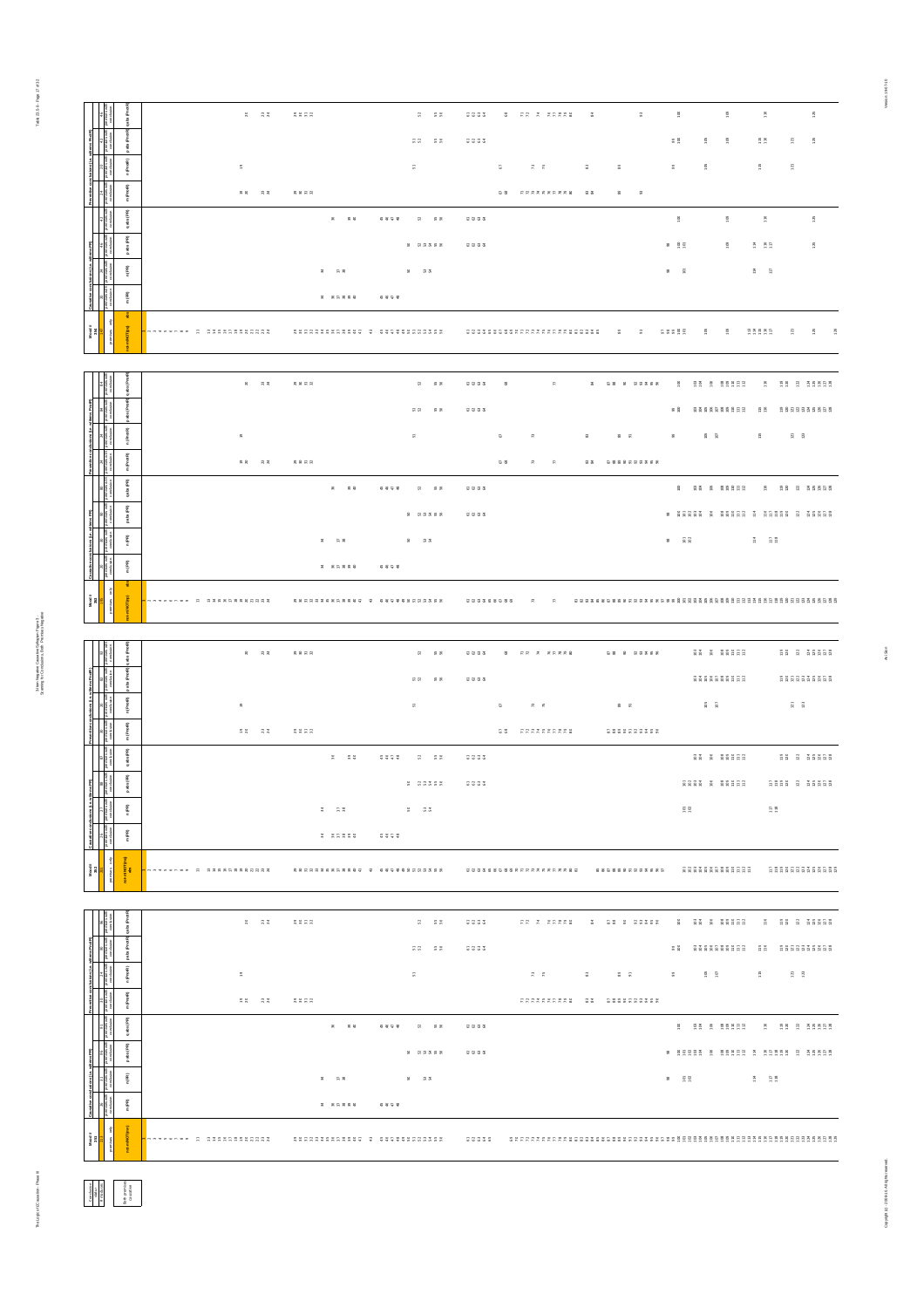

 $rac{5}{4}$ 

Table 23.5-9 - Page 17 of 32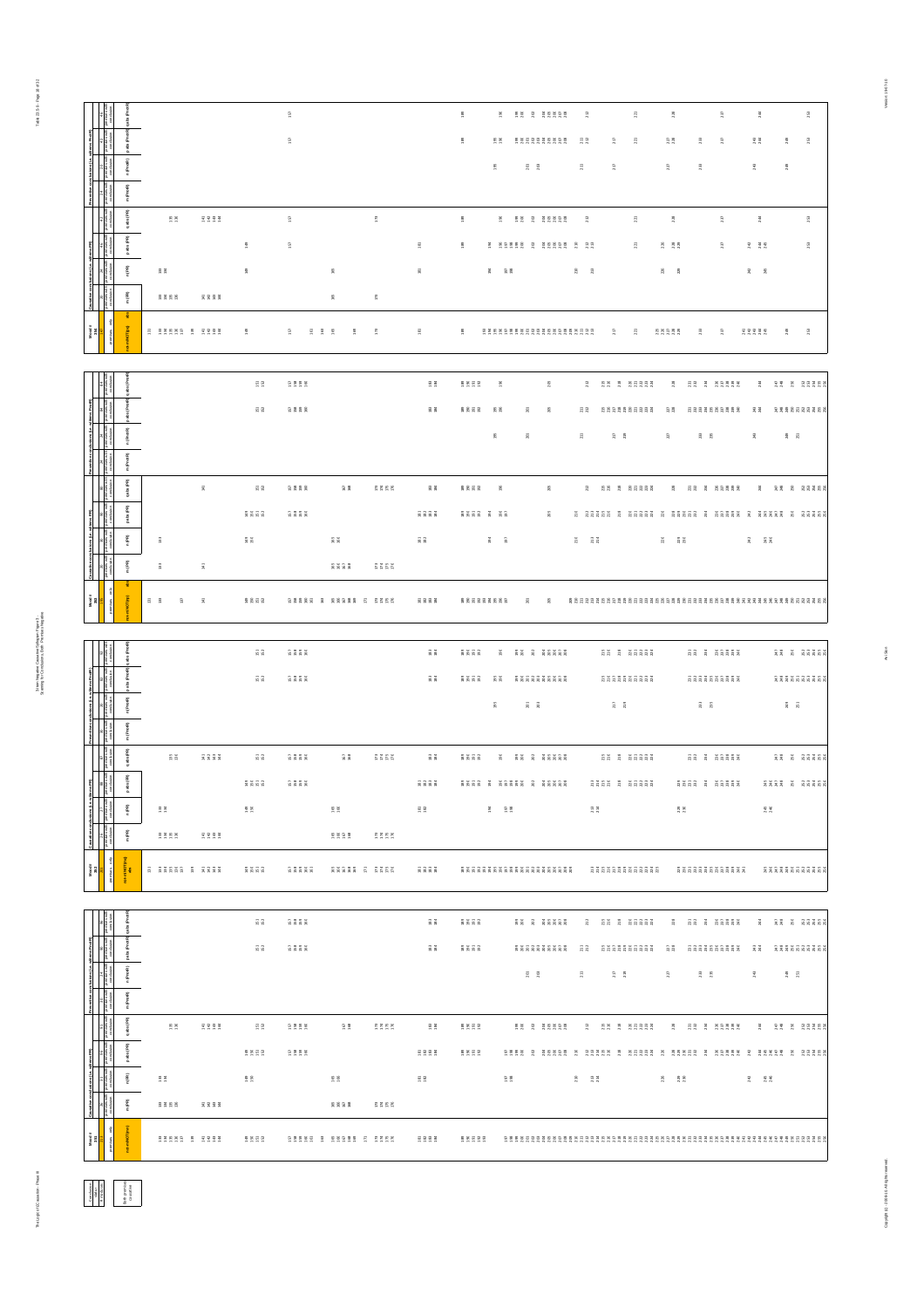|                             |        |                                                                             |                                                                                          |                                                                                                                                                                                                                                                                                                                                                                                                                                       | $\overline{\mathbb{S}}$   |                                                                  |              |                                                          | 3 38 38 38 38 38                                                                                                                                                                                                                                                                                                                                                     | $\frac{2}{3}$<br>$\overline{z}$                                         | $23\,$                                    | $\overline{z}$                                                                                                                                                                                                                                                                                                                                                                                                                                                                                                             | $\frac{\pi}{2}$   | 253                       |
|-----------------------------|--------|-----------------------------------------------------------------------------|------------------------------------------------------------------------------------------|---------------------------------------------------------------------------------------------------------------------------------------------------------------------------------------------------------------------------------------------------------------------------------------------------------------------------------------------------------------------------------------------------------------------------------------|---------------------------|------------------------------------------------------------------|--------------|----------------------------------------------------------|----------------------------------------------------------------------------------------------------------------------------------------------------------------------------------------------------------------------------------------------------------------------------------------------------------------------------------------------------------------------|-------------------------------------------------------------------------|-------------------------------------------|----------------------------------------------------------------------------------------------------------------------------------------------------------------------------------------------------------------------------------------------------------------------------------------------------------------------------------------------------------------------------------------------------------------------------------------------------------------------------------------------------------------------------|-------------------|---------------------------|
|                             |        |                                                                             |                                                                                          |                                                                                                                                                                                                                                                                                                                                                                                                                                       | $\overline{\mathfrak{u}}$ |                                                                  |              |                                                          | nn na ann an an an                                                                                                                                                                                                                                                                                                                                                   | $\frac{27}{221}$                                                        | 227<br>$\ddot{a}$                         | $\ddot{z}$                                                                                                                                                                                                                                                                                                                                                                                                                                                                                                                 | 35                | 249<br>253                |
|                             |        |                                                                             |                                                                                          |                                                                                                                                                                                                                                                                                                                                                                                                                                       |                           |                                                                  |              |                                                          |                                                                                                                                                                                                                                                                                                                                                                      | $\overline{\mathrm{a}}$                                                 | $\overline{u}$<br>$\ddot{a}$              |                                                                                                                                                                                                                                                                                                                                                                                                                                                                                                                            | $\overline{a}$    | $\mathbb{R}$              |
|                             |        |                                                                             |                                                                                          |                                                                                                                                                                                                                                                                                                                                                                                                                                       |                           |                                                                  |              |                                                          |                                                                                                                                                                                                                                                                                                                                                                      |                                                                         |                                           |                                                                                                                                                                                                                                                                                                                                                                                                                                                                                                                            |                   |                           |
|                             |        |                                                                             |                                                                                          |                                                                                                                                                                                                                                                                                                                                                                                                                                       |                           |                                                                  |              |                                                          |                                                                                                                                                                                                                                                                                                                                                                      |                                                                         |                                           |                                                                                                                                                                                                                                                                                                                                                                                                                                                                                                                            |                   |                           |
|                             |        | $\Xi \Sigma$                                                                | 5355                                                                                     |                                                                                                                                                                                                                                                                                                                                                                                                                                       | $\Xi$                     |                                                                  | $\mathbb{R}$ |                                                          | $\frac{88}{100}$<br>8 88 888888 8                                                                                                                                                                                                                                                                                                                                    | $\mathbb{R}$                                                            | $\frac{3}{2}$                             | $\overline{z}$                                                                                                                                                                                                                                                                                                                                                                                                                                                                                                             | $\frac{\pi}{2}$   | 29                        |
|                             |        |                                                                             |                                                                                          | $\tilde{z}$                                                                                                                                                                                                                                                                                                                                                                                                                           | $\overline{\mathbb{S}}$   |                                                                  |              | $\Xi^-$                                                  | 5 55588 8 58888 8 88                                                                                                                                                                                                                                                                                                                                                 | $\overline{z}$                                                          | 8 88                                      | $\overline{z}$                                                                                                                                                                                                                                                                                                                                                                                                                                                                                                             | R 종종              | $^{25}$                   |
|                             | ê.     | $\begin{smallmatrix} 0 & 0 & 0 \\ 0 & 0 & 0 \\ 0 & 0 & 0 \end{smallmatrix}$ |                                                                                          | $\frac{9}{2}$                                                                                                                                                                                                                                                                                                                                                                                                                         |                           | $\frac{5}{2}$                                                    |              | $\frac{1}{2}$                                            | $\frac{3}{22}$ $\frac{53}{22}$<br>$\mathbb{R}$ $\mathbb{R}$ $\mathbb{R}$ $\mathbb{R}$ $\mathbb{R}$ $\mathbb{R}$ $\mathbb{R}$ $\mathbb{R}$ $\mathbb{R}$ $\mathbb{R}$ $\mathbb{R}$ $\mathbb{R}$ $\mathbb{R}$ $\mathbb{R}$ $\mathbb{R}$ $\mathbb{R}$ $\mathbb{R}$ $\mathbb{R}$ $\mathbb{R}$ $\mathbb{R}$ $\mathbb{R}$ $\mathbb{R}$ $\mathbb{R}$ $\mathbb{R}$ $\mathbb{$ |                                                                         | $\begin{array}{c} 226 \\ 239 \end{array}$ |                                                                                                                                                                                                                                                                                                                                                                                                                                                                                                                            | $\frac{242}{245}$ |                           |
|                             |        | 6566                                                                        | <b>HRHH</b>                                                                              |                                                                                                                                                                                                                                                                                                                                                                                                                                       |                           | 165                                                              | $\mathbb{R}$ |                                                          |                                                                                                                                                                                                                                                                                                                                                                      |                                                                         |                                           |                                                                                                                                                                                                                                                                                                                                                                                                                                                                                                                            |                   |                           |
| $\frac{3}{2}$ $\frac{3}{2}$ |        | 5 65666 6 3333                                                              |                                                                                          | $\frac{9}{2}$                                                                                                                                                                                                                                                                                                                                                                                                                         |                           |                                                                  |              |                                                          |                                                                                                                                                                                                                                                                                                                                                                      |                                                                         |                                           |                                                                                                                                                                                                                                                                                                                                                                                                                                                                                                                            |                   |                           |
|                             |        |                                                                             |                                                                                          |                                                                                                                                                                                                                                                                                                                                                                                                                                       |                           |                                                                  |              |                                                          |                                                                                                                                                                                                                                                                                                                                                                      |                                                                         |                                           |                                                                                                                                                                                                                                                                                                                                                                                                                                                                                                                            |                   |                           |
|                             |        |                                                                             |                                                                                          | <b>SS 23</b>                                                                                                                                                                                                                                                                                                                                                                                                                          | 5388                      |                                                                  |              | 38.3                                                     | 205<br>8858<br>$\frac{8}{2}$                                                                                                                                                                                                                                                                                                                                         | a aa aanna a an aannan a an anana                                       |                                           |                                                                                                                                                                                                                                                                                                                                                                                                                                                                                                                            |                   |                           |
|                             |        |                                                                             |                                                                                          | <b>SS</b>                                                                                                                                                                                                                                                                                                                                                                                                                             | 5333                      |                                                                  |              | 38.8                                                     | 8858<br>88<br>$^{26}$<br>흥                                                                                                                                                                                                                                                                                                                                           | HH HARAAAHAA RA HHAARAAAAR RA RARAHHAARA                                |                                           |                                                                                                                                                                                                                                                                                                                                                                                                                                                                                                                            |                   |                           |
|                             |        |                                                                             |                                                                                          |                                                                                                                                                                                                                                                                                                                                                                                                                                       |                           |                                                                  |              |                                                          | $\frac{85}{2}$<br>$\overline{5}$                                                                                                                                                                                                                                                                                                                                     | $\overline{z}$ and $\overline{z}$ are $\overline{z}$ and $\overline{z}$ |                                           | $\begin{array}{ccc}\n\ldots & \ldots & \ldots & \ldots \\ \ldots & \ldots & \ldots & \ldots & \ldots & \ldots \\ \ldots & \ldots & \ldots & \ldots & \ldots & \ldots \\ \ldots & \ldots & \ldots & \ldots & \ldots & \ldots \\ \ldots & \ldots & \ldots & \ldots & \ldots & \ldots \\ \ldots & \ldots & \ldots & \ldots & \ldots & \ldots \\ \ldots & \ldots & \ldots & \ldots & \ldots & \ldots \\ \ldots & \ldots & \ldots & \ldots & \ldots & \ldots & \ldots \\ \ldots & \ldots & \ldots & \ldots & \ldots & \ldots &$ |                   | 249<br>251                |
|                             |        |                                                                             |                                                                                          |                                                                                                                                                                                                                                                                                                                                                                                                                                       |                           |                                                                  |              |                                                          |                                                                                                                                                                                                                                                                                                                                                                      |                                                                         |                                           |                                                                                                                                                                                                                                                                                                                                                                                                                                                                                                                            |                   |                           |
|                             |        |                                                                             | $\sim 10^{11}$ km s $^{-1}$                                                              | $\frac{1}{32}$                                                                                                                                                                                                                                                                                                                                                                                                                        | ធិនីនិនី                  | 38                                                               | 6566         | $\frac{3}{22}$                                           | 8858<br>$\frac{1}{20}$<br>25                                                                                                                                                                                                                                                                                                                                         | a aa aanaa a aa aanaa xaxaanaa                                          |                                           |                                                                                                                                                                                                                                                                                                                                                                                                                                                                                                                            |                   |                           |
|                             | £<br>휲 |                                                                             |                                                                                          | 3858                                                                                                                                                                                                                                                                                                                                                                                                                                  | 5388                      |                                                                  |              | 長岡岡長                                                     | 8858 5 66                                                                                                                                                                                                                                                                                                                                                            | a la anana a anana a anana a anana a arrar a noana                      |                                           |                                                                                                                                                                                                                                                                                                                                                                                                                                                                                                                            |                   |                           |
|                             |        | $\Xi$                                                                       |                                                                                          | $\begin{array}{c} 88 \\ 242 \end{array}$                                                                                                                                                                                                                                                                                                                                                                                              |                           | 98                                                               |              | 를 BI                                                     |                                                                                                                                                                                                                                                                                                                                                                      |                                                                         |                                           |                                                                                                                                                                                                                                                                                                                                                                                                                                                                                                                            |                   |                           |
|                             |        | $\frac{22}{24}$                                                             | Ξ.                                                                                       |                                                                                                                                                                                                                                                                                                                                                                                                                                       |                           | 9999                                                             | 5555         |                                                          |                                                                                                                                                                                                                                                                                                                                                                      |                                                                         |                                           |                                                                                                                                                                                                                                                                                                                                                                                                                                                                                                                            |                   |                           |
|                             |        |                                                                             |                                                                                          |                                                                                                                                                                                                                                                                                                                                                                                                                                       |                           |                                                                  |              |                                                          |                                                                                                                                                                                                                                                                                                                                                                      |                                                                         |                                           |                                                                                                                                                                                                                                                                                                                                                                                                                                                                                                                            |                   |                           |
| 35                          |        | $\Xi$ $\Xi$                                                                 | $\frac{1}{2}$ $\frac{1}{2}$ $\frac{1}{2}$                                                | 2255                                                                                                                                                                                                                                                                                                                                                                                                                                  |                           | 53899 8 88998 5 5555                                             |              | <b>2222</b>                                              |                                                                                                                                                                                                                                                                                                                                                                      |                                                                         |                                           |                                                                                                                                                                                                                                                                                                                                                                                                                                                                                                                            |                   |                           |
|                             |        |                                                                             |                                                                                          |                                                                                                                                                                                                                                                                                                                                                                                                                                       |                           |                                                                  |              |                                                          |                                                                                                                                                                                                                                                                                                                                                                      |                                                                         |                                           |                                                                                                                                                                                                                                                                                                                                                                                                                                                                                                                            |                   |                           |
|                             |        |                                                                             |                                                                                          |                                                                                                                                                                                                                                                                                                                                                                                                                                       |                           |                                                                  |              |                                                          |                                                                                                                                                                                                                                                                                                                                                                      |                                                                         |                                           |                                                                                                                                                                                                                                                                                                                                                                                                                                                                                                                            |                   |                           |
|                             |        |                                                                             |                                                                                          | $\stackrel{+}{\scriptstyle \times} \stackrel{+}{\scriptstyle \times}$                                                                                                                                                                                                                                                                                                                                                                 | ធិនីនិនី                  |                                                                  |              | $\frac{27}{28}$                                          | 5555                                                                                                                                                                                                                                                                                                                                                                 | aa aanaa aa aanaa aa aanaa                                              |                                           |                                                                                                                                                                                                                                                                                                                                                                                                                                                                                                                            |                   |                           |
|                             |        |                                                                             |                                                                                          | នី នី                                                                                                                                                                                                                                                                                                                                                                                                                                 | 5333                      |                                                                  |              | $\frac{33}{14}$                                          | 회의원의 방법 한 학생들 이 사고 있는 그의 사고 이 사고 있는 사고 있다.                                                                                                                                                                                                                                                                                                                           |                                                                         |                                           |                                                                                                                                                                                                                                                                                                                                                                                                                                                                                                                            |                   |                           |
|                             |        |                                                                             |                                                                                          |                                                                                                                                                                                                                                                                                                                                                                                                                                       |                           |                                                                  |              |                                                          | - 1980년 - 1981년 - 1982년 - 1982년 - 1982년 - 1982년 - 1982년 - 1982년 - 1982년 - 1982년 - 1982년 - 1982년 - 1982년 - 1982<br>대한민국의 대한민국의 대한민국의 대한민국의 대한민국의 대한민국의 대한민국의 대한민국의 대한민국의 대한민국의 대한민국의 대한민국의 대한민국의 대한민국의 대한민국의 대한민국의 대한민국의 대한민국의 대한                                                                                                                                     |                                                                         |                                           |                                                                                                                                                                                                                                                                                                                                                                                                                                                                                                                            |                   |                           |
|                             |        |                                                                             |                                                                                          |                                                                                                                                                                                                                                                                                                                                                                                                                                       |                           |                                                                  |              |                                                          |                                                                                                                                                                                                                                                                                                                                                                      |                                                                         |                                           |                                                                                                                                                                                                                                                                                                                                                                                                                                                                                                                            |                   |                           |
|                             |        |                                                                             |                                                                                          |                                                                                                                                                                                                                                                                                                                                                                                                                                       |                           |                                                                  |              |                                                          | 공품 북북국북 중점 대학장을 통행 중독일을 공품 중요한 중 중국 선생성 공부 등 공부 중요 등을 중요한 공부 중요한 공부 중요한 공부 중요한 공부 중요한 공부 중요한 공부 중요한 공부 중요한 공부 중요한 공부 중요한 공부 중요한 공부 중요한 공부 중요한 공부 중요한 공부 중요한 공부 중요한 공부 중요한 공부 중요한 공부 중요한 공부 중요한 공부 중요한 공부 중요한 공부 중요한 공부 중요한 공부                                                                                                                                        |                                                                         |                                           |                                                                                                                                                                                                                                                                                                                                                                                                                                                                                                                            |                   |                           |
|                             | ã.     |                                                                             |                                                                                          | និនីនីនី                                                                                                                                                                                                                                                                                                                                                                                                                              | ធិនីនីនី                  |                                                                  |              |                                                          | aasa a aasaa a aaaaa ahaaa a aaaaa                                                                                                                                                                                                                                                                                                                                   |                                                                         |                                           |                                                                                                                                                                                                                                                                                                                                                                                                                                                                                                                            |                   | aaaa a aaaaa xxxx a aaaaa |
|                             |        | $\Xi$ $\Xi$                                                                 |                                                                                          | 7.8                                                                                                                                                                                                                                                                                                                                                                                                                                   |                           | $\frac{96}{14}$                                                  |              |                                                          |                                                                                                                                                                                                                                                                                                                                                                      |                                                                         | 23                                        |                                                                                                                                                                                                                                                                                                                                                                                                                                                                                                                            | 碧岩                |                           |
|                             |        | 8588                                                                        | <b>HHHH</b>                                                                              |                                                                                                                                                                                                                                                                                                                                                                                                                                       |                           |                                                                  |              |                                                          |                                                                                                                                                                                                                                                                                                                                                                      |                                                                         |                                           |                                                                                                                                                                                                                                                                                                                                                                                                                                                                                                                            |                   |                           |
| y s                         | §∦.    | 5 83888 8 5353 8868                                                         |                                                                                          |                                                                                                                                                                                                                                                                                                                                                                                                                                       |                           | 53889 93999 5 5566 59995                                         |              |                                                          | eessasesese maakse männannan assansassa sätasesessa s                                                                                                                                                                                                                                                                                                                |                                                                         |                                           |                                                                                                                                                                                                                                                                                                                                                                                                                                                                                                                            |                   |                           |
|                             |        |                                                                             |                                                                                          |                                                                                                                                                                                                                                                                                                                                                                                                                                       |                           |                                                                  |              |                                                          |                                                                                                                                                                                                                                                                                                                                                                      |                                                                         |                                           |                                                                                                                                                                                                                                                                                                                                                                                                                                                                                                                            |                   |                           |
|                             |        |                                                                             |                                                                                          | នីនី                                                                                                                                                                                                                                                                                                                                                                                                                                  | ធិនីនិនី                  |                                                                  |              | 33.76                                                    |                                                                                                                                                                                                                                                                                                                                                                      |                                                                         |                                           |                                                                                                                                                                                                                                                                                                                                                                                                                                                                                                                            |                   |                           |
|                             |        |                                                                             |                                                                                          | $\widetilde{\mathfrak{W}}$                                                                                                                                                                                                                                                                                                                                                                                                            | ធិនីនិនី                  |                                                                  |              | $\stackrel{m}{\mathfrak{A}}\stackrel{\pi}{\mathfrak{A}}$ |                                                                                                                                                                                                                                                                                                                                                                      |                                                                         |                                           |                                                                                                                                                                                                                                                                                                                                                                                                                                                                                                                            |                   |                           |
|                             |        |                                                                             |                                                                                          |                                                                                                                                                                                                                                                                                                                                                                                                                                       |                           |                                                                  |              |                                                          |                                                                                                                                                                                                                                                                                                                                                                      |                                                                         |                                           |                                                                                                                                                                                                                                                                                                                                                                                                                                                                                                                            |                   |                           |
|                             |        |                                                                             |                                                                                          |                                                                                                                                                                                                                                                                                                                                                                                                                                       |                           |                                                                  |              |                                                          |                                                                                                                                                                                                                                                                                                                                                                      |                                                                         |                                           |                                                                                                                                                                                                                                                                                                                                                                                                                                                                                                                            |                   |                           |
|                             |        |                                                                             | は、 について (の) にっぽん (の) にっぽん (の) にっぽん (の) にっぽん (の) にっぽん (の) にっぽん (の) にっぽん (の) にっぽん (の) にっぽん |                                                                                                                                                                                                                                                                                                                                                                                                                                       |                           | 이 이 이 이 이 이 이 있다.<br>이 이 이 이 이 이 이 있어 있어요.<br>이 이 이 이 이 이 이 있어요. |              |                                                          |                                                                                                                                                                                                                                                                                                                                                                      |                                                                         |                                           |                                                                                                                                                                                                                                                                                                                                                                                                                                                                                                                            |                   |                           |
|                             |        |                                                                             |                                                                                          | និនិនីនី                                                                                                                                                                                                                                                                                                                                                                                                                              | ធិនីនីទី                  |                                                                  |              | ENNE                                                     | និនីនីនី                                                                                                                                                                                                                                                                                                                                                             | esses s asses e enenn n annan a naann a aanas s asses a naana           |                                           |                                                                                                                                                                                                                                                                                                                                                                                                                                                                                                                            |                   |                           |
|                             |        | $\stackrel{m}{\scriptstyle \Omega}$                                         |                                                                                          | $\begin{array}{ccc}\n\mathfrak{A} & \mathfrak{A} & \mathfrak{A} & \mathfrak{A} & \mathfrak{A} & \mathfrak{A} & \mathfrak{A} & \mathfrak{A} & \mathfrak{A} & \mathfrak{A} & \mathfrak{A} & \mathfrak{A} & \mathfrak{A} & \mathfrak{A} & \mathfrak{A} & \mathfrak{A} & \mathfrak{A} & \mathfrak{A} & \mathfrak{A} & \mathfrak{A} & \mathfrak{A} & \mathfrak{A} & \mathfrak{A} & \mathfrak{A} & \mathfrak{A} & \mathfrak{A} & \mathfrak$ |                           | <b>18 18</b>                                                     |              |                                                          |                                                                                                                                                                                                                                                                                                                                                                      |                                                                         |                                           |                                                                                                                                                                                                                                                                                                                                                                                                                                                                                                                            |                   |                           |
|                             |        | 8588 5995                                                                   |                                                                                          |                                                                                                                                                                                                                                                                                                                                                                                                                                       |                           | 9899                                                             | EEEE         |                                                          |                                                                                                                                                                                                                                                                                                                                                                      |                                                                         |                                           |                                                                                                                                                                                                                                                                                                                                                                                                                                                                                                                            |                   |                           |
| $\frac{35}{35}$             |        | 85886 8 5335                                                                |                                                                                          | 3858                                                                                                                                                                                                                                                                                                                                                                                                                                  |                           | 53899 9 99999 5 6566                                             |              | 無関節書                                                     |                                                                                                                                                                                                                                                                                                                                                                      |                                                                         |                                           |                                                                                                                                                                                                                                                                                                                                                                                                                                                                                                                            |                   |                           |

 $\lambda$ vi Sion

Copyright (c) - 2008-10. All rights reserved.

Vasion: 19-07-10

Table 23.5-9 - Page 18 of 32

m<br>18602359 - Page 18o/32

The Logic of ECausation - Phase III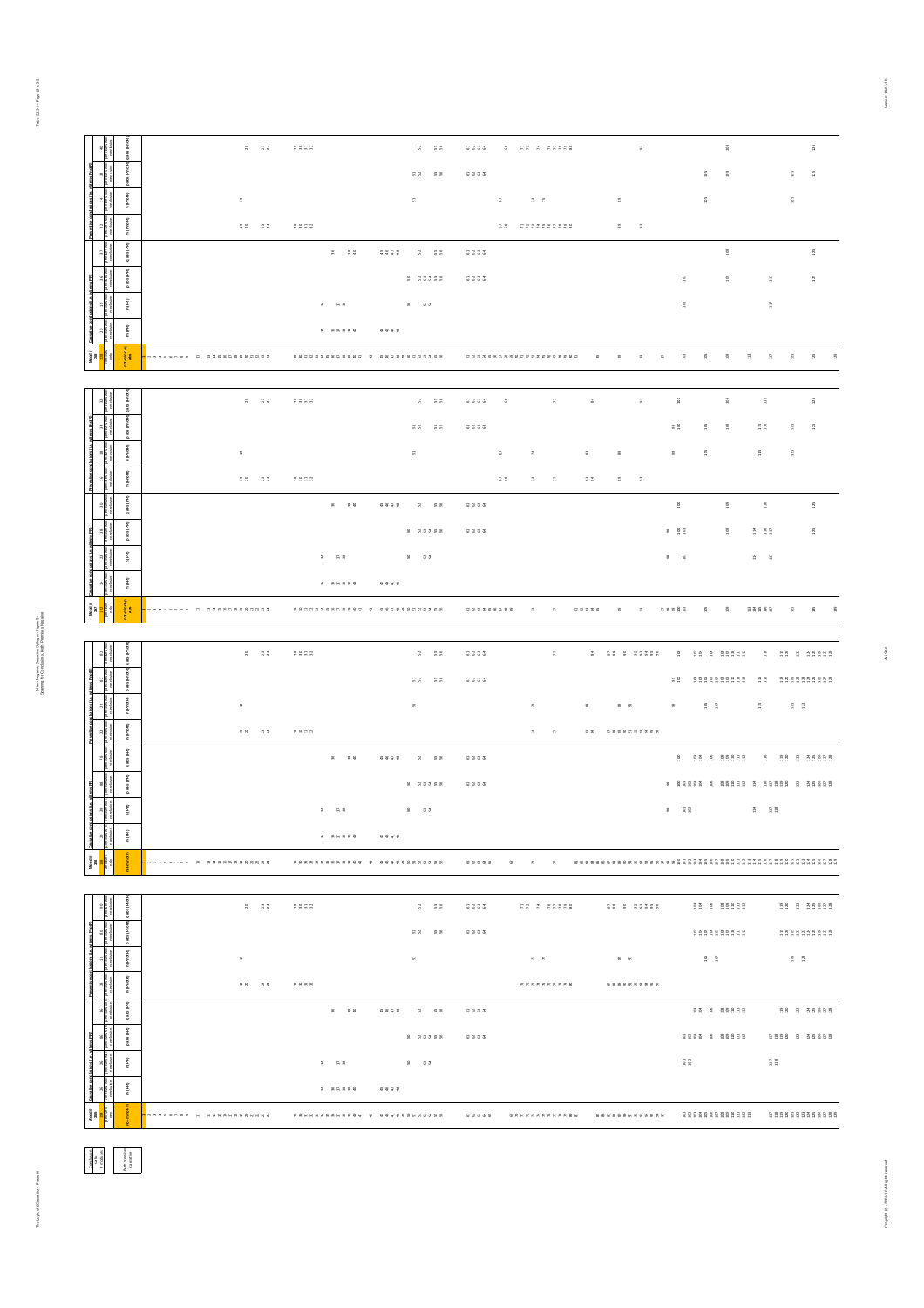|           |                  |                             |                                  |                               | $8 - 88$       |                                                     |                                              |                                                                                                              | $\begin{array}{ccc} \hbox{21} & \hbox{33} \\ \hbox{46} & \hbox{47} \\ \hbox{48} & \hbox{49} \\ \hbox{40} & \hbox{40} \\ \hbox{41} & \hbox{42} \\ \hbox{43} & \hbox{44} \\ \hbox{45} & \hbox{46} \\ \hbox{47} & \hbox{48} \\ \hbox{48} & \hbox{49} \\ \hbox{40} & \hbox{40} \\ \hbox{41} & \hbox{42} \\ \hbox{42} & \hbox{43} \\ \hbox{45} & \hbox{46} \\ \hbox{4$ | $\begin{smallmatrix} 0 & 0 & 0 & 0 \\ 0 & 0 & 0 & 0 \\ 0 & 0 & 0 & 0 \\ 0 & 0 & 0 & 0 \\ 0 & 0 & 0 & 0 \\ 0 & 0 & 0 & 0 \\ 0 & 0 & 0 & 0 \\ 0 & 0 & 0 & 0 \\ 0 & 0 & 0 & 0 \\ 0 & 0 & 0 & 0 \\ 0 & 0 & 0 & 0 & 0 \\ 0 & 0 & 0 & 0 & 0 \\ 0 & 0 & 0 & 0 & 0 \\ 0 & 0 & 0 & 0 & 0 \\ 0 & 0 & 0 & 0 & 0 & 0 \\ 0 & 0 & 0 & 0 & 0 & $ | $\frac{3}{2}$                                     |                         | $\begin{array}{cccccccccc} \mathcal{R} & \mathcal{R} & \mathcal{R} & \mathcal{R} & \mathcal{R} & \mathcal{R} & \mathcal{R} & \mathcal{R} & \mathcal{R} & \mathcal{R} & \mathcal{R} & \mathcal{R} & \mathcal{R} & \mathcal{R} & \mathcal{R} & \mathcal{R} & \mathcal{R} & \mathcal{R} & \mathcal{R} & \mathcal{R} & \mathcal{R} & \mathcal{R} & \mathcal{R} & \mathcal{R} & \mathcal{R} & \mathcal{R} & \mathcal{R} & \mathcal{R} & \mathcal{R} & \mathcal{R} & \$ |                                                                                     |                                                                  |                                                                                                                          | $\circledast$  |                                                                                                                         |                 | $\overline{\mathbf{S}}$                                                                                                                                                                                                                                                                                                                                                                      |                                                                                                                                                                                                                                                                                                                                                                                                                                      |                | ă                                  |
|-----------|------------------|-----------------------------|----------------------------------|-------------------------------|----------------|-----------------------------------------------------|----------------------------------------------|--------------------------------------------------------------------------------------------------------------|-------------------------------------------------------------------------------------------------------------------------------------------------------------------------------------------------------------------------------------------------------------------------------------------------------------------------------------------------------------------|-----------------------------------------------------------------------------------------------------------------------------------------------------------------------------------------------------------------------------------------------------------------------------------------------------------------------------------|---------------------------------------------------|-------------------------|-------------------------------------------------------------------------------------------------------------------------------------------------------------------------------------------------------------------------------------------------------------------------------------------------------------------------------------------------------------------------------------------------------------------------------------------------------------------|-------------------------------------------------------------------------------------|------------------------------------------------------------------|--------------------------------------------------------------------------------------------------------------------------|----------------|-------------------------------------------------------------------------------------------------------------------------|-----------------|----------------------------------------------------------------------------------------------------------------------------------------------------------------------------------------------------------------------------------------------------------------------------------------------------------------------------------------------------------------------------------------------|--------------------------------------------------------------------------------------------------------------------------------------------------------------------------------------------------------------------------------------------------------------------------------------------------------------------------------------------------------------------------------------------------------------------------------------|----------------|------------------------------------|
|           |                  |                             |                                  |                               |                |                                                     |                                              |                                                                                                              | $53 - 52$                                                                                                                                                                                                                                                                                                                                                         | 5333                                                                                                                                                                                                                                                                                                                              |                                                   |                         |                                                                                                                                                                                                                                                                                                                                                                                                                                                                   |                                                                                     |                                                                  |                                                                                                                          |                |                                                                                                                         | $\frac{16}{16}$ | $\tilde{\mathbf{S}}$                                                                                                                                                                                                                                                                                                                                                                         |                                                                                                                                                                                                                                                                                                                                                                                                                                      | $\Xi$          | $\overline{\mathbf{g}}$            |
|           |                  |                             |                                  |                               | $\mathfrak{D}$ |                                                     |                                              |                                                                                                              | $\vec{a}$                                                                                                                                                                                                                                                                                                                                                         |                                                                                                                                                                                                                                                                                                                                   | $\overline{\omega}$                               | $\mathbb{R}=\mathbb{R}$ |                                                                                                                                                                                                                                                                                                                                                                                                                                                                   |                                                                                     |                                                                  | $\frac{9}{80}$                                                                                                           |                |                                                                                                                         | $\mathbb{S}^n$  |                                                                                                                                                                                                                                                                                                                                                                                              |                                                                                                                                                                                                                                                                                                                                                                                                                                      | $\tilde{\Xi}$  |                                    |
|           |                  | ş                           |                                  |                               | $22$ $27$      | 2252                                                |                                              |                                                                                                              |                                                                                                                                                                                                                                                                                                                                                                   |                                                                                                                                                                                                                                                                                                                                   |                                                   | GS FRAARALRAS           |                                                                                                                                                                                                                                                                                                                                                                                                                                                                   |                                                                                     |                                                                  | $\frac{9}{80}$ $\frac{9}{80}$                                                                                            |                |                                                                                                                         |                 |                                                                                                                                                                                                                                                                                                                                                                                              |                                                                                                                                                                                                                                                                                                                                                                                                                                      |                |                                    |
|           |                  | ₹<br>E                      |                                  |                               |                |                                                     | 8 89                                         |                                                                                                              | $\alpha$<br>88                                                                                                                                                                                                                                                                                                                                                    | $\mathop{\mathbb{S}}$ 3 3 $\mathop{\mathbb{S}}$                                                                                                                                                                                                                                                                                   |                                                   |                         |                                                                                                                                                                                                                                                                                                                                                                                                                                                                   |                                                                                     |                                                                  |                                                                                                                          |                |                                                                                                                         |                 | $_{\rm 50}$                                                                                                                                                                                                                                                                                                                                                                                  |                                                                                                                                                                                                                                                                                                                                                                                                                                      |                | $_{\rm 23}$                        |
|           |                  | $\frac{3}{2}$<br>Ê          |                                  |                               |                |                                                     |                                              |                                                                                                              | 8 9 7 7 8 8                                                                                                                                                                                                                                                                                                                                                       | $\begin{array}{c} 2 \  \  2 \  \  2 \  \  2 \end{array}$                                                                                                                                                                                                                                                                          |                                                   |                         |                                                                                                                                                                                                                                                                                                                                                                                                                                                                   |                                                                                     |                                                                  |                                                                                                                          |                | $\overline{\Xi}$                                                                                                        |                 | $\tilde{a}$                                                                                                                                                                                                                                                                                                                                                                                  | $\Xi$                                                                                                                                                                                                                                                                                                                                                                                                                                |                | B.                                 |
|           |                  | 휲<br>nPR                    |                                  |                               |                |                                                     | $\overline{n}$ $\overline{n}$ $\overline{n}$ |                                                                                                              | $\begin{matrix} 0 \\ 0 \\ 0 \end{matrix} \qquad \begin{matrix} 0 \\ 0 \\ 0 \\ 0 \end{matrix} \qquad \begin{matrix} 0 \\ 0 \\ 0 \\ 0 \end{matrix}$                                                                                                                                                                                                                 |                                                                                                                                                                                                                                                                                                                                   |                                                   |                         |                                                                                                                                                                                                                                                                                                                                                                                                                                                                   |                                                                                     |                                                                  |                                                                                                                          |                | $\overline{\Xi}$                                                                                                        |                 |                                                                                                                                                                                                                                                                                                                                                                                              | $\Xi$                                                                                                                                                                                                                                                                                                                                                                                                                                |                |                                    |
|           |                  | $m(\theta R)$               |                                  |                               |                |                                                     | x shaas                                      |                                                                                                              |                                                                                                                                                                                                                                                                                                                                                                   |                                                                                                                                                                                                                                                                                                                                   |                                                   |                         |                                                                                                                                                                                                                                                                                                                                                                                                                                                                   |                                                                                     |                                                                  |                                                                                                                          |                |                                                                                                                         |                 |                                                                                                                                                                                                                                                                                                                                                                                              |                                                                                                                                                                                                                                                                                                                                                                                                                                      |                |                                    |
|           |                  |                             | ------- = ==============         |                               |                |                                                     |                                              |                                                                                                              |                                                                                                                                                                                                                                                                                                                                                                   |                                                                                                                                                                                                                                                                                                                                   |                                                   |                         |                                                                                                                                                                                                                                                                                                                                                                                                                                                                   |                                                                                     |                                                                  |                                                                                                                          |                |                                                                                                                         |                 |                                                                                                                                                                                                                                                                                                                                                                                              |                                                                                                                                                                                                                                                                                                                                                                                                                                      |                |                                    |
|           |                  |                             |                                  |                               |                |                                                     |                                              |                                                                                                              |                                                                                                                                                                                                                                                                                                                                                                   |                                                                                                                                                                                                                                                                                                                                   |                                                   |                         |                                                                                                                                                                                                                                                                                                                                                                                                                                                                   |                                                                                     |                                                                  |                                                                                                                          |                |                                                                                                                         |                 |                                                                                                                                                                                                                                                                                                                                                                                              |                                                                                                                                                                                                                                                                                                                                                                                                                                      |                |                                    |
|           |                  |                             |                                  |                               | $R$ $R$        | $\mathcal{R} \times \mathcal{R} \times \mathcal{R}$ |                                              |                                                                                                              | 25.58                                                                                                                                                                                                                                                                                                                                                             | $\begin{array}{c} 2 \  \  2 \  \  2 \  \  2 \end{array}$                                                                                                                                                                                                                                                                          | $\circ$                                           |                         | $\mathbb R$                                                                                                                                                                                                                                                                                                                                                                                                                                                       | $\overline{\mathbf{a}}$                                                             |                                                                  |                                                                                                                          | $\mathfrak{S}$ | $\tilde{\mathbf{s}}$                                                                                                    |                 | $\overline{\mathbf{S}}$                                                                                                                                                                                                                                                                                                                                                                      | $\tilde{z}$                                                                                                                                                                                                                                                                                                                                                                                                                          |                | $\Xi$                              |
|           |                  |                             |                                  |                               |                |                                                     |                                              |                                                                                                              | $22.2$ $22.2$                                                                                                                                                                                                                                                                                                                                                     | 3333                                                                                                                                                                                                                                                                                                                              |                                                   |                         |                                                                                                                                                                                                                                                                                                                                                                                                                                                                   |                                                                                     |                                                                  |                                                                                                                          |                | 3.8                                                                                                                     | $\frac{85}{16}$ | $\frac{8}{10}$                                                                                                                                                                                                                                                                                                                                                                               | H 18                                                                                                                                                                                                                                                                                                                                                                                                                                 | $\mathbb{S}^n$ | ×                                  |
|           |                  |                             |                                  |                               | $\frac{6}{24}$ |                                                     |                                              |                                                                                                              | $\frac{\pi i}{10}$                                                                                                                                                                                                                                                                                                                                                |                                                                                                                                                                                                                                                                                                                                   | G                                                 | $\mathbb R$             |                                                                                                                                                                                                                                                                                                                                                                                                                                                                   | $\stackrel{\scriptstyle o}{\scriptstyle \infty}$                                    |                                                                  | $\mathbb{S}^2$                                                                                                           |                | $\overline{66}$                                                                                                         | $\frac{8}{2}$   |                                                                                                                                                                                                                                                                                                                                                                                              | $\frac{15}{14}$                                                                                                                                                                                                                                                                                                                                                                                                                      | $\tilde{\Xi}$  |                                    |
|           |                  | ŝ                           |                                  |                               | $22 - 22$      | 2222                                                |                                              |                                                                                                              |                                                                                                                                                                                                                                                                                                                                                                   |                                                                                                                                                                                                                                                                                                                                   | $\begin{smallmatrix} 1\\ 0\\ 0 \end{smallmatrix}$ |                         | $z = z$                                                                                                                                                                                                                                                                                                                                                                                                                                                           | $\begin{smallmatrix} 0 & \mathbb{S} \\ \mathbb{S}^1 & \mathbb{S} \end{smallmatrix}$ |                                                                  | $\begin{matrix} 0 \\ 0 \\ 0 \\ 0 \\ 0 \end{matrix} \qquad \qquad \begin{matrix} 0 \\ 0 \\ 0 \\ 0 \\ 0 \\ 0 \end{matrix}$ |                |                                                                                                                         |                 |                                                                                                                                                                                                                                                                                                                                                                                              |                                                                                                                                                                                                                                                                                                                                                                                                                                      |                |                                    |
|           |                  | ို<br>a abs (PR)            |                                  |                               |                |                                                     | $8 - R$                                      | ****                                                                                                         | $28$ $28$                                                                                                                                                                                                                                                                                                                                                         | $\begin{smallmatrix} 0 & 0 & 0 & 0 \\ 0 & 0 & 0 & 0 \\ 0 & 0 & 0 & 0 \\ 0 & 0 & 0 & 0 \\ 0 & 0 & 0 & 0 \\ 0 & 0 & 0 & 0 \\ 0 & 0 & 0 & 0 \\ 0 & 0 & 0 & 0 \\ 0 & 0 & 0 & 0 \\ 0 & 0 & 0 & 0 \\ 0 & 0 & 0 & 0 & 0 \\ 0 & 0 & 0 & 0 & 0 \\ 0 & 0 & 0 & 0 & 0 \\ 0 & 0 & 0 & 0 & 0 \\ 0 & 0 & 0 & 0 & 0 & 0 \\ 0 & 0 & 0 & 0 & 0 & $ |                                                   |                         |                                                                                                                                                                                                                                                                                                                                                                                                                                                                   |                                                                                     |                                                                  |                                                                                                                          |                | $_{\rm S}$                                                                                                              |                 | $_{\rm 50}$                                                                                                                                                                                                                                                                                                                                                                                  | $\frac{6}{14}$                                                                                                                                                                                                                                                                                                                                                                                                                       |                | $\widetilde{\mathbf{u}}$           |
|           |                  | Ê<br>å                      |                                  |                               |                |                                                     |                                              |                                                                                                              | 8 88388                                                                                                                                                                                                                                                                                                                                                           | 3332                                                                                                                                                                                                                                                                                                                              |                                                   |                         |                                                                                                                                                                                                                                                                                                                                                                                                                                                                   |                                                                                     |                                                                  |                                                                                                                          |                | 8.85                                                                                                                    |                 | $\frac{8}{11}$                                                                                                                                                                                                                                                                                                                                                                               | 3.32                                                                                                                                                                                                                                                                                                                                                                                                                                 |                | B.                                 |
|           |                  | mpR                         |                                  |                               |                |                                                     | $\overline{n}=-\overline{n}$ $\overline{n}$  |                                                                                                              | $\begin{matrix} 0 \\ 0 \\ 0 \end{matrix} \qquad \begin{matrix} 0 \\ 0 \\ 0 \\ 0 \end{matrix} \qquad \begin{matrix} 0 \\ 0 \\ 0 \\ 0 \end{matrix}$                                                                                                                                                                                                                 |                                                                                                                                                                                                                                                                                                                                   |                                                   |                         |                                                                                                                                                                                                                                                                                                                                                                                                                                                                   |                                                                                     |                                                                  |                                                                                                                          |                | $30 - 5$                                                                                                                |                 |                                                                                                                                                                                                                                                                                                                                                                                              | 清一日                                                                                                                                                                                                                                                                                                                                                                                                                                  |                |                                    |
|           |                  | $\mathfrak{m}$ (PR)         |                                  |                               |                |                                                     | x shaas                                      | $\begin{array}{cccccccccc} \psi & \psi & \psi & \psi & \psi \\ \psi & \psi & \psi & \psi & \psi \end{array}$ |                                                                                                                                                                                                                                                                                                                                                                   |                                                                                                                                                                                                                                                                                                                                   |                                                   |                         |                                                                                                                                                                                                                                                                                                                                                                                                                                                                   |                                                                                     |                                                                  |                                                                                                                          |                |                                                                                                                         |                 |                                                                                                                                                                                                                                                                                                                                                                                              |                                                                                                                                                                                                                                                                                                                                                                                                                                      |                |                                    |
|           |                  |                             | - RERREELES D. 4 - 4 - 4 - 4 - 4 |                               |                |                                                     |                                              |                                                                                                              | nassassanange q eeqeensassa                                                                                                                                                                                                                                                                                                                                       |                                                                                                                                                                                                                                                                                                                                   |                                                   |                         |                                                                                                                                                                                                                                                                                                                                                                                                                                                                   |                                                                                     |                                                                  |                                                                                                                          |                |                                                                                                                         |                 |                                                                                                                                                                                                                                                                                                                                                                                              |                                                                                                                                                                                                                                                                                                                                                                                                                                      |                |                                    |
|           |                  |                             |                                  |                               |                |                                                     |                                              |                                                                                                              |                                                                                                                                                                                                                                                                                                                                                                   |                                                                                                                                                                                                                                                                                                                                   |                                                   |                         |                                                                                                                                                                                                                                                                                                                                                                                                                                                                   |                                                                                     |                                                                  |                                                                                                                          |                |                                                                                                                         |                 |                                                                                                                                                                                                                                                                                                                                                                                              |                                                                                                                                                                                                                                                                                                                                                                                                                                      |                |                                    |
|           |                  | ā                           |                                  |                               | $8 - 88$       | $R$ $R$ $R$ $R$                                     |                                              |                                                                                                              | $\boxtimes$ $\boxtimes$ $\boxtimes$                                                                                                                                                                                                                                                                                                                               | $\begin{smallmatrix} 0 & 0 & 0 & 0 \\ 0 & 0 & 0 & 0 \\ 0 & 0 & 0 & 0 \\ 0 & 0 & 0 & 0 \\ 0 & 0 & 0 & 0 \\ 0 & 0 & 0 & 0 \\ 0 & 0 & 0 & 0 \\ 0 & 0 & 0 & 0 \\ 0 & 0 & 0 & 0 \\ 0 & 0 & 0 & 0 \\ 0 & 0 & 0 & 0 & 0 \\ 0 & 0 & 0 & 0 & 0 \\ 0 & 0 & 0 & 0 & 0 \\ 0 & 0 & 0 & 0 & 0 \\ 0 & 0 & 0 & 0 & 0 & 0 \\ 0 & 0 & 0 & 0 & 0 & $ |                                                   |                         | $\mathbb{R}^-$                                                                                                                                                                                                                                                                                                                                                                                                                                                    |                                                                                     | $\begin{array}{lllll} \Xi \qquad & \Xi \  \  \, \Xi \end{array}$ |                                                                                                                          | $8$ $8888$     | $\overline{\mathbf{e}}$                                                                                                 |                 | 85 8 88888                                                                                                                                                                                                                                                                                                                                                                                   |                                                                                                                                                                                                                                                                                                                                                                                                                                      |                | 8 88 8 586 88                      |
|           |                  |                             |                                  |                               |                |                                                     |                                              |                                                                                                              | $\begin{array}{ccc} \pi & \pi & \quad & \pi \otimes \pi \\ \pi & \pi & \quad & \pi \otimes \pi \end{array}$                                                                                                                                                                                                                                                       | 3332                                                                                                                                                                                                                                                                                                                              |                                                   |                         |                                                                                                                                                                                                                                                                                                                                                                                                                                                                   |                                                                                     |                                                                  |                                                                                                                          |                | <b>SS</b>                                                                                                               |                 |                                                                                                                                                                                                                                                                                                                                                                                              |                                                                                                                                                                                                                                                                                                                                                                                                                                      |                | 8888888888 88 8888888888           |
|           |                  |                             |                                  | $\frac{\partial}{\partial t}$ |                |                                                     |                                              |                                                                                                              | $\vec{5}$                                                                                                                                                                                                                                                                                                                                                         |                                                                                                                                                                                                                                                                                                                                   |                                                   | $\mathbb R$             |                                                                                                                                                                                                                                                                                                                                                                                                                                                                   | $\mathfrak{D}$                                                                      |                                                                  | $\frac{9}{80}$ $\frac{7}{80}$                                                                                            |                | 99                                                                                                                      |                 |                                                                                                                                                                                                                                                                                                                                                                                              | $\begin{array}{ccccccccccccc} \mathbb{S} & \mathbb{S} & \mathbb{S} & \mathbb{S} & \mathbb{S} & \mathbb{S} & \mathbb{S} & \mathbb{S} & \mathbb{S} & \mathbb{S} & \mathbb{S} & \mathbb{S} & \mathbb{S} & \mathbb{S} & \mathbb{S} & \mathbb{S} & \mathbb{S} & \mathbb{S} & \mathbb{S} & \mathbb{S} & \mathbb{S} & \mathbb{S} & \mathbb{S} & \mathbb{S} & \mathbb{S} & \mathbb{S} & \mathbb{S} & \mathbb{S} & \mathbb{S} & \mathbb{S} &$ | - 5 8          |                                    |
|           |                  |                             |                                  |                               | $22$ $22$      | 2222                                                |                                              |                                                                                                              |                                                                                                                                                                                                                                                                                                                                                                   |                                                                                                                                                                                                                                                                                                                                   |                                                   |                         | $\mathbb{R}$ $\mathbb{R}$                                                                                                                                                                                                                                                                                                                                                                                                                                         |                                                                                     |                                                                  |                                                                                                                          |                |                                                                                                                         |                 |                                                                                                                                                                                                                                                                                                                                                                                              |                                                                                                                                                                                                                                                                                                                                                                                                                                      |                |                                    |
|           |                  | g<br>qabs                   |                                  |                               |                |                                                     | $x = R$                                      | $\psi \ \ \psi \ \ \psi \ \ \psi$                                                                            |                                                                                                                                                                                                                                                                                                                                                                   | 3332                                                                                                                                                                                                                                                                                                                              |                                                   |                         |                                                                                                                                                                                                                                                                                                                                                                                                                                                                   |                                                                                     |                                                                  |                                                                                                                          |                |                                                                                                                         |                 |                                                                                                                                                                                                                                                                                                                                                                                              |                                                                                                                                                                                                                                                                                                                                                                                                                                      |                |                                    |
|           |                  | $\widehat{\mathsf{g}}$<br>휲 |                                  |                               |                |                                                     |                                              |                                                                                                              | 8 9888                                                                                                                                                                                                                                                                                                                                                            | $\begin{array}{c} 2 \  \  2 \  \  2 \  \  2 \end{array}$                                                                                                                                                                                                                                                                          |                                                   |                         |                                                                                                                                                                                                                                                                                                                                                                                                                                                                   |                                                                                     |                                                                  |                                                                                                                          |                |                                                                                                                         |                 |                                                                                                                                                                                                                                                                                                                                                                                              |                                                                                                                                                                                                                                                                                                                                                                                                                                      |                | * 85886 \$ 88888 \$ 89888 \$ 58888 |
|           |                  | n (PR)                      |                                  |                               |                |                                                     | $\overline{n}$ $\overline{n}$ $\overline{n}$ |                                                                                                              | 9.77                                                                                                                                                                                                                                                                                                                                                              |                                                                                                                                                                                                                                                                                                                                   |                                                   |                         |                                                                                                                                                                                                                                                                                                                                                                                                                                                                   |                                                                                     |                                                                  |                                                                                                                          |                | <b>하는 이 전 점</b><br>- 전 전 전 기타 - 이 시 기타 - 이 시 기타 - 이 시 기타 - 이 시 기타 - 이 시 기타 - 이 시 기타 - 이 시 기타 - 이 시 기타 - 이 시 기타 - 이 시 기타 |                 |                                                                                                                                                                                                                                                                                                                                                                                              | $\frac{\pi}{2}$ = $\frac{\pi}{2}$                                                                                                                                                                                                                                                                                                                                                                                                    |                |                                    |
| Cassative |                  | $m(\theta R)$               |                                  |                               |                |                                                     | x xxxxx xxxx                                 |                                                                                                              |                                                                                                                                                                                                                                                                                                                                                                   |                                                                                                                                                                                                                                                                                                                                   |                                                   |                         |                                                                                                                                                                                                                                                                                                                                                                                                                                                                   |                                                                                     |                                                                  |                                                                                                                          |                |                                                                                                                         |                 |                                                                                                                                                                                                                                                                                                                                                                                              |                                                                                                                                                                                                                                                                                                                                                                                                                                      |                |                                    |
| a<br>36   |                  |                             | series de la presencia sesse s   |                               |                |                                                     |                                              |                                                                                                              |                                                                                                                                                                                                                                                                                                                                                                   |                                                                                                                                                                                                                                                                                                                                   |                                                   |                         |                                                                                                                                                                                                                                                                                                                                                                                                                                                                   |                                                                                     |                                                                  |                                                                                                                          |                |                                                                                                                         |                 |                                                                                                                                                                                                                                                                                                                                                                                              |                                                                                                                                                                                                                                                                                                                                                                                                                                      |                |                                    |
|           |                  |                             |                                  |                               |                |                                                     |                                              |                                                                                                              |                                                                                                                                                                                                                                                                                                                                                                   |                                                                                                                                                                                                                                                                                                                                   |                                                   |                         |                                                                                                                                                                                                                                                                                                                                                                                                                                                                   |                                                                                     |                                                                  |                                                                                                                          |                |                                                                                                                         |                 |                                                                                                                                                                                                                                                                                                                                                                                              |                                                                                                                                                                                                                                                                                                                                                                                                                                      |                |                                    |
|           |                  |                             |                                  |                               | 8 88 8858      |                                                     |                                              |                                                                                                              | $\boxtimes$ $\boxtimes$ $\boxtimes$                                                                                                                                                                                                                                                                                                                               |                                                                                                                                                                                                                                                                                                                                   |                                                   |                         |                                                                                                                                                                                                                                                                                                                                                                                                                                                                   | FR FREES DE STEERS                                                                  |                                                                  |                                                                                                                          |                |                                                                                                                         |                 |                                                                                                                                                                                                                                                                                                                                                                                              |                                                                                                                                                                                                                                                                                                                                                                                                                                      |                | 88 888888 88 88 88888              |
|           |                  | ă                           |                                  |                               |                |                                                     |                                              |                                                                                                              | ದೆ.ಡಿ ಬಿ.ಬಿ                                                                                                                                                                                                                                                                                                                                                       | 3332                                                                                                                                                                                                                                                                                                                              |                                                   |                         |                                                                                                                                                                                                                                                                                                                                                                                                                                                                   |                                                                                     |                                                                  |                                                                                                                          |                |                                                                                                                         |                 |                                                                                                                                                                                                                                                                                                                                                                                              |                                                                                                                                                                                                                                                                                                                                                                                                                                      |                | $25222221$ $2511$                  |
|           |                  |                             |                                  |                               | $\Omega$       |                                                     |                                              |                                                                                                              | $\frac{4\pi}{50}$                                                                                                                                                                                                                                                                                                                                                 |                                                                                                                                                                                                                                                                                                                                   |                                                   |                         | $\begin{array}{ccc} & \mathcal{B} & \mathcal{B} & \mathcal{B} & \mathcal{B} & \mathcal{B} & \mathcal{B} & \mathcal{B} & \mathcal{B} & \mathcal{B} & \mathcal{B} & \mathcal{B} & \mathcal{B} & \mathcal{B} & \mathcal{B} & \mathcal{B} & \mathcal{B} & \mathcal{B} & \mathcal{B} & \mathcal{B} & \mathcal{B} & \mathcal{B} & \mathcal{B} & \mathcal{B} & \mathcal{B} & \mathcal{B} & \mathcal{B} & \mathcal{B} & \mathcal{B} & \mathcal{B} & \mathcal{B} & \math$  |                                                                                     |                                                                  |                                                                                                                          |                |                                                                                                                         |                 |                                                                                                                                                                                                                                                                                                                                                                                              |                                                                                                                                                                                                                                                                                                                                                                                                                                      | $\frac{1}{2}$  |                                    |
|           |                  | ĩ                           |                                  |                               | $22 - 22$      | 7.277                                               |                                              |                                                                                                              |                                                                                                                                                                                                                                                                                                                                                                   |                                                                                                                                                                                                                                                                                                                                   |                                                   | <b>NARXKAKKE</b>        |                                                                                                                                                                                                                                                                                                                                                                                                                                                                   |                                                                                     | .                                                                |                                                                                                                          |                |                                                                                                                         |                 |                                                                                                                                                                                                                                                                                                                                                                                              |                                                                                                                                                                                                                                                                                                                                                                                                                                      |                |                                    |
|           | 86<br>mmses with | q abs (PR)                  |                                  |                               |                |                                                     |                                              |                                                                                                              |                                                                                                                                                                                                                                                                                                                                                                   |                                                                                                                                                                                                                                                                                                                                   |                                                   |                         |                                                                                                                                                                                                                                                                                                                                                                                                                                                                   |                                                                                     |                                                                  |                                                                                                                          |                |                                                                                                                         |                 |                                                                                                                                                                                                                                                                                                                                                                                              |                                                                                                                                                                                                                                                                                                                                                                                                                                      |                |                                    |
|           |                  | Ê<br>휲                      |                                  |                               |                |                                                     |                                              |                                                                                                              | 8 22338                                                                                                                                                                                                                                                                                                                                                           |                                                                                                                                                                                                                                                                                                                                   |                                                   |                         |                                                                                                                                                                                                                                                                                                                                                                                                                                                                   |                                                                                     |                                                                  |                                                                                                                          |                |                                                                                                                         |                 | 5995 8 88999                                                                                                                                                                                                                                                                                                                                                                                 |                                                                                                                                                                                                                                                                                                                                                                                                                                      |                | <b>BRAS S 58888</b>                |
|           |                  | $\mathfrak{so}_{w}$         |                                  |                               |                |                                                     | $\overline{a}$ $\overline{a}$ $\overline{a}$ |                                                                                                              | $8 - 8.3$                                                                                                                                                                                                                                                                                                                                                         |                                                                                                                                                                                                                                                                                                                                   |                                                   |                         |                                                                                                                                                                                                                                                                                                                                                                                                                                                                   |                                                                                     |                                                                  |                                                                                                                          |                |                                                                                                                         |                 | $\frac{1}{2} \frac{1}{2} \frac{1}{2} \frac{1}{2} \frac{1}{2} \frac{1}{2} \frac{1}{2} \frac{1}{2} \frac{1}{2} \frac{1}{2} \frac{1}{2} \frac{1}{2} \frac{1}{2} \frac{1}{2} \frac{1}{2} \frac{1}{2} \frac{1}{2} \frac{1}{2} \frac{1}{2} \frac{1}{2} \frac{1}{2} \frac{1}{2} \frac{1}{2} \frac{1}{2} \frac{1}{2} \frac{1}{2} \frac{1}{2} \frac{1}{2} \frac{1}{2} \frac{1}{2} \frac{1}{2} \frac{$ |                                                                                                                                                                                                                                                                                                                                                                                                                                      | $\Xi$ .        |                                    |
|           |                  | $\mathfrak{m}$ (PR)         |                                  |                               |                |                                                     | x xxxxx xxxx                                 |                                                                                                              |                                                                                                                                                                                                                                                                                                                                                                   |                                                                                                                                                                                                                                                                                                                                   |                                                   |                         |                                                                                                                                                                                                                                                                                                                                                                                                                                                                   |                                                                                     |                                                                  |                                                                                                                          |                |                                                                                                                         |                 |                                                                                                                                                                                                                                                                                                                                                                                              |                                                                                                                                                                                                                                                                                                                                                                                                                                      |                |                                    |
| ទីនិ      |                  |                             |                                  |                               |                |                                                     |                                              |                                                                                                              |                                                                                                                                                                                                                                                                                                                                                                   |                                                                                                                                                                                                                                                                                                                                   |                                                   |                         |                                                                                                                                                                                                                                                                                                                                                                                                                                                                   |                                                                                     |                                                                  |                                                                                                                          |                |                                                                                                                         |                 |                                                                                                                                                                                                                                                                                                                                                                                              |                                                                                                                                                                                                                                                                                                                                                                                                                                      |                |                                    |
|           |                  |                             |                                  |                               |                |                                                     |                                              |                                                                                                              |                                                                                                                                                                                                                                                                                                                                                                   |                                                                                                                                                                                                                                                                                                                                   |                                                   |                         |                                                                                                                                                                                                                                                                                                                                                                                                                                                                   |                                                                                     |                                                                  |                                                                                                                          |                |                                                                                                                         |                 |                                                                                                                                                                                                                                                                                                                                                                                              |                                                                                                                                                                                                                                                                                                                                                                                                                                      |                |                                    |
|           |                  |                             |                                  |                               |                |                                                     |                                              |                                                                                                              |                                                                                                                                                                                                                                                                                                                                                                   |                                                                                                                                                                                                                                                                                                                                   |                                                   |                         |                                                                                                                                                                                                                                                                                                                                                                                                                                                                   |                                                                                     |                                                                  |                                                                                                                          |                |                                                                                                                         |                 |                                                                                                                                                                                                                                                                                                                                                                                              |                                                                                                                                                                                                                                                                                                                                                                                                                                      |                |                                    |

Avi Sion

Version: 19-07-10

The Logic of COLumbon - Phase III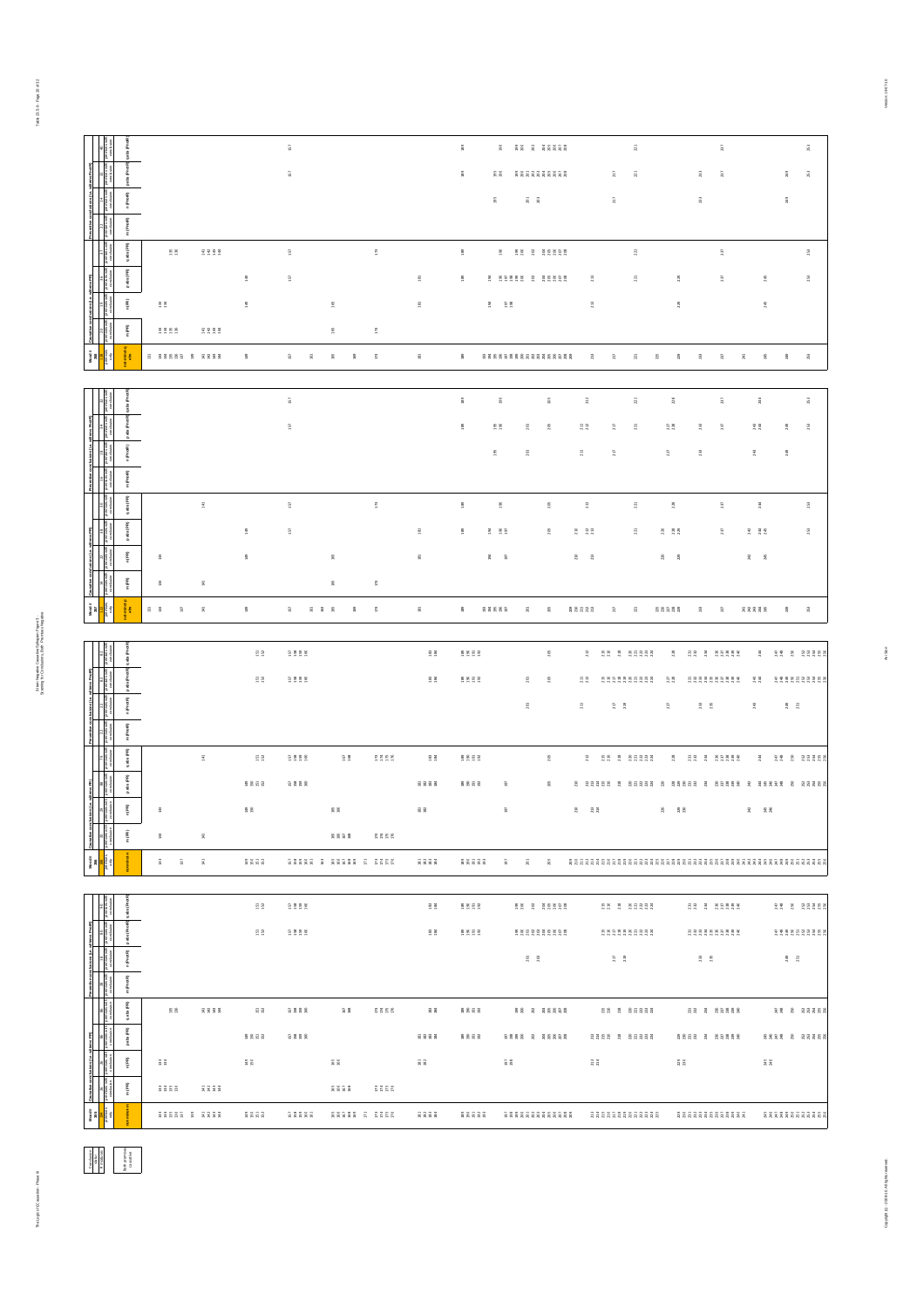|         |  |        |                   |                |               |                    | $\Xi$                    |                |                               |                                               | $\frac{88}{2}$  |      |                               |     | 8 88 8 38888                                                                                                                                                                                                                                                                                                                                                                                    |                |                         | $\bar{\rm z}$           |                 |                         | $_{\rm 27}$                                               |                      |                | $\overline{23}$                                                               |
|---------|--|--------|-------------------|----------------|---------------|--------------------|--------------------------|----------------|-------------------------------|-----------------------------------------------|-----------------|------|-------------------------------|-----|-------------------------------------------------------------------------------------------------------------------------------------------------------------------------------------------------------------------------------------------------------------------------------------------------------------------------------------------------------------------------------------------------|----------------|-------------------------|-------------------------|-----------------|-------------------------|-----------------------------------------------------------|----------------------|----------------|-------------------------------------------------------------------------------|
|         |  |        |                   |                |               |                    | $\overline{\Omega}$      |                |                               |                                               | $\frac{88}{14}$ |      |                               |     | as agggggggggg                                                                                                                                                                                                                                                                                                                                                                                  |                | <u>그 대표 대표 및 대표</u>     |                         |                 | $\overline{a}$          | $\frac{5}{2}$                                             |                      | $\frac{2}{3}$  | g                                                                             |
|         |  |        |                   |                |               |                    |                          |                |                               |                                               |                 |      |                               |     | $\begin{array}{ccccccccccccc} \mathbb{S}^1 & \mathbb{S}^1 & \mathbb{S}^1 & \mathbb{S}^1 & \mathbb{S}^1 & \mathbb{S}^1 & \mathbb{S}^1 & \mathbb{S}^1 & \mathbb{S}^1 & \mathbb{S}^1 & \mathbb{S}^1 & \mathbb{S}^1 & \mathbb{S}^1 & \mathbb{S}^1 & \mathbb{S}^1 & \mathbb{S}^1 & \mathbb{S}^1 & \mathbb{S}^1 & \mathbb{S}^1 & \mathbb{S}^1 & \mathbb{S}^1 & \mathbb{S}^1 & \mathbb{S}^1 & \mathbb$ |                |                         |                         |                 | $\overline{\mathbf{a}}$ |                                                           |                      | 33             |                                                                               |
|         |  |        |                   |                |               |                    |                          |                |                               |                                               |                 |      |                               |     |                                                                                                                                                                                                                                                                                                                                                                                                 |                |                         |                         |                 |                         |                                                           |                      |                |                                                                               |
|         |  | €      |                   | $\frac{5}{10}$ |               |                    | $\sim 10$                |                |                               |                                               | $\frac{9}{28}$  |      |                               |     | <b>6 68 6 58 68 68</b>                                                                                                                                                                                                                                                                                                                                                                          |                |                         |                         |                 |                         | $\overline{\mathrm{a}}$                                   |                      |                |                                                                               |
|         |  | ŝ<br>Ê |                   |                | 2223          |                    |                          |                | $\mathbb{R}^n$                |                                               |                 |      |                               |     |                                                                                                                                                                                                                                                                                                                                                                                                 |                |                         | $\overline{n}$          |                 |                         |                                                           |                      |                | ä3                                                                            |
|         |  |        |                   |                |               | $\frac{\infty}{2}$ | $\Xi$                    |                |                               | $\frac{22}{16}$                               | $^{\rm 38}$     |      |                               |     | a asaaa a aaaaa                                                                                                                                                                                                                                                                                                                                                                                 | $\overline{a}$ |                         | $_{\rm 221}$            | $\mathbb{R}^2$  |                         | $\overline{\boldsymbol{z}}$                               | $2.6\%$              |                | $\Xi$                                                                         |
|         |  |        | $\frac{22}{11}$   |                |               | $\frac{2}{3}$      |                          | 166            |                               |                                               |                 |      |                               |     |                                                                                                                                                                                                                                                                                                                                                                                                 | $\frac{1}{2}$  |                         |                         | $\overline{22}$ |                         |                                                           | $2\sqrt{6}$          |                |                                                                               |
|         |  | m (PR) | 3333              |                | 5333          |                    |                          | 165            | $\mathbb{R}$                  |                                               |                 |      |                               |     |                                                                                                                                                                                                                                                                                                                                                                                                 |                |                         |                         |                 |                         |                                                           |                      |                |                                                                               |
|         |  |        |                   |                |               | 5 55666 6 5333 8   |                          |                |                               |                                               |                 |      |                               |     |                                                                                                                                                                                                                                                                                                                                                                                                 |                |                         |                         |                 |                         |                                                           |                      |                |                                                                               |
|         |  |        |                   |                |               |                    |                          |                |                               |                                               |                 |      |                               |     |                                                                                                                                                                                                                                                                                                                                                                                                 |                |                         |                         |                 |                         |                                                           |                      |                |                                                                               |
|         |  |        |                   |                |               |                    | $\overline{\mathbb{S}}$  |                |                               |                                               | $\frac{89}{10}$ |      | $\frac{8}{1}$                 |     | $\frac{8}{3}$                                                                                                                                                                                                                                                                                                                                                                                   | $\mathbb{R}$   |                         | $\mathbb{R}^n$          | $_{\rm 2.33}$   |                         | $\overline{\boldsymbol{z}}$                               | $\frac{\pi}{\alpha}$ |                | 25                                                                            |
|         |  |        |                   |                |               |                    | $\overline{\phantom{a}}$ |                |                               |                                               | $\frac{88}{14}$ |      | 288                           | 흞   | g                                                                                                                                                                                                                                                                                                                                                                                               | $\Xi$ $\Xi$    | $\Xi$                   | $\bar{\rm z}$           | $\frac{27}{28}$ | $_{\rm 23}$             | $\overline{z}$                                            | 胃菜                   | $\tilde{z}$    |                                                                               |
|         |  |        |                   |                |               |                    |                          |                |                               |                                               |                 |      |                               | 201 |                                                                                                                                                                                                                                                                                                                                                                                                 | $\overline{z}$ | $\overline{\mathbb{R}}$ |                         | $227$           | $\overline{3}$          |                                                           |                      | $243$<br>$249$ |                                                                               |
|         |  |        |                   |                |               |                    |                          |                |                               |                                               |                 |      |                               |     |                                                                                                                                                                                                                                                                                                                                                                                                 |                |                         |                         |                 |                         |                                                           |                      |                |                                                                               |
|         |  |        |                   |                |               |                    |                          |                |                               |                                               |                 |      |                               |     |                                                                                                                                                                                                                                                                                                                                                                                                 |                |                         |                         |                 |                         |                                                           |                      |                |                                                                               |
|         |  |        |                   |                | $\frac{1}{2}$ |                    | 57                       |                | $\mathbb{R}^n$                |                                               | $\frac{9}{28}$  |      | 96                            |     | $\frac{35}{20}$                                                                                                                                                                                                                                                                                                                                                                                 | $\overline{a}$ |                         | $\overline{\mathbf{a}}$ | $\mathbb{R}^3$  |                         | $\overline{n}$                                            | $\overline{a}$       |                | $\overline{2}$                                                                |
|         |  |        |                   |                |               | $\frac{20}{24}$    | $\frac{57}{24}$          |                |                               | $\frac{42}{16}$                               | $\frac{88}{14}$ |      | $\frac{3}{21}$ $\frac{9}{21}$ |     | $20\%$                                                                                                                                                                                                                                                                                                                                                                                          | 8 88           |                         | $\mathbf{z}$            | 28 22           |                         | $\overline{z}$                                            | 2.38                 |                | $2\,\mathrm{S}$                                                               |
|         |  |        | $\mathfrak{B}$    |                |               | $\frac{20}{24}$    |                          | $\frac{8}{16}$ |                               |                                               |                 |      |                               |     |                                                                                                                                                                                                                                                                                                                                                                                                 |                |                         |                         |                 |                         |                                                           |                      |                |                                                                               |
|         |  | Ç      | $\widetilde{\Xi}$ |                | $\frac{1}{2}$ |                    |                          | 165            | $\mathbb{R}^n$                |                                               |                 |      |                               |     |                                                                                                                                                                                                                                                                                                                                                                                                 |                |                         |                         |                 |                         |                                                           |                      |                |                                                                               |
|         |  |        |                   |                |               |                    |                          |                |                               |                                               |                 |      |                               |     |                                                                                                                                                                                                                                                                                                                                                                                                 |                |                         |                         |                 |                         |                                                           |                      |                |                                                                               |
|         |  |        |                   |                |               | - 頭 頭<br>នីឌី      | 5388<br>5388             |                |                               | <b>雲 墨</b><br>음 좀                             | 8858            | 8858 |                               |     | 205<br>$201$ $205$                                                                                                                                                                                                                                                                                                                                                                              |                |                         |                         |                 |                         |                                                           |                      |                | a na ananan a ma ananan a na anana<br>aa aahaaanaa ha aanaaaaaa xa xxxaanaaaa |
|         |  |        |                   |                | $\sim 30$     | ី និង<br>ខេ        | ធិនីនិនី                 | 36.33          | 6566                          | $\begin{array}{c} 22.78 \\ 23.28 \end{array}$ | និនីនី          |      |                               |     |                                                                                                                                                                                                                                                                                                                                                                                                 |                |                         |                         |                 |                         |                                                           |                      |                |                                                                               |
|         |  |        |                   |                |               | 3858               | 5388                     |                |                               | 長岡岡長                                          | 8858            |      | $\frac{57}{24}$               |     | 205                                                                                                                                                                                                                                                                                                                                                                                             |                |                         |                         |                 |                         |                                                           |                      |                | a anana a anana a aassa a sasas a saasa a nnana                               |
|         |  |        | $\Xi$             |                |               | 28                 |                          | SS 38          |                               | $\frac{42}{12}$                               |                 |      | $\frac{58}{14}$               |     |                                                                                                                                                                                                                                                                                                                                                                                                 |                |                         |                         |                 |                         |                                                           |                      |                |                                                                               |
|         |  |        |                   |                |               |                    |                          |                |                               |                                               |                 |      |                               |     |                                                                                                                                                                                                                                                                                                                                                                                                 |                |                         |                         |                 |                         |                                                           |                      |                |                                                                               |
|         |  |        | $\widetilde{\Xi}$ |                | $\tilde{z}$   |                    |                          |                | 8888 REER                     |                                               |                 |      |                               |     |                                                                                                                                                                                                                                                                                                                                                                                                 |                |                         |                         |                 |                         |                                                           |                      |                |                                                                               |
| 홀 8     |  |        |                   |                |               |                    |                          |                |                               |                                               |                 |      |                               |     |                                                                                                                                                                                                                                                                                                                                                                                                 |                |                         |                         |                 |                         |                                                           |                      |                |                                                                               |
|         |  |        |                   |                |               | 또 왜                | 53388                    |                |                               | 종종 종종종종                                       |                 |      |                               |     |                                                                                                                                                                                                                                                                                                                                                                                                 |                |                         |                         |                 |                         |                                                           |                      |                | 휴용 휴 중의 유용 유용 사용 중 중요 중요 중요 중요 중요 중요 중요 중요 중요 중요 중요                           |
|         |  |        |                   |                |               | នី នី              | 5388                     |                |                               | $\frac{23}{21}$                               |                 |      |                               |     |                                                                                                                                                                                                                                                                                                                                                                                                 |                |                         |                         |                 |                         |                                                           |                      |                | 회의원의 회의원의 이 의원 이 사고 이 사고 이 시간 이 사고 이 사고 있다.                                   |
|         |  |        |                   |                |               |                    |                          |                |                               |                                               |                 |      |                               |     |                                                                                                                                                                                                                                                                                                                                                                                                 |                |                         |                         |                 |                         |                                                           |                      |                |                                                                               |
|         |  |        |                   |                |               |                    |                          |                |                               |                                               |                 |      |                               |     |                                                                                                                                                                                                                                                                                                                                                                                                 |                |                         |                         |                 |                         |                                                           |                      |                |                                                                               |
|         |  |        |                   |                |               |                    |                          |                |                               |                                               |                 |      |                               |     |                                                                                                                                                                                                                                                                                                                                                                                                 |                |                         |                         |                 |                         |                                                           |                      |                |                                                                               |
|         |  |        |                   |                |               | 88 5333 68         |                          |                |                               |                                               |                 |      |                               |     |                                                                                                                                                                                                                                                                                                                                                                                                 |                |                         |                         |                 |                         |                                                           |                      |                |                                                                               |
| ms PR)  |  |        |                   |                |               | 3858               | 5388                     |                |                               | 開發器器                                          |                 |      |                               |     |                                                                                                                                                                                                                                                                                                                                                                                                 |                |                         |                         |                 |                         |                                                           |                      |                |                                                                               |
|         |  |        | 용품                |                |               | 79.9               |                          |                | $\frac{16}{24} \frac{16}{24}$ | 품 BI                                          |                 |      |                               |     |                                                                                                                                                                                                                                                                                                                                                                                                 |                |                         |                         |                 |                         | $\mathfrak{A} \; \mathfrak{A} \qquad \qquad \blacksquare$ |                      | <b>图 第</b>     |                                                                               |
|         |  |        | 8388              |                |               |                    |                          |                | <b>BBBB</b> BEBB              |                                               |                 |      |                               |     |                                                                                                                                                                                                                                                                                                                                                                                                 |                |                         |                         |                 |                         |                                                           |                      |                |                                                                               |
| a<br>Ba |  |        |                   |                |               |                    |                          |                |                               |                                               |                 |      |                               |     |                                                                                                                                                                                                                                                                                                                                                                                                 |                |                         |                         |                 |                         |                                                           |                      |                |                                                                               |
|         |  |        |                   |                |               |                    |                          |                |                               |                                               |                 |      |                               |     |                                                                                                                                                                                                                                                                                                                                                                                                 |                |                         |                         |                 |                         |                                                           |                      |                |                                                                               |

Avi Sion

Version: 19-07-10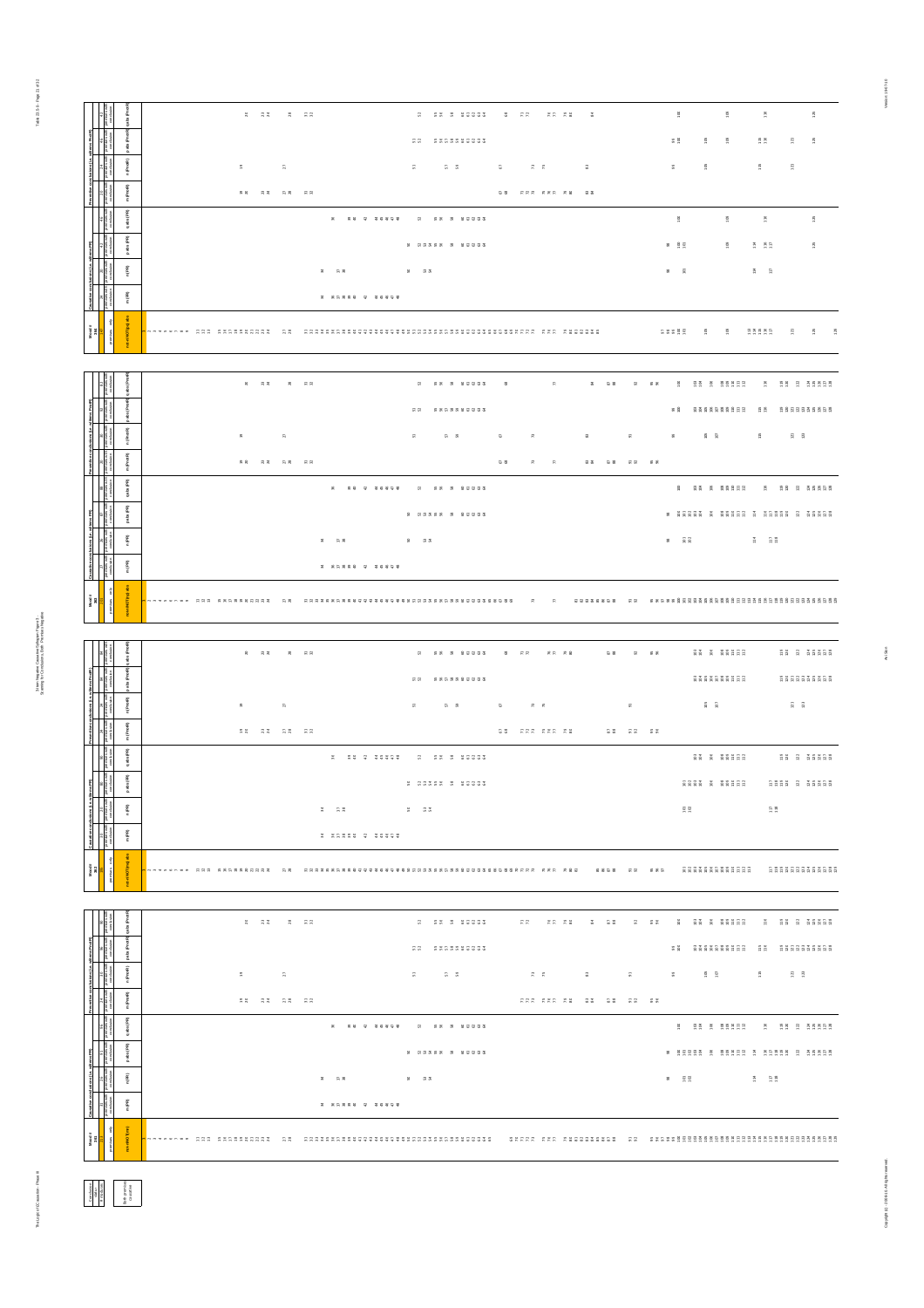

 $rac{5}{4}$ 

Table 23.5-9 - Page 21 of 32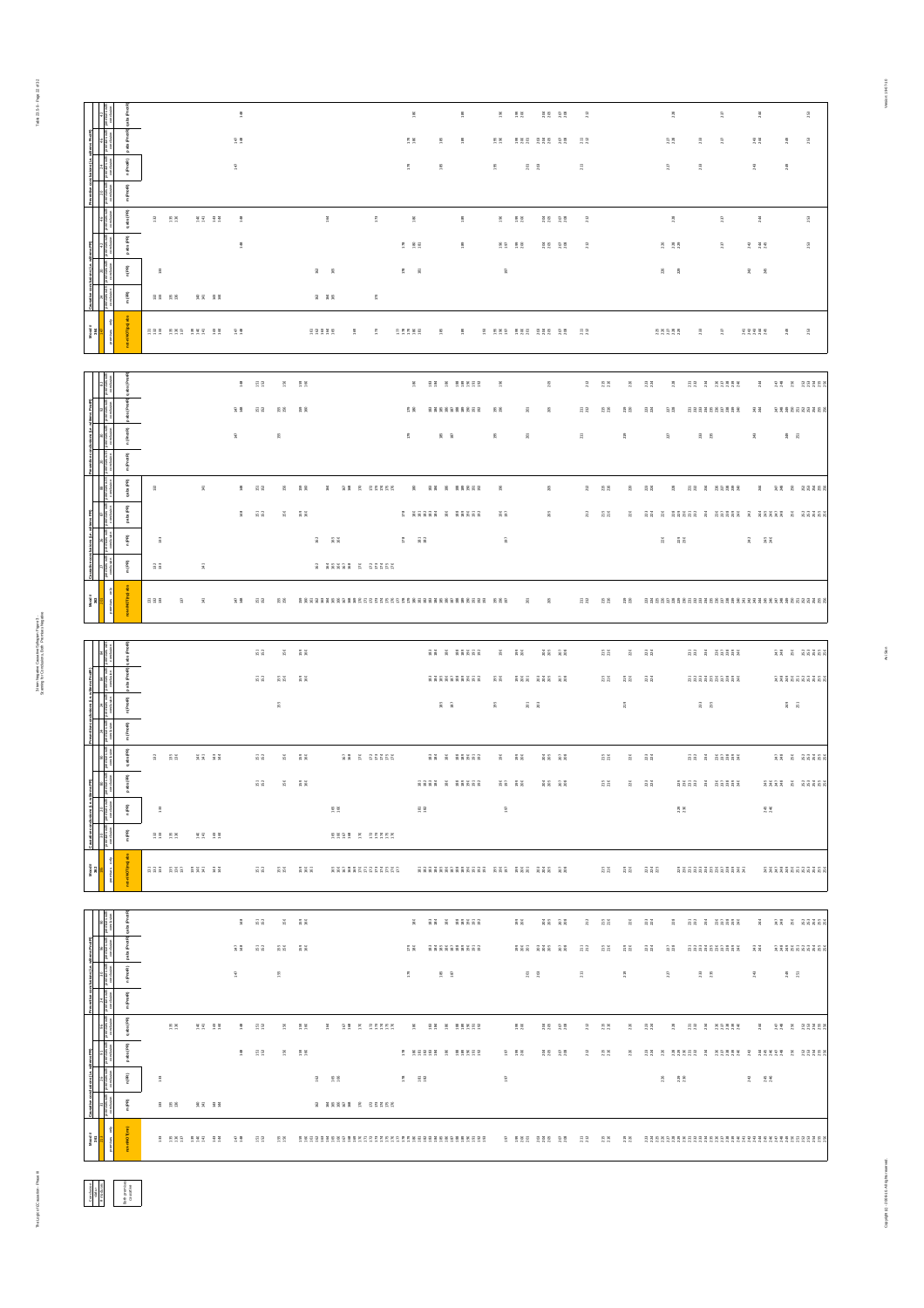|                                         |  |                            |                | $\frac{32}{14}$ |      |                                                                                                                                                      |                                                               |                  | $\frac{3}{2}$  | $180 - 120$                                                                                                                                                                                                                   |               |  |  |  | $\frac{28}{2}$ |                | $\overline{z}$                                                                                                                                                                                                                                                                                                                                                                                                                               | 差し                            |      | - 53                                                                                                           |
|-----------------------------------------|--|----------------------------|----------------|-----------------|------|------------------------------------------------------------------------------------------------------------------------------------------------------|---------------------------------------------------------------|------------------|----------------|-------------------------------------------------------------------------------------------------------------------------------------------------------------------------------------------------------------------------------|---------------|--|--|--|----------------|----------------|----------------------------------------------------------------------------------------------------------------------------------------------------------------------------------------------------------------------------------------------------------------------------------------------------------------------------------------------------------------------------------------------------------------------------------------------|-------------------------------|------|----------------------------------------------------------------------------------------------------------------|
|                                         |  |                            |                | 2.38            |      |                                                                                                                                                      |                                                               |                  | 5.80           |                                                                                                                                                                                                                               |               |  |  |  | 227            |                | $\frac{3}{2}$                                                                                                                                                                                                                                                                                                                                                                                                                                | E 3                           |      | 249<br>253                                                                                                     |
|                                         |  |                            |                | $\frac{1}{2}$   |      |                                                                                                                                                      |                                                               |                  | $\mathbb{R}^3$ |                                                                                                                                                                                                                               |               |  |  |  |                |                | $\begin{array}{ccccccccccccc} \mathbf{R} & & & & & & & & \mathbf{R} & & & & \mathbf{R} & & & & \mathbf{R} & & & \mathbf{R} & & & \mathbf{R} & & & \mathbf{R} & & & \mathbf{R} & & & \mathbf{R} & & & \mathbf{R} & & & \mathbf{R} & & & \mathbf{R} & & & \mathbf{R} & & & \mathbf{R} & & & \mathbf{R} & & & \mathbf{R} & & & \mathbf{R} & & & \mathbf{R} & & & \mathbf{R} & & & \mathbf{R} & & & \mathbf{R} & & & \mathbf{R} & & & \mathbf{R$ |                               |      |                                                                                                                |
|                                         |  |                            |                |                 |      |                                                                                                                                                      |                                                               |                  |                |                                                                                                                                                                                                                               |               |  |  |  |                |                |                                                                                                                                                                                                                                                                                                                                                                                                                                              |                               |      |                                                                                                                |
|                                         |  |                            | 日 田道 三宝屋 豆園 三宝 |                 |      |                                                                                                                                                      |                                                               |                  |                | .<br>그럼 그리고 있는 그리고 있는 그리고 있는 그리고 있는 것은 없는 것은 없는 것은 없는 것은 없는 것은 없는 것은 없는 것은 없는 것은 있는 것은 있는 것은 있는 것은 있는 것은 있는 것은 있는 것                                                                                                           |               |  |  |  |                | $\overline{a}$ |                                                                                                                                                                                                                                                                                                                                                                                                                                              | $\overline{a}$ $\overline{a}$ |      | - 53                                                                                                           |
|                                         |  |                            |                | $\frac{1}{2}$   |      |                                                                                                                                                      |                                                               |                  |                |                                                                                                                                                                                                                               |               |  |  |  |                |                |                                                                                                                                                                                                                                                                                                                                                                                                                                              |                               |      |                                                                                                                |
|                                         |  | $\frac{3}{2}$              |                |                 |      |                                                                                                                                                      | $162$ $165$                                                   |                  |                |                                                                                                                                                                                                                               |               |  |  |  |                |                | $\begin{array}{ccc}\n\ddot{x} & \dot{x} & \dot{x} \\ \dot{x} & \dot{x} & \dot{x} \\ \dot{x} & \dot{x} & \dot{x}\n\end{array}$                                                                                                                                                                                                                                                                                                                |                               |      |                                                                                                                |
|                                         |  |                            | 88 88 88 88    |                 |      |                                                                                                                                                      |                                                               |                  |                |                                                                                                                                                                                                                               |               |  |  |  |                |                |                                                                                                                                                                                                                                                                                                                                                                                                                                              |                               |      |                                                                                                                |
|                                         |  |                            |                |                 |      |                                                                                                                                                      |                                                               |                  |                |                                                                                                                                                                                                                               |               |  |  |  |                |                |                                                                                                                                                                                                                                                                                                                                                                                                                                              |                               |      |                                                                                                                |
| $\frac{3}{2}$ $\frac{3}{2}$             |  |                            |                |                 |      |                                                                                                                                                      |                                                               |                  |                |                                                                                                                                                                                                                               |               |  |  |  |                |                |                                                                                                                                                                                                                                                                                                                                                                                                                                              |                               |      |                                                                                                                |
|                                         |  |                            |                |                 |      |                                                                                                                                                      |                                                               |                  |                |                                                                                                                                                                                                                               |               |  |  |  |                |                |                                                                                                                                                                                                                                                                                                                                                                                                                                              |                               |      |                                                                                                                |
|                                         |  |                            |                |                 |      | 몇 점점 1층 음을                                                                                                                                           |                                                               |                  |                |                                                                                                                                                                                                                               |               |  |  |  |                |                |                                                                                                                                                                                                                                                                                                                                                                                                                                              |                               |      |                                                                                                                |
|                                         |  |                            |                |                 |      |                                                                                                                                                      | 모품 표현 변화 함호                                                   |                  |                |                                                                                                                                                                                                                               |               |  |  |  |                |                |                                                                                                                                                                                                                                                                                                                                                                                                                                              |                               |      |                                                                                                                |
|                                         |  |                            |                |                 |      |                                                                                                                                                      |                                                               |                  |                | - 第1989年 - 第1989年 - 第1989年 - 第1989年 - 第1989年 - 第1989年 - 第1989年 - 第1989年 - 第1989年 - 第1989年 - 第1989年 - 第1989年 - 第1989年                                                                                                          |               |  |  |  |                |                |                                                                                                                                                                                                                                                                                                                                                                                                                                              |                               |      |                                                                                                                |
|                                         |  |                            |                |                 |      |                                                                                                                                                      |                                                               |                  |                |                                                                                                                                                                                                                               |               |  |  |  |                |                |                                                                                                                                                                                                                                                                                                                                                                                                                                              |                               |      |                                                                                                                |
|                                         |  |                            |                |                 |      |                                                                                                                                                      |                                                               |                  |                |                                                                                                                                                                                                                               |               |  |  |  |                |                |                                                                                                                                                                                                                                                                                                                                                                                                                                              |                               |      |                                                                                                                |
|                                         |  |                            |                |                 |      |                                                                                                                                                      |                                                               |                  |                |                                                                                                                                                                                                                               |               |  |  |  |                |                |                                                                                                                                                                                                                                                                                                                                                                                                                                              |                               |      |                                                                                                                |
|                                         |  | $\frac{8}{2}$              |                |                 |      |                                                                                                                                                      |                                                               |                  |                | . 이 보기 등을 하는 것이 없는 것이 없는 것이 없는 것이 없다. 이 없이 없는 것이 없는 것이 없다. 이 없이 없는 것이 없는 것이 없는 것이 없다.                                                                                                                                         |               |  |  |  |                |                |                                                                                                                                                                                                                                                                                                                                                                                                                                              |                               |      |                                                                                                                |
|                                         |  | $\Xi$ $\Xi$                | $\mathbb{R}$   |                 |      |                                                                                                                                                      |                                                               | g ggggg e eesses |                |                                                                                                                                                                                                                               |               |  |  |  |                |                |                                                                                                                                                                                                                                                                                                                                                                                                                                              |                               |      |                                                                                                                |
| 38                                      |  |                            |                |                 |      |                                                                                                                                                      |                                                               |                  |                |                                                                                                                                                                                                                               |               |  |  |  |                |                |                                                                                                                                                                                                                                                                                                                                                                                                                                              |                               |      |                                                                                                                |
|                                         |  |                            |                |                 |      |                                                                                                                                                      |                                                               |                  |                |                                                                                                                                                                                                                               |               |  |  |  |                |                |                                                                                                                                                                                                                                                                                                                                                                                                                                              |                               |      |                                                                                                                |
|                                         |  |                            |                |                 |      | $\begin{matrix} 1 & 1 & 1 \\ 1 & 1 & 1 \\ 1 & 1 & 1 \end{matrix} \quad \begin{matrix} 0 & 0 & 0 \\ 0 & 0 & 0 \\ 0 & 0 & 0 \\ 0 & 0 & 0 \end{matrix}$ |                                                               |                  |                |                                                                                                                                                                                                                               |               |  |  |  |                |                |                                                                                                                                                                                                                                                                                                                                                                                                                                              |                               |      |                                                                                                                |
|                                         |  |                            |                |                 |      | <b>여행 1918 1919</b>                                                                                                                                  |                                                               |                  |                |                                                                                                                                                                                                                               |               |  |  |  |                |                |                                                                                                                                                                                                                                                                                                                                                                                                                                              |                               |      | - 중동원원동원원동전 전반 회원의 직접의 의원 의원 지역 그리고 그리고 그리고 그리고 있다. 그리고 그리고 있다.                                                |
|                                         |  |                            |                |                 | 18.7 |                                                                                                                                                      |                                                               |                  |                |                                                                                                                                                                                                                               |               |  |  |  |                |                |                                                                                                                                                                                                                                                                                                                                                                                                                                              |                               |      |                                                                                                                |
|                                         |  |                            |                |                 |      |                                                                                                                                                      |                                                               |                  |                |                                                                                                                                                                                                                               |               |  |  |  |                |                |                                                                                                                                                                                                                                                                                                                                                                                                                                              |                               |      |                                                                                                                |
|                                         |  |                            |                |                 |      |                                                                                                                                                      |                                                               |                  |                |                                                                                                                                                                                                                               |               |  |  |  |                |                |                                                                                                                                                                                                                                                                                                                                                                                                                                              |                               |      |                                                                                                                |
|                                         |  |                            |                |                 |      | $\begin{matrix} 1 & 1 & 1 \\ 1 & 1 & 1 \\ 1 & 1 & 1 \end{matrix} \quad \begin{matrix} 0 & 0 & 0 \\ 0 & 0 & 0 \\ 0 & 0 & 0 \\ 0 & 0 & 0 \end{matrix}$ |                                                               |                  |                |                                                                                                                                                                                                                               |               |  |  |  |                |                |                                                                                                                                                                                                                                                                                                                                                                                                                                              |                               |      | na a na aanaa aanaa xxxxa aanaan                                                                               |
|                                         |  |                            |                |                 |      |                                                                                                                                                      |                                                               |                  |                |                                                                                                                                                                                                                               |               |  |  |  |                |                |                                                                                                                                                                                                                                                                                                                                                                                                                                              |                               |      |                                                                                                                |
|                                         |  | $\frac{3}{2}$              |                |                 |      |                                                                                                                                                      | 166                                                           |                  | 38.5           |                                                                                                                                                                                                                               | $\frac{3}{2}$ |  |  |  |                | 23.3           |                                                                                                                                                                                                                                                                                                                                                                                                                                              |                               | 2.16 |                                                                                                                |
|                                         |  |                            | 88 88 88 88    |                 |      |                                                                                                                                                      |                                                               | 9898 6 66666     |                |                                                                                                                                                                                                                               |               |  |  |  |                |                |                                                                                                                                                                                                                                                                                                                                                                                                                                              |                               |      |                                                                                                                |
| Mood #                                  |  |                            |                |                 |      |                                                                                                                                                      |                                                               |                  |                |                                                                                                                                                                                                                               |               |  |  |  |                |                |                                                                                                                                                                                                                                                                                                                                                                                                                                              |                               |      | aan aan ass sa da ass sanaaccacacach waanaananaan aan agg gga gga gga gga ggan agaman an agaman sanagagagagaga |
|                                         |  |                            |                |                 |      |                                                                                                                                                      |                                                               |                  |                |                                                                                                                                                                                                                               |               |  |  |  |                |                |                                                                                                                                                                                                                                                                                                                                                                                                                                              |                               |      |                                                                                                                |
|                                         |  |                            |                |                 |      | $\begin{array}{cccccccccc} \Xi & & \Xi & \Xi & & \Xi & & \Xi & \Xi & \Xi \Xi \end{array}$                                                            |                                                               |                  |                |                                                                                                                                                                                                                               |               |  |  |  |                |                |                                                                                                                                                                                                                                                                                                                                                                                                                                              |                               |      |                                                                                                                |
|                                         |  |                            |                |                 |      | 53 55 56 58                                                                                                                                          |                                                               |                  |                |                                                                                                                                                                                                                               |               |  |  |  |                |                |                                                                                                                                                                                                                                                                                                                                                                                                                                              |                               |      | 당용 행복행복행복행복학장 - 행정의 범보형 변화 지방 방법 법정 법정 법정 발전법 방법 발전 발표 선발 발전 발표                                                |
|                                         |  |                            |                |                 |      |                                                                                                                                                      |                                                               |                  |                |                                                                                                                                                                                                                               |               |  |  |  |                |                |                                                                                                                                                                                                                                                                                                                                                                                                                                              |                               |      |                                                                                                                |
|                                         |  |                            |                |                 |      |                                                                                                                                                      |                                                               |                  |                |                                                                                                                                                                                                                               |               |  |  |  |                |                |                                                                                                                                                                                                                                                                                                                                                                                                                                              |                               |      |                                                                                                                |
|                                         |  |                            |                |                 |      |                                                                                                                                                      |                                                               |                  |                |                                                                                                                                                                                                                               |               |  |  |  |                |                |                                                                                                                                                                                                                                                                                                                                                                                                                                              |                               |      | i ma seree si ma si as e waa aaaaan si aan aan aan aan aan ay ay ay ay ay ay aan ah ahaan ay ay ay aanaan ay a |
|                                         |  |                            |                |                 |      |                                                                                                                                                      |                                                               |                  |                |                                                                                                                                                                                                                               |               |  |  |  |                |                |                                                                                                                                                                                                                                                                                                                                                                                                                                              |                               |      |                                                                                                                |
|                                         |  | $\widetilde{\mathfrak{m}}$ |                |                 |      |                                                                                                                                                      | $\begin{array}{ccc} 23 & 23 & 22 \\ 23 & 23 & 24 \end{array}$ |                  |                | - 第1988年 - 第1988年 - 第1988年 - 第1988年 - 第1988年 - 第1988年 - 第1988年 - 第1988年 - 第1988年 - 第1988年 - 第1988年 - 第1988年 - 第1988年 - 第1988年 - 第1988年 - 第1988年 - 第1988年 - 第1988年 - 第1988年 - 第1988年 - 第1988年 - 第1988年 - 第1988年 - 第1988年 - 第19 |               |  |  |  |                |                |                                                                                                                                                                                                                                                                                                                                                                                                                                              |                               |      |                                                                                                                |
| Causative conclusions (i.e. w/terms PR) |  |                            |                |                 |      |                                                                                                                                                      |                                                               | M MARAGA R REERR |                |                                                                                                                                                                                                                               |               |  |  |  |                |                |                                                                                                                                                                                                                                                                                                                                                                                                                                              |                               |      |                                                                                                                |
|                                         |  |                            |                |                 |      |                                                                                                                                                      |                                                               |                  |                |                                                                                                                                                                                                                               |               |  |  |  |                |                |                                                                                                                                                                                                                                                                                                                                                                                                                                              |                               |      |                                                                                                                |
| $\frac{3}{2}$                           |  |                            |                |                 |      |                                                                                                                                                      |                                                               |                  |                |                                                                                                                                                                                                                               |               |  |  |  |                |                |                                                                                                                                                                                                                                                                                                                                                                                                                                              |                               |      |                                                                                                                |
|                                         |  |                            |                |                 |      |                                                                                                                                                      |                                                               |                  |                |                                                                                                                                                                                                                               |               |  |  |  |                |                |                                                                                                                                                                                                                                                                                                                                                                                                                                              |                               |      |                                                                                                                |

The Logic of ECausation - Phase III

Conclusion<br># moduses<br># moduses<br>causative Both premises

Copyright (c) - 2008-10. All rights reserved.

CORDENTIFICTION (C) - 2008-2009-10. All rights reserved. And reserve the served. All rights reserved. A conserved. A conserved. A conserved. A conserved. A conserved. A conserved. A conserved. A conserved. A conserved for

 $\lambda$ vi Sion

Vasion: 19-07-10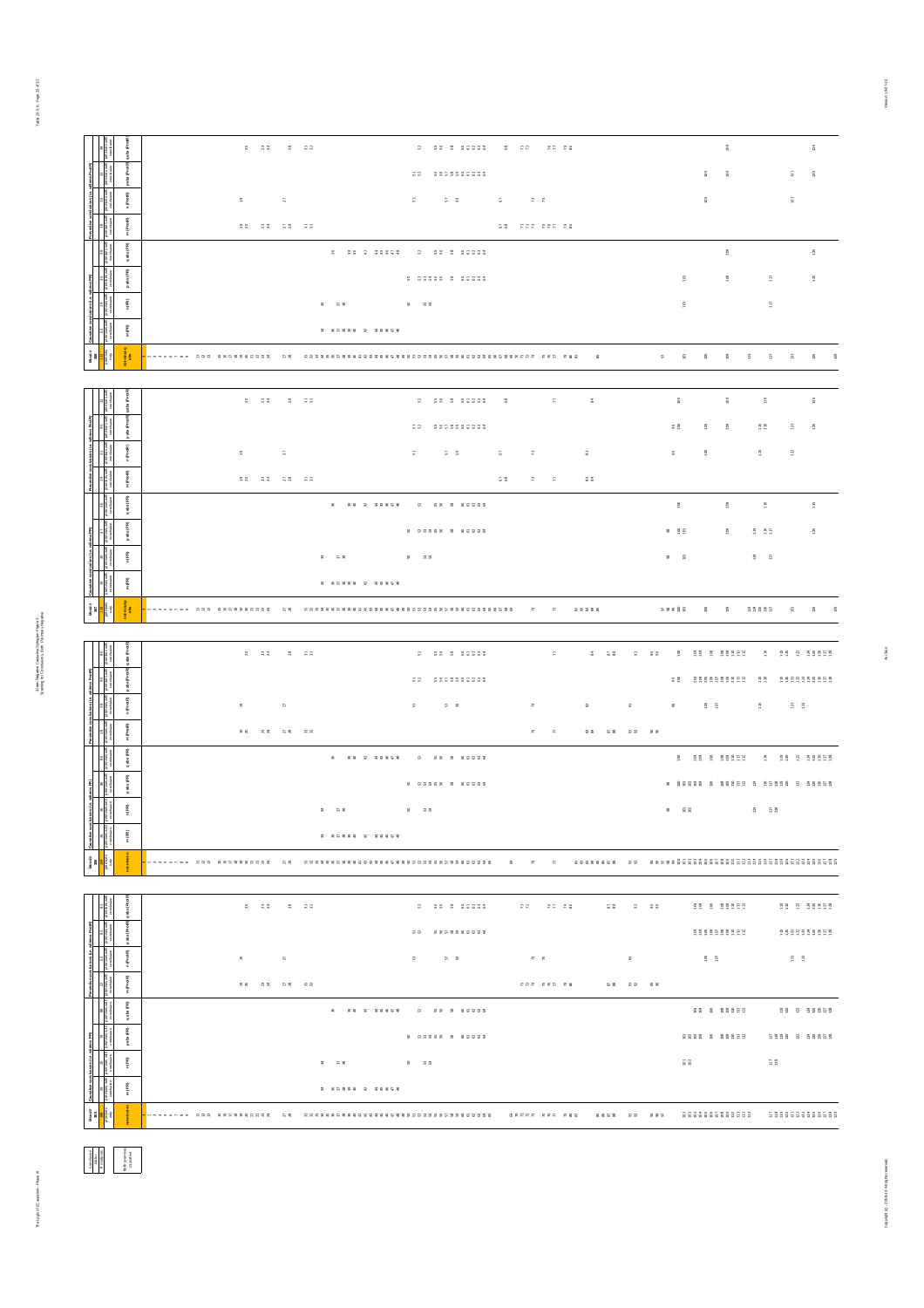Table 23.5-9 - Page 23 of 32 Table 23.5-9 - Page 23 of 32

|  |   | $R$ $R$ $R$ $R$ $R$ $R$                                                                                                                                                                                                                                                                                                                                                                                                               |                                                                                                                                                                                                                                                                                                                                                                                                           | $\alpha$ as a seast to the season of the season of the season of the season of the season of the season of the season of the season of the season of the season of the season of the season of the season of the season of the se                                                                |             |                | $\overline{8}$                                                                                                                                                                                                                                                                                                                                                                                                                        |                |                         | 恩                       |
|--|---|---------------------------------------------------------------------------------------------------------------------------------------------------------------------------------------------------------------------------------------------------------------------------------------------------------------------------------------------------------------------------------------------------------------------------------------|-----------------------------------------------------------------------------------------------------------------------------------------------------------------------------------------------------------------------------------------------------------------------------------------------------------------------------------------------------------------------------------------------------------|--------------------------------------------------------------------------------------------------------------------------------------------------------------------------------------------------------------------------------------------------------------------------------------------------|-------------|----------------|---------------------------------------------------------------------------------------------------------------------------------------------------------------------------------------------------------------------------------------------------------------------------------------------------------------------------------------------------------------------------------------------------------------------------------------|----------------|-------------------------|-------------------------|
|  |   |                                                                                                                                                                                                                                                                                                                                                                                                                                       | HR REERSSHEEK                                                                                                                                                                                                                                                                                                                                                                                             |                                                                                                                                                                                                                                                                                                  |             |                | 5 5                                                                                                                                                                                                                                                                                                                                                                                                                                   |                | $\frac{51}{21}$         | R                       |
|  |   | $\begin{array}{ccc}\n\mathfrak{D} & \mathfrak{D} & \mathfrak{D} & \mathfrak{D} & \mathfrak{D} & \mathfrak{D} & \mathfrak{D} & \mathfrak{D} & \mathfrak{D} & \mathfrak{D} & \mathfrak{D} & \mathfrak{D} & \mathfrak{D} & \mathfrak{D} & \mathfrak{D} & \mathfrak{D} & \mathfrak{D} & \mathfrak{D} & \mathfrak{D} & \mathfrak{D} & \mathfrak{D} & \mathfrak{D} & \mathfrak{D} & \mathfrak{D} & \mathfrak{D} & \mathfrak{D} & \mathfrak$ |                                                                                                                                                                                                                                                                                                                                                                                                           |                                                                                                                                                                                                                                                                                                  |             |                | 105                                                                                                                                                                                                                                                                                                                                                                                                                                   |                | $\overline{\mathbf{a}}$ |                         |
|  |   | $22$ $23$ $25$ $27$                                                                                                                                                                                                                                                                                                                                                                                                                   |                                                                                                                                                                                                                                                                                                                                                                                                           | GS FRR RER RS                                                                                                                                                                                                                                                                                    |             |                |                                                                                                                                                                                                                                                                                                                                                                                                                                       |                |                         |                         |
|  |   |                                                                                                                                                                                                                                                                                                                                                                                                                                       |                                                                                                                                                                                                                                                                                                                                                                                                           |                                                                                                                                                                                                                                                                                                  |             |                | $\frac{8}{2}$                                                                                                                                                                                                                                                                                                                                                                                                                         |                |                         | $\overline{\mathbf{u}}$ |
|  |   |                                                                                                                                                                                                                                                                                                                                                                                                                                       | <b>8 22328 8 82333</b>                                                                                                                                                                                                                                                                                                                                                                                    |                                                                                                                                                                                                                                                                                                  |             | $\frac{8}{14}$ | $\overline{8}$                                                                                                                                                                                                                                                                                                                                                                                                                        | ÷              |                         | 恩                       |
|  |   | .<br>ਜ਼ਿਲ੍ਹੇ ਨਾਲ 19 ਵਿੱਚ 19 ਵਿੱਚ 19 ਵਿੱਚ 19 ਵਿੱਚ 19 ਵਿੱਚ 19 ਵਿੱਚ 19 ਵਿੱਚ 19 ਵਿੱਚ 19 ਵਿੱਚ 19 ਵਿੱਚ 19 ਵਿੱਚ 19 ਵਿੱਚ                                                                                                                                                                                                                                                                                                                      |                                                                                                                                                                                                                                                                                                                                                                                                           |                                                                                                                                                                                                                                                                                                  |             | $\frac{8}{10}$ |                                                                                                                                                                                                                                                                                                                                                                                                                                       | $\mathbb{R}$   |                         |                         |
|  | Ê | A ARAAQ Q AQQQQ                                                                                                                                                                                                                                                                                                                                                                                                                       |                                                                                                                                                                                                                                                                                                                                                                                                           |                                                                                                                                                                                                                                                                                                  |             |                |                                                                                                                                                                                                                                                                                                                                                                                                                                       |                |                         |                         |
|  |   |                                                                                                                                                                                                                                                                                                                                                                                                                                       |                                                                                                                                                                                                                                                                                                                                                                                                           |                                                                                                                                                                                                                                                                                                  |             |                |                                                                                                                                                                                                                                                                                                                                                                                                                                       |                |                         |                         |
|  |   |                                                                                                                                                                                                                                                                                                                                                                                                                                       |                                                                                                                                                                                                                                                                                                                                                                                                           |                                                                                                                                                                                                                                                                                                  |             |                |                                                                                                                                                                                                                                                                                                                                                                                                                                       |                |                         |                         |
|  |   | $\begin{matrix} \textbf{R} & \textbf{R} \textbf{R} & \textbf{R} & \textbf{R} \textbf{R} \end{matrix}$                                                                                                                                                                                                                                                                                                                                 |                                                                                                                                                                                                                                                                                                                                                                                                           |                                                                                                                                                                                                                                                                                                  |             |                | <u>음</u> 이 음식 음식                                                                                                                                                                                                                                                                                                                                                                                                                      | $\frac{8}{14}$ |                         | B.                      |
|  |   |                                                                                                                                                                                                                                                                                                                                                                                                                                       |                                                                                                                                                                                                                                                                                                                                                                                                           |                                                                                                                                                                                                                                                                                                  |             | <b>a</b> 8     | $\frac{8}{10}$<br>$\frac{8}{14}$                                                                                                                                                                                                                                                                                                                                                                                                      | 28             | ຈ                       |                         |
|  |   | $\mathbb{R}$ and $\mathbb{R}$                                                                                                                                                                                                                                                                                                                                                                                                         |                                                                                                                                                                                                                                                                                                                                                                                                           | $\mathbb{R}$ and $\mathbb{R}$ and $\mathbb{R}$ and $\mathbb{R}$ and $\mathbb{R}$ and $\mathbb{R}$ and $\mathbb{R}$ and $\mathbb{R}$ and $\mathbb{R}$ and $\mathbb{R}$ and $\mathbb{R}$ and $\mathbb{R}$ and $\mathbb{R}$ and $\mathbb{R}$ and $\mathbb{R}$ and $\mathbb{R}$ and $\mathbb{R}$ and |             |                | 마음 : 100 - 100 - 100 - 100 - 100 - 100 - 100 - 100 - 100 - 100 - 100 - 100 - 100 - 100 - 100 - 100 - 100 - 100                                                                                                                                                                                                                                                                                                                        | $-22$          | $\frac{3}{2}$           |                         |
|  |   | $22$ $22$ $23$ $28$ $22$                                                                                                                                                                                                                                                                                                                                                                                                              |                                                                                                                                                                                                                                                                                                                                                                                                           |                                                                                                                                                                                                                                                                                                  |             |                |                                                                                                                                                                                                                                                                                                                                                                                                                                       |                |                         |                         |
|  |   | * ** * ***** * ** * * * * * * *                                                                                                                                                                                                                                                                                                                                                                                                       |                                                                                                                                                                                                                                                                                                                                                                                                           |                                                                                                                                                                                                                                                                                                  |             |                | $\begin{matrix} 0 & 0 & 0 & 0 \\ 0 & 0 & 0 & 0 \\ 0 & 0 & 0 & 0 \\ 0 & 0 & 0 & 0 \\ 0 & 0 & 0 & 0 \\ 0 & 0 & 0 & 0 \\ 0 & 0 & 0 & 0 \\ 0 & 0 & 0 & 0 \\ 0 & 0 & 0 & 0 \\ 0 & 0 & 0 & 0 \\ 0 & 0 & 0 & 0 \\ 0 & 0 & 0 & 0 & 0 \\ 0 & 0 & 0 & 0 & 0 \\ 0 & 0 & 0 & 0 & 0 \\ 0 & 0 & 0 & 0 & 0 \\ 0 & 0 & 0 & 0 & 0 \\ 0 & 0 & 0$                                                                                                        |                |                         | $\frac{3}{2}$           |
|  | £ |                                                                                                                                                                                                                                                                                                                                                                                                                                       |                                                                                                                                                                                                                                                                                                                                                                                                           |                                                                                                                                                                                                                                                                                                  |             | # 85           | $\frac{8}{10}$                                                                                                                                                                                                                                                                                                                                                                                                                        | 5 88           |                         | ್ಲಿ                     |
|  |   | $\overline{a}$ $\overline{a}$<br>9.77                                                                                                                                                                                                                                                                                                                                                                                                 |                                                                                                                                                                                                                                                                                                                                                                                                           |                                                                                                                                                                                                                                                                                                  |             |                | $\begin{array}{ccc}\n\mathfrak{B} & \mathfrak{B} & \mathfrak{B} & \mathfrak{B} & \mathfrak{B} & \mathfrak{B} & \mathfrak{B} & \mathfrak{B} & \mathfrak{B} & \mathfrak{B} & \mathfrak{B} & \mathfrak{B} & \mathfrak{B} & \mathfrak{B} & \mathfrak{B} & \mathfrak{B} & \mathfrak{B} & \mathfrak{B} & \mathfrak{B} & \mathfrak{B} & \mathfrak{B} & \mathfrak{B} & \mathfrak{B} & \mathfrak{B} & \mathfrak{B} & \mathfrak{B} & \mathfrak$ | - 青 白          |                         |                         |
|  | Ê | x xxxxx q queque                                                                                                                                                                                                                                                                                                                                                                                                                      |                                                                                                                                                                                                                                                                                                                                                                                                           |                                                                                                                                                                                                                                                                                                  |             |                |                                                                                                                                                                                                                                                                                                                                                                                                                                       |                |                         |                         |
|  |   |                                                                                                                                                                                                                                                                                                                                                                                                                                       |                                                                                                                                                                                                                                                                                                                                                                                                           |                                                                                                                                                                                                                                                                                                  |             |                |                                                                                                                                                                                                                                                                                                                                                                                                                                       |                |                         |                         |
|  |   |                                                                                                                                                                                                                                                                                                                                                                                                                                       |                                                                                                                                                                                                                                                                                                                                                                                                           |                                                                                                                                                                                                                                                                                                  |             |                |                                                                                                                                                                                                                                                                                                                                                                                                                                       |                |                         |                         |
|  |   | $R$ $R$ $R$ $R$ $R$ $R$ $R$                                                                                                                                                                                                                                                                                                                                                                                                           |                                                                                                                                                                                                                                                                                                                                                                                                           | $\mathbb{R}^n$ . In the $\mathbb{R}^n$ , we have                                                                                                                                                                                                                                                 |             |                | * ** * ** 9 의증 을 줄을을표면 : 원을 될 줄일을들을                                                                                                                                                                                                                                                                                                                                                                                                   |                |                         |                         |
|  |   |                                                                                                                                                                                                                                                                                                                                                                                                                                       | 53 5353995333                                                                                                                                                                                                                                                                                                                                                                                             |                                                                                                                                                                                                                                                                                                  |             |                |                                                                                                                                                                                                                                                                                                                                                                                                                                       |                |                         |                         |
|  |   | $\frac{9}{24}$<br>$\overline{z}$                                                                                                                                                                                                                                                                                                                                                                                                      | $\begin{array}{ccc}\n\frac{1}{2} & \frac{1}{2} & \frac{1}{2} & \frac{1}{2} & \frac{1}{2} & \frac{1}{2} & \frac{1}{2} & \frac{1}{2} & \frac{1}{2} & \frac{1}{2} & \frac{1}{2} & \frac{1}{2} & \frac{1}{2} & \frac{1}{2} & \frac{1}{2} & \frac{1}{2} & \frac{1}{2} & \frac{1}{2} & \frac{1}{2} & \frac{1}{2} & \frac{1}{2} & \frac{1}{2} & \frac{1}{2} & \frac{1}{2} & \frac{1}{2} & \frac{1}{2} & \frac{1$ | $\mathbb{R}$<br>$\approx$                                                                                                                                                                                                                                                                        | $5^{\circ}$ |                |                                                                                                                                                                                                                                                                                                                                                                                                                                       |                |                         |                         |
|  |   | na na an sa                                                                                                                                                                                                                                                                                                                                                                                                                           |                                                                                                                                                                                                                                                                                                                                                                                                           |                                                                                                                                                                                                                                                                                                  |             |                |                                                                                                                                                                                                                                                                                                                                                                                                                                       |                |                         |                         |
|  |   | <b>8 88 9 38858 8 888 88888</b>                                                                                                                                                                                                                                                                                                                                                                                                       |                                                                                                                                                                                                                                                                                                                                                                                                           |                                                                                                                                                                                                                                                                                                  |             |                |                                                                                                                                                                                                                                                                                                                                                                                                                                       |                |                         |                         |
|  |   |                                                                                                                                                                                                                                                                                                                                                                                                                                       | <b>8 22328 8 82333</b>                                                                                                                                                                                                                                                                                                                                                                                    |                                                                                                                                                                                                                                                                                                  |             |                | * 85995 \$ 88999 5 89888 9 58898                                                                                                                                                                                                                                                                                                                                                                                                      |                |                         |                         |
|  |   | $\overline{n}$ $\overline{n}$ $\overline{n}$<br>0.777                                                                                                                                                                                                                                                                                                                                                                                 |                                                                                                                                                                                                                                                                                                                                                                                                           |                                                                                                                                                                                                                                                                                                  |             |                |                                                                                                                                                                                                                                                                                                                                                                                                                                       | $3 - 33$       |                         |                         |
|  |   | A ARAAQ Q AQQQQ                                                                                                                                                                                                                                                                                                                                                                                                                       |                                                                                                                                                                                                                                                                                                                                                                                                           |                                                                                                                                                                                                                                                                                                  |             |                |                                                                                                                                                                                                                                                                                                                                                                                                                                       |                |                         |                         |
|  |   |                                                                                                                                                                                                                                                                                                                                                                                                                                       |                                                                                                                                                                                                                                                                                                                                                                                                           |                                                                                                                                                                                                                                                                                                  |             |                |                                                                                                                                                                                                                                                                                                                                                                                                                                       |                |                         |                         |
|  |   | $R$ $R$ $R$ $R$ $R$ $R$                                                                                                                                                                                                                                                                                                                                                                                                               |                                                                                                                                                                                                                                                                                                                                                                                                           |                                                                                                                                                                                                                                                                                                  |             |                |                                                                                                                                                                                                                                                                                                                                                                                                                                       |                |                         |                         |
|  |   |                                                                                                                                                                                                                                                                                                                                                                                                                                       |                                                                                                                                                                                                                                                                                                                                                                                                           |                                                                                                                                                                                                                                                                                                  |             |                | $0.5888888999$                                                                                                                                                                                                                                                                                                                                                                                                                        |                |                         |                         |
|  |   | $\begin{array}{ccc}\n\mathfrak{D} & \mathfrak{D} & \mathfrak{D} & \mathfrak{D}\n\end{array}$                                                                                                                                                                                                                                                                                                                                          |                                                                                                                                                                                                                                                                                                                                                                                                           |                                                                                                                                                                                                                                                                                                  |             |                |                                                                                                                                                                                                                                                                                                                                                                                                                                       |                |                         |                         |
|  |   | $22$ $23$ $25$ $28$ $29$                                                                                                                                                                                                                                                                                                                                                                                                              |                                                                                                                                                                                                                                                                                                                                                                                                           | and as a state and a state and a state and a state and a state and a state and a state and a state and a state                                                                                                                                                                                   |             |                |                                                                                                                                                                                                                                                                                                                                                                                                                                       |                |                         |                         |
|  |   |                                                                                                                                                                                                                                                                                                                                                                                                                                       |                                                                                                                                                                                                                                                                                                                                                                                                           |                                                                                                                                                                                                                                                                                                  |             |                | $\begin{tabular}{lllllllllll} \multicolumn{3}{l}{{\bf88}} & \multicolumn{3}{l}{{\bf88}} & \multicolumn{3}{l}{{\bf88}} & \multicolumn{3}{l}{{\bf88}} & \multicolumn{3}{l}{{\bf88}} & \multicolumn{3}{l}{{\bf88}} & \multicolumn{3}{l}{{\bf88}} & \multicolumn{3}{l}{{\bf88}} & \multicolumn{3}{l}{{\bf88}} & \multicolumn{3}{l}{{\bf88}} & \multicolumn{3}{l}{{\bf88}} & \multicolumn{3}{l}{{\bf88}} & \multicolumn{3}{l}{{\bf88}}$    |                |                         |                         |
|  |   |                                                                                                                                                                                                                                                                                                                                                                                                                                       | <b>8 22338 8 82333</b>                                                                                                                                                                                                                                                                                                                                                                                    |                                                                                                                                                                                                                                                                                                  |             |                | sesa e seasa e asses de asses                                                                                                                                                                                                                                                                                                                                                                                                         |                |                         |                         |
|  |   | $8 - 77$<br>$\overline{a}$ $\overline{a}$ $\overline{a}$                                                                                                                                                                                                                                                                                                                                                                              |                                                                                                                                                                                                                                                                                                                                                                                                           |                                                                                                                                                                                                                                                                                                  |             |                |                                                                                                                                                                                                                                                                                                                                                                                                                                       |                |                         |                         |
|  |   | <b>A SARRQ Q HESSER</b>                                                                                                                                                                                                                                                                                                                                                                                                               |                                                                                                                                                                                                                                                                                                                                                                                                           |                                                                                                                                                                                                                                                                                                  |             |                |                                                                                                                                                                                                                                                                                                                                                                                                                                       |                |                         |                         |
|  |   |                                                                                                                                                                                                                                                                                                                                                                                                                                       |                                                                                                                                                                                                                                                                                                                                                                                                           |                                                                                                                                                                                                                                                                                                  |             |                |                                                                                                                                                                                                                                                                                                                                                                                                                                       |                |                         |                         |
|  |   |                                                                                                                                                                                                                                                                                                                                                                                                                                       |                                                                                                                                                                                                                                                                                                                                                                                                           |                                                                                                                                                                                                                                                                                                  |             |                |                                                                                                                                                                                                                                                                                                                                                                                                                                       |                |                         |                         |
|  |   |                                                                                                                                                                                                                                                                                                                                                                                                                                       |                                                                                                                                                                                                                                                                                                                                                                                                           |                                                                                                                                                                                                                                                                                                  |             |                |                                                                                                                                                                                                                                                                                                                                                                                                                                       |                |                         |                         |

Avi Sion

Vasion 99-07-10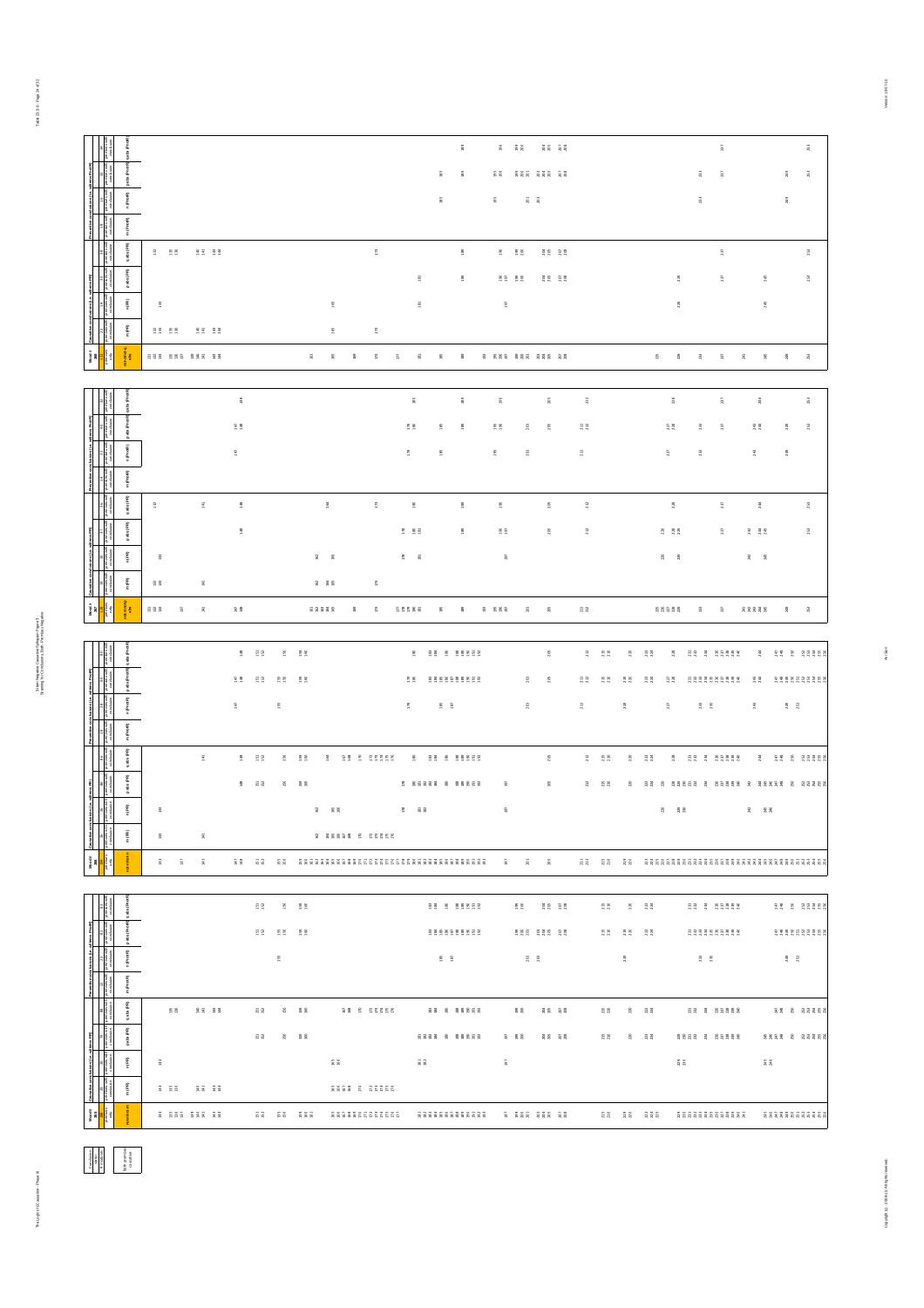| ŕ |  |
|---|--|
|   |  |
|   |  |
| ֠ |  |
|   |  |
|   |  |
|   |  |
|   |  |
| ۱ |  |
|   |  |
| ć |  |
|   |  |
|   |  |
|   |  |
|   |  |
|   |  |
|   |  |
|   |  |

|                          |    |               |                 |                           |                           |                                                                                                                                                               |                 |       |                                                                                                                                    |                                 |                                                                                       |                                                                                                |                                                         | $\frac{89}{100}$ |                                                                                                                                                                                                                                                                                                                                                                                                                                                                                                                                                |                           | 3 38 38 38                                                                                                                                                                                                                       |               |                       |      |                                        |                                                                                                                                                                                                                                                                                                                                                                                                              | $2\,\overline{\!\rm{37}}$ |                        |             | $^{53}$                                   |
|--------------------------|----|---------------|-----------------|---------------------------|---------------------------|---------------------------------------------------------------------------------------------------------------------------------------------------------------|-----------------|-------|------------------------------------------------------------------------------------------------------------------------------------|---------------------------------|---------------------------------------------------------------------------------------|------------------------------------------------------------------------------------------------|---------------------------------------------------------|------------------|------------------------------------------------------------------------------------------------------------------------------------------------------------------------------------------------------------------------------------------------------------------------------------------------------------------------------------------------------------------------------------------------------------------------------------------------------------------------------------------------------------------------------------------------|---------------------------|----------------------------------------------------------------------------------------------------------------------------------------------------------------------------------------------------------------------------------|---------------|-----------------------|------|----------------------------------------|--------------------------------------------------------------------------------------------------------------------------------------------------------------------------------------------------------------------------------------------------------------------------------------------------------------------------------------------------------------------------------------------------------------|---------------------------|------------------------|-------------|-------------------------------------------|
|                          |    |               |                 |                           |                           |                                                                                                                                                               |                 |       |                                                                                                                                    |                                 |                                                                                       |                                                                                                | $\frac{18}{20}$                                         | $\frac{3}{2}$    |                                                                                                                                                                                                                                                                                                                                                                                                                                                                                                                                                |                           | <b>MM MAN AN AN AN</b>                                                                                                                                                                                                           |               |                       |      |                                        | $_{\rm 33}$                                                                                                                                                                                                                                                                                                                                                                                                  | 237                       |                        | 249         | - 53                                      |
|                          |    |               |                 |                           |                           |                                                                                                                                                               |                 |       |                                                                                                                                    |                                 |                                                                                       |                                                                                                | $\frac{57}{28}$                                         |                  | $\frac{85}{22}$                                                                                                                                                                                                                                                                                                                                                                                                                                                                                                                                | $\ddot{a}$                |                                                                                                                                                                                                                                  |               |                       |      |                                        | $\ddot{a}$                                                                                                                                                                                                                                                                                                                                                                                                   |                           |                        | $_{\rm ns}$ |                                           |
|                          |    |               |                 |                           |                           |                                                                                                                                                               |                 |       |                                                                                                                                    |                                 |                                                                                       |                                                                                                |                                                         |                  |                                                                                                                                                                                                                                                                                                                                                                                                                                                                                                                                                |                           |                                                                                                                                                                                                                                  |               |                       |      |                                        |                                                                                                                                                                                                                                                                                                                                                                                                              |                           |                        |             |                                           |
|                          |    | £             |                 |                           |                           |                                                                                                                                                               |                 |       |                                                                                                                                    |                                 | $\Box$                                                                                |                                                                                                |                                                         | $\frac{9}{28}$   |                                                                                                                                                                                                                                                                                                                                                                                                                                                                                                                                                | $96$ $98$                 | គីគី គិគី                                                                                                                                                                                                                        |               |                       |      |                                        |                                                                                                                                                                                                                                                                                                                                                                                                              | $\hat{n}$                 |                        |             | ã                                         |
|                          |    | Ê             |                 |                           |                           |                                                                                                                                                               |                 |       |                                                                                                                                    |                                 |                                                                                       |                                                                                                | $\frac{27}{16}$                                         | $\frac{89}{2}$   |                                                                                                                                                                                                                                                                                                                                                                                                                                                                                                                                                | 35 38                     | 38 38                                                                                                                                                                                                                            |               |                       |      | $\mathbb{R}$                           |                                                                                                                                                                                                                                                                                                                                                                                                              | $_{\rm 27}$               | $\frac{95}{6}$         |             | $\overline{23}$                           |
|                          |    |               | $\frac{33}{14}$ |                           |                           |                                                                                                                                                               |                 |       |                                                                                                                                    | $\frac{8}{16}$                  |                                                                                       |                                                                                                | $\frac{42}{16}$                                         |                  |                                                                                                                                                                                                                                                                                                                                                                                                                                                                                                                                                | $\overline{\mathfrak{M}}$ |                                                                                                                                                                                                                                  |               |                       |      | $\mathbb{R}$                           |                                                                                                                                                                                                                                                                                                                                                                                                              |                           | $2\sqrt{6}$            |             |                                           |
|                          |    | m (PR)        | 88 88           |                           | 99 95                     |                                                                                                                                                               |                 |       |                                                                                                                                    | 165                             | $\tilde{\Sigma}$                                                                      |                                                                                                |                                                         |                  |                                                                                                                                                                                                                                                                                                                                                                                                                                                                                                                                                |                           |                                                                                                                                                                                                                                  |               |                       |      |                                        |                                                                                                                                                                                                                                                                                                                                                                                                              |                           |                        |             |                                           |
| 3                        |    |               |                 |                           | 556 556 688 88            |                                                                                                                                                               |                 |       |                                                                                                                                    |                                 |                                                                                       |                                                                                                |                                                         |                  |                                                                                                                                                                                                                                                                                                                                                                                                                                                                                                                                                |                           |                                                                                                                                                                                                                                  |               |                       |      |                                        |                                                                                                                                                                                                                                                                                                                                                                                                              |                           |                        |             |                                           |
|                          |    |               |                 |                           |                           |                                                                                                                                                               |                 |       |                                                                                                                                    |                                 |                                                                                       |                                                                                                |                                                         |                  |                                                                                                                                                                                                                                                                                                                                                                                                                                                                                                                                                |                           |                                                                                                                                                                                                                                  |               |                       |      |                                        |                                                                                                                                                                                                                                                                                                                                                                                                              |                           |                        |             |                                           |
|                          |    |               |                 |                           |                           | $\frac{22}{14}$                                                                                                                                               |                 |       |                                                                                                                                    |                                 |                                                                                       | $\frac{33}{14}$                                                                                |                                                         | $\frac{30}{14}$  | $\frac{96}{14}$                                                                                                                                                                                                                                                                                                                                                                                                                                                                                                                                |                           | $_{2\%}$                                                                                                                                                                                                                         | $_{\rm 21}$   |                       |      | 223                                    |                                                                                                                                                                                                                                                                                                                                                                                                              | 25                        | $\frac{3}{2}$          |             | 253                                       |
|                          |    |               |                 |                           |                           | $\frac{12}{14}$                                                                                                                                               |                 |       |                                                                                                                                    |                                 |                                                                                       | £8                                                                                             |                                                         | $\frac{3}{2}$    | <b>BB</b>                                                                                                                                                                                                                                                                                                                                                                                                                                                                                                                                      |                           | $20\%$                                                                                                                                                                                                                           | $\Xi$ $\Xi$   |                       |      | $\mathop{2\mathbb{R}}\limits^{\infty}$ | $\frac{33}{27}$                                                                                                                                                                                                                                                                                                                                                                                              |                           | $\frac{m}{2}$          |             | 249                                       |
|                          |    |               |                 |                           |                           | $\overline{\Xi}$                                                                                                                                              |                 |       |                                                                                                                                    |                                 |                                                                                       | 179                                                                                            | $\frac{95}{18}$                                         |                  | 195                                                                                                                                                                                                                                                                                                                                                                                                                                                                                                                                            | $\tilde{\mathbf{2}}$      |                                                                                                                                                                                                                                  | $\Xi^-$       |                       |      | $227\,$                                | $\overline{a}$                                                                                                                                                                                                                                                                                                                                                                                               |                           | $\overline{243}$       | 249         |                                           |
|                          |    |               |                 |                           |                           |                                                                                                                                                               |                 |       |                                                                                                                                    |                                 |                                                                                       |                                                                                                |                                                         |                  |                                                                                                                                                                                                                                                                                                                                                                                                                                                                                                                                                |                           |                                                                                                                                                                                                                                  |               |                       |      |                                        |                                                                                                                                                                                                                                                                                                                                                                                                              |                           |                        |             |                                           |
|                          |    | Ê             | $\Xi$           |                           | $\frac{m}{2}$             | $\frac{3}{24}$                                                                                                                                                |                 |       |                                                                                                                                    |                                 |                                                                                       | $\begin{array}{ccc}\n\frac{\pi}{2} & \pi & \pi & \pi\\ \frac{\pi}{2} & \pi & \pi\n\end{array}$ |                                                         | $_{\rm ss}$      | $_{96}$                                                                                                                                                                                                                                                                                                                                                                                                                                                                                                                                        |                           | $\mathbbmss{3}$                                                                                                                                                                                                                  | $\tilde{a}$   |                       |      | $\mathbb{R}^3$                         |                                                                                                                                                                                                                                                                                                                                                                                                              | $\overline{\mathrm{a}}$   | $\frac{\pi}{2}$        |             | 33                                        |
|                          |    |               |                 |                           |                           | $\frac{29}{14}$                                                                                                                                               |                 |       |                                                                                                                                    |                                 |                                                                                       | 78.88                                                                                          |                                                         | $\frac{89}{2}$   | $\frac{9}{2}$ $\frac{6}{2}$                                                                                                                                                                                                                                                                                                                                                                                                                                                                                                                    |                           | $205\,$                                                                                                                                                                                                                          | $\frac{2}{3}$ |                       |      | 3 33                                   |                                                                                                                                                                                                                                                                                                                                                                                                              | $\mathbb{R}^n$            | 24.38                  |             | $2\,\mathrm{S}$                           |
|                          |    | Ê             | $\frac{3}{2}$   |                           |                           |                                                                                                                                                               |                 |       |                                                                                                                                    | $\frac{63}{21}$ $\frac{65}{21}$ |                                                                                       | $\frac{1}{2}$ $\frac{1}{2}$                                                                    |                                                         |                  | $\frac{5}{2}$                                                                                                                                                                                                                                                                                                                                                                                                                                                                                                                                  |                           |                                                                                                                                                                                                                                  |               |                       |      | $\frac{25}{12}$                        |                                                                                                                                                                                                                                                                                                                                                                                                              |                           | $\frac{2\pi}{\lambda}$ |             |                                           |
|                          |    |               | $\Xi$ $\Xi$     |                           | Ξ                         |                                                                                                                                                               |                 |       |                                                                                                                                    | $162$<br>$164$                  | $\frac{m}{m}$                                                                         |                                                                                                |                                                         |                  |                                                                                                                                                                                                                                                                                                                                                                                                                                                                                                                                                |                           |                                                                                                                                                                                                                                  |               |                       |      |                                        |                                                                                                                                                                                                                                                                                                                                                                                                              |                           |                        |             |                                           |
| ğ ii                     | i. |               | 588             | $\overline{\mathfrak{m}}$ | $\frac{1}{2}$             | $\frac{5}{3}$ $\frac{9}{3}$                                                                                                                                   |                 |       |                                                                                                                                    | 33333                           | $\begin{array}{ccc}\n\mathbf{3} & \mathbf{5} \\ \mathbf{5} & \mathbf{6}\n\end{array}$ | <b>GEERE</b>                                                                                   |                                                         |                  | $\begin{matrix} \begin{matrix}0\\1\end{matrix} & \begin{matrix}0\\0\end{matrix} & \begin{matrix}0\\0\end{matrix} & \begin{matrix}0\\0\end{matrix} & \begin{matrix}0\\0\end{matrix} & \begin{matrix}0\\0\end{matrix} & \begin{matrix}0\\0\end{matrix} & \begin{matrix}0\\0\end{matrix} & \begin{matrix}0\\0\end{matrix} & \begin{matrix}0\\0\end{matrix} & \begin{matrix}0\\0\end{matrix} & \begin{matrix}0\\0\end{matrix} & \begin{matrix}0\\0\end{matrix} & \begin{matrix}0\\0\end{matrix} & \begin{matrix}0\\0\end{matrix} & \begin{matrix}$ |                           |                                                                                                                                                                                                                                  | 22 23 24      |                       |      | ដឹងដឹង                                 |                                                                                                                                                                                                                                                                                                                                                                                                              |                           |                        |             |                                           |
|                          |    |               |                 |                           |                           | 몇 점점                                                                                                                                                          |                 | 18 88 |                                                                                                                                    |                                 |                                                                                       |                                                                                                | 8 83 8 88 88 9                                          |                  |                                                                                                                                                                                                                                                                                                                                                                                                                                                                                                                                                |                           | $205\,$                                                                                                                                                                                                                          |               | ដ ដង                  | 8 83 |                                        |                                                                                                                                                                                                                                                                                                                                                                                                              |                           |                        |             | a aa aaaaa a aa aaaaa                     |
|                          |    |               |                 |                           |                           | 53 00 00 00                                                                                                                                                   |                 |       |                                                                                                                                    |                                 |                                                                                       |                                                                                                | na aassassaas                                           |                  |                                                                                                                                                                                                                                                                                                                                                                                                                                                                                                                                                | $\frac{8}{2}$             | $\frac{8}{4}$                                                                                                                                                                                                                    |               |                       |      |                                        |                                                                                                                                                                                                                                                                                                                                                                                                              |                           |                        |             | HH HA AA AA AA HAAAAAAAAA XX xxxaaaaaa    |
|                          |    |               |                 |                           |                           | $\frac{1}{2}$ , $\frac{1}{2}$ , $\frac{1}{2}$ , $\frac{1}{2}$ , $\frac{1}{2}$ , $\frac{1}{2}$ , $\frac{1}{2}$ , $\frac{1}{2}$ , $\frac{1}{2}$ , $\frac{1}{2}$ |                 |       |                                                                                                                                    |                                 |                                                                                       |                                                                                                | $\frac{3}{2}$ $\frac{3}{2}$ $\frac{3}{2}$ $\frac{3}{2}$ |                  |                                                                                                                                                                                                                                                                                                                                                                                                                                                                                                                                                |                           | 201                                                                                                                                                                                                                              |               |                       |      |                                        |                                                                                                                                                                                                                                                                                                                                                                                                              |                           |                        |             |                                           |
|                          |    |               |                 |                           |                           |                                                                                                                                                               |                 |       |                                                                                                                                    |                                 |                                                                                       |                                                                                                |                                                         |                  |                                                                                                                                                                                                                                                                                                                                                                                                                                                                                                                                                |                           |                                                                                                                                                                                                                                  |               |                       |      |                                        |                                                                                                                                                                                                                                                                                                                                                                                                              |                           |                        |             |                                           |
|                          |    |               |                 |                           | $\frac{m}{2}$             | នីនី<br>$\frac{30}{24}$                                                                                                                                       |                 |       | $8 - 88$                                                                                                                           |                                 |                                                                                       |                                                                                                |                                                         |                  |                                                                                                                                                                                                                                                                                                                                                                                                                                                                                                                                                |                           | $\mathbb{R}^3$                                                                                                                                                                                                                   |               | $\ddot{a}$ $\ddot{a}$ |      |                                        |                                                                                                                                                                                                                                                                                                                                                                                                              |                           |                        |             | a aa a aa aaaaa a aa aaaaa                |
|                          |    |               |                 |                           |                           |                                                                                                                                                               |                 |       |                                                                                                                                    |                                 |                                                                                       |                                                                                                | E BHBBB B BBBBB                                         |                  |                                                                                                                                                                                                                                                                                                                                                                                                                                                                                                                                                | $\frac{57}{24}$           | $\frac{8}{3}$                                                                                                                                                                                                                    |               |                       |      |                                        |                                                                                                                                                                                                                                                                                                                                                                                                              |                           |                        |             | H HA A HA A AAAHH A AAAAR H ARKAR A HAARA |
|                          |    |               | $\Xi$           |                           |                           |                                                                                                                                                               |                 |       |                                                                                                                                    | - 옆 1818                        |                                                                                       | $\frac{1}{6}$ $\frac{1}{6}$ $\frac{1}{6}$ $\frac{1}{6}$ $\frac{1}{6}$                          |                                                         |                  |                                                                                                                                                                                                                                                                                                                                                                                                                                                                                                                                                | $\frac{6}{24}$            |                                                                                                                                                                                                                                  |               |                       |      | 3.33                                   |                                                                                                                                                                                                                                                                                                                                                                                                              |                           | 2012/03/07 28:30       |             |                                           |
|                          |    | $\frac{1}{n}$ | $\frac{3}{2}$   |                           | $\sim 1.3$ and $\sim 1.3$ |                                                                                                                                                               |                 |       |                                                                                                                                    |                                 | g gggeg e ggene                                                                       |                                                                                                |                                                         |                  |                                                                                                                                                                                                                                                                                                                                                                                                                                                                                                                                                |                           |                                                                                                                                                                                                                                  |               |                       |      |                                        |                                                                                                                                                                                                                                                                                                                                                                                                              |                           |                        |             |                                           |
| Mood i                   |    |               |                 |                           |                           |                                                                                                                                                               |                 |       |                                                                                                                                    |                                 |                                                                                       |                                                                                                |                                                         |                  |                                                                                                                                                                                                                                                                                                                                                                                                                                                                                                                                                |                           |                                                                                                                                                                                                                                  |               |                       |      |                                        |                                                                                                                                                                                                                                                                                                                                                                                                              |                           |                        |             |                                           |
|                          |    |               |                 |                           |                           |                                                                                                                                                               |                 |       | $\begin{array}{cccccccccc} \Xi & \Xi & & & & & & & & & \Xi & \Xi & \Xi \\ \Xi & \Xi & & & & & & & & & \Xi & \Xi & \Xi \end{array}$ |                                 |                                                                                       |                                                                                                |                                                         |                  |                                                                                                                                                                                                                                                                                                                                                                                                                                                                                                                                                |                           |                                                                                                                                                                                                                                  |               |                       |      |                                        |                                                                                                                                                                                                                                                                                                                                                                                                              |                           |                        |             |                                           |
|                          |    |               |                 |                           |                           |                                                                                                                                                               |                 |       | <b>경영 19월 19월</b>                                                                                                                  |                                 |                                                                                       |                                                                                                |                                                         |                  |                                                                                                                                                                                                                                                                                                                                                                                                                                                                                                                                                |                           | 음료음을등을등을 하는 이 그는 그의 그의 그들을 사용하고 있다. 그들은 그들을 사용하고 있다.                                                                                                                                                                             |               |                       |      |                                        |                                                                                                                                                                                                                                                                                                                                                                                                              |                           |                        |             |                                           |
|                          |    |               |                 |                           |                           |                                                                                                                                                               | $\frac{35}{22}$ |       |                                                                                                                                    |                                 |                                                                                       |                                                                                                |                                                         |                  |                                                                                                                                                                                                                                                                                                                                                                                                                                                                                                                                                |                           | - 1988년 1월 20일 - 1989년 1월 20일 - 1989년 1월 20일 - 1989년 1월 20일 - 1989년 1월 20일 - 1989년 1월 20일 - 1989년 10월 20일 - 19<br>대한민국의 대한민국의 대한민국의 대한민국의 대한민국의 대한민국의 대한민국의 대한민국의 대한민국의 대한민국의 대한민국의 대한민국의 대한민국의 대한민국의 대한민국의 대한민국의 대한민국의 대한민국의 대한 |               |                       |      |                                        |                                                                                                                                                                                                                                                                                                                                                                                                              |                           |                        |             |                                           |
|                          |    |               |                 |                           |                           |                                                                                                                                                               |                 |       |                                                                                                                                    |                                 |                                                                                       |                                                                                                |                                                         |                  |                                                                                                                                                                                                                                                                                                                                                                                                                                                                                                                                                |                           |                                                                                                                                                                                                                                  |               |                       |      |                                        |                                                                                                                                                                                                                                                                                                                                                                                                              |                           |                        |             |                                           |
|                          |    |               |                 |                           |                           |                                                                                                                                                               |                 |       |                                                                                                                                    |                                 |                                                                                       |                                                                                                |                                                         |                  |                                                                                                                                                                                                                                                                                                                                                                                                                                                                                                                                                |                           |                                                                                                                                                                                                                                  |               |                       |      |                                        |                                                                                                                                                                                                                                                                                                                                                                                                              |                           |                        |             |                                           |
|                          |    |               |                 |                           |                           |                                                                                                                                                               |                 |       | 頭頭 ( 路) (路) (路)                                                                                                                    |                                 |                                                                                       |                                                                                                |                                                         |                  |                                                                                                                                                                                                                                                                                                                                                                                                                                                                                                                                                |                           | 프릴링즈 18 호텔의 2018 19:20 19:20 19:20 19:20 20:20:21 20:20:22:20 20:20:20:20:20:20:20:20:20:20:20:20:20                                                                                                                             |               |                       |      |                                        |                                                                                                                                                                                                                                                                                                                                                                                                              |                           |                        |             |                                           |
| ralons (Le. w/terms P.R) |    |               | $\frac{33}{13}$ |                           |                           |                                                                                                                                                               |                 |       |                                                                                                                                    |                                 |                                                                                       |                                                                                                |                                                         |                  | 1980년 1월 20일 - 1980년 1월 20일 - 1980년 1월 20일 - 1980년 1월 20일 - 1980년 1월 20일 - 1980년 1월 20일 - 1980년 10월 10월 10월 10                                                                                                                                                                                                                                                                                                                                                                                                                                 |                           |                                                                                                                                                                                                                                  |               |                       |      |                                        | $\mathfrak{B} \; \mathfrak{B} \qquad \qquad \mathfrak{B} \; \mathfrak{B} \; \mathfrak{B} \; \mathfrak{B} \; \mathfrak{B} \; \mathfrak{B} \; \mathfrak{B} \; \mathfrak{B} \; \mathfrak{B} \; \mathfrak{B} \; \mathfrak{B} \; \mathfrak{B} \; \mathfrak{B} \; \mathfrak{B} \; \mathfrak{B} \; \mathfrak{B} \; \mathfrak{B} \; \mathfrak{B} \; \mathfrak{B} \; \mathfrak{B} \; \mathfrak{B} \; \mathfrak{B} \;$ |                           |                        | 2.8         |                                           |
|                          |    |               |                 |                           | 5 5 5 5 5 5 5 5           |                                                                                                                                                               |                 |       |                                                                                                                                    |                                 | <b>MARS R REEKS</b>                                                                   |                                                                                                |                                                         |                  |                                                                                                                                                                                                                                                                                                                                                                                                                                                                                                                                                |                           |                                                                                                                                                                                                                                  |               |                       |      |                                        |                                                                                                                                                                                                                                                                                                                                                                                                              |                           |                        |             |                                           |
|                          |    |               |                 |                           |                           |                                                                                                                                                               |                 |       |                                                                                                                                    |                                 |                                                                                       |                                                                                                |                                                         |                  |                                                                                                                                                                                                                                                                                                                                                                                                                                                                                                                                                |                           |                                                                                                                                                                                                                                  |               |                       |      |                                        |                                                                                                                                                                                                                                                                                                                                                                                                              |                           |                        |             |                                           |
|                          |    |               |                 |                           |                           |                                                                                                                                                               |                 |       |                                                                                                                                    |                                 |                                                                                       |                                                                                                |                                                         |                  |                                                                                                                                                                                                                                                                                                                                                                                                                                                                                                                                                |                           |                                                                                                                                                                                                                                  |               |                       |      |                                        |                                                                                                                                                                                                                                                                                                                                                                                                              |                           |                        |             |                                           |

Conclusion<br>\* status<br># moduses<br>causative Both premises

Avi Sion

Version: 19-07-10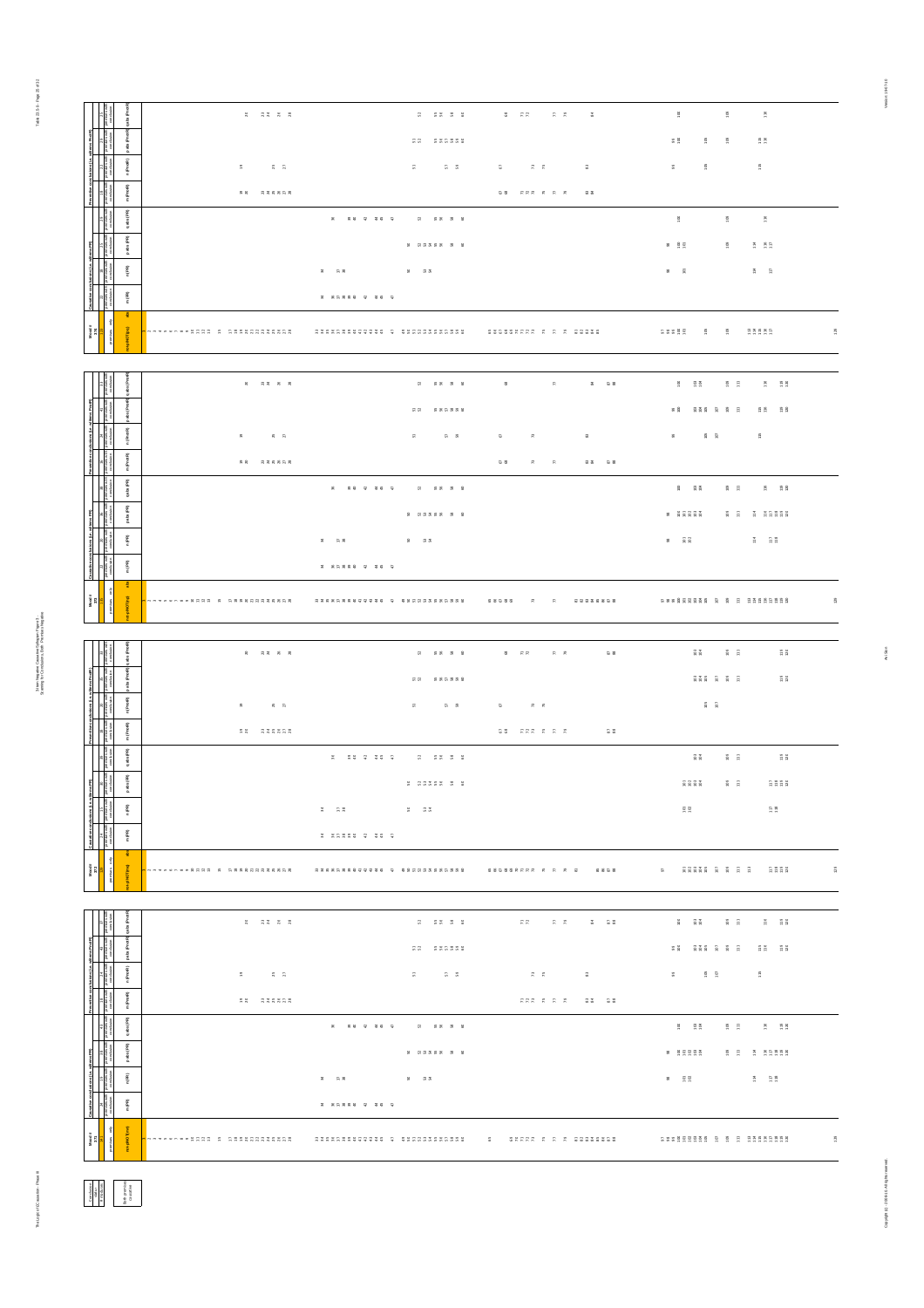|                          |                                                                                                                                                                                                                                                                                                                                                                                                                                             |                                                                                                                                                                                                                                                                                                                                                                                                                                                                                                                                                                                                       | $\overline{a}$                                                                                                                                                                                                                | $\frac{8}{3}$<br>$\frac{8}{10}$<br>$\frac{8}{14}$                                                                                                                                                                                                                                                                                                                                                                 |  |
|--------------------------|---------------------------------------------------------------------------------------------------------------------------------------------------------------------------------------------------------------------------------------------------------------------------------------------------------------------------------------------------------------------------------------------------------------------------------------------|-------------------------------------------------------------------------------------------------------------------------------------------------------------------------------------------------------------------------------------------------------------------------------------------------------------------------------------------------------------------------------------------------------------------------------------------------------------------------------------------------------------------------------------------------------------------------------------------------------|-------------------------------------------------------------------------------------------------------------------------------------------------------------------------------------------------------------------------------|-------------------------------------------------------------------------------------------------------------------------------------------------------------------------------------------------------------------------------------------------------------------------------------------------------------------------------------------------------------------------------------------------------------------|--|
|                          |                                                                                                                                                                                                                                                                                                                                                                                                                                             | $55 - 555522$                                                                                                                                                                                                                                                                                                                                                                                                                                                                                                                                                                                         |                                                                                                                                                                                                                               | $\frac{3}{110}$<br><b>9.9</b><br>$105 - 20$                                                                                                                                                                                                                                                                                                                                                                       |  |
|                          | $\begin{array}{ccc} \mathfrak{A} & \mathfrak{A} & \mathfrak{A} & \mathfrak{A} \end{array}$                                                                                                                                                                                                                                                                                                                                                  | $\frac{44}{50}$<br>$5 - 3$                                                                                                                                                                                                                                                                                                                                                                                                                                                                                                                                                                            | $\overline{6}$<br>$\mathbb{R}^n$ , $\mathbb{R}^n$ , $\mathbb{R}^n$<br>$\frac{3}{20}$                                                                                                                                          | $\frac{1}{11}$<br>99<br>š                                                                                                                                                                                                                                                                                                                                                                                         |  |
|                          | $R = R R R R R R$                                                                                                                                                                                                                                                                                                                                                                                                                           |                                                                                                                                                                                                                                                                                                                                                                                                                                                                                                                                                                                                       |                                                                                                                                                                                                                               |                                                                                                                                                                                                                                                                                                                                                                                                                   |  |
|                          | £                                                                                                                                                                                                                                                                                                                                                                                                                                           |                                                                                                                                                                                                                                                                                                                                                                                                                                                                                                                                                                                                       |                                                                                                                                                                                                                               | $\frac{8}{10}$<br>$28 - 18$                                                                                                                                                                                                                                                                                                                                                                                       |  |
|                          | Ê<br>ă                                                                                                                                                                                                                                                                                                                                                                                                                                      |                                                                                                                                                                                                                                                                                                                                                                                                                                                                                                                                                                                                       |                                                                                                                                                                                                                               | 3.55<br>5 89<br>$\frac{8}{10}$                                                                                                                                                                                                                                                                                                                                                                                    |  |
|                          | Ê,                                                                                                                                                                                                                                                                                                                                                                                                                                          |                                                                                                                                                                                                                                                                                                                                                                                                                                                                                                                                                                                                       |                                                                                                                                                                                                                               |                                                                                                                                                                                                                                                                                                                                                                                                                   |  |
|                          | Ê                                                                                                                                                                                                                                                                                                                                                                                                                                           | x sasse e es e                                                                                                                                                                                                                                                                                                                                                                                                                                                                                                                                                                                        |                                                                                                                                                                                                                               |                                                                                                                                                                                                                                                                                                                                                                                                                   |  |
| 霸<br>mises               | z                                                                                                                                                                                                                                                                                                                                                                                                                                           |                                                                                                                                                                                                                                                                                                                                                                                                                                                                                                                                                                                                       |                                                                                                                                                                                                                               | ㅋㅋㅋㅋㅋㅋㅋㅋロロロ ロ けいりかんせいかい うちがい こうしゅうしゅう かいきょう かいきょう しゅうしゅう きょうしゅう きょうしゅう こうきゅうかい こうきゅうしょ おもの あいしゃ おおおお あいしゃ かいしょう                                                                                                                                                                                                                                                                                                   |  |
|                          |                                                                                                                                                                                                                                                                                                                                                                                                                                             |                                                                                                                                                                                                                                                                                                                                                                                                                                                                                                                                                                                                       |                                                                                                                                                                                                                               |                                                                                                                                                                                                                                                                                                                                                                                                                   |  |
|                          | $\begin{matrix} \mathbf{R} & \mathbf{R} \mathbf{R} & \mathbf{R} \end{matrix} \quad \begin{matrix} \mathbf{R} & \mathbf{R} \end{matrix}$                                                                                                                                                                                                                                                                                                     | 28888                                                                                                                                                                                                                                                                                                                                                                                                                                                                                                                                                                                                 | - 第1999年 - 第1999年 - 第1999年 - 第1999年 - 第1999年 - 第1999年 - 第1999年 - 第1999年 - 第1999年 - 第1999年 - 第1999年 - 第1999年 - 第1999年 - 第1999年 - 第1999年 - 第1999年 - 第1999年 - 第1999年 - 第1999年 - 第1999年 - 第1999年 - 第1999年 - 第1999年 - 第1999年 - 第19 | 9.93<br>鲁耳<br>39.38                                                                                                                                                                                                                                                                                                                                                                                               |  |
|                          |                                                                                                                                                                                                                                                                                                                                                                                                                                             |                                                                                                                                                                                                                                                                                                                                                                                                                                                                                                                                                                                                       |                                                                                                                                                                                                                               |                                                                                                                                                                                                                                                                                                                                                                                                                   |  |
|                          | $\begin{array}{ccc}\n\mathfrak{A} & \mathfrak{A} & \mathfrak{A} & \mathfrak{A} \\ \mathfrak{A} & \mathfrak{A} & \mathfrak{A} & \mathfrak{A} \\ \mathfrak{A} & \mathfrak{A} & \mathfrak{A} & \mathfrak{A} \\ \mathfrak{A} & \mathfrak{A} & \mathfrak{A} & \mathfrak{A} \\ \mathfrak{A} & \mathfrak{A} & \mathfrak{A} & \mathfrak{A} \\ \mathfrak{A} & \mathfrak{A} & \mathfrak{A} & \mathfrak{A} & \mathfrak{A} \\ \mathfrak{A} & \mathfrak$ | $\begin{array}{ccc}\n\frac{1}{2} & \frac{1}{2} & \frac{1}{2} & \frac{1}{2} & \frac{1}{2} \\ \frac{1}{2} & \frac{1}{2} & \frac{1}{2} & \frac{1}{2} & \frac{1}{2}\n\end{array}$                                                                                                                                                                                                                                                                                                                                                                                                                         | $5^{\circ}$<br>$\mathbb{R}$<br>$\begin{array}{c} 2 \end{array}$                                                                                                                                                               |                                                                                                                                                                                                                                                                                                                                                                                                                   |  |
|                          | $22$ $2222222$                                                                                                                                                                                                                                                                                                                                                                                                                              |                                                                                                                                                                                                                                                                                                                                                                                                                                                                                                                                                                                                       |                                                                                                                                                                                                                               |                                                                                                                                                                                                                                                                                                                                                                                                                   |  |
|                          | Ê                                                                                                                                                                                                                                                                                                                                                                                                                                           |                                                                                                                                                                                                                                                                                                                                                                                                                                                                                                                                                                                                       |                                                                                                                                                                                                                               | $\begin{matrix} 0 & 0 & 0 \\ 0 & 0 & 0 \\ 0 & 0 & 0 \end{matrix}$<br>$\begin{array}{cccccccc}\n\hat{\mathbf{a}} & \hat{\mathbf{a}} & \hat{\mathbf{a}} & \hat{\mathbf{a}} & \hat{\mathbf{a}} & \hat{\mathbf{a}}\n\end{array}$                                                                                                                                                                                      |  |
|                          | ş                                                                                                                                                                                                                                                                                                                                                                                                                                           | <b>8 22328 8 8</b>                                                                                                                                                                                                                                                                                                                                                                                                                                                                                                                                                                                    |                                                                                                                                                                                                                               | * 85335 8 8 8 35338                                                                                                                                                                                                                                                                                                                                                                                               |  |
|                          | mpR                                                                                                                                                                                                                                                                                                                                                                                                                                         | $\begin{array}{cccccccccccccc} \pi & \quad & \pi\pi & \pi\pi & \quad & \dots & \quad & \dots & \quad & \dots & \quad & \dots & \quad & \dots & \quad & \dots & \quad & \dots & \quad & \dots & \quad & \dots & \quad & \dots & \quad & \dots & \quad & \dots & \quad & \dots & \quad & \dots & \quad & \dots & \quad & \dots & \quad & \dots & \quad & \dots & \quad & \dots & \quad & \dots & \quad & \dots & \quad & \dots & \quad & \dots & \quad & \dots & \quad & \dots & \quad & \dots & \quad & \dots & \quad & \dots & \quad & \dots & \quad & \dots & \quad & \dots & \quad & \dots & \quad$ |                                                                                                                                                                                                                               |                                                                                                                                                                                                                                                                                                                                                                                                                   |  |
|                          | Ê<br>-4                                                                                                                                                                                                                                                                                                                                                                                                                                     | x xxxxx x xxxx                                                                                                                                                                                                                                                                                                                                                                                                                                                                                                                                                                                        |                                                                                                                                                                                                                               |                                                                                                                                                                                                                                                                                                                                                                                                                   |  |
| I.<br>š                  |                                                                                                                                                                                                                                                                                                                                                                                                                                             |                                                                                                                                                                                                                                                                                                                                                                                                                                                                                                                                                                                                       |                                                                                                                                                                                                                               | www.www.www.common.common.common.com/here.com/here.com/here.com/here.com/here.com/here.com/here.com/here.com/here.com/here.com/here.com/here.com/here.com/here.com/here.com/here.com/here.com/here.com/here.com/here.com/here.                                                                                                                                                                                    |  |
|                          | $\begin{matrix} \textbf{R} & \textbf{R} \textbf{R} & \textbf{R} \textbf{R} \\ \textbf{R} & \textbf{R} \textbf{R} & \textbf{R} \end{matrix}$                                                                                                                                                                                                                                                                                                 |                                                                                                                                                                                                                                                                                                                                                                                                                                                                                                                                                                                                       |                                                                                                                                                                                                                               | $\begin{matrix} 0 & 0 & 0 & 0 \\ 0 & 0 & 0 & 0 \\ 0 & 0 & 0 & 0 \\ 0 & 0 & 0 & 0 \\ 0 & 0 & 0 & 0 \\ 0 & 0 & 0 & 0 \\ 0 & 0 & 0 & 0 \\ 0 & 0 & 0 & 0 \\ 0 & 0 & 0 & 0 \\ 0 & 0 & 0 & 0 \\ 0 & 0 & 0 & 0 \\ 0 & 0 & 0 & 0 \\ 0 & 0 & 0 & 0 & 0 \\ 0 & 0 & 0 & 0 & 0 \\ 0 & 0 & 0 & 0 & 0 \\ 0 & 0 & 0 & 0 & 0 \\ 0 & 0 & 0 & 0$                                                                                    |  |
|                          |                                                                                                                                                                                                                                                                                                                                                                                                                                             | $\pi$ a<br>$8853888$                                                                                                                                                                                                                                                                                                                                                                                                                                                                                                                                                                                  |                                                                                                                                                                                                                               | 28                                                                                                                                                                                                                                                                                                                                                                                                                |  |
|                          | $\begin{array}{ccc}\n\frac{1}{2} & \frac{1}{2} & \frac{1}{2} & \frac{1}{2} \\ \frac{1}{2} & \frac{1}{2} & \frac{1}{2} & \frac{1}{2}\n\end{array}$                                                                                                                                                                                                                                                                                           | $5 - 3$<br>$\frac{1}{20}$                                                                                                                                                                                                                                                                                                                                                                                                                                                                                                                                                                             | $\begin{array}{ccc} \mathbb{S} & \mathbb{S} & \mathbb{S} & \mathbb{S} \\ \mathbb{S} & \mathbb{S} & \mathbb{S} & \mathbb{S} \end{array}$                                                                                       | 18.5                                                                                                                                                                                                                                                                                                                                                                                                              |  |
|                          | $22 - 272222$                                                                                                                                                                                                                                                                                                                                                                                                                               |                                                                                                                                                                                                                                                                                                                                                                                                                                                                                                                                                                                                       |                                                                                                                                                                                                                               |                                                                                                                                                                                                                                                                                                                                                                                                                   |  |
|                          |                                                                                                                                                                                                                                                                                                                                                                                                                                             |                                                                                                                                                                                                                                                                                                                                                                                                                                                                                                                                                                                                       |                                                                                                                                                                                                                               | $\begin{matrix} 0 & 0 & 0 & 0 & 0 \\ 0 & 0 & 0 & 0 & 0 \\ 0 & 0 & 0 & 0 & 0 \\ 0 & 0 & 0 & 0 & 0 \\ 0 & 0 & 0 & 0 & 0 \\ 0 & 0 & 0 & 0 & 0 \\ 0 & 0 & 0 & 0 & 0 \\ 0 & 0 & 0 & 0 & 0 \\ 0 & 0 & 0 & 0 & 0 \\ 0 & 0 & 0 & 0 & 0 \\ 0 & 0 & 0 & 0 & 0 \\ 0 & 0 & 0 & 0 & 0 & 0 \\ 0 & 0 & 0 & 0 & 0 & 0 \\ 0 & 0 & 0 & 0 & 0$                                                                                       |  |
|                          |                                                                                                                                                                                                                                                                                                                                                                                                                                             | $8$ assas $8$ $8$                                                                                                                                                                                                                                                                                                                                                                                                                                                                                                                                                                                     |                                                                                                                                                                                                                               |                                                                                                                                                                                                                                                                                                                                                                                                                   |  |
|                          | ®®                                                                                                                                                                                                                                                                                                                                                                                                                                          | $\begin{array}{ccc} & \mathbb{R} & \mathbb{R} & \mathbb{R} \\ & \mathbb{R} & \mathbb{R} & \mathbb{R} \end{array}$<br>$\overline{a}$ $\overline{a}$                                                                                                                                                                                                                                                                                                                                                                                                                                                    |                                                                                                                                                                                                                               | $\frac{5}{2}$ $\frac{3}{2}$<br>- 白鷺                                                                                                                                                                                                                                                                                                                                                                               |  |
|                          | mPR                                                                                                                                                                                                                                                                                                                                                                                                                                         | 3 25339 9 9 9 9 9                                                                                                                                                                                                                                                                                                                                                                                                                                                                                                                                                                                     |                                                                                                                                                                                                                               |                                                                                                                                                                                                                                                                                                                                                                                                                   |  |
| <b>Ba</b><br>$\tilde{3}$ |                                                                                                                                                                                                                                                                                                                                                                                                                                             |                                                                                                                                                                                                                                                                                                                                                                                                                                                                                                                                                                                                       |                                                                                                                                                                                                                               |                                                                                                                                                                                                                                                                                                                                                                                                                   |  |
|                          | $\begin{matrix} 0 & 0 & 0 \\ 0 & 0 & 0 \\ 0 & 0 & 0 \\ 0 & 0 & 0 \\ 0 & 0 & 0 \\ 0 & 0 & 0 \\ 0 & 0 & 0 \\ 0 & 0 & 0 \\ 0 & 0 & 0 & 0 \\ 0 & 0 & 0 & 0 \\ 0 & 0 & 0 & 0 \\ 0 & 0 & 0 & 0 \\ 0 & 0 & 0 & 0 & 0 \\ 0 & 0 & 0 & 0 & 0 \\ 0 & 0 & 0 & 0 & 0 \\ 0 & 0 & 0 & 0 & 0 \\ 0 & 0 & 0 & 0 & 0 \\ 0 & 0 & 0 & 0 & 0 & 0 \\ 0$                                                                                                            |                                                                                                                                                                                                                                                                                                                                                                                                                                                                                                                                                                                                       |                                                                                                                                                                                                                               |                                                                                                                                                                                                                                                                                                                                                                                                                   |  |
|                          |                                                                                                                                                                                                                                                                                                                                                                                                                                             | ss ssasss                                                                                                                                                                                                                                                                                                                                                                                                                                                                                                                                                                                             |                                                                                                                                                                                                                               |                                                                                                                                                                                                                                                                                                                                                                                                                   |  |
|                          | $\mathfrak{N} \qquad \qquad \mathfrak{N} \quad \mathfrak{N} \qquad$                                                                                                                                                                                                                                                                                                                                                                         |                                                                                                                                                                                                                                                                                                                                                                                                                                                                                                                                                                                                       |                                                                                                                                                                                                                               | $\begin{array}{ccccccccccccc} \textbf{8} & \textbf{10} & \textbf{10} & \textbf{11} & \textbf{12} & \textbf{13} & \textbf{14} & \textbf{15} & \textbf{16} & \textbf{17} & \textbf{18} & \textbf{18} & \textbf{18} & \textbf{19} & \textbf{18} & \textbf{19} & \textbf{19} & \textbf{10} & \textbf{10} & \textbf{10} & \textbf{10} & \textbf{10} & \textbf{10} & \textbf{10} & \textbf{10} & \textbf{10} & \textbf$ |  |
|                          | $22$ $232222$                                                                                                                                                                                                                                                                                                                                                                                                                               |                                                                                                                                                                                                                                                                                                                                                                                                                                                                                                                                                                                                       | and a series and a series and a series and                                                                                                                                                                                    |                                                                                                                                                                                                                                                                                                                                                                                                                   |  |
|                          |                                                                                                                                                                                                                                                                                                                                                                                                                                             |                                                                                                                                                                                                                                                                                                                                                                                                                                                                                                                                                                                                       |                                                                                                                                                                                                                               |                                                                                                                                                                                                                                                                                                                                                                                                                   |  |
|                          |                                                                                                                                                                                                                                                                                                                                                                                                                                             |                                                                                                                                                                                                                                                                                                                                                                                                                                                                                                                                                                                                       |                                                                                                                                                                                                                               |                                                                                                                                                                                                                                                                                                                                                                                                                   |  |
|                          | e (PR)                                                                                                                                                                                                                                                                                                                                                                                                                                      | $\begin{array}{ccc} \circ & \circ & \circ & \circ \end{array}$<br>$\overline{a}$ $\overline{a}$ $\overline{a}$                                                                                                                                                                                                                                                                                                                                                                                                                                                                                        |                                                                                                                                                                                                                               |                                                                                                                                                                                                                                                                                                                                                                                                                   |  |
|                          |                                                                                                                                                                                                                                                                                                                                                                                                                                             | a anaas saas s                                                                                                                                                                                                                                                                                                                                                                                                                                                                                                                                                                                        |                                                                                                                                                                                                                               |                                                                                                                                                                                                                                                                                                                                                                                                                   |  |
| $rac{8}{37}$             |                                                                                                                                                                                                                                                                                                                                                                                                                                             | またのは、「これは日本 こ いいのかい の のめのためのありがないのではない かいかいかんきゅう あいせいでんきょう ことはない ここはこのもち ことはこのもちょう                                                                                                                                                                                                                                                                                                                                                                                                                                                                                                                    |                                                                                                                                                                                                                               | 여행 이 집 사람들은 어디에 있어 있다. 이 사람들은 어디에 있다.                                                                                                                                                                                                                                                                                                                                                                             |  |

 $\lambda$ vi Sion

Copyright (c) - 2008-10. All rights reserved.

Vasion: 19-07-10

Table 23.5-9 - Page 25 of 32

Table 235-9 - Page 25 of 32

The Logic of ECausation - Phase III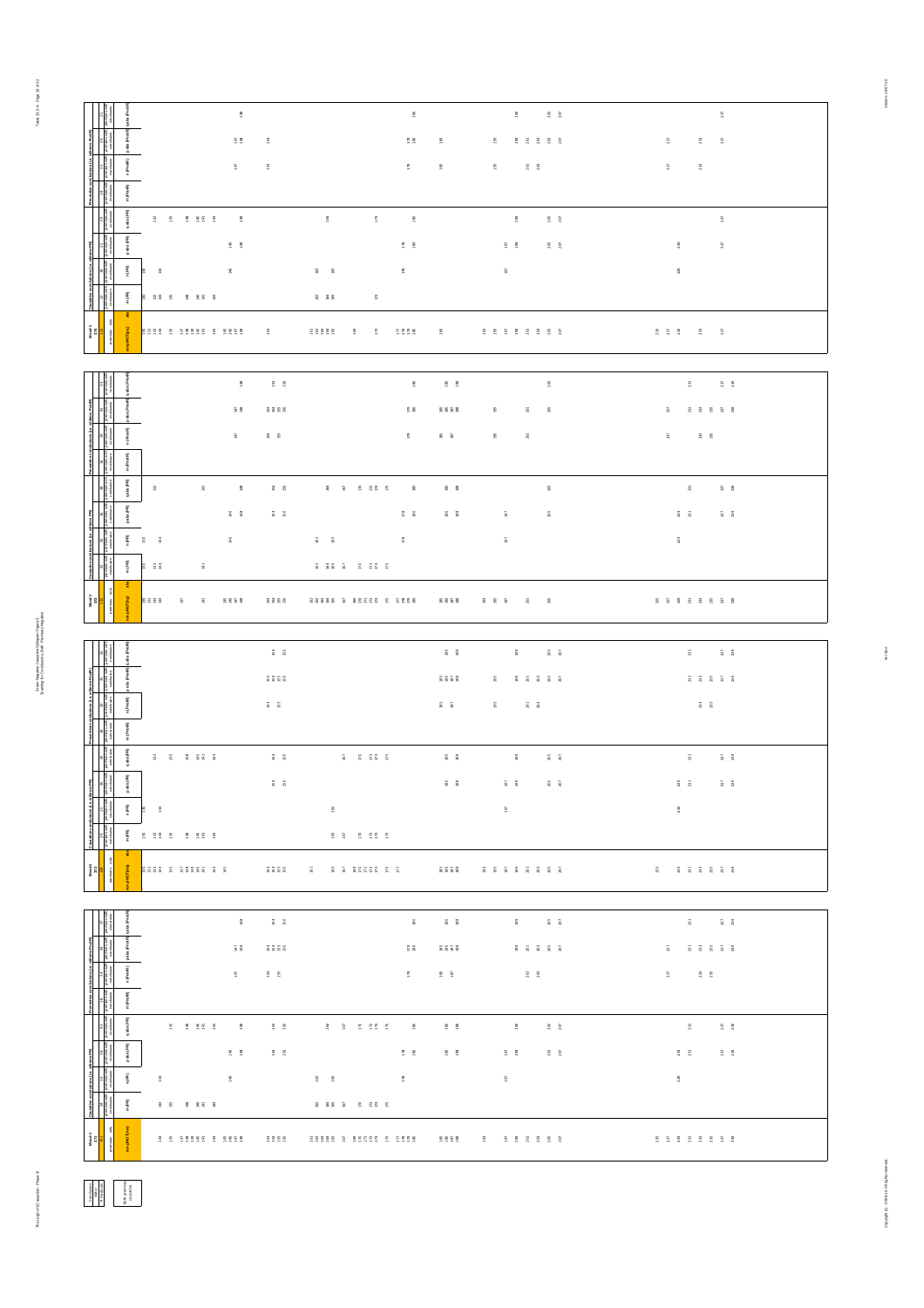|                            | $\frac{32}{14}$                                                                                                                                                                                                                                                                                                                                                                                   | $\frac{33}{14}$                                                                                                                                         |                 | $200 - 200$                                                                                                                                                                                                                                                                                                                                                                                                                                                                                                                    | $2\,\overline{\!\rm{37}}$                                                                                                                                                                                                                                                                                                                                                                                                                                                                                                    |
|----------------------------|---------------------------------------------------------------------------------------------------------------------------------------------------------------------------------------------------------------------------------------------------------------------------------------------------------------------------------------------------------------------------------------------------|---------------------------------------------------------------------------------------------------------------------------------------------------------|-----------------|--------------------------------------------------------------------------------------------------------------------------------------------------------------------------------------------------------------------------------------------------------------------------------------------------------------------------------------------------------------------------------------------------------------------------------------------------------------------------------------------------------------------------------|------------------------------------------------------------------------------------------------------------------------------------------------------------------------------------------------------------------------------------------------------------------------------------------------------------------------------------------------------------------------------------------------------------------------------------------------------------------------------------------------------------------------------|
|                            | $\frac{1}{2}$ $\frac{1}{2}$ $\frac{1}{2}$ $\frac{1}{2}$ $\frac{1}{2}$ $\frac{1}{2}$ $\frac{1}{2}$ $\frac{1}{2}$ $\frac{1}{2}$ $\frac{1}{2}$ $\frac{1}{2}$ $\frac{1}{2}$ $\frac{1}{2}$ $\frac{1}{2}$ $\frac{1}{2}$ $\frac{1}{2}$ $\frac{1}{2}$ $\frac{1}{2}$ $\frac{1}{2}$ $\frac{1}{2}$ $\frac{1}{2}$ $\frac{1}{2}$                                                                               | 730                                                                                                                                                     | $\frac{95}{14}$ |                                                                                                                                                                                                                                                                                                                                                                                                                                                                                                                                | $\overline{a}$ $\overline{a}$ $\overline{a}$                                                                                                                                                                                                                                                                                                                                                                                                                                                                                 |
|                            |                                                                                                                                                                                                                                                                                                                                                                                                   |                                                                                                                                                         |                 |                                                                                                                                                                                                                                                                                                                                                                                                                                                                                                                                | $\overline{a}$ $\overline{a}$                                                                                                                                                                                                                                                                                                                                                                                                                                                                                                |
|                            |                                                                                                                                                                                                                                                                                                                                                                                                   |                                                                                                                                                         |                 |                                                                                                                                                                                                                                                                                                                                                                                                                                                                                                                                |                                                                                                                                                                                                                                                                                                                                                                                                                                                                                                                              |
|                            |                                                                                                                                                                                                                                                                                                                                                                                                   |                                                                                                                                                         |                 |                                                                                                                                                                                                                                                                                                                                                                                                                                                                                                                                | 237                                                                                                                                                                                                                                                                                                                                                                                                                                                                                                                          |
|                            | $\frac{1}{2} \frac{1}{2} \frac{1}{2} \frac{1}{2} \frac{1}{2} \frac{1}{2} \frac{1}{2} \frac{1}{2} \frac{1}{2} \frac{1}{2} \frac{1}{2} \frac{1}{2} \frac{1}{2} \frac{1}{2} \frac{1}{2} \frac{1}{2} \frac{1}{2} \frac{1}{2} \frac{1}{2} \frac{1}{2} \frac{1}{2} \frac{1}{2} \frac{1}{2} \frac{1}{2} \frac{1}{2} \frac{1}{2} \frac{1}{2} \frac{1}{2} \frac{1}{2} \frac{1}{2} \frac{1}{2} \frac{$<br>휲 | $78$ $38$                                                                                                                                               |                 |                                                                                                                                                                                                                                                                                                                                                                                                                                                                                                                                | $\mathbb{R}$ and $\mathbb{R}$                                                                                                                                                                                                                                                                                                                                                                                                                                                                                                |
|                            | Ę<br>300                                                                                                                                                                                                                                                                                                                                                                                          | 이 아이들은 그들의 사람들은 아이들에게 하는 것이 없다. 이 사람들은 아이들에게 하는 것이 없다. 이 사람들은 아이들의 사람들은 아이들의 사람들은 아이들의 사람들은 아이들의 사람들은 아이들의 사람들                                          |                 | 1000 - 1000 - 1000 - 1000 - 1000 - 1000 - 1000 - 1000 - 1000 - 1000 - 1000 - 1000 - 1000 - 1000 - 1000 - 1000                                                                                                                                                                                                                                                                                                                                                                                                                  | 229                                                                                                                                                                                                                                                                                                                                                                                                                                                                                                                          |
|                            | $_{\rm m}$ (PR)                                                                                                                                                                                                                                                                                                                                                                                   | $\begin{array}{ccc}\n\mathbf{3} & \mathbf{3} & \mathbf{3} \\ \mathbf{4} & \mathbf{3} & \mathbf{4} \\ \mathbf{5} & \mathbf{5} & \mathbf{5}\n\end{array}$ |                 |                                                                                                                                                                                                                                                                                                                                                                                                                                                                                                                                |                                                                                                                                                                                                                                                                                                                                                                                                                                                                                                                              |
| $\frac{1}{3}$              |                                                                                                                                                                                                                                                                                                                                                                                                   |                                                                                                                                                         |                 |                                                                                                                                                                                                                                                                                                                                                                                                                                                                                                                                |                                                                                                                                                                                                                                                                                                                                                                                                                                                                                                                              |
|                            |                                                                                                                                                                                                                                                                                                                                                                                                   |                                                                                                                                                         |                 |                                                                                                                                                                                                                                                                                                                                                                                                                                                                                                                                |                                                                                                                                                                                                                                                                                                                                                                                                                                                                                                                              |
|                            | $\begin{array}{cccccccccc} \mathfrak{B} & \mathfrak{B} & \mathfrak{B} & \mathfrak{B} \end{array}$                                                                                                                                                                                                                                                                                                 |                                                                                                                                                         |                 |                                                                                                                                                                                                                                                                                                                                                                                                                                                                                                                                | $\begin{array}{ccc}\n\overline{a} & \phantom{b} & \overline{a} & \overline{a} \\ \end{array}$                                                                                                                                                                                                                                                                                                                                                                                                                                |
|                            | 몇몇 그 그들의 의                                                                                                                                                                                                                                                                                                                                                                                        | $P = 300$                                                                                                                                               | 8888            |                                                                                                                                                                                                                                                                                                                                                                                                                                                                                                                                |                                                                                                                                                                                                                                                                                                                                                                                                                                                                                                                              |
|                            | $\frac{1}{24}$ $\frac{1}{24}$ $\frac{1}{24}$ $\frac{1}{24}$ $\frac{1}{24}$ $\frac{1}{24}$ $\frac{1}{24}$ $\frac{1}{24}$                                                                                                                                                                                                                                                                           |                                                                                                                                                         |                 |                                                                                                                                                                                                                                                                                                                                                                                                                                                                                                                                | $\frac{1}{2}$ $\frac{1}{2}$ $\frac{1}{2}$ $\frac{1}{2}$ $\frac{1}{2}$ $\frac{1}{2}$ $\frac{1}{2}$ $\frac{1}{2}$ $\frac{1}{2}$ $\frac{1}{2}$ $\frac{1}{2}$ $\frac{1}{2}$ $\frac{1}{2}$ $\frac{1}{2}$ $\frac{1}{2}$ $\frac{1}{2}$ $\frac{1}{2}$ $\frac{1}{2}$ $\frac{1}{2}$ $\frac{1}{2}$ $\frac{1}{2}$ $\frac{1}{2}$                                                                                                                                                                                                          |
|                            |                                                                                                                                                                                                                                                                                                                                                                                                   |                                                                                                                                                         |                 |                                                                                                                                                                                                                                                                                                                                                                                                                                                                                                                                |                                                                                                                                                                                                                                                                                                                                                                                                                                                                                                                              |
|                            |                                                                                                                                                                                                                                                                                                                                                                                                   |                                                                                                                                                         |                 |                                                                                                                                                                                                                                                                                                                                                                                                                                                                                                                                |                                                                                                                                                                                                                                                                                                                                                                                                                                                                                                                              |
|                            |                                                                                                                                                                                                                                                                                                                                                                                                   |                                                                                                                                                         |                 |                                                                                                                                                                                                                                                                                                                                                                                                                                                                                                                                | $\begin{array}{ccc} \mathbf{R} & \mathbf{R} & \mathbf{R} & \mathbf{R} \\ \mathbf{R} & \mathbf{R} & \mathbf{R} & \mathbf{R} \end{array}$                                                                                                                                                                                                                                                                                                                                                                                      |
|                            | $\overline{a}$ $\overline{a}$                                                                                                                                                                                                                                                                                                                                                                     | 이 이 그는 그들에게 이 것이 없는 것이 없는 것이 없다. 이 그는 그들의 이 것이 없다. 그는 그들의 이 것이 없다. 그는 그들의 이 것이 없다. 그는 그들의 그들의 그들의 그들의 그들의 그들의                                           |                 | $97 - 37$                                                                                                                                                                                                                                                                                                                                                                                                                                                                                                                      | $\overline{a}$                                                                                                                                                                                                                                                                                                                                                                                                                                                                                                               |
|                            | Ê<br>22.22<br>$\mathbb{E}$ and $\mathbb{E}$                                                                                                                                                                                                                                                                                                                                                       | <b>BRANCH BRANCH</b>                                                                                                                                    |                 |                                                                                                                                                                                                                                                                                                                                                                                                                                                                                                                                |                                                                                                                                                                                                                                                                                                                                                                                                                                                                                                                              |
| m                          |                                                                                                                                                                                                                                                                                                                                                                                                   |                                                                                                                                                         |                 |                                                                                                                                                                                                                                                                                                                                                                                                                                                                                                                                | adaa a xixxx aasa aasaa sacdoo cada aasa a s a s c                                                                                                                                                                                                                                                                                                                                                                                                                                                                           |
|                            |                                                                                                                                                                                                                                                                                                                                                                                                   |                                                                                                                                                         |                 |                                                                                                                                                                                                                                                                                                                                                                                                                                                                                                                                |                                                                                                                                                                                                                                                                                                                                                                                                                                                                                                                              |
|                            | $\frac{4}{10}$ $\frac{6}{10}$                                                                                                                                                                                                                                                                                                                                                                     |                                                                                                                                                         |                 |                                                                                                                                                                                                                                                                                                                                                                                                                                                                                                                                |                                                                                                                                                                                                                                                                                                                                                                                                                                                                                                                              |
|                            | 8388                                                                                                                                                                                                                                                                                                                                                                                              |                                                                                                                                                         | 8888            | $\begin{array}{ccccccccccccccccc} \mathbb{B} & & \mathbb{B} & & \mathbb{B} & & \mathbb{B} & & \mathbb{B} & & \mathbb{B} & & \mathbb{B} & & \mathbb{B} & & \mathbb{B} & & \mathbb{B} & & \mathbb{B} & & \mathbb{B} & & \mathbb{B} & & \mathbb{B} & & \mathbb{B} & & \mathbb{B} & & \mathbb{B} & & \mathbb{B} & & \mathbb{B} & & \mathbb{B} & & \mathbb{B} & & \mathbb{B} & & \mathbb{B} & & \mathbb{B} & & \mathbb{B} & & \mathbb{B} & & \$                                                                                     | 3 3 3 5 3                                                                                                                                                                                                                                                                                                                                                                                                                                                                                                                    |
|                            | 9.96                                                                                                                                                                                                                                                                                                                                                                                              |                                                                                                                                                         |                 | 鎮 (語) (語) (語) (語) (語) (語) (語) (語) (語)                                                                                                                                                                                                                                                                                                                                                                                                                                                                                          | $\begin{array}{ccc}\n\mathbb{R} & \mathbb{R} & \mathbb{R} & \mathbb{R} & \mathbb{R} & \mathbb{R} & \mathbb{R} & \mathbb{R} & \mathbb{R} & \mathbb{R} & \mathbb{R} & \mathbb{R} & \mathbb{R} & \mathbb{R} & \mathbb{R} & \mathbb{R} & \mathbb{R} & \mathbb{R} & \mathbb{R} & \mathbb{R} & \mathbb{R} & \mathbb{R} & \mathbb{R} & \mathbb{R} & \mathbb{R} & \mathbb{R} & \mathbb{R} & \mathbb{R} & \mathbb{R} & \mathbb{R} & \math$                                                                                            |
|                            |                                                                                                                                                                                                                                                                                                                                                                                                   |                                                                                                                                                         |                 |                                                                                                                                                                                                                                                                                                                                                                                                                                                                                                                                |                                                                                                                                                                                                                                                                                                                                                                                                                                                                                                                              |
|                            |                                                                                                                                                                                                                                                                                                                                                                                                   |                                                                                                                                                         |                 |                                                                                                                                                                                                                                                                                                                                                                                                                                                                                                                                |                                                                                                                                                                                                                                                                                                                                                                                                                                                                                                                              |
|                            | $15 - 15$                                                                                                                                                                                                                                                                                                                                                                                         |                                                                                                                                                         |                 | $\begin{matrix} \vdots & \vdots & \vdots & \vdots & \vdots \\ \vdots & \vdots & \vdots & \vdots & \vdots \\ \vdots & \vdots & \vdots & \vdots & \vdots \\ \vdots & \vdots & \vdots & \vdots & \vdots \\ \vdots & \vdots & \vdots & \vdots & \vdots \\ \vdots & \vdots & \vdots & \vdots & \vdots \\ \vdots & \vdots & \vdots & \vdots & \vdots \\ \vdots & \vdots & \vdots & \vdots & \vdots \\ \vdots & \vdots & \vdots & \vdots & \vdots \\ \vdots & \vdots & \vdots & \vdots & \vdots \\ \vdots & \vdots & \vdots & \vdots$ | $\begin{matrix} \hat{\mathbf{n}} & \hat{\mathbf{n}} \\ \hat{\mathbf{n}} & \hat{\mathbf{n}} \end{matrix} \qquad \qquad \begin{matrix} \hat{\mathbf{n}} & \hat{\mathbf{n}} \\ \hat{\mathbf{n}} & \hat{\mathbf{n}} \end{matrix}$                                                                                                                                                                                                                                                                                                |
|                            | $\frac{8}{13}$ 33                                                                                                                                                                                                                                                                                                                                                                                 | 166                                                                                                                                                     |                 | $-97$                                                                                                                                                                                                                                                                                                                                                                                                                                                                                                                          | $\mathbb{R}^n$                                                                                                                                                                                                                                                                                                                                                                                                                                                                                                               |
|                            | 8 88 88 88 89                                                                                                                                                                                                                                                                                                                                                                                     |                                                                                                                                                         |                 |                                                                                                                                                                                                                                                                                                                                                                                                                                                                                                                                |                                                                                                                                                                                                                                                                                                                                                                                                                                                                                                                              |
| $rac{1}{3}$                |                                                                                                                                                                                                                                                                                                                                                                                                   |                                                                                                                                                         |                 |                                                                                                                                                                                                                                                                                                                                                                                                                                                                                                                                |                                                                                                                                                                                                                                                                                                                                                                                                                                                                                                                              |
|                            |                                                                                                                                                                                                                                                                                                                                                                                                   |                                                                                                                                                         |                 |                                                                                                                                                                                                                                                                                                                                                                                                                                                                                                                                |                                                                                                                                                                                                                                                                                                                                                                                                                                                                                                                              |
|                            | $\frac{3}{2}$ $\frac{4}{2}$ $\frac{6}{2}$                                                                                                                                                                                                                                                                                                                                                         |                                                                                                                                                         |                 | $\begin{matrix} \mathbb{S}^1 & \mathbb{S}^1 & \mathbb{S}^1 & \mathbb{S}^1 & \mathbb{S}^1 & \mathbb{S}^1 & \mathbb{S}^1 & \mathbb{S}^1 & \mathbb{S}^1 & \mathbb{S}^1 & \mathbb{S}^1 & \mathbb{S}^1 & \mathbb{S}^1 & \mathbb{S}^1 & \mathbb{S}^1 & \mathbb{S}^1 & \mathbb{S}^1 & \mathbb{S}^1 & \mathbb{S}^1 & \mathbb{S}^1 & \mathbb{S}^1 & \mathbb{S}^1 & \mathbb{S}^1 & \mathbb{S}^1$                                                                                                                                         |                                                                                                                                                                                                                                                                                                                                                                                                                                                                                                                              |
|                            | និនី និងីនីនី                                                                                                                                                                                                                                                                                                                                                                                     | 77.9                                                                                                                                                    |                 | $\begin{array}{lllllllllllll} \text{R} & \text{R} & \text{R} & \text{R} & \text{R} & \text{R} & \text{R} & \text{R} & \text{R} & \text{R} & \text{R} & \text{R} & \text{R} & \text{R} & \text{R} & \text{R} & \text{R} & \text{R} & \text{R} & \text{R} & \text{R} & \text{R} & \text{R} & \text{R} & \text{R} & \text{R} & \text{R} & \text{R} & \text{R} & \text{R} & \text{R} & \text{R} & \text{R} & \text{R} & \text{$                                                                                                    |                                                                                                                                                                                                                                                                                                                                                                                                                                                                                                                              |
|                            | $\begin{array}{cccccccccc} \Xi & \Xi & \Xi & \Xi & \Xi \end{array}$                                                                                                                                                                                                                                                                                                                               |                                                                                                                                                         |                 |                                                                                                                                                                                                                                                                                                                                                                                                                                                                                                                                | $\begin{array}{ccc}\n\ddots & \ddots & \ddots & \ddots & \ddots \\ \ddots & \ddots & \ddots & \ddots & \ddots & \ddots \\ \ddots & \ddots & \ddots & \ddots & \ddots & \ddots \\ \ddots & \ddots & \ddots & \ddots & \ddots & \ddots \\ \ddots & \ddots & \ddots & \ddots & \ddots & \ddots \\ \ddots & \ddots & \ddots & \ddots & \ddots & \ddots \\ \ddots & \ddots & \ddots & \ddots & \ddots & \ddots \\ \ddots & \ddots & \ddots & \ddots & \ddots & \ddots \\ \ddots & \ddots & \ddots & \ddots & \ddots & \ddots \\ $ |
|                            |                                                                                                                                                                                                                                                                                                                                                                                                   |                                                                                                                                                         |                 |                                                                                                                                                                                                                                                                                                                                                                                                                                                                                                                                |                                                                                                                                                                                                                                                                                                                                                                                                                                                                                                                              |
|                            |                                                                                                                                                                                                                                                                                                                                                                                                   |                                                                                                                                                         |                 |                                                                                                                                                                                                                                                                                                                                                                                                                                                                                                                                | $\overline{a}$ $\overline{a}$ $\overline{a}$ $\overline{a}$ $\overline{a}$                                                                                                                                                                                                                                                                                                                                                                                                                                                   |
| whems <sub>PR)</sub>       |                                                                                                                                                                                                                                                                                                                                                                                                   | .<br>19. 그리고 그리고 있는 그리고 있는 그리고 있는 것은 이 없는 것은 그리고 있는 것은 그리고 있는 것은 있는 것은 있는 것은 있는 것은 있는 것은 있는 것은 있는 것은 있는 것은 것은 것은 있는                                     |                 |                                                                                                                                                                                                                                                                                                                                                                                                                                                                                                                                |                                                                                                                                                                                                                                                                                                                                                                                                                                                                                                                              |
|                            | $\sum_{n=1}^{\infty}$                                                                                                                                                                                                                                                                                                                                                                             |                                                                                                                                                         |                 | 97                                                                                                                                                                                                                                                                                                                                                                                                                                                                                                                             | $\overline{\mathbf{a}}$                                                                                                                                                                                                                                                                                                                                                                                                                                                                                                      |
| Jausative conclusions (i.e | 田 田 田 田 田 田 田                                                                                                                                                                                                                                                                                                                                                                                     |                                                                                                                                                         |                 |                                                                                                                                                                                                                                                                                                                                                                                                                                                                                                                                |                                                                                                                                                                                                                                                                                                                                                                                                                                                                                                                              |
| Mood #                     |                                                                                                                                                                                                                                                                                                                                                                                                   |                                                                                                                                                         |                 |                                                                                                                                                                                                                                                                                                                                                                                                                                                                                                                                |                                                                                                                                                                                                                                                                                                                                                                                                                                                                                                                              |

Avi Slon

/asiat 99-07-10

Table 23.5-9 - Page 26 of 32

Table 23.5-9 - Page 26 of 32

he Logic of £Causation - Phase III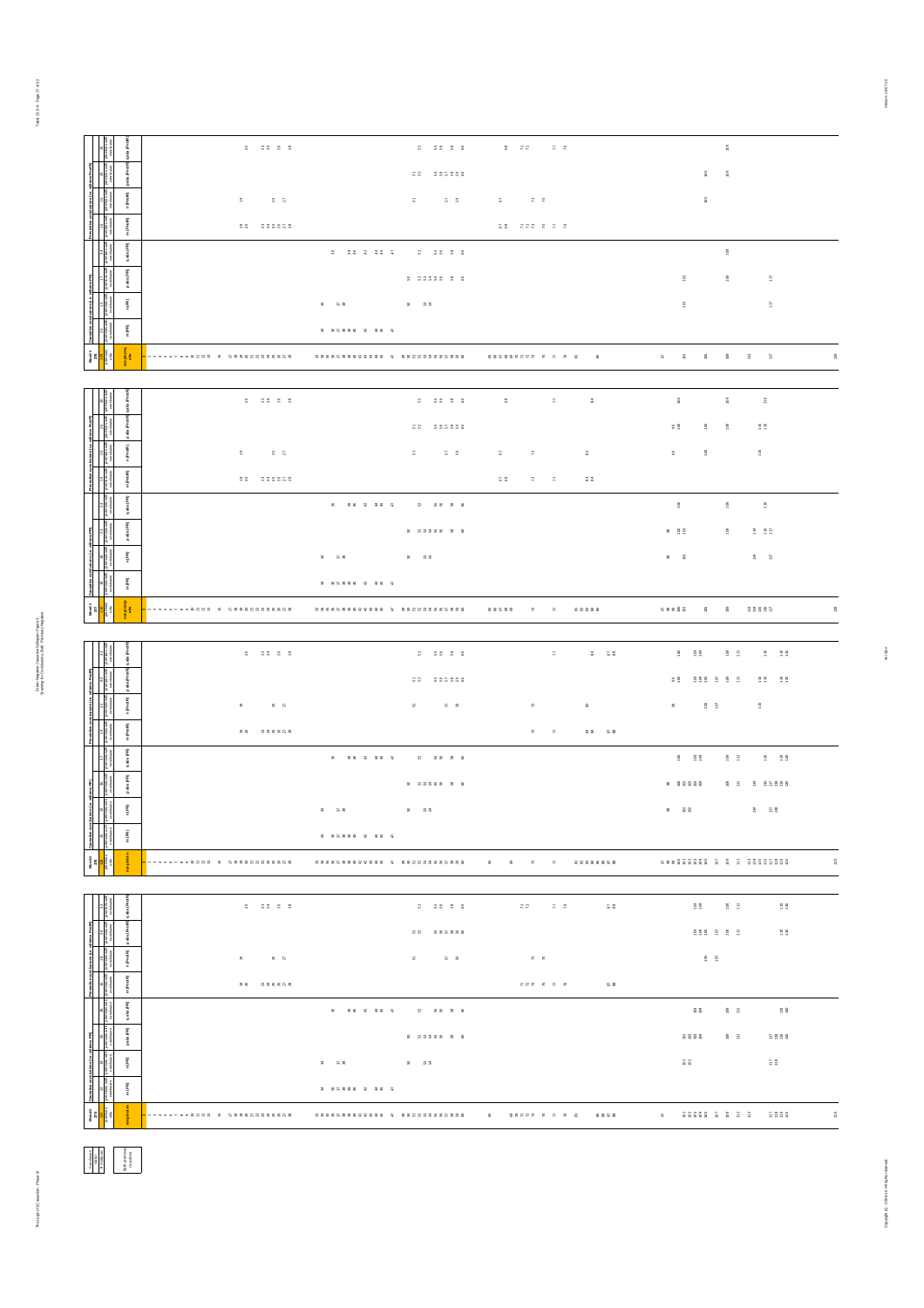|                                        | $\begin{matrix} 8 & 7 \\ 7 & 8 \end{matrix} \quad \begin{matrix} 8 & 8 \\ 9 & 7 \end{matrix}$                                                                                                                                                                                                                                                                                                                                               | 28338                                                                                                                                                                                                                                                                                                                                                                                                                             | $R = R$<br>8 R                                                                                                                                                                                                                                                                                                                                                                                                                                                      | $\frac{8}{11}$                                                                                                                                                                                                                                                                                                                                                                                                                                  |                     |
|----------------------------------------|---------------------------------------------------------------------------------------------------------------------------------------------------------------------------------------------------------------------------------------------------------------------------------------------------------------------------------------------------------------------------------------------------------------------------------------------|-----------------------------------------------------------------------------------------------------------------------------------------------------------------------------------------------------------------------------------------------------------------------------------------------------------------------------------------------------------------------------------------------------------------------------------|---------------------------------------------------------------------------------------------------------------------------------------------------------------------------------------------------------------------------------------------------------------------------------------------------------------------------------------------------------------------------------------------------------------------------------------------------------------------|-------------------------------------------------------------------------------------------------------------------------------------------------------------------------------------------------------------------------------------------------------------------------------------------------------------------------------------------------------------------------------------------------------------------------------------------------|---------------------|
|                                        |                                                                                                                                                                                                                                                                                                                                                                                                                                             |                                                                                                                                                                                                                                                                                                                                                                                                                                   |                                                                                                                                                                                                                                                                                                                                                                                                                                                                     | 18 B                                                                                                                                                                                                                                                                                                                                                                                                                                            |                     |
|                                        | $\begin{array}{ccc} \mathfrak{A} & \mathfrak{A} & \mathfrak{A} \\ \mathfrak{A} & \mathfrak{A} & \mathfrak{A} \end{array}$                                                                                                                                                                                                                                                                                                                   | $\begin{array}{ccc} 0 & 0 & 0 \\ 0 & 0 & 0 \\ 0 & 0 & 0 \\ 0 & 0 & 0 \\ 0 & 0 & 0 \\ 0 & 0 & 0 \\ 0 & 0 & 0 \\ 0 & 0 & 0 \\ 0 & 0 & 0 \\ 0 & 0 & 0 \\ 0 & 0 & 0 \\ 0 & 0 & 0 \\ 0 & 0 & 0 & 0 \\ 0 & 0 & 0 & 0 \\ 0 & 0 & 0 & 0 \\ 0 & 0 & 0 & 0 & 0 \\ 0 & 0 & 0 & 0 & 0 \\ 0 & 0 & 0 & 0 & 0 \\ 0 & 0 & 0 & 0 & 0 \\ 0 & 0 & 0 &$                                                                                               |                                                                                                                                                                                                                                                                                                                                                                                                                                                                     | $\mathbb{S}$                                                                                                                                                                                                                                                                                                                                                                                                                                    |                     |
| Ť                                      | $22$ $222222$                                                                                                                                                                                                                                                                                                                                                                                                                               |                                                                                                                                                                                                                                                                                                                                                                                                                                   |                                                                                                                                                                                                                                                                                                                                                                                                                                                                     |                                                                                                                                                                                                                                                                                                                                                                                                                                                 |                     |
| €<br>i                                 |                                                                                                                                                                                                                                                                                                                                                                                                                                             |                                                                                                                                                                                                                                                                                                                                                                                                                                   |                                                                                                                                                                                                                                                                                                                                                                                                                                                                     | $\frac{8}{2}$                                                                                                                                                                                                                                                                                                                                                                                                                                   |                     |
| £                                      |                                                                                                                                                                                                                                                                                                                                                                                                                                             | $8$ $8$ $8$ $8$ $8$ $8$ $8$                                                                                                                                                                                                                                                                                                                                                                                                       |                                                                                                                                                                                                                                                                                                                                                                                                                                                                     | $\overline{a}$                                                                                                                                                                                                                                                                                                                                                                                                                                  |                     |
|                                        |                                                                                                                                                                                                                                                                                                                                                                                                                                             | $\overline{n}$ $\overline{n}$ $\overline{n}$                                                                                                                                                                                                                                                                                                                                                                                      |                                                                                                                                                                                                                                                                                                                                                                                                                                                                     | $\overline{a}$<br>$\mathbb{R}^n$                                                                                                                                                                                                                                                                                                                                                                                                                |                     |
| $m(\theta R)$                          |                                                                                                                                                                                                                                                                                                                                                                                                                                             | x xxxxx x xx x                                                                                                                                                                                                                                                                                                                                                                                                                    |                                                                                                                                                                                                                                                                                                                                                                                                                                                                     |                                                                                                                                                                                                                                                                                                                                                                                                                                                 |                     |
|                                        |                                                                                                                                                                                                                                                                                                                                                                                                                                             | nn-nn-nn-sada besedaaska askabeseddad besidaaskabe eesespraa a bile i bili i bile i bile i bile                                                                                                                                                                                                                                                                                                                                   |                                                                                                                                                                                                                                                                                                                                                                                                                                                                     |                                                                                                                                                                                                                                                                                                                                                                                                                                                 | $_{\Omega}$         |
|                                        |                                                                                                                                                                                                                                                                                                                                                                                                                                             |                                                                                                                                                                                                                                                                                                                                                                                                                                   |                                                                                                                                                                                                                                                                                                                                                                                                                                                                     |                                                                                                                                                                                                                                                                                                                                                                                                                                                 |                     |
|                                        | $\begin{matrix} R & R & R & R \\ R & R & R \end{matrix}$                                                                                                                                                                                                                                                                                                                                                                                    | 28888                                                                                                                                                                                                                                                                                                                                                                                                                             | [1] 2010년 1월 1일 - 1월 1일 - 1월 1일 - 1월 1일 - 1월 1일 - 1월 1일 - 1월 1일 - 1월 1일 - 1월 1일 - 1월 1일 - 1월 1일 - 1월 1일 - 1월 1                                                                                                                                                                                                                                                                                                                                                      |                                                                                                                                                                                                                                                                                                                                                                                                                                                 |                     |
|                                        |                                                                                                                                                                                                                                                                                                                                                                                                                                             | $53 - 535333$                                                                                                                                                                                                                                                                                                                                                                                                                     |                                                                                                                                                                                                                                                                                                                                                                                                                                                                     | \$8<br>$\begin{array}{ccccccccccccc} \mathbf{g} & & & \mathbf{g} & & & \mathbf{g} & & & \mathbf{g} & & \mathbf{g} & & \mathbf{g} & & \mathbf{g} & & \mathbf{g} & & \mathbf{g} & & \mathbf{g} & & \mathbf{g} & & \mathbf{g} & & \mathbf{g} & & \mathbf{g} & & \mathbf{g} & & \mathbf{g} & & \mathbf{g} & & \mathbf{g} & & \mathbf{g} & & \mathbf{g} & & \mathbf{g} & & \mathbf{g} & & \mathbf{g} & & \mathbf{g} & & \mathbf{g} & & \mathbf{g} &$ |                     |
|                                        | $\begin{array}{ccc} & \alpha & \alpha & \alpha & \alpha \\ \alpha & \alpha & \alpha & \alpha & \alpha \end{array}$                                                                                                                                                                                                                                                                                                                          | $\begin{array}{ccccccccc}\n\mathbf{r}^{\mathbf{a}} & \mathbf{r}^{\mathbf{a}} & \mathbf{r}^{\mathbf{a}} & \mathbf{r}^{\mathbf{a}} & \mathbf{r}^{\mathbf{a}} & \mathbf{r}^{\mathbf{a}} & \mathbf{r}^{\mathbf{a}} & \mathbf{r}^{\mathbf{a}} & \mathbf{r}^{\mathbf{a}} & \mathbf{r}^{\mathbf{a}} & \mathbf{r}^{\mathbf{a}} & \mathbf{r}^{\mathbf{a}} & \mathbf{r}^{\mathbf{a}} & \mathbf{r}^{\mathbf{a}} & \mathbf{r}^{\mathbf{a}} &$ | $\begin{array}{ccc} \mathbb{R}^n & \mathbb{R}^n & \mathbb{R}^n \end{array}$<br>$\overline{a}$                                                                                                                                                                                                                                                                                                                                                                       | $\begin{array}{ccc} 9 & 10 & 10 & 10 \\ 10 & 10 & 10 & 10 \\ 11 & 10 & 10 & 10 \\ 11 & 10 & 10 & 10 \\ 11 & 10 & 10 & 10 \\ 11 & 10 & 10 & 10 \\ 11 & 10 & 10 & 10 \\ 11 & 10 & 10 & 10 \\ 11 & 10 & 10 & 10 \\ 11 & 10 & 10 & 10 \\ 11 & 10 & 10 & 10 & 10 \\ 11 & 10 & 10 & 10 & 10 \\ 11 & 10 & 10 & 1$                                                                                                                                      |                     |
|                                        | $22 - 222222$                                                                                                                                                                                                                                                                                                                                                                                                                               |                                                                                                                                                                                                                                                                                                                                                                                                                                   | $\begin{array}{cccccccccccccc} &\text{G} &\text{G} & & & & & \text{C} & & & \text{C} & & & \text{C} & & \text{C} & & \text{C} & & \text{C} & & \text{C} & & \text{C} & & \text{C} & & \text{C} & & \text{C} & & \text{C} & & \text{C} & & \text{C} & & \text{C} & & \text{C} & & \text{C} & & \text{C} & & \text{C} & & \text{C} & & \text{C} & & \text{C} & & \text{C} & & \text{C} & & \text{C} & & \text{C} & & \text{C} & & \text$                              |                                                                                                                                                                                                                                                                                                                                                                                                                                                 |                     |
| $\frac{\mathcal{C}}{\mathcal{C}}$<br>i |                                                                                                                                                                                                                                                                                                                                                                                                                                             |                                                                                                                                                                                                                                                                                                                                                                                                                                   |                                                                                                                                                                                                                                                                                                                                                                                                                                                                     | $\begin{matrix} 0 & 0 & 0 \\ 0 & 0 & 0 \\ 0 & 0 & 0 \\ 0 & 0 & 0 \\ 0 & 0 & 0 \\ 0 & 0 & 0 \\ 0 & 0 & 0 \\ 0 & 0 & 0 \\ 0 & 0 & 0 & 0 \\ 0 & 0 & 0 & 0 \\ 0 & 0 & 0 & 0 \\ 0 & 0 & 0 & 0 \\ 0 & 0 & 0 & 0 & 0 \\ 0 & 0 & 0 & 0 & 0 \\ 0 & 0 & 0 & 0 & 0 \\ 0 & 0 & 0 & 0 & 0 & 0 \\ 0 & 0 & 0 & 0 & 0 & 0 \\ 0 & 0 & 0 & 0 & 0$                                                                                                                 |                     |
| Ê<br>15 P R)<br>i                      |                                                                                                                                                                                                                                                                                                                                                                                                                                             | $8\quad 2\ 2\ 3\ 3\ 2\ 8\quad 8\quad 8$                                                                                                                                                                                                                                                                                                                                                                                           |                                                                                                                                                                                                                                                                                                                                                                                                                                                                     | 8.65                                                                                                                                                                                                                                                                                                                                                                                                                                            |                     |
| $\omega_{\rm eff}$                     |                                                                                                                                                                                                                                                                                                                                                                                                                                             |                                                                                                                                                                                                                                                                                                                                                                                                                                   |                                                                                                                                                                                                                                                                                                                                                                                                                                                                     |                                                                                                                                                                                                                                                                                                                                                                                                                                                 |                     |
| $\mathfrak{m}$ (PR)                    |                                                                                                                                                                                                                                                                                                                                                                                                                                             | x xxxxx x xx x                                                                                                                                                                                                                                                                                                                                                                                                                    |                                                                                                                                                                                                                                                                                                                                                                                                                                                                     |                                                                                                                                                                                                                                                                                                                                                                                                                                                 |                     |
|                                        |                                                                                                                                                                                                                                                                                                                                                                                                                                             | wwwwwwwaarda dibaaddaadada aadaadadada dibadadadada aadaa a bii dadaa iyo waaggi gi gii giidada                                                                                                                                                                                                                                                                                                                                   |                                                                                                                                                                                                                                                                                                                                                                                                                                                                     |                                                                                                                                                                                                                                                                                                                                                                                                                                                 | $_{\rm 29}^{\circ}$ |
|                                        |                                                                                                                                                                                                                                                                                                                                                                                                                                             |                                                                                                                                                                                                                                                                                                                                                                                                                                   |                                                                                                                                                                                                                                                                                                                                                                                                                                                                     |                                                                                                                                                                                                                                                                                                                                                                                                                                                 |                     |
|                                        | $\begin{matrix} \texttt{R} & \texttt{R} \texttt{R} & \texttt{R} \texttt{R} \end{matrix} \quad \begin{matrix} \texttt{R} & \texttt{R} \end{matrix}$                                                                                                                                                                                                                                                                                          |                                                                                                                                                                                                                                                                                                                                                                                                                                   |                                                                                                                                                                                                                                                                                                                                                                                                                                                                     |                                                                                                                                                                                                                                                                                                                                                                                                                                                 |                     |
|                                        |                                                                                                                                                                                                                                                                                                                                                                                                                                             | 22 22222                                                                                                                                                                                                                                                                                                                                                                                                                          |                                                                                                                                                                                                                                                                                                                                                                                                                                                                     | #8 888 888 888                                                                                                                                                                                                                                                                                                                                                                                                                                  |                     |
|                                        | $\begin{array}{cccccccccc} \mathfrak{B} & \mathfrak{B} & \mathfrak{B} & \mathfrak{B} & \mathfrak{B} \end{array}$                                                                                                                                                                                                                                                                                                                            | $\begin{array}{ccc}\n\mathbb{Z}^2 & \mathbb{Z}^2 & \mathbb{Z}^2 & \mathbb{Z}^2 \\ \mathbb{Z}^2 & \mathbb{Z}^2 & \mathbb{Z}^2 & \mathbb{Z}^2 & \mathbb{Z}^2\n\end{array}$                                                                                                                                                                                                                                                          |                                                                                                                                                                                                                                                                                                                                                                                                                                                                     |                                                                                                                                                                                                                                                                                                                                                                                                                                                 |                     |
|                                        | $22$ $222222$                                                                                                                                                                                                                                                                                                                                                                                                                               |                                                                                                                                                                                                                                                                                                                                                                                                                                   | $\begin{array}{cccccccccccccc} \mathcal{R} & \mathcal{R} & \mathcal{R} & \mathcal{R} & \mathcal{R} & \mathcal{R} & \mathcal{R} & \mathcal{R} & \mathcal{R} & \mathcal{R} & \mathcal{R} & \mathcal{R} & \mathcal{R} & \mathcal{R} & \mathcal{R} & \mathcal{R} & \mathcal{R} & \mathcal{R} & \mathcal{R} & \mathcal{R} & \mathcal{R} & \mathcal{R} & \mathcal{R} & \mathcal{R} & \mathcal{R} & \mathcal{R} & \mathcal{R} & \mathcal{R} & \mathcal{R} & \mathcal{R} &$ |                                                                                                                                                                                                                                                                                                                                                                                                                                                 |                     |
| GeB)<br>$\frac{8}{9}$                  |                                                                                                                                                                                                                                                                                                                                                                                                                                             |                                                                                                                                                                                                                                                                                                                                                                                                                                   |                                                                                                                                                                                                                                                                                                                                                                                                                                                                     | $\begin{matrix} 0 & 0 & 0 & 0 & 0 \\ 0 & 0 & 0 & 0 & 0 \\ 0 & 0 & 0 & 0 & 0 \\ 0 & 0 & 0 & 0 & 0 \\ 0 & 0 & 0 & 0 & 0 \\ 0 & 0 & 0 & 0 & 0 \\ 0 & 0 & 0 & 0 & 0 \\ 0 & 0 & 0 & 0 & 0 \\ 0 & 0 & 0 & 0 & 0 \\ 0 & 0 & 0 & 0 & 0 \\ 0 & 0 & 0 & 0 & 0 \\ 0 & 0 & 0 & 0 & 0 & 0 \\ 0 & 0 & 0 & 0 & 0 & 0 \\ 0 & 0 & 0 & 0 & 0$                                                                                                                     |                     |
| Ê<br>휲                                 |                                                                                                                                                                                                                                                                                                                                                                                                                                             | $8$ $8$ $8$ $8$ $8$ $8$                                                                                                                                                                                                                                                                                                                                                                                                           |                                                                                                                                                                                                                                                                                                                                                                                                                                                                     | $9 \t{1} \t{3} \t{3} \t{2} \t{3} \t{3}$<br>* 85355                                                                                                                                                                                                                                                                                                                                                                                              |                     |
|                                        |                                                                                                                                                                                                                                                                                                                                                                                                                                             | $\begin{array}{ccc} \pi & \quad & \pi \pi \\ \end{array}$                                                                                                                                                                                                                                                                                                                                                                         |                                                                                                                                                                                                                                                                                                                                                                                                                                                                     | $\begin{picture}(20,20) \put(0,0){\line(1,0){10}} \put(15,0){\line(1,0){10}} \put(15,0){\line(1,0){10}} \put(15,0){\line(1,0){10}} \put(15,0){\line(1,0){10}} \put(15,0){\line(1,0){10}} \put(15,0){\line(1,0){10}} \put(15,0){\line(1,0){10}} \put(15,0){\line(1,0){10}} \put(15,0){\line(1,0){10}} \put(15,0){\line(1,0){10}} \put(15,0){\line(1$                                                                                             |                     |
| Causative o<br>$\mathfrak{m}$ (PR)     |                                                                                                                                                                                                                                                                                                                                                                                                                                             | a sasse e ae e                                                                                                                                                                                                                                                                                                                                                                                                                    |                                                                                                                                                                                                                                                                                                                                                                                                                                                                     |                                                                                                                                                                                                                                                                                                                                                                                                                                                 |                     |
| Į                                      |                                                                                                                                                                                                                                                                                                                                                                                                                                             | 1151119 11日 11日のおさびされたあいます これをありはあめれなりはや や のなにたちあるのはあめの しゅうしゅう フリック たいきはんをありめ                                                                                                                                                                                                                                                                                                                                                     |                                                                                                                                                                                                                                                                                                                                                                                                                                                                     |                                                                                                                                                                                                                                                                                                                                                                                                                                                 | ិន                  |
|                                        |                                                                                                                                                                                                                                                                                                                                                                                                                                             |                                                                                                                                                                                                                                                                                                                                                                                                                                   |                                                                                                                                                                                                                                                                                                                                                                                                                                                                     |                                                                                                                                                                                                                                                                                                                                                                                                                                                 |                     |
| 초                                      | $\begin{matrix} R & R & R & R \\ \end{matrix}$                                                                                                                                                                                                                                                                                                                                                                                              | $\begin{array}{cccccccccccccc} 21 & & 23 & 3 & 3 & 8 & \end{array}$                                                                                                                                                                                                                                                                                                                                                               |                                                                                                                                                                                                                                                                                                                                                                                                                                                                     | 日暮 - 白 目<br>28                                                                                                                                                                                                                                                                                                                                                                                                                                  |                     |
|                                        |                                                                                                                                                                                                                                                                                                                                                                                                                                             |                                                                                                                                                                                                                                                                                                                                                                                                                                   |                                                                                                                                                                                                                                                                                                                                                                                                                                                                     |                                                                                                                                                                                                                                                                                                                                                                                                                                                 |                     |
|                                        | $\begin{array}{ccc}\n\mathfrak{A} & \mathfrak{A} & \mathfrak{A} & \mathfrak{A} \\ \mathfrak{A} & \mathfrak{A} & \mathfrak{A} & \mathfrak{A} \\ \mathfrak{A} & \mathfrak{A} & \mathfrak{A} & \mathfrak{A} \\ \mathfrak{A} & \mathfrak{A} & \mathfrak{A} & \mathfrak{A} \\ \mathfrak{A} & \mathfrak{A} & \mathfrak{A} & \mathfrak{A} \\ \mathfrak{A} & \mathfrak{A} & \mathfrak{A} & \mathfrak{A} & \mathfrak{A} \\ \mathfrak{A} & \mathfrak$ |                                                                                                                                                                                                                                                                                                                                                                                                                                   |                                                                                                                                                                                                                                                                                                                                                                                                                                                                     | $\begin{array}{c} 105 \\ 307 \end{array}$                                                                                                                                                                                                                                                                                                                                                                                                       |                     |
|                                        | $22$ 232222                                                                                                                                                                                                                                                                                                                                                                                                                                 |                                                                                                                                                                                                                                                                                                                                                                                                                                   | $\begin{array}{cccccccccccccc} \mathcal{L} & \mathcal{L} & \mathcal{L} & \mathcal{R} & \mathcal{R} & \mathcal{R} & \mathcal{R} & \mathcal{R} & \mathcal{R} & \mathcal{R} & \mathcal{R} & \mathcal{R} & \mathcal{R} & \mathcal{R} & \mathcal{R} & \mathcal{R} & \mathcal{R} & \mathcal{R} & \mathcal{R} & \mathcal{R} & \mathcal{R} & \mathcal{R} & \mathcal{R} & \mathcal{R} & \mathcal{R} & \mathcal{R} & \mathcal{R} & \mathcal{R} & \mathcal{R} & \mathcal{R} &$ |                                                                                                                                                                                                                                                                                                                                                                                                                                                 |                     |
| $\frac{\otimes}{\theta}$<br>ą          |                                                                                                                                                                                                                                                                                                                                                                                                                                             |                                                                                                                                                                                                                                                                                                                                                                                                                                   |                                                                                                                                                                                                                                                                                                                                                                                                                                                                     | $\begin{matrix} 0 & 0 & 0 & 0 & 0 \\ 0 & 0 & 0 & 0 & 0 \\ 0 & 0 & 0 & 0 & 0 \\ 0 & 0 & 0 & 0 & 0 \\ 0 & 0 & 0 & 0 & 0 \\ 0 & 0 & 0 & 0 & 0 \\ 0 & 0 & 0 & 0 & 0 \\ 0 & 0 & 0 & 0 & 0 \\ 0 & 0 & 0 & 0 & 0 \\ 0 & 0 & 0 & 0 & 0 \\ 0 & 0 & 0 & 0 & 0 \\ 0 & 0 & 0 & 0 & 0 & 0 \\ 0 & 0 & 0 & 0 & 0 & 0 \\ 0 & 0 & 0 & 0 & 0$                                                                                                                     |                     |
| Ê<br>msPR<br>휲                         |                                                                                                                                                                                                                                                                                                                                                                                                                                             | $8\quad 2\ 2\ 3\ 3\ 2\ 3\ 8\quad 8$                                                                                                                                                                                                                                                                                                                                                                                               |                                                                                                                                                                                                                                                                                                                                                                                                                                                                     | 5335<br>$\begin{array}{ccc}\n\mathbf{B} & \mathbf{H} & \mathbf{I} & \mathbf{I}\n\end{array}$<br>9888                                                                                                                                                                                                                                                                                                                                            |                     |
| iom (i.e.)                             |                                                                                                                                                                                                                                                                                                                                                                                                                                             | $\begin{matrix} 8 & 0 \\ 0 & 0 \\ 0 & 0 \\ \end{matrix}$<br>$x = R$                                                                                                                                                                                                                                                                                                                                                               |                                                                                                                                                                                                                                                                                                                                                                                                                                                                     | ន្តន<br>$\Xi$ .                                                                                                                                                                                                                                                                                                                                                                                                                                 |                     |
| €<br>Causative<br>÷                    |                                                                                                                                                                                                                                                                                                                                                                                                                                             | A SARRO Q AQ Q                                                                                                                                                                                                                                                                                                                                                                                                                    |                                                                                                                                                                                                                                                                                                                                                                                                                                                                     |                                                                                                                                                                                                                                                                                                                                                                                                                                                 |                     |
|                                        |                                                                                                                                                                                                                                                                                                                                                                                                                                             |                                                                                                                                                                                                                                                                                                                                                                                                                                   |                                                                                                                                                                                                                                                                                                                                                                                                                                                                     |                                                                                                                                                                                                                                                                                                                                                                                                                                                 | $_{\rm 20}$         |
|                                        |                                                                                                                                                                                                                                                                                                                                                                                                                                             |                                                                                                                                                                                                                                                                                                                                                                                                                                   |                                                                                                                                                                                                                                                                                                                                                                                                                                                                     |                                                                                                                                                                                                                                                                                                                                                                                                                                                 |                     |
|                                        |                                                                                                                                                                                                                                                                                                                                                                                                                                             |                                                                                                                                                                                                                                                                                                                                                                                                                                   |                                                                                                                                                                                                                                                                                                                                                                                                                                                                     |                                                                                                                                                                                                                                                                                                                                                                                                                                                 |                     |

 $\lambda$ vi Sion

Vasion: 19-07-10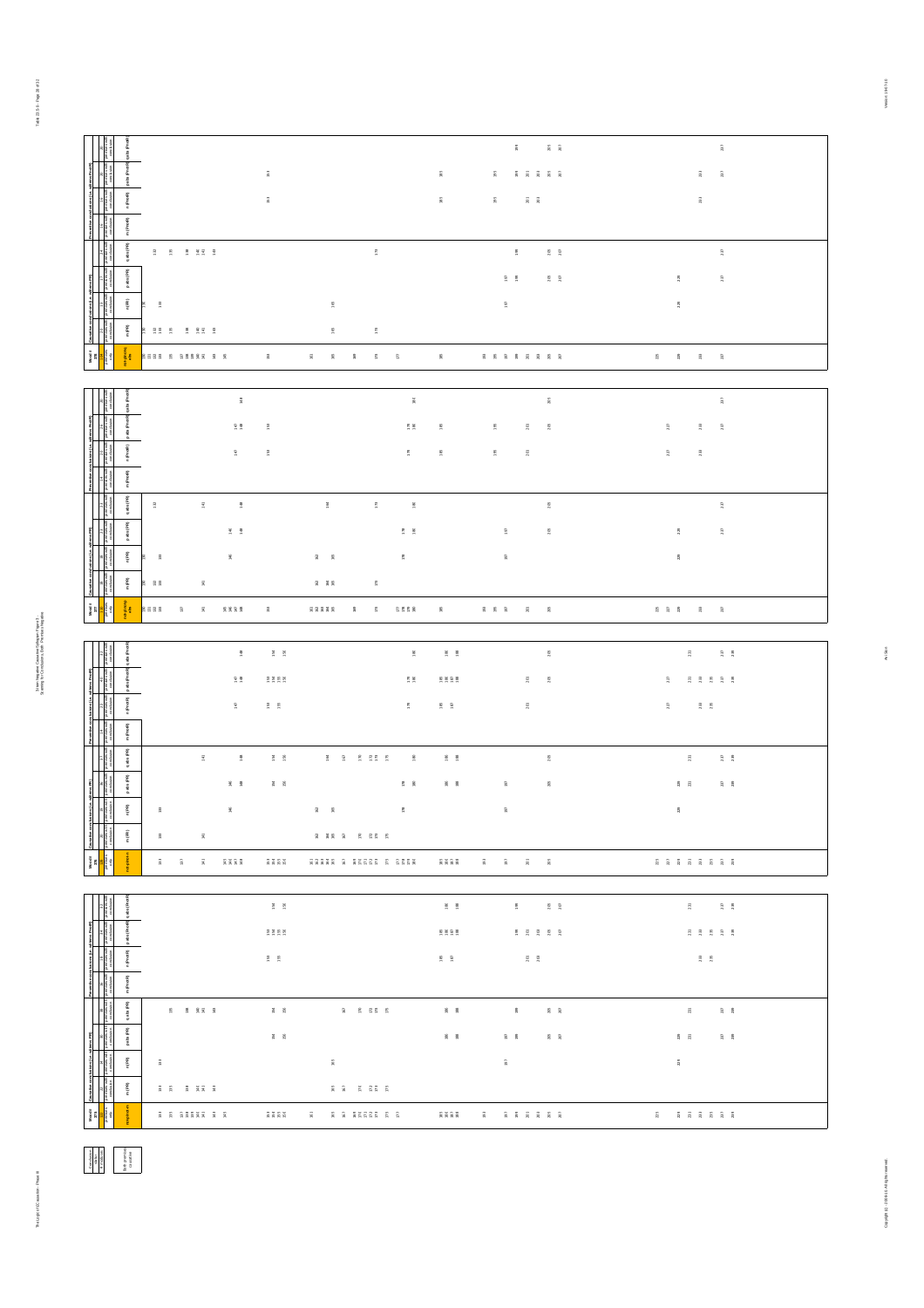| 3-llam Negative Causative Syllogiam Figure 3-<br>Scanning for Condusions, Both Premises Negative |  |
|--------------------------------------------------------------------------------------------------|--|
|                                                                                                  |  |
|                                                                                                  |  |
|                                                                                                  |  |
| o of EQuastion - Phase III<br>Sip.                                                               |  |

|                 |                                                         |                |                                              |                                                                                                                                                                                                                                                                                                                                                                                                                                             |                                                                                                                                                                                                                                                                                                                                                                                                                                       |                                                              |                               |                |                                                                                                                                                         | $\frac{36}{20}$ $\frac{36}{20}$                                                                                             |                                                                                                                                                                                                                                                                                                                                                                                                                                        |                                                                                                                                                                                                                                                    | $\Xi$                                                                                                  |  |
|-----------------|---------------------------------------------------------|----------------|----------------------------------------------|---------------------------------------------------------------------------------------------------------------------------------------------------------------------------------------------------------------------------------------------------------------------------------------------------------------------------------------------------------------------------------------------------------------------------------------------|---------------------------------------------------------------------------------------------------------------------------------------------------------------------------------------------------------------------------------------------------------------------------------------------------------------------------------------------------------------------------------------------------------------------------------------|--------------------------------------------------------------|-------------------------------|----------------|---------------------------------------------------------------------------------------------------------------------------------------------------------|-----------------------------------------------------------------------------------------------------------------------------|----------------------------------------------------------------------------------------------------------------------------------------------------------------------------------------------------------------------------------------------------------------------------------------------------------------------------------------------------------------------------------------------------------------------------------------|----------------------------------------------------------------------------------------------------------------------------------------------------------------------------------------------------------------------------------------------------|--------------------------------------------------------------------------------------------------------|--|
|                 |                                                         |                |                                              | $\frac{53}{24}$                                                                                                                                                                                                                                                                                                                                                                                                                             |                                                                                                                                                                                                                                                                                                                                                                                                                                       |                                                              |                               | <b>第二十一章</b>   |                                                                                                                                                         |                                                                                                                             |                                                                                                                                                                                                                                                                                                                                                                                                                                        |                                                                                                                                                                                                                                                    | $\mathbb{R}$ $\mathbb{R}$                                                                              |  |
|                 |                                                         |                |                                              | $\overline{\mathbf{B}}$                                                                                                                                                                                                                                                                                                                                                                                                                     |                                                                                                                                                                                                                                                                                                                                                                                                                                       |                                                              |                               |                | $\begin{array}{ccc} \mathbb{S}^1 & \mathbb{S}^1 & \mathbb{S}^1 & \mathbb{S}^1 \\ \mathbb{S}^1 & \mathbb{S}^1 & \mathbb{S}^1 & \mathbb{S}^1 \end{array}$ |                                                                                                                             |                                                                                                                                                                                                                                                                                                                                                                                                                                        | $\overline{\mathbf{a}}$                                                                                                                                                                                                                            |                                                                                                        |  |
|                 |                                                         |                |                                              |                                                                                                                                                                                                                                                                                                                                                                                                                                             |                                                                                                                                                                                                                                                                                                                                                                                                                                       |                                                              |                               |                |                                                                                                                                                         |                                                                                                                             |                                                                                                                                                                                                                                                                                                                                                                                                                                        |                                                                                                                                                                                                                                                    |                                                                                                        |  |
|                 |                                                         |                |                                              |                                                                                                                                                                                                                                                                                                                                                                                                                                             |                                                                                                                                                                                                                                                                                                                                                                                                                                       |                                                              |                               |                |                                                                                                                                                         |                                                                                                                             |                                                                                                                                                                                                                                                                                                                                                                                                                                        |                                                                                                                                                                                                                                                    |                                                                                                        |  |
| 3 abs (PR)<br>£ |                                                         |                |                                              |                                                                                                                                                                                                                                                                                                                                                                                                                                             |                                                                                                                                                                                                                                                                                                                                                                                                                                       |                                                              |                               |                | $\begin{array}{ccc}&&3\\3&&&&3\\&3&&&&3\end{array}$                                                                                                     |                                                                                                                             |                                                                                                                                                                                                                                                                                                                                                                                                                                        | $\mathbb{R}^n$ . The $\mathbb{R}^n$                                                                                                                                                                                                                |                                                                                                        |  |
|                 |                                                         |                |                                              |                                                                                                                                                                                                                                                                                                                                                                                                                                             |                                                                                                                                                                                                                                                                                                                                                                                                                                       |                                                              |                               |                |                                                                                                                                                         |                                                                                                                             |                                                                                                                                                                                                                                                                                                                                                                                                                                        | $\mathbb{R}$ and $\mathbb{R}$                                                                                                                                                                                                                      |                                                                                                        |  |
| Ga di           | $\frac{8}{2}$ $\frac{8}{2}$                             |                |                                              |                                                                                                                                                                                                                                                                                                                                                                                                                                             | 165                                                                                                                                                                                                                                                                                                                                                                                                                                   |                                                              |                               |                |                                                                                                                                                         |                                                                                                                             |                                                                                                                                                                                                                                                                                                                                                                                                                                        | $\mathbb{R}$                                                                                                                                                                                                                                       |                                                                                                        |  |
|                 |                                                         |                |                                              |                                                                                                                                                                                                                                                                                                                                                                                                                                             |                                                                                                                                                                                                                                                                                                                                                                                                                                       | 153                                                          |                               |                |                                                                                                                                                         |                                                                                                                             |                                                                                                                                                                                                                                                                                                                                                                                                                                        |                                                                                                                                                                                                                                                    |                                                                                                        |  |
|                 |                                                         |                |                                              |                                                                                                                                                                                                                                                                                                                                                                                                                                             |                                                                                                                                                                                                                                                                                                                                                                                                                                       |                                                              |                               |                | and a series and a series and a series and a series and a series and a series and a series and a series and a                                           |                                                                                                                             |                                                                                                                                                                                                                                                                                                                                                                                                                                        | $\begin{matrix} \ddot{\mathbf{a}} & \mathbf{a} & \mathbf{a} \\ \mathbf{a} & \mathbf{a} & \mathbf{a} \end{matrix}$                                                                                                                                  |                                                                                                        |  |
|                 |                                                         |                |                                              | $-24$                                                                                                                                                                                                                                                                                                                                                                                                                                       |                                                                                                                                                                                                                                                                                                                                                                                                                                       |                                                              | 180                           |                |                                                                                                                                                         | 26                                                                                                                          |                                                                                                                                                                                                                                                                                                                                                                                                                                        |                                                                                                                                                                                                                                                    | 237                                                                                                    |  |
|                 |                                                         |                |                                              | 原理                                                                                                                                                                                                                                                                                                                                                                                                                                          |                                                                                                                                                                                                                                                                                                                                                                                                                                       |                                                              | 280                           |                |                                                                                                                                                         | $201$ $205$                                                                                                                 |                                                                                                                                                                                                                                                                                                                                                                                                                                        | $\begin{matrix} \ddot{B} & \dot{B} & \dot{B} \\ \dot{B} & \dot{B} & \dot{B} \end{matrix}$                                                                                                                                                          |                                                                                                        |  |
|                 |                                                         |                |                                              | $\frac{53}{24}$                                                                                                                                                                                                                                                                                                                                                                                                                             |                                                                                                                                                                                                                                                                                                                                                                                                                                       |                                                              |                               | 185            | $-88$                                                                                                                                                   |                                                                                                                             |                                                                                                                                                                                                                                                                                                                                                                                                                                        |                                                                                                                                                                                                                                                    |                                                                                                        |  |
|                 |                                                         |                |                                              | $\overline{\mathfrak{m}}$ , $\overline{\mathfrak{m}}$ , $\overline{\mathfrak{m}}$ ,                                                                                                                                                                                                                                                                                                                                                         |                                                                                                                                                                                                                                                                                                                                                                                                                                       |                                                              |                               |                | 1.79 - 1.85<br>1.85 - 1.85 - 1.95 - 1.95 - 2.01                                                                                                         |                                                                                                                             |                                                                                                                                                                                                                                                                                                                                                                                                                                        | $\begin{array}{c} 23 \\ 23 \end{array}$                                                                                                                                                                                                            |                                                                                                        |  |
|                 |                                                         |                |                                              |                                                                                                                                                                                                                                                                                                                                                                                                                                             |                                                                                                                                                                                                                                                                                                                                                                                                                                       |                                                              |                               |                |                                                                                                                                                         |                                                                                                                             |                                                                                                                                                                                                                                                                                                                                                                                                                                        |                                                                                                                                                                                                                                                    |                                                                                                        |  |
| £               |                                                         |                | $\frac{1}{24}$                               |                                                                                                                                                                                                                                                                                                                                                                                                                                             |                                                                                                                                                                                                                                                                                                                                                                                                                                       |                                                              |                               |                |                                                                                                                                                         | $\sim$ $25$                                                                                                                 |                                                                                                                                                                                                                                                                                                                                                                                                                                        |                                                                                                                                                                                                                                                    | $\overline{\mathbf{a}}$                                                                                |  |
|                 |                                                         |                | 38.3                                         |                                                                                                                                                                                                                                                                                                                                                                                                                                             |                                                                                                                                                                                                                                                                                                                                                                                                                                       |                                                              | $\mathbb{R}^n$ . $\mathbb{R}$ |                |                                                                                                                                                         | $\begin{array}{ccc}\n\mathfrak{B} & \mathfrak{B} & \mathfrak{B} \\ \mathfrak{B} & \mathfrak{B} & \mathfrak{B}\n\end{array}$ |                                                                                                                                                                                                                                                                                                                                                                                                                                        | $\mathbb{R}$ and $\mathbb{R}$                                                                                                                                                                                                                      |                                                                                                        |  |
|                 | 8 8                                                     |                |                                              | $\mathbb{R}^{n} \times \mathbb{R}^{n} \times \mathbb{R}^{n} \times \mathbb{R}^{n} \times \mathbb{R}^{n} \times \mathbb{R}^{n} \times \mathbb{R}^{n}$                                                                                                                                                                                                                                                                                        | $\frac{63}{20}$ $\frac{63}{20}$                                                                                                                                                                                                                                                                                                                                                                                                       |                                                              | $\mathbb{R}$                  |                | $\frac{50}{20}$                                                                                                                                         |                                                                                                                             |                                                                                                                                                                                                                                                                                                                                                                                                                                        | $\mathbb{R}$                                                                                                                                                                                                                                       |                                                                                                        |  |
|                 | $\begin{array}{cc} 0 & 0 \\ 0 & 0 \\ 0 & 0 \end{array}$ | $\mathbb{R}^2$ |                                              |                                                                                                                                                                                                                                                                                                                                                                                                                                             |                                                                                                                                                                                                                                                                                                                                                                                                                                       | $\begin{array}{ccc}\n 3 & 3 & 6 \\  2 & 3 & 6\n \end{array}$ |                               |                |                                                                                                                                                         |                                                                                                                             |                                                                                                                                                                                                                                                                                                                                                                                                                                        |                                                                                                                                                                                                                                                    |                                                                                                        |  |
|                 |                                                         |                |                                              | 858 6 5 5 5 6 6                                                                                                                                                                                                                                                                                                                                                                                                                             |                                                                                                                                                                                                                                                                                                                                                                                                                                       |                                                              |                               |                |                                                                                                                                                         |                                                                                                                             |                                                                                                                                                                                                                                                                                                                                                                                                                                        |                                                                                                                                                                                                                                                    |                                                                                                        |  |
|                 |                                                         |                |                                              |                                                                                                                                                                                                                                                                                                                                                                                                                                             |                                                                                                                                                                                                                                                                                                                                                                                                                                       |                                                              |                               |                |                                                                                                                                                         |                                                                                                                             |                                                                                                                                                                                                                                                                                                                                                                                                                                        |                                                                                                                                                                                                                                                    |                                                                                                        |  |
|                 |                                                         |                |                                              |                                                                                                                                                                                                                                                                                                                                                                                                                                             |                                                                                                                                                                                                                                                                                                                                                                                                                                       |                                                              |                               |                |                                                                                                                                                         |                                                                                                                             |                                                                                                                                                                                                                                                                                                                                                                                                                                        |                                                                                                                                                                                                                                                    |                                                                                                        |  |
|                 |                                                         |                |                                              | $\frac{2}{3}$ $\frac{3}{2}$ $\frac{3}{2}$ $\frac{3}{2}$                                                                                                                                                                                                                                                                                                                                                                                     |                                                                                                                                                                                                                                                                                                                                                                                                                                       |                                                              |                               |                |                                                                                                                                                         | $\frac{1}{2}$                                                                                                               |                                                                                                                                                                                                                                                                                                                                                                                                                                        | $\begin{array}{ccc}\n\pi & \pi & \pi \\ \pi & \pi & \pi\n\end{array}$                                                                                                                                                                              |                                                                                                        |  |
|                 |                                                         |                |                                              | 原発<br>8388                                                                                                                                                                                                                                                                                                                                                                                                                                  |                                                                                                                                                                                                                                                                                                                                                                                                                                       |                                                              |                               | 8888           |                                                                                                                                                         | $\mathbb{R}^n$ .<br><br>:85                                                                                                 |                                                                                                                                                                                                                                                                                                                                                                                                                                        |                                                                                                                                                                                                                                                    |                                                                                                        |  |
|                 |                                                         |                |                                              | $\overline{\mathfrak{m}}$<br>153                                                                                                                                                                                                                                                                                                                                                                                                            |                                                                                                                                                                                                                                                                                                                                                                                                                                       |                                                              |                               |                |                                                                                                                                                         |                                                                                                                             |                                                                                                                                                                                                                                                                                                                                                                                                                                        | $\begin{array}{ccc}\n\ddots & \ddots & \ddots & \ddots & \ddots \\ \ddots & \ddots & \ddots & \ddots & \ddots & \ddots \\ \ddots & \ddots & \ddots & \ddots & \ddots & \ddots \\ \ddots & \ddots & \ddots & \ddots & \ddots & \ddots\n\end{array}$ |                                                                                                        |  |
|                 |                                                         |                |                                              |                                                                                                                                                                                                                                                                                                                                                                                                                                             |                                                                                                                                                                                                                                                                                                                                                                                                                                       |                                                              |                               |                |                                                                                                                                                         |                                                                                                                             |                                                                                                                                                                                                                                                                                                                                                                                                                                        |                                                                                                                                                                                                                                                    |                                                                                                        |  |
|                 |                                                         |                | $\frac{1}{25}$ $\frac{1}{25}$ $\frac{1}{25}$ |                                                                                                                                                                                                                                                                                                                                                                                                                                             | $\begin{array}{cccccccccccccc} \mathbb{S} & \mathbb{S} & \mathbb{S} & \mathbb{S} & \mathbb{S} & \mathbb{S} & \mathbb{S} & \mathbb{S} & \mathbb{S} & \mathbb{S} & \mathbb{S} & \mathbb{S} & \mathbb{S} & \mathbb{S} & \mathbb{S} & \mathbb{S} & \mathbb{S} & \mathbb{S} & \mathbb{S} & \mathbb{S} & \mathbb{S} & \mathbb{S} & \mathbb{S} & \mathbb{S} & \mathbb{S} & \mathbb{S} & \mathbb{S} & \mathbb{S} & \mathbb{S} & \mathbb{S} &$ |                                                              |                               | $\frac{6}{21}$ |                                                                                                                                                         | $\frac{3}{2}$                                                                                                               |                                                                                                                                                                                                                                                                                                                                                                                                                                        |                                                                                                                                                                                                                                                    |                                                                                                        |  |
|                 |                                                         |                |                                              | $\begin{array}{cccccccccccccc} \mathfrak{L} & \mathfrak{L} & \mathfrak{L} & \mathfrak{L} & \mathfrak{L} & \mathfrak{L} & \mathfrak{L} & \mathfrak{L} & \mathfrak{L} & \mathfrak{L} & \mathfrak{L} & \mathfrak{L} & \mathfrak{L} & \mathfrak{L} & \mathfrak{L} & \mathfrak{L} & \mathfrak{L} & \mathfrak{L} & \mathfrak{L} & \mathfrak{L} & \mathfrak{L} & \mathfrak{L} & \mathfrak{L} & \mathfrak{L} & \mathfrak{L} & \mathfrak{L} & \math$ |                                                                                                                                                                                                                                                                                                                                                                                                                                       |                                                              |                               |                | <b>たいのは、 あいのは、 あいのは、 あいのは、 あいのは、 あいのは、 あいのは、 あいのは、 あいのは、 あいのは、 あいのは、 あいのは、 あいのは、 あいのは、 あいのは、 あいのは、 あいのは</b>                                             |                                                                                                                             |                                                                                                                                                                                                                                                                                                                                                                                                                                        | $\begin{matrix} \mathfrak{A} & \mathfrak{A} & \mathfrak{A} & \mathfrak{A} \\ \mathfrak{A} & \mathfrak{A} & \mathfrak{A} & \mathfrak{A} \end{matrix}$                                                                                               |                                                                                                        |  |
|                 |                                                         |                | $\frac{36}{2}$                               |                                                                                                                                                                                                                                                                                                                                                                                                                                             | $9 - 98$                                                                                                                                                                                                                                                                                                                                                                                                                              |                                                              | 恩                             |                | $\frac{6}{2}$                                                                                                                                           |                                                                                                                             |                                                                                                                                                                                                                                                                                                                                                                                                                                        | $22 - 1$                                                                                                                                                                                                                                           |                                                                                                        |  |
|                 |                                                         |                | $\frac{33}{14}$                              |                                                                                                                                                                                                                                                                                                                                                                                                                                             |                                                                                                                                                                                                                                                                                                                                                                                                                                       |                                                              |                               |                |                                                                                                                                                         |                                                                                                                             |                                                                                                                                                                                                                                                                                                                                                                                                                                        |                                                                                                                                                                                                                                                    |                                                                                                        |  |
|                 |                                                         |                |                                              |                                                                                                                                                                                                                                                                                                                                                                                                                                             |                                                                                                                                                                                                                                                                                                                                                                                                                                       |                                                              |                               |                |                                                                                                                                                         |                                                                                                                             |                                                                                                                                                                                                                                                                                                                                                                                                                                        | R R R R R R R                                                                                                                                                                                                                                      |                                                                                                        |  |
|                 |                                                         |                |                                              | 38                                                                                                                                                                                                                                                                                                                                                                                                                                          |                                                                                                                                                                                                                                                                                                                                                                                                                                       |                                                              |                               |                |                                                                                                                                                         |                                                                                                                             |                                                                                                                                                                                                                                                                                                                                                                                                                                        | $\begin{array}{ccc} & B & B \\ & B & C \end{array}$                                                                                                                                                                                                |                                                                                                        |  |
|                 |                                                         |                |                                              | 8388                                                                                                                                                                                                                                                                                                                                                                                                                                        |                                                                                                                                                                                                                                                                                                                                                                                                                                       |                                                              |                               |                |                                                                                                                                                         |                                                                                                                             |                                                                                                                                                                                                                                                                                                                                                                                                                                        | 長 貫 貫 貫 貫 貫                                                                                                                                                                                                                                        |                                                                                                        |  |
|                 |                                                         |                |                                              |                                                                                                                                                                                                                                                                                                                                                                                                                                             |                                                                                                                                                                                                                                                                                                                                                                                                                                       |                                                              |                               |                |                                                                                                                                                         |                                                                                                                             |                                                                                                                                                                                                                                                                                                                                                                                                                                        |                                                                                                                                                                                                                                                    |                                                                                                        |  |
|                 |                                                         |                |                                              | $33 - 55$                                                                                                                                                                                                                                                                                                                                                                                                                                   |                                                                                                                                                                                                                                                                                                                                                                                                                                       |                                                              |                               |                | $\frac{1}{2}$                                                                                                                                           |                                                                                                                             |                                                                                                                                                                                                                                                                                                                                                                                                                                        |                                                                                                                                                                                                                                                    | 23.35                                                                                                  |  |
|                 |                                                         |                |                                              |                                                                                                                                                                                                                                                                                                                                                                                                                                             |                                                                                                                                                                                                                                                                                                                                                                                                                                       |                                                              |                               |                |                                                                                                                                                         |                                                                                                                             |                                                                                                                                                                                                                                                                                                                                                                                                                                        |                                                                                                                                                                                                                                                    |                                                                                                        |  |
|                 |                                                         |                |                                              |                                                                                                                                                                                                                                                                                                                                                                                                                                             |                                                                                                                                                                                                                                                                                                                                                                                                                                       |                                                              |                               |                |                                                                                                                                                         |                                                                                                                             |                                                                                                                                                                                                                                                                                                                                                                                                                                        |                                                                                                                                                                                                                                                    |                                                                                                        |  |
|                 |                                                         |                |                                              | $\frac{3}{21}$ $\frac{8}{21}$                                                                                                                                                                                                                                                                                                                                                                                                               |                                                                                                                                                                                                                                                                                                                                                                                                                                       |                                                              |                               |                |                                                                                                                                                         |                                                                                                                             | $\begin{array}{ccccccccccccccccc} \mathbb{R} & \mathbb{R} & \mathbb{R} & \mathbb{R} & \mathbb{R} & \mathbb{R} & \mathbb{R} & \mathbb{R} & \mathbb{R} & \mathbb{R} & \mathbb{R} & \mathbb{R} & \mathbb{R} & \mathbb{R} & \mathbb{R} & \mathbb{R} & \mathbb{R} & \mathbb{R} & \mathbb{R} & \mathbb{R} & \mathbb{R} & \mathbb{R} & \mathbb{R} & \mathbb{R} & \mathbb{R} & \mathbb{R} & \mathbb{R} & \mathbb{R} & \mathbb{R} & \mathbb{R}$ |                                                                                                                                                                                                                                                    | $\begin{array}{cccccccccc} \mathbf{R} & \mathbf{R} & \mathbf{R} & \mathbf{R} & \mathbf{R} \end{array}$ |  |
|                 | $\overline{a}$                                          |                |                                              |                                                                                                                                                                                                                                                                                                                                                                                                                                             | 165                                                                                                                                                                                                                                                                                                                                                                                                                                   |                                                              |                               |                |                                                                                                                                                         | $\frac{1}{2}$                                                                                                               |                                                                                                                                                                                                                                                                                                                                                                                                                                        | $\mathbb{R}$                                                                                                                                                                                                                                       |                                                                                                        |  |
|                 |                                                         |                | 田 担 田 田 田 田 田                                |                                                                                                                                                                                                                                                                                                                                                                                                                                             |                                                                                                                                                                                                                                                                                                                                                                                                                                       |                                                              |                               |                |                                                                                                                                                         |                                                                                                                             |                                                                                                                                                                                                                                                                                                                                                                                                                                        |                                                                                                                                                                                                                                                    |                                                                                                        |  |
|                 |                                                         |                |                                              |                                                                                                                                                                                                                                                                                                                                                                                                                                             |                                                                                                                                                                                                                                                                                                                                                                                                                                       |                                                              |                               |                |                                                                                                                                                         |                                                                                                                             |                                                                                                                                                                                                                                                                                                                                                                                                                                        |                                                                                                                                                                                                                                                    |                                                                                                        |  |

 $A \vee B$ on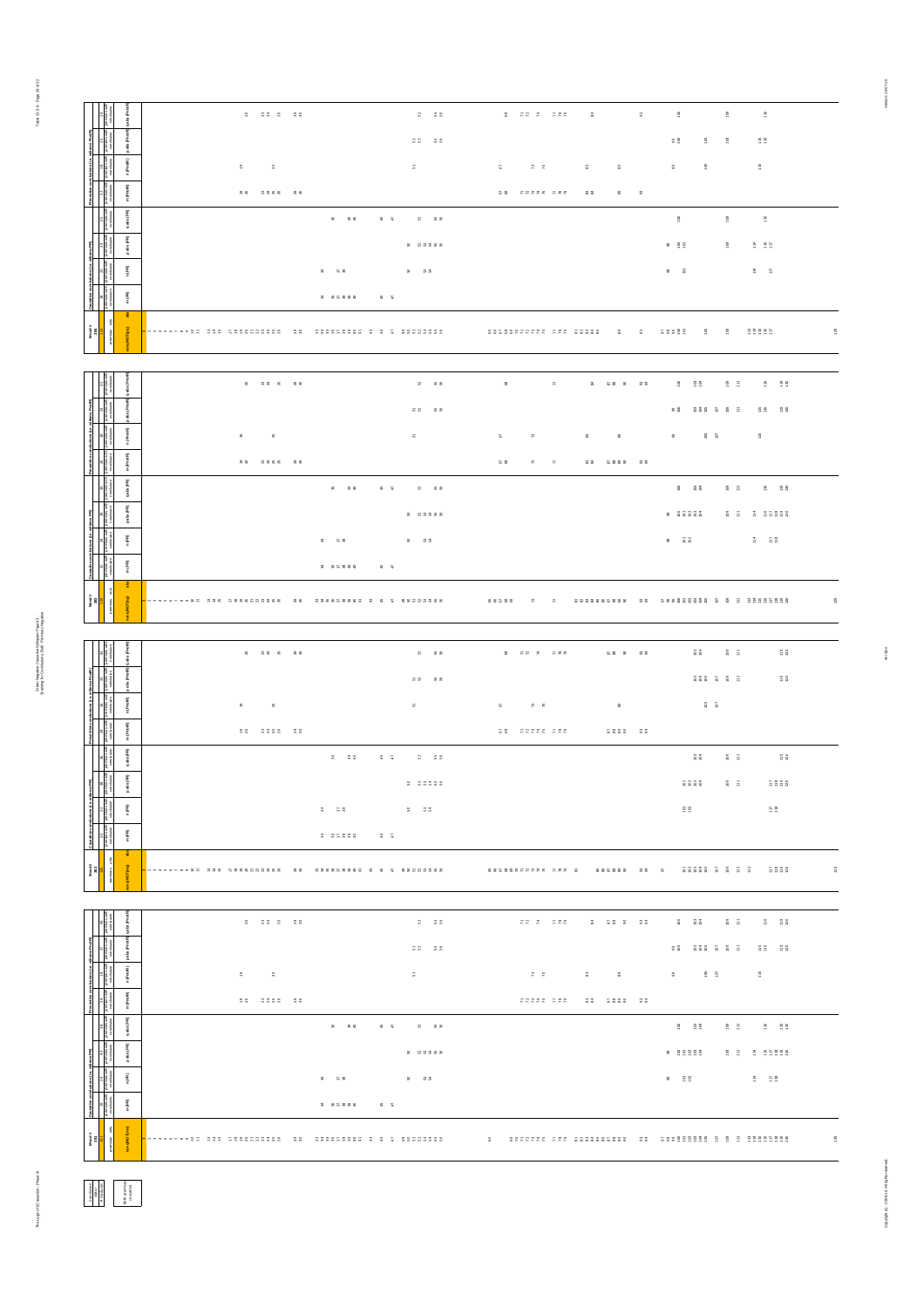

 $\frac{5}{6}$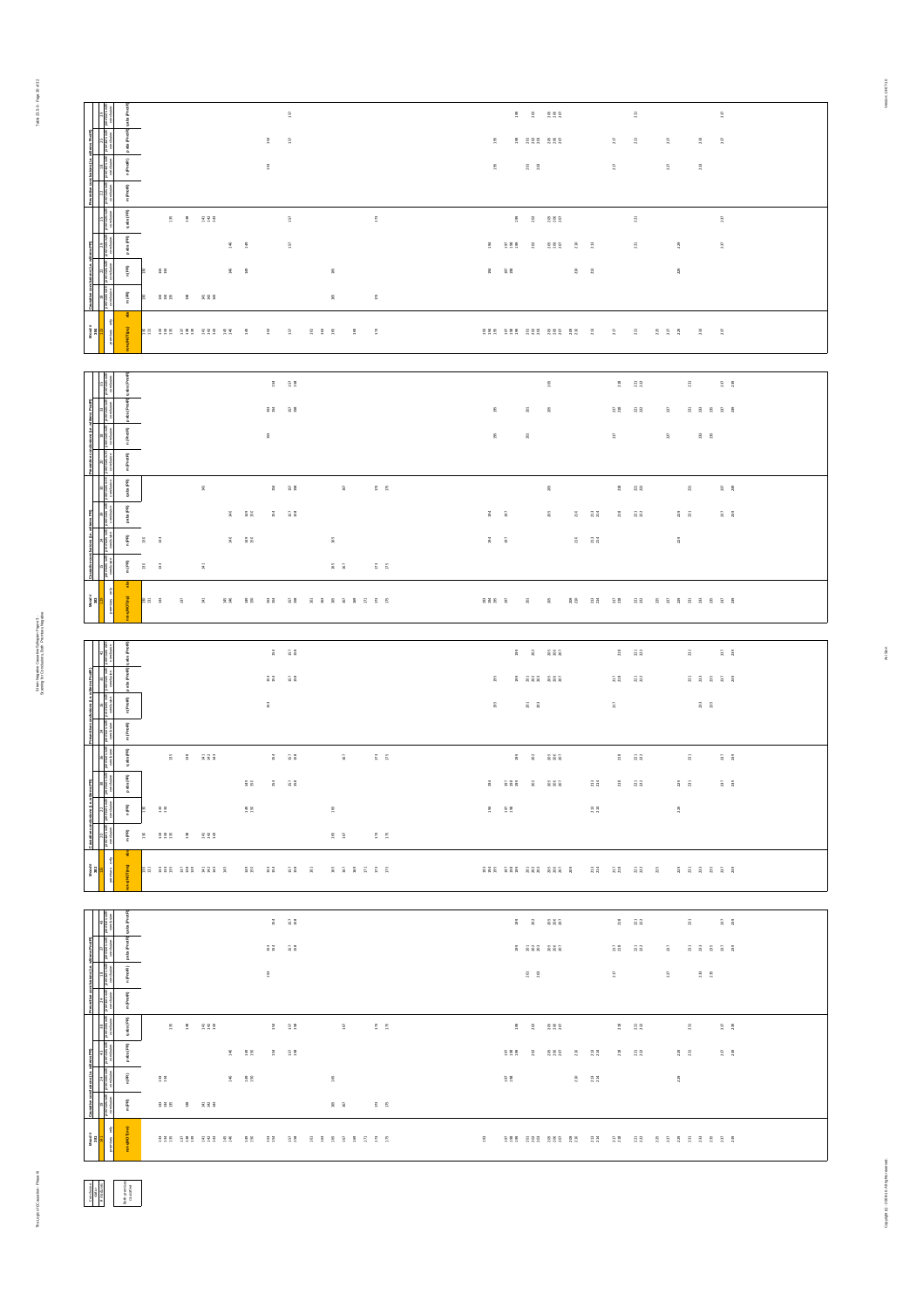|                             |   |    |                |                |  | $\begin{array}{c} 1.333 \\ 1.333 \end{array}$                                                                                                                                                                                                                                                                                                                                                             |                   |                                                                                                                                                                                                                                                                            |                  |                                                                                                                                           |                                                                                                                    | .<br>조형 19일 : 19월 19일 : 19월 19일 : 19월 19일 : 19월 19일 : 19월 19일 : 19월 19일 : 19월 19일 : 19월 19일 : 19월 19일 : 19월 19일 : 1                                                                                                                                                                                                                                                                                                                                                                                                                                 |  |                   |                                                                                                                                                |    | $237\,$ |  |
|-----------------------------|---|----|----------------|----------------|--|-----------------------------------------------------------------------------------------------------------------------------------------------------------------------------------------------------------------------------------------------------------------------------------------------------------------------------------------------------------------------------------------------------------|-------------------|----------------------------------------------------------------------------------------------------------------------------------------------------------------------------------------------------------------------------------------------------------------------------|------------------|-------------------------------------------------------------------------------------------------------------------------------------------|--------------------------------------------------------------------------------------------------------------------|-----------------------------------------------------------------------------------------------------------------------------------------------------------------------------------------------------------------------------------------------------------------------------------------------------------------------------------------------------------------------------------------------------------------------------------------------------------------------------------------------------------------------------------------------------|--|-------------------|------------------------------------------------------------------------------------------------------------------------------------------------|----|---------|--|
|                             |   |    |                |                |  | $15 - 15$                                                                                                                                                                                                                                                                                                                                                                                                 |                   |                                                                                                                                                                                                                                                                            |                  |                                                                                                                                           |                                                                                                                    | $\begin{array}{cccccccccccccc} \mathbb{S} & & & \mathbb{S} & & \mathbb{S} & \mathbb{S} & \mathbb{S} & \mathbb{S} & \mathbb{S} & \mathbb{S} & \mathbb{S} & \mathbb{S} & \mathbb{S} & \mathbb{S} & \mathbb{S} & \mathbb{S} & \mathbb{S} & \mathbb{S} & \mathbb{S} & \mathbb{S} & \mathbb{S} & \mathbb{S} & \mathbb{S} & \mathbb{S} & \mathbb{S} & \mathbb{S} & \mathbb{S} & \mathbb{S} & \mathbb{S} & \mathbb{S} & \mathbb{S} & \mathbb{$                                                                                                             |  |                   |                                                                                                                                                |    |         |  |
|                             |   |    |                |                |  | $\overline{\mathfrak{m}}$                                                                                                                                                                                                                                                                                                                                                                                 |                   |                                                                                                                                                                                                                                                                            |                  |                                                                                                                                           |                                                                                                                    | $\begin{matrix} \ddot{x} & \ddot{x} & \ddot{x} \\ \ddot{x} & \ddot{x} & \ddot{x} \end{matrix} \hspace{.5in} \begin{matrix} \ddot{x} & \ddot{x} \\ \ddot{x} & \ddot{x} \end{matrix} \hspace{.5in} \begin{matrix} \ddot{x} \\ \ddot{x} \\ \ddot{x} \end{matrix} \hspace{.5in} \begin{matrix} \ddot{x} \\ \ddot{x} \\ \ddot{x} \end{matrix}$                                                                                                                                                                                                           |  |                   |                                                                                                                                                |    |         |  |
|                             |   |    |                |                |  |                                                                                                                                                                                                                                                                                                                                                                                                           |                   |                                                                                                                                                                                                                                                                            |                  |                                                                                                                                           |                                                                                                                    |                                                                                                                                                                                                                                                                                                                                                                                                                                                                                                                                                     |  |                   |                                                                                                                                                |    |         |  |
|                             |   |    |                |                |  |                                                                                                                                                                                                                                                                                                                                                                                                           |                   |                                                                                                                                                                                                                                                                            |                  |                                                                                                                                           |                                                                                                                    |                                                                                                                                                                                                                                                                                                                                                                                                                                                                                                                                                     |  |                   |                                                                                                                                                |    |         |  |
|                             |   |    |                |                |  |                                                                                                                                                                                                                                                                                                                                                                                                           |                   |                                                                                                                                                                                                                                                                            | $\overline{1,2}$ |                                                                                                                                           |                                                                                                                    | $\begin{array}{ccccccccccccc} \mathbb{B} & & & \mathbb{B} & & \mathbb{B} & & \mathbb{B} & \mathbb{B} & \mathbb{B} & \mathbb{B} & \mathbb{B} & \mathbb{B} & \mathbb{B} & \mathbb{B} & \mathbb{B} & \mathbb{B} & \mathbb{B} & \mathbb{B} & \mathbb{B} & \mathbb{B} & \mathbb{B} & \mathbb{B} & \mathbb{B} & \mathbb{B} & \mathbb{B} & \mathbb{B} & \mathbb{B} & \mathbb{B} & \mathbb{B} & \mathbb{B} & \mathbb{B} & \mathbb{B} & \mathbb$                                                                                                             |  | $\sim$ 221 $\sim$ |                                                                                                                                                | 25 |         |  |
|                             |   |    |                |                |  |                                                                                                                                                                                                                                                                                                                                                                                                           |                   |                                                                                                                                                                                                                                                                            |                  |                                                                                                                                           |                                                                                                                    |                                                                                                                                                                                                                                                                                                                                                                                                                                                                                                                                                     |  |                   |                                                                                                                                                |    |         |  |
|                             |   |    |                |                |  |                                                                                                                                                                                                                                                                                                                                                                                                           |                   |                                                                                                                                                                                                                                                                            |                  |                                                                                                                                           |                                                                                                                    |                                                                                                                                                                                                                                                                                                                                                                                                                                                                                                                                                     |  |                   |                                                                                                                                                |    |         |  |
|                             |   |    |                |                |  |                                                                                                                                                                                                                                                                                                                                                                                                           |                   |                                                                                                                                                                                                                                                                            |                  |                                                                                                                                           |                                                                                                                    |                                                                                                                                                                                                                                                                                                                                                                                                                                                                                                                                                     |  |                   |                                                                                                                                                |    |         |  |
|                             |   | €  | 8 856 8 338    |                |  |                                                                                                                                                                                                                                                                                                                                                                                                           |                   | $\frac{35}{20}$                                                                                                                                                                                                                                                            |                  |                                                                                                                                           |                                                                                                                    |                                                                                                                                                                                                                                                                                                                                                                                                                                                                                                                                                     |  |                   |                                                                                                                                                |    |         |  |
| हुँ में                     |   |    |                |                |  |                                                                                                                                                                                                                                                                                                                                                                                                           |                   |                                                                                                                                                                                                                                                                            |                  |                                                                                                                                           |                                                                                                                    |                                                                                                                                                                                                                                                                                                                                                                                                                                                                                                                                                     |  |                   |                                                                                                                                                |    |         |  |
|                             |   |    |                |                |  |                                                                                                                                                                                                                                                                                                                                                                                                           |                   |                                                                                                                                                                                                                                                                            |                  |                                                                                                                                           |                                                                                                                    |                                                                                                                                                                                                                                                                                                                                                                                                                                                                                                                                                     |  |                   |                                                                                                                                                |    |         |  |
|                             |   |    |                |                |  |                                                                                                                                                                                                                                                                                                                                                                                                           |                   |                                                                                                                                                                                                                                                                            |                  |                                                                                                                                           |                                                                                                                    |                                                                                                                                                                                                                                                                                                                                                                                                                                                                                                                                                     |  |                   |                                                                                                                                                |    |         |  |
|                             |   |    |                |                |  | $\begin{array}{ccc} 25 & 0.23 & 0.23 \\ 0.23 & 0.23 & 0.23 \\ 0.23 & 0.23 & 0.23 \\ 0.23 & 0.23 & 0.23 \\ 0.23 & 0.23 & 0.23 \\ 0.23 & 0.23 & 0.23 \\ 0.23 & 0.23 & 0.23 \\ 0.23 & 0.23 & 0.23 \\ 0.23 & 0.23 & 0.23 \\ 0.23 & 0.23 & 0.23 \\ 0.23 & 0.23 & 0.23 \\ 0.23 & 0.23 & 0.23$                                                                                                                   |                   |                                                                                                                                                                                                                                                                            |                  |                                                                                                                                           |                                                                                                                    |                                                                                                                                                                                                                                                                                                                                                                                                                                                                                                                                                     |  |                   |                                                                                                                                                |    |         |  |
|                             |   |    |                |                |  |                                                                                                                                                                                                                                                                                                                                                                                                           | 語 語 の の 語 語 語 語 に |                                                                                                                                                                                                                                                                            |                  |                                                                                                                                           | - 그리고 아이는 그리고 있는 그리고 있다. 이 그리고 있는 것이 없는 것이 없는 것이 없는 것이 없는 것이 없는 것이 없는 것이 없는 것이 없는 것이 없는 것이 없는 것이 있다.               |                                                                                                                                                                                                                                                                                                                                                                                                                                                                                                                                                     |  |                   |                                                                                                                                                |    |         |  |
|                             |   |    |                |                |  | <u>. 이 대표 및 대표</u>                                                                                                                                                                                                                                                                                                                                                                                        |                   |                                                                                                                                                                                                                                                                            |                  |                                                                                                                                           |                                                                                                                    |                                                                                                                                                                                                                                                                                                                                                                                                                                                                                                                                                     |  |                   |                                                                                                                                                |    |         |  |
|                             |   |    |                |                |  |                                                                                                                                                                                                                                                                                                                                                                                                           |                   |                                                                                                                                                                                                                                                                            |                  |                                                                                                                                           |                                                                                                                    |                                                                                                                                                                                                                                                                                                                                                                                                                                                                                                                                                     |  |                   |                                                                                                                                                |    |         |  |
|                             |   |    |                |                |  |                                                                                                                                                                                                                                                                                                                                                                                                           |                   |                                                                                                                                                                                                                                                                            |                  |                                                                                                                                           |                                                                                                                    |                                                                                                                                                                                                                                                                                                                                                                                                                                                                                                                                                     |  |                   |                                                                                                                                                |    |         |  |
|                             |   |    |                |                |  |                                                                                                                                                                                                                                                                                                                                                                                                           |                   |                                                                                                                                                                                                                                                                            |                  |                                                                                                                                           |                                                                                                                    |                                                                                                                                                                                                                                                                                                                                                                                                                                                                                                                                                     |  |                   |                                                                                                                                                |    |         |  |
|                             |   |    |                |                |  |                                                                                                                                                                                                                                                                                                                                                                                                           |                   | <u>을 통의 좀 더</u> 또는 그 것이 좋아.                                                                                                                                                                                                                                                |                  |                                                                                                                                           |                                                                                                                    |                                                                                                                                                                                                                                                                                                                                                                                                                                                                                                                                                     |  |                   |                                                                                                                                                |    |         |  |
|                             |   |    | $\frac{8}{2}$  |                |  |                                                                                                                                                                                                                                                                                                                                                                                                           |                   | <u> 1988년 - 대한민국의 대한민국의 대한민국의 대한민국의 대한민국의 대한민국의 대한민국의 대한민</u> 국의 대한민국의 대한민국의 대한민국의 대한민국의 대한민국의 대한민국의 대한민국의 대한민국의 대한민국의                                                                                                                                                     |                  |                                                                                                                                           |                                                                                                                    |                                                                                                                                                                                                                                                                                                                                                                                                                                                                                                                                                     |  |                   |                                                                                                                                                |    |         |  |
|                             |   | Ê. |                |                |  |                                                                                                                                                                                                                                                                                                                                                                                                           |                   |                                                                                                                                                                                                                                                                            |                  |                                                                                                                                           |                                                                                                                    |                                                                                                                                                                                                                                                                                                                                                                                                                                                                                                                                                     |  |                   |                                                                                                                                                |    |         |  |
|                             |   |    | $\frac{6}{13}$ | $\mathbb{R}^n$ |  |                                                                                                                                                                                                                                                                                                                                                                                                           |                   | $\frac{1}{2}$ $\frac{1}{2}$ $\frac{1}{2}$ $\frac{1}{2}$ $\frac{1}{2}$ $\frac{1}{2}$                                                                                                                                                                                        |                  |                                                                                                                                           |                                                                                                                    |                                                                                                                                                                                                                                                                                                                                                                                                                                                                                                                                                     |  |                   |                                                                                                                                                |    |         |  |
| $\frac{3}{2}$ $\frac{3}{2}$ |   |    |                |                |  |                                                                                                                                                                                                                                                                                                                                                                                                           |                   |                                                                                                                                                                                                                                                                            |                  | <b>Anima di serie de la comunicación de la comunicación de la comunicación de la comunicación de la comunicación</b><br>A la comunicación |                                                                                                                    |                                                                                                                                                                                                                                                                                                                                                                                                                                                                                                                                                     |  |                   |                                                                                                                                                |    |         |  |
|                             |   |    |                |                |  |                                                                                                                                                                                                                                                                                                                                                                                                           |                   |                                                                                                                                                                                                                                                                            |                  |                                                                                                                                           |                                                                                                                    |                                                                                                                                                                                                                                                                                                                                                                                                                                                                                                                                                     |  |                   |                                                                                                                                                |    |         |  |
|                             |   |    |                |                |  |                                                                                                                                                                                                                                                                                                                                                                                                           |                   |                                                                                                                                                                                                                                                                            |                  |                                                                                                                                           |                                                                                                                    |                                                                                                                                                                                                                                                                                                                                                                                                                                                                                                                                                     |  |                   |                                                                                                                                                |    |         |  |
|                             |   |    |                |                |  |                                                                                                                                                                                                                                                                                                                                                                                                           |                   |                                                                                                                                                                                                                                                                            |                  |                                                                                                                                           |                                                                                                                    |                                                                                                                                                                                                                                                                                                                                                                                                                                                                                                                                                     |  |                   |                                                                                                                                                |    |         |  |
|                             |   |    |                |                |  | $\begin{array}{ccc}\n\frac{1}{2} & \frac{1}{2} & \frac{1}{2} & \frac{1}{2} & \frac{1}{2} & \frac{1}{2} & \frac{1}{2} & \frac{1}{2} & \frac{1}{2} & \frac{1}{2} & \frac{1}{2} & \frac{1}{2} & \frac{1}{2} & \frac{1}{2} & \frac{1}{2} & \frac{1}{2} & \frac{1}{2} & \frac{1}{2} & \frac{1}{2} & \frac{1}{2} & \frac{1}{2} & \frac{1}{2} & \frac{1}{2} & \frac{1}{2} & \frac{1}{2} & \frac{1}{2} & \frac{1$ |                   |                                                                                                                                                                                                                                                                            |                  |                                                                                                                                           | $\frac{1}{2}$ a matrix a matrix a matrix a matrix a matrix a matrix a matrix a matrix a matrix a matrix a matrix a |                                                                                                                                                                                                                                                                                                                                                                                                                                                                                                                                                     |  |                   |                                                                                                                                                |    |         |  |
|                             |   |    |                |                |  | 盛盛 一 監察                                                                                                                                                                                                                                                                                                                                                                                                   |                   |                                                                                                                                                                                                                                                                            |                  |                                                                                                                                           |                                                                                                                    |                                                                                                                                                                                                                                                                                                                                                                                                                                                                                                                                                     |  |                   |                                                                                                                                                |    |         |  |
|                             |   |    |                |                |  | $\frac{1}{2} \frac{1}{2} \frac{1}{2} \frac{1}{2} \frac{1}{2} \frac{1}{2} \frac{1}{2} \frac{1}{2} \frac{1}{2} \frac{1}{2} \frac{1}{2} \frac{1}{2} \frac{1}{2} \frac{1}{2} \frac{1}{2} \frac{1}{2} \frac{1}{2} \frac{1}{2} \frac{1}{2} \frac{1}{2} \frac{1}{2} \frac{1}{2} \frac{1}{2} \frac{1}{2} \frac{1}{2} \frac{1}{2} \frac{1}{2} \frac{1}{2} \frac{1}{2} \frac{1}{2} \frac{1}{2} \frac{$              |                   |                                                                                                                                                                                                                                                                            |                  |                                                                                                                                           |                                                                                                                    |                                                                                                                                                                                                                                                                                                                                                                                                                                                                                                                                                     |  |                   |                                                                                                                                                |    |         |  |
|                             |   |    |                |                |  |                                                                                                                                                                                                                                                                                                                                                                                                           |                   |                                                                                                                                                                                                                                                                            |                  |                                                                                                                                           |                                                                                                                    |                                                                                                                                                                                                                                                                                                                                                                                                                                                                                                                                                     |  |                   |                                                                                                                                                |    |         |  |
|                             |   |    |                |                |  |                                                                                                                                                                                                                                                                                                                                                                                                           |                   |                                                                                                                                                                                                                                                                            |                  |                                                                                                                                           |                                                                                                                    |                                                                                                                                                                                                                                                                                                                                                                                                                                                                                                                                                     |  |                   |                                                                                                                                                |    |         |  |
|                             |   |    |                |                |  |                                                                                                                                                                                                                                                                                                                                                                                                           |                   |                                                                                                                                                                                                                                                                            |                  |                                                                                                                                           |                                                                                                                    |                                                                                                                                                                                                                                                                                                                                                                                                                                                                                                                                                     |  |                   |                                                                                                                                                |    |         |  |
|                             |   |    |                |                |  |                                                                                                                                                                                                                                                                                                                                                                                                           |                   |                                                                                                                                                                                                                                                                            |                  |                                                                                                                                           | $\frac{3}{20}$ $\frac{333}{20}$ $\frac{33}{20}$ $\frac{33}{20}$ $\frac{33}{20}$ $\frac{33}{20}$                    |                                                                                                                                                                                                                                                                                                                                                                                                                                                                                                                                                     |  |                   | $\begin{matrix} \widehat{\mathbf{n}} & \widehat{\mathbf{n}} & \widehat{\mathbf{n}} & \widehat{\mathbf{n}} & \widehat{\mathbf{n}} \end{matrix}$ |    |         |  |
|                             |   |    |                |                |  |                                                                                                                                                                                                                                                                                                                                                                                                           |                   |                                                                                                                                                                                                                                                                            |                  |                                                                                                                                           |                                                                                                                    |                                                                                                                                                                                                                                                                                                                                                                                                                                                                                                                                                     |  |                   |                                                                                                                                                |    |         |  |
|                             |   |    |                |                |  |                                                                                                                                                                                                                                                                                                                                                                                                           |                   |                                                                                                                                                                                                                                                                            |                  |                                                                                                                                           |                                                                                                                    |                                                                                                                                                                                                                                                                                                                                                                                                                                                                                                                                                     |  |                   |                                                                                                                                                |    |         |  |
|                             |   |    | 8 838 8 339    |                |  |                                                                                                                                                                                                                                                                                                                                                                                                           |                   |                                                                                                                                                                                                                                                                            |                  |                                                                                                                                           |                                                                                                                    |                                                                                                                                                                                                                                                                                                                                                                                                                                                                                                                                                     |  |                   |                                                                                                                                                |    |         |  |
| <b>Sea</b>                  | ÷ |    |                |                |  |                                                                                                                                                                                                                                                                                                                                                                                                           |                   |                                                                                                                                                                                                                                                                            |                  | es san ban see se sa ba si si si si si si si si si san ban sen sen sen sen sen sen sen si si si si si si si si                            |                                                                                                                    |                                                                                                                                                                                                                                                                                                                                                                                                                                                                                                                                                     |  |                   |                                                                                                                                                |    |         |  |
|                             |   |    |                |                |  |                                                                                                                                                                                                                                                                                                                                                                                                           |                   |                                                                                                                                                                                                                                                                            |                  |                                                                                                                                           |                                                                                                                    |                                                                                                                                                                                                                                                                                                                                                                                                                                                                                                                                                     |  |                   |                                                                                                                                                |    |         |  |
|                             |   |    |                |                |  |                                                                                                                                                                                                                                                                                                                                                                                                           |                   |                                                                                                                                                                                                                                                                            |                  |                                                                                                                                           |                                                                                                                    |                                                                                                                                                                                                                                                                                                                                                                                                                                                                                                                                                     |  |                   |                                                                                                                                                |    |         |  |
|                             |   |    |                |                |  | $\begin{matrix} \frac{\partial}{\partial x} & \qquad \frac{\partial}{\partial x} & \frac{\partial}{\partial x} \\ 0 & \qquad \frac{\partial}{\partial x} & \frac{\partial}{\partial x} \end{matrix}$                                                                                                                                                                                                      |                   |                                                                                                                                                                                                                                                                            |                  |                                                                                                                                           |                                                                                                                    | $\begin{matrix} 2\end{matrix} \qquad \qquad \begin{matrix} 3\end{matrix} \qquad \qquad \begin{matrix} 3\end{matrix} \qquad \qquad \begin{matrix} 3\end{matrix} \qquad \qquad \begin{matrix} 3\end{matrix} \qquad \qquad \begin{matrix} 3\end{matrix} \qquad \qquad \begin{matrix} 3\end{matrix} \qquad \qquad \begin{matrix} 3\end{matrix} \qquad \qquad \begin{matrix} 3\end{matrix} \qquad \qquad \begin{matrix} 3\end{matrix} \qquad \qquad \begin{matrix} 3\end{matrix} \qquad \qquad \begin{matrix} 3\end{matrix} \qquad \qquad \begin{matrix$ |  |                   |                                                                                                                                                |    |         |  |
|                             |   |    |                |                |  | ជាងី ធំងឺ                                                                                                                                                                                                                                                                                                                                                                                                 |                   |                                                                                                                                                                                                                                                                            |                  |                                                                                                                                           |                                                                                                                    | $\begin{array}{cccccccccccccc} \text{B} & \text{B} & \text{B} & \text{B} & \text{B} & \text{B} & \text{B} & \text{B} & \text{B} & \text{B} & \text{B} & \text{B} & \text{B} & \text{B} & \text{B} & \text{B} & \text{B} & \text{B} & \text{B} & \text{B} & \text{B} & \text{B} & \text{B} & \text{B} & \text{B} & \text{B} & \text{B} & \text{B} & \text{B} & \text{B} & \text{B} & \text{B} & \text{B} & \text{B} & \text{B} &$                                                                                                                    |  |                   |                                                                                                                                                |    |         |  |
|                             |   |    |                |                |  | $\mathbb{Z}$                                                                                                                                                                                                                                                                                                                                                                                              |                   |                                                                                                                                                                                                                                                                            |                  |                                                                                                                                           |                                                                                                                    |                                                                                                                                                                                                                                                                                                                                                                                                                                                                                                                                                     |  |                   |                                                                                                                                                |    |         |  |
|                             |   |    |                |                |  |                                                                                                                                                                                                                                                                                                                                                                                                           |                   |                                                                                                                                                                                                                                                                            |                  |                                                                                                                                           |                                                                                                                    |                                                                                                                                                                                                                                                                                                                                                                                                                                                                                                                                                     |  |                   |                                                                                                                                                |    |         |  |
|                             |   |    |                |                |  |                                                                                                                                                                                                                                                                                                                                                                                                           |                   |                                                                                                                                                                                                                                                                            |                  |                                                                                                                                           |                                                                                                                    |                                                                                                                                                                                                                                                                                                                                                                                                                                                                                                                                                     |  |                   |                                                                                                                                                |    |         |  |
|                             |   |    |                |                |  |                                                                                                                                                                                                                                                                                                                                                                                                           |                   |                                                                                                                                                                                                                                                                            |                  |                                                                                                                                           |                                                                                                                    |                                                                                                                                                                                                                                                                                                                                                                                                                                                                                                                                                     |  |                   |                                                                                                                                                |    |         |  |
|                             |   |    |                |                |  |                                                                                                                                                                                                                                                                                                                                                                                                           |                   |                                                                                                                                                                                                                                                                            |                  |                                                                                                                                           |                                                                                                                    |                                                                                                                                                                                                                                                                                                                                                                                                                                                                                                                                                     |  |                   |                                                                                                                                                |    |         |  |
|                             |   |    |                |                |  |                                                                                                                                                                                                                                                                                                                                                                                                           |                   | $\begin{matrix} 0.05 & 0.05 & 0.05 & 0.05 & 0.05 & 0.05 & 0.05 & 0.05 & 0.05 & 0.05 & 0.05 & 0.05 & 0.05 & 0.05 & 0.05 & 0.05 & 0.05 & 0.05 & 0.05 & 0.05 & 0.05 & 0.05 & 0.05 & 0.05 & 0.05 & 0.05 & 0.05 & 0.05 & 0.05 & 0.05 & 0.05 & 0.05 & 0.05 & 0.05 & 0.05 & 0.05$ |                  |                                                                                                                                           |                                                                                                                    | $\begin{array}{ccc}\n\circ & \circ & \circ & \circ & \circ \\ \circ & \circ & \circ & \circ & \circ \\ \circ & \circ & \circ & \circ & \circ\n\end{array}$                                                                                                                                                                                                                                                                                                                                                                                          |  |                   |                                                                                                                                                |    |         |  |
|                             |   |    |                | 표표표 좀 표표표      |  |                                                                                                                                                                                                                                                                                                                                                                                                           |                   |                                                                                                                                                                                                                                                                            |                  |                                                                                                                                           |                                                                                                                    |                                                                                                                                                                                                                                                                                                                                                                                                                                                                                                                                                     |  |                   |                                                                                                                                                |    |         |  |
|                             |   |    |                |                |  |                                                                                                                                                                                                                                                                                                                                                                                                           |                   |                                                                                                                                                                                                                                                                            |                  |                                                                                                                                           |                                                                                                                    |                                                                                                                                                                                                                                                                                                                                                                                                                                                                                                                                                     |  |                   |                                                                                                                                                |    |         |  |
|                             |   |    |                |                |  |                                                                                                                                                                                                                                                                                                                                                                                                           |                   |                                                                                                                                                                                                                                                                            |                  | <b>금급을 들었다. 그리고 있는</b> 그리고 있는 그리고 있는 그리고 있는 그리고 있는 그리고 있는 그리고 있는 그리고 있는 그리고 있는 것은 그리고 있다. 그리고 있는 그리고 있는 그리고 있는 것은 그리고 있                   |                                                                                                                    |                                                                                                                                                                                                                                                                                                                                                                                                                                                                                                                                                     |  |                   |                                                                                                                                                |    |         |  |

 $\lambda$ vi Sion

Copyright (c) - 2008-10. All rights reserved.

Vasion: 19-07-10

Table 23.5-9 - Page 30 of 32

-<br>2010/06/06/19 - 6:07/04/18

The Logic of ECausation - Phase III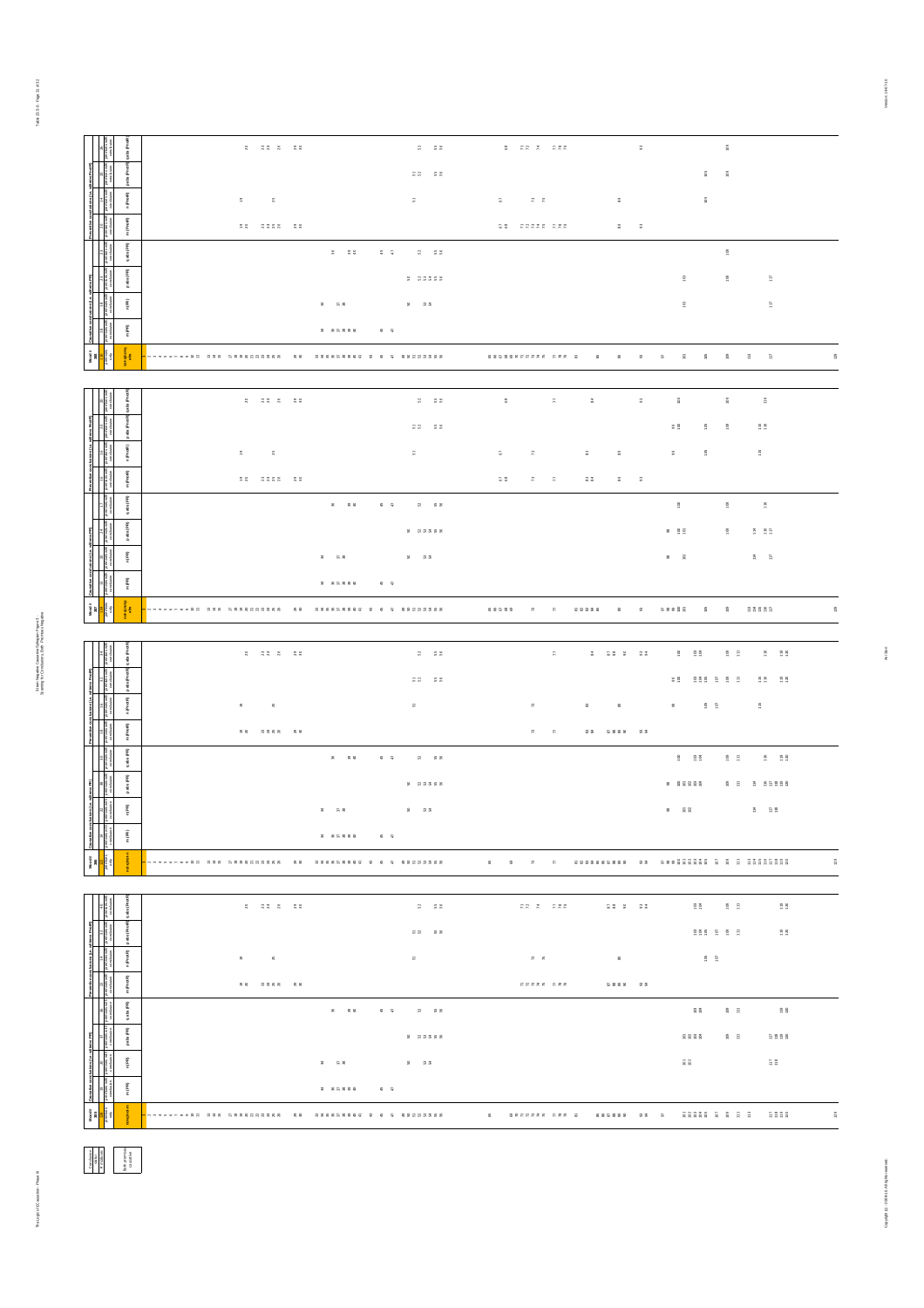| ś<br><b>Sim</b><br>3-lam Negative Causative Sylbor<br>Scanning for Condusions, Both P | š<br>J<br>š<br>i |  |
|---------------------------------------------------------------------------------------|------------------|--|
|                                                                                       |                  |  |
|                                                                                       |                  |  |
|                                                                                       |                  |  |
|                                                                                       |                  |  |
| E Causation - Phase II<br>ь<br>$\frac{8}{8}$<br>i                                     |                  |  |

|                                                   | $\begin{matrix} 8 & \text{R} & \text{R} & \text{R} & \text{R} \\ \text{R} & \text{R} & \text{R} & \text{R} & \text{R} \\ \end{matrix}$ | $\begin{array}{ccc} \hbox{S} & \hbox{S} & \hbox{S} \end{array}$                                                                                                                                                                                                                                                                                                                                                                                                      | $\qquad \qquad \otimes$<br>$\frac{8}{2}$                                                                                                                                                                                                                                                                                                                                                                                                                                                                |
|---------------------------------------------------|----------------------------------------------------------------------------------------------------------------------------------------|----------------------------------------------------------------------------------------------------------------------------------------------------------------------------------------------------------------------------------------------------------------------------------------------------------------------------------------------------------------------------------------------------------------------------------------------------------------------|---------------------------------------------------------------------------------------------------------------------------------------------------------------------------------------------------------------------------------------------------------------------------------------------------------------------------------------------------------------------------------------------------------------------------------------------------------------------------------------------------------|
|                                                   |                                                                                                                                        | ದೆ.ಡಿ ಬಿ.ಜಿ                                                                                                                                                                                                                                                                                                                                                                                                                                                          | 5 5                                                                                                                                                                                                                                                                                                                                                                                                                                                                                                     |
|                                                   | $\begin{array}{ccc} 23 & 23 \\ 23 & 23 \end{array}$                                                                                    | $\frac{1}{20}$                                                                                                                                                                                                                                                                                                                                                                                                                                                       | $\mathbb{S}^2$<br>$\begin{array}{ccc} G & \cdot & \cdot & G & G \\ \end{array}$<br>$\frac{9}{60}$                                                                                                                                                                                                                                                                                                                                                                                                       |
| 흩                                                 | $22$ $2222$ $25$                                                                                                                       |                                                                                                                                                                                                                                                                                                                                                                                                                                                                      |                                                                                                                                                                                                                                                                                                                                                                                                                                                                                                         |
| €<br>$\frac{3}{2}$                                |                                                                                                                                        | $8 - 89$<br>$\begin{array}{cc} \widetilde{w} & \widetilde{w} \end{array}$<br>$28$ $28$                                                                                                                                                                                                                                                                                                                                                                               | $^{50}$                                                                                                                                                                                                                                                                                                                                                                                                                                                                                                 |
| Ê<br>i                                            |                                                                                                                                        | 8 7 7 7 8                                                                                                                                                                                                                                                                                                                                                                                                                                                            | $\overline{\mathbf{S}}$<br>$\frac{8}{10}$<br>$\mathbb{R}$                                                                                                                                                                                                                                                                                                                                                                                                                                               |
| $n \in \mathbb{R}$                                |                                                                                                                                        | $\overline{a}$ $\overline{a}$                                                                                                                                                                                                                                                                                                                                                                                                                                        | $\frac{8}{14}$<br>$\Xi$                                                                                                                                                                                                                                                                                                                                                                                                                                                                                 |
| $\frac{\partial \mathbf{E}}{\partial \mathbf{r}}$ |                                                                                                                                        | $\begin{array}{ccccccccc} \mathbb{I} & \mathbb{I} & \mathbb{I} & \mathbb{I} & \mathbb{I} & \mathbb{I} & \mathbb{I} & \mathbb{I} & \mathbb{I} & \mathbb{I} & \mathbb{I} & \mathbb{I} & \mathbb{I} & \mathbb{I} & \mathbb{I} & \mathbb{I} & \mathbb{I} & \mathbb{I} & \mathbb{I} & \mathbb{I} & \mathbb{I} & \mathbb{I} & \mathbb{I} & \mathbb{I} & \mathbb{I} & \mathbb{I} & \mathbb{I} & \mathbb{I} & \mathbb{I} & \mathbb{I} & \$<br>x xxxxx                        |                                                                                                                                                                                                                                                                                                                                                                                                                                                                                                         |
|                                                   |                                                                                                                                        |                                                                                                                                                                                                                                                                                                                                                                                                                                                                      | nntnentner och bordesagestar de samerener vir verskades i i versenerer har sil alle i sil å å å å å å å                                                                                                                                                                                                                                                                                                                                                                                                 |
|                                                   |                                                                                                                                        |                                                                                                                                                                                                                                                                                                                                                                                                                                                                      |                                                                                                                                                                                                                                                                                                                                                                                                                                                                                                         |
| 횰                                                 | $R$ $R$ $R$ $R$ $R$ $R$                                                                                                                | $x \approx$                                                                                                                                                                                                                                                                                                                                                                                                                                                          | $\frac{8}{10}$<br><u>. 1989</u><br>$\begin{array}{cccccccccccccc} 8 & & & & & & & \mathbb{R} & & & & \mathbb{R} & & & \mathbb{R} & & \mathbb{R} & \mathbb{R} & \mathbb{R} & \mathbb{R} & \mathbb{R} & \mathbb{R} & \mathbb{R} & \mathbb{R} & \mathbb{R} & \mathbb{R} & \mathbb{R} & \mathbb{R} & \mathbb{R} & \mathbb{R} & \mathbb{R} & \mathbb{R} & \mathbb{R} & \mathbb{R} & \mathbb{R} & \mathbb{R} & \mathbb{R} & \mathbb{R} & \mathbb{R} & \mathbb{R} & \mathbb{R}$<br>$\,$ $\,$<br>$\frac{8}{11}$ |
|                                                   |                                                                                                                                        | $\begin{array}{ccccc} \pi & \alpha & & & \pi & \varpi & \varpi \ 0 & \varpi & & & \varpi & \varpi \end{array}$                                                                                                                                                                                                                                                                                                                                                       | 380<br>$\frac{16}{16}$<br>10 <sup>o</sup><br>- 118                                                                                                                                                                                                                                                                                                                                                                                                                                                      |
|                                                   | $25 - 25$                                                                                                                              | $\frac{1}{2}$                                                                                                                                                                                                                                                                                                                                                                                                                                                        | $-22$<br>$\overline{\phantom{a}}$<br>99<br>$\frac{8}{10}$<br>5 <sup>7</sup><br>$\mathbb{R}$<br>$\frac{8}{2}$                                                                                                                                                                                                                                                                                                                                                                                            |
| $\widehat{\mathbf{g}}$<br>흩                       | $22$ $2222$ $252$                                                                                                                      |                                                                                                                                                                                                                                                                                                                                                                                                                                                                      | 58<br>22<br>$\begin{array}{ccc} & 0 & 0 & 0 \\ & 0 & 0 & 0 \\ & 0 & 0 & 0 \\ & 0 & 0 & 0 \\ & 0 & 0 & 0 \\ & 0 & 0 & 0 \\ & 0 & 0 & 0 \\ & 0 & 0 & 0 \\ & 0 & 0 & 0 \\ & 0 & 0 & 0 \\ & 0 & 0 & 0 \\ & 0 & 0 & 0 \\ & 0 & 0 & 0 \\ & 0 & 0 & 0 \\ & 0 & 0 & 0 & 0 \\ & 0 & 0 & 0 & 0 \\ & 0 & 0 & 0 & 0 \\ & 0 & 0 & 0 & 0 \\ & 0 & 0 & 0 & 0 & 0 \\ & 0 & $<br>$R = R$                                                                                                                                 |
| g<br>횰                                            |                                                                                                                                        | $\begin{array}{ccccccccccccccccc} \mathcal{R} & \mathcal{R} & \mathcal{R} & \mathcal{R} & \mathcal{R} & \mathcal{R} & \mathcal{R} & \mathcal{R} & \mathcal{R} & \mathcal{R} & \mathcal{R} & \mathcal{R} & \mathcal{R} & \mathcal{R} & \mathcal{R} & \mathcal{R} & \mathcal{R} & \mathcal{R} & \mathcal{R} & \mathcal{R} & \mathcal{R} & \mathcal{R} & \mathcal{R} & \mathcal{R} & \mathcal{R} & \mathcal{R} & \mathcal{R} & \mathcal{R} & \mathcal{R} & \mathcal{R}$ | $\frac{8}{10}$<br>$\begin{array}{ccc}\n\bullet & \bullet & \bullet & \bullet \\ \bullet & \bullet & \bullet & \bullet\n\end{array}$                                                                                                                                                                                                                                                                                                                                                                     |
| €<br>å.                                           |                                                                                                                                        | 8 27 7 8                                                                                                                                                                                                                                                                                                                                                                                                                                                             | <b># 요즘</b>                                                                                                                                                                                                                                                                                                                                                                                                                                                                                             |
| nPR                                               |                                                                                                                                        | 3.52                                                                                                                                                                                                                                                                                                                                                                                                                                                                 | - 青 白<br>$30 - 50$                                                                                                                                                                                                                                                                                                                                                                                                                                                                                      |
| $\frac{1}{n}$ (PR)                                |                                                                                                                                        | 787772<br>$\begin{array}{ccccc}\n\mathbb{S}^1&\mathbb{S}^1&\mathbb{S}^1&\mathbb{S}^1&\mathbb{S}^1&\mathbb{S}^1&\mathbb{S}^1&\mathbb{S}^1&\mathbb{S}^1&\mathbb{S}^1&\mathbb{S}^1&\mathbb{S}^1&\mathbb{S}^1&\mathbb{S}^1&\mathbb{S}^1&\mathbb{S}^1&\mathbb{S}^1&\mathbb{S}^1&\mathbb{S}^1&\mathbb{S}^1&\mathbb{S}^1&\mathbb{S}^1&\mathbb{S}^1&\mathbb{$                                                                                                                |                                                                                                                                                                                                                                                                                                                                                                                                                                                                                                         |
|                                                   |                                                                                                                                        |                                                                                                                                                                                                                                                                                                                                                                                                                                                                      | 11111111日 日本語 おおきかい かいきん きょう かいきゅう かいきょう しゅうしゅう しゅうしゅう きょうしゅ きんしゅう きんじゅう きんしゅう きんしゅう きょうかい きょうきょう おもの あいきょう                                                                                                                                                                                                                                                                                                                                                                                             |
|                                                   |                                                                                                                                        |                                                                                                                                                                                                                                                                                                                                                                                                                                                                      |                                                                                                                                                                                                                                                                                                                                                                                                                                                                                                         |
| 죞                                                 | $R$ $R$ $R$ $R$ $R$ $R$                                                                                                                | 28.38                                                                                                                                                                                                                                                                                                                                                                                                                                                                | $\begin{array}{cccccccccccccc} \mathbf{8} & \mathbf{8} & \mathbf{8} & \mathbf{8} & \mathbf{8} & \mathbf{8} & \mathbf{8} & \mathbf{8} & \mathbf{8} & \mathbf{8} & \mathbf{8} & \mathbf{8} & \mathbf{8} & \mathbf{8} & \mathbf{8} & \mathbf{8} & \mathbf{8} & \mathbf{8} & \mathbf{8} & \mathbf{8} & \mathbf{8} & \mathbf{8} & \mathbf{8} & \mathbf{8} & \mathbf{8} & \mathbf{8} & \mathbf{8} & \mathbf{8} & \mathbf{8} & \mathbf{8} &$<br><b>Research</b>                                                |
|                                                   |                                                                                                                                        | $28 - 28$                                                                                                                                                                                                                                                                                                                                                                                                                                                            | #8 888 888 888                                                                                                                                                                                                                                                                                                                                                                                                                                                                                          |
|                                                   | $22 - 22$                                                                                                                              | $\frac{44}{50}$                                                                                                                                                                                                                                                                                                                                                                                                                                                      | $\mathbb{R}^-$<br>$\mathfrak{D}$<br>$\frac{8}{3}$                                                                                                                                                                                                                                                                                                                                                                                                                                                       |
| ç<br>틀                                            | $22$ $2222$ $25$                                                                                                                       |                                                                                                                                                                                                                                                                                                                                                                                                                                                                      | $R = -R$<br>$22$ $22$ $22$ $22$                                                                                                                                                                                                                                                                                                                                                                                                                                                                         |
| $\mathfrak{g}_\mathfrak{g}$<br>š                  |                                                                                                                                        | $8 - R$<br>$\mathfrak{P}=\mathfrak{P}$<br>28.38                                                                                                                                                                                                                                                                                                                                                                                                                      | $\begin{matrix} 0 & 0 & 0 \\ 0 & 0 & 0 \\ 0 & 0 & 0 \end{matrix}$<br>$\begin{matrix} 2 & 1 & 1 & 2 \\ 3 & 1 & 1 & 1 \end{matrix}$                                                                                                                                                                                                                                                                                                                                                                       |
| $\widehat{\mathsf{g}}$<br>i                       |                                                                                                                                        | 8 9 7 7 8 8                                                                                                                                                                                                                                                                                                                                                                                                                                                          | * 85885<br>$9 \t{1} \t{3} \t{3} \t{2} \t{3} \t{3}$                                                                                                                                                                                                                                                                                                                                                                                                                                                      |
| own                                               |                                                                                                                                        | $\overline{z}$ $\overline{z}$ $\overline{z}$<br>$\begin{matrix} 0 & 0 & 0 \\ 0 & 0 & 0 \\ 0 & 0 & 0 \end{matrix}$                                                                                                                                                                                                                                                                                                                                                    |                                                                                                                                                                                                                                                                                                                                                                                                                                                                                                         |
| $\frac{\partial}{\partial t}$                     |                                                                                                                                        | a sasse i i e                                                                                                                                                                                                                                                                                                                                                                                                                                                        |                                                                                                                                                                                                                                                                                                                                                                                                                                                                                                         |
|                                                   |                                                                                                                                        |                                                                                                                                                                                                                                                                                                                                                                                                                                                                      |                                                                                                                                                                                                                                                                                                                                                                                                                                                                                                         |
|                                                   |                                                                                                                                        |                                                                                                                                                                                                                                                                                                                                                                                                                                                                      |                                                                                                                                                                                                                                                                                                                                                                                                                                                                                                         |
| 죨                                                 | 8 83 8 88                                                                                                                              | $\boxtimes$ $\boxtimes$ $\boxtimes$                                                                                                                                                                                                                                                                                                                                                                                                                                  | ER E RER<br>$\begin{array}{ccccccccccccccccc} \mathbb{G} & \mathbb{R} & \mathbb{R} & \mathbb{R} & \mathbb{R} & \mathbb{R} & \mathbb{R} & \mathbb{R} & \mathbb{R} & \mathbb{R} & \mathbb{R} & \mathbb{R} & \mathbb{R} & \mathbb{R} & \mathbb{R} & \mathbb{R} & \mathbb{R} & \mathbb{R} & \mathbb{R} & \mathbb{R} & \mathbb{R} & \mathbb{R} & \mathbb{R} & \mathbb{R} & \mathbb{R} & \mathbb{R} & \mathbb{R} & \mathbb{R} & \mathbb{R} & \mathbb{R}$                                                      |
|                                                   |                                                                                                                                        | 22.2                                                                                                                                                                                                                                                                                                                                                                                                                                                                 |                                                                                                                                                                                                                                                                                                                                                                                                                                                                                                         |
|                                                   | $\mathfrak{B}$ and $\mathfrak{B}$                                                                                                      | $\sim 10^{11}$ km s $^{-1}$                                                                                                                                                                                                                                                                                                                                                                                                                                          | 105<br>$\mathbb{R}^n$ , $\mathbb{R}^n$ , and $\mathbb{R}^n$<br>$\frac{30}{20}$                                                                                                                                                                                                                                                                                                                                                                                                                          |
| e<br>E                                            | $22$ $2222$ $222$                                                                                                                      |                                                                                                                                                                                                                                                                                                                                                                                                                                                                      | EREER EER                                                                                                                                                                                                                                                                                                                                                                                                                                                                                               |
|                                                   |                                                                                                                                        | $\begin{array}{ccccccccccccccccc} \mathcal{R} & \mathcal{R} & \mathcal{R} & \mathcal{R} & \mathcal{R} & \mathcal{R} & \mathcal{R} & \mathcal{R} & \mathcal{R} & \mathcal{R} & \mathcal{R} & \mathcal{R} & \mathcal{R} & \mathcal{R} & \mathcal{R} & \mathcal{R} & \mathcal{R} & \mathcal{R} & \mathcal{R} & \mathcal{R} & \mathcal{R} & \mathcal{R} & \mathcal{R} & \mathcal{R} & \mathcal{R} & \mathcal{R} & \mathcal{R} & \mathcal{R} & \mathcal{R} & \mathcal{R}$ |                                                                                                                                                                                                                                                                                                                                                                                                                                                                                                         |
| qato (PR)                                         |                                                                                                                                        |                                                                                                                                                                                                                                                                                                                                                                                                                                                                      | 5355                                                                                                                                                                                                                                                                                                                                                                                                                                                                                                    |
| €<br>휲                                            |                                                                                                                                        | $8\quad 2\ 3\ 3\ 4\ 8\ 8$                                                                                                                                                                                                                                                                                                                                                                                                                                            |                                                                                                                                                                                                                                                                                                                                                                                                                                                                                                         |
| nPR                                               |                                                                                                                                        | $\begin{array}{ccccc} \pi & & \pi \pi \end{array}$<br>8 3.3                                                                                                                                                                                                                                                                                                                                                                                                          | $\frac{5}{2}$ $\frac{3}{2}$                                                                                                                                                                                                                                                                                                                                                                                                                                                                             |
| $\mathfrak{m}$ (PR)                               |                                                                                                                                        | 7.85889<br>$\begin{array}{ccccc}\n\mathbb{I}^m & & \mathbb{I}^m_{\mathbb{R}} & \mathbb{I}^m_{\mathbb{R}}\n\end{array}$                                                                                                                                                                                                                                                                                                                                               |                                                                                                                                                                                                                                                                                                                                                                                                                                                                                                         |

Variant 19-07-10